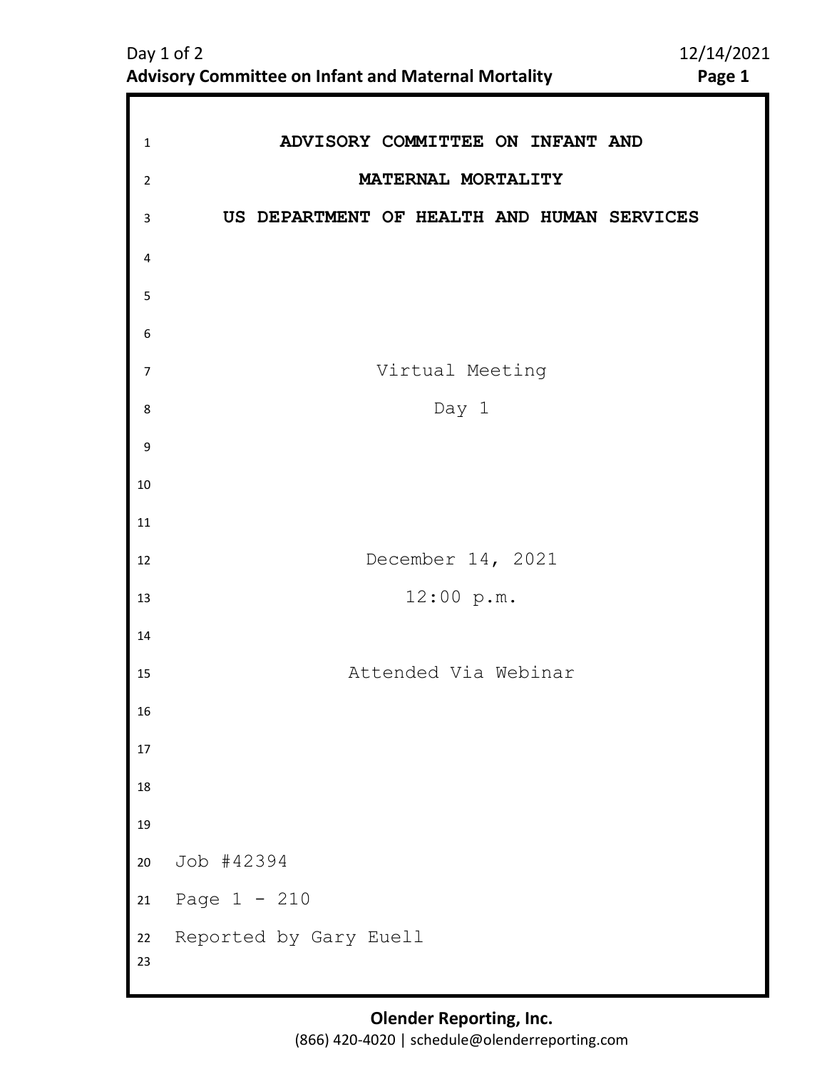| $\mathbf{1}$   | ADVISORY COMMITTEE ON INFANT AND           |
|----------------|--------------------------------------------|
| $\overline{2}$ | MATERNAL MORTALITY                         |
| 3              | US DEPARTMENT OF HEALTH AND HUMAN SERVICES |
| 4              |                                            |
| 5              |                                            |
| 6              |                                            |
| $\overline{7}$ | Virtual Meeting                            |
| 8              | Day 1                                      |
| 9              |                                            |
| 10             |                                            |
| 11             |                                            |
| 12             | December 14, 2021                          |
| 13             | 12:00 p.m.                                 |
| 14             |                                            |
| 15             | Attended Via Webinar                       |
| 16             |                                            |
| $17\,$         |                                            |
| $18\,$         |                                            |
| 19             |                                            |
| 20             | Job #42394                                 |
| $21\,$         | Page $1 - 210$                             |
| 22<br>23       | Reported by Gary Euell                     |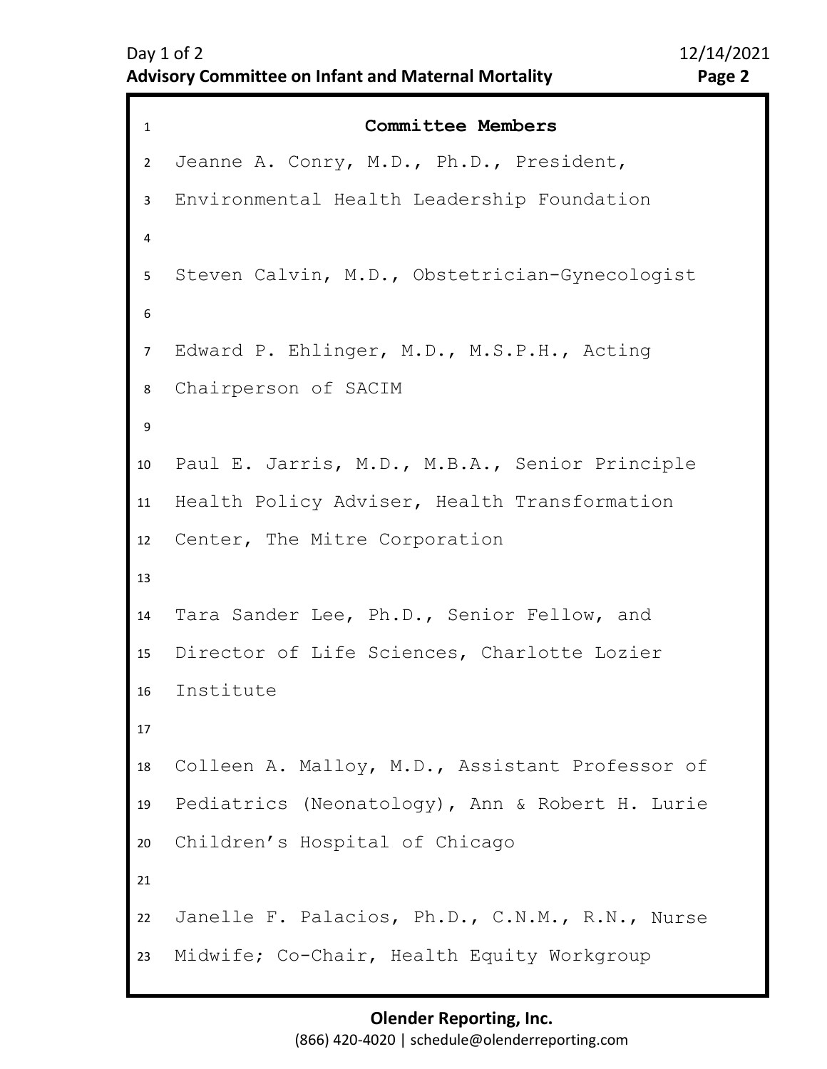```
1 Committee Members
2 
3 
4 
5 
6 
10
11
12
13
14
15
16
17
18
19
20
21
22
23
7 
9 
8 
   Jeanne A. Conry, M.D., Ph.D., President, 
   Environmental Health Leadership Foundation 
   Steven Calvin, M.D., Obstetrician-Gynecologist 
   Edward P. Ehlinger, M.D., M.S.P.H., Acting 
   Chairperson of SACIM
   Paul E. Jarris, M.D., M.B.A., Senior Principle 
   Health Policy Adviser, Health Transformation 
   Center, The Mitre Corporation 
   Tara Sander Lee, Ph.D., Senior Fellow, and 
   Director of Life Sciences, Charlotte Lozier 
   Institute
   Colleen A. Malloy, M.D., Assistant Professor of 
   Pediatrics (Neonatology), Ann & Robert H. Lurie 
   Children's Hospital of Chicago 
   Janelle F. Palacios, Ph.D., C.N.M., R.N., Nurse 
   Midwife; Co-Chair, Health Equity Workgroup
```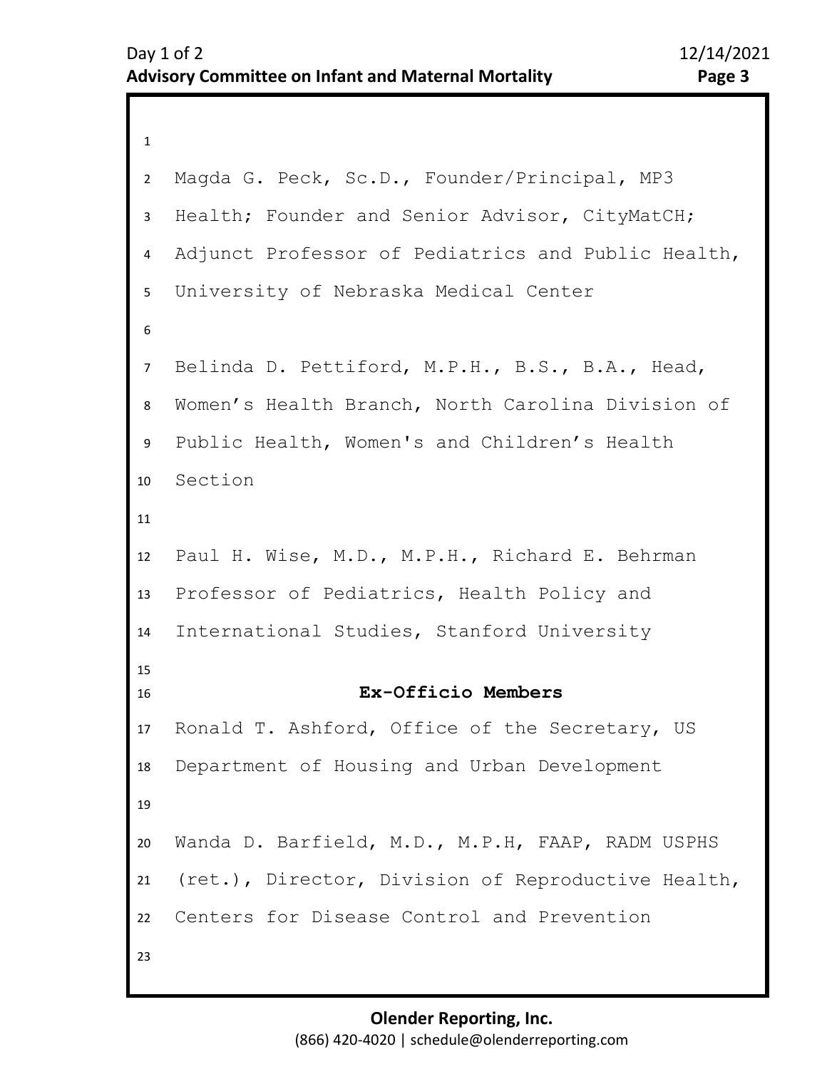```
1 
2 
3 
4 
5 
6 
7 
11
12
13
14
15
16
17
18
19
20
21
22
23
8 
10
9 
   Magda G. Peck, Sc.D., Founder/Principal, MP3 
   Health; Founder and Senior Advisor, CityMatCH; 
   Adjunct Professor of Pediatrics and Public Health, 
   University of Nebraska Medical Center 
   Belinda D. Pettiford, M.P.H., B.S., B.A., Head, 
   Women's Health Branch, North Carolina Division of 
   Public Health, Women's and Children's Health 
   Section
   Paul H. Wise, M.D., M.P.H., Richard E. Behrman 
   Professor of Pediatrics, Health Policy and 
   International Studies, Stanford University 
                     Ex-Officio Members
   Ronald T. Ashford, Office of the Secretary, US 
   Department of Housing and Urban Development 
   Wanda D. Barfield, M.D., M.P.H, FAAP, RADM USPHS 
   (ret.), Director, Division of Reproductive Health, 
   Centers for Disease Control and Prevention
```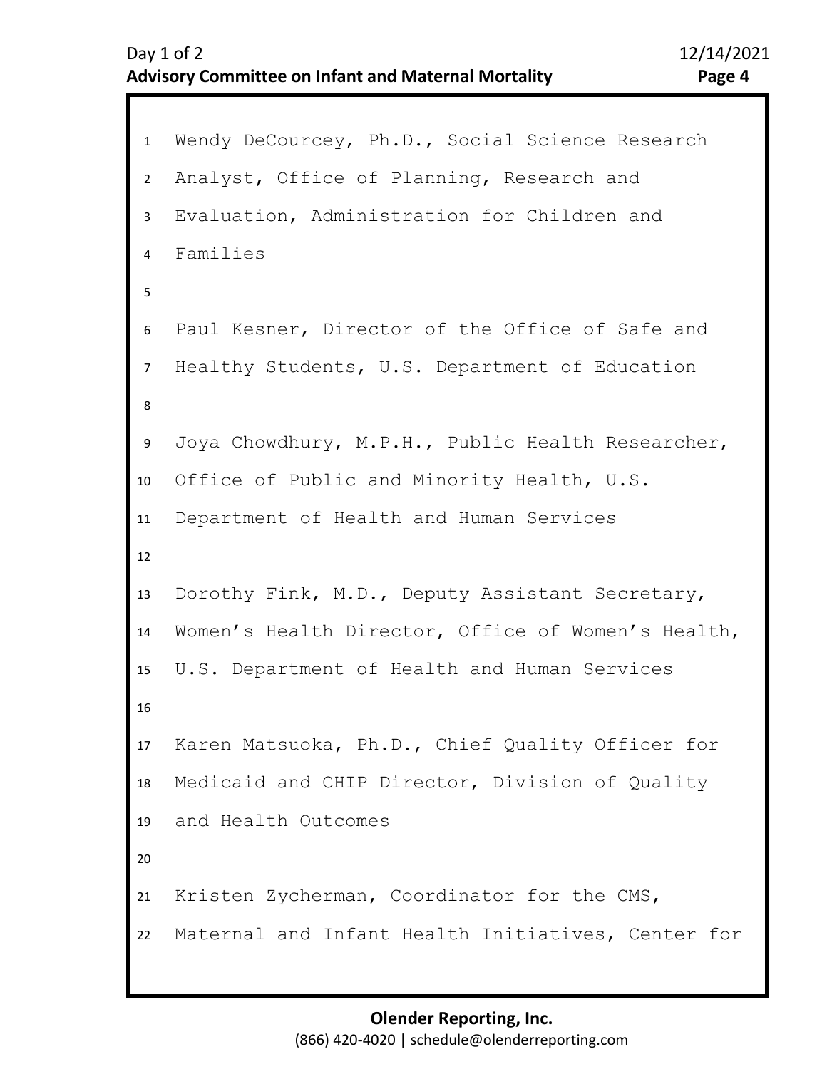```
1 Wendy DeCourcey, Ph.D., Social Science Research 
2 
3 
4 
5 
6 
10
11
12
13
14
15
16
17
18
19
20
21
22
7 
9 
8 
   Analyst, Office of Planning, Research and 
   Evaluation, Administration for Children and 
   Families 
   Paul Kesner, Director of the Office of Safe and 
   Healthy Students, U.S. Department of Education 
   Joya Chowdhury, M.P.H., Public Health Researcher,
   Office of Public and Minority Health, U.S. 
   Department of Health and Human Services 
   Dorothy Fink, M.D., Deputy Assistant Secretary, 
   Women's Health Director, Office of Women's Health, 
   U.S. Department of Health and Human Services 
   Karen Matsuoka, Ph.D., Chief Quality Officer for 
   Medicaid and CHIP Director, Division of Quality 
   and Health Outcomes 
   Kristen Zycherman, Coordinator for the CMS,
   Maternal and Infant Health Initiatives, Center for
```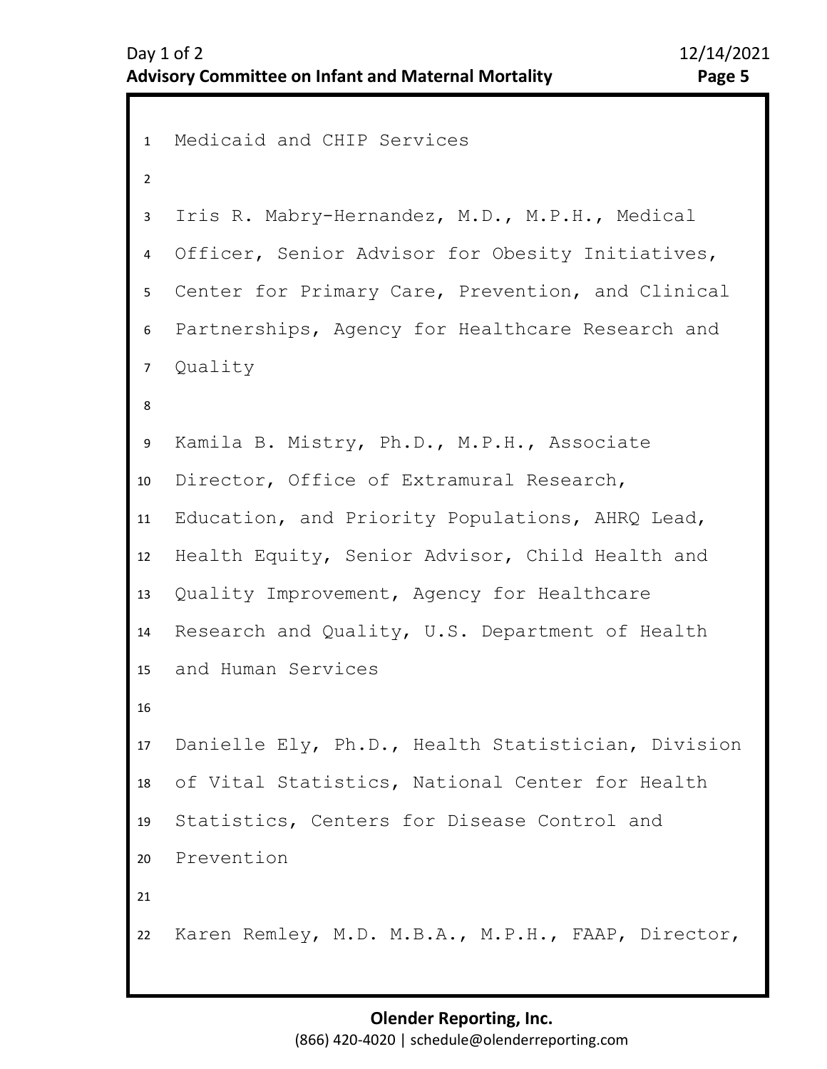```
1 Medicaid and CHIP Services 
2 
3 
4 
5 
6 
7 
11
12
13
14
15
16
17
18
19
20
21
22
8 
10
9 
   Iris R. Mabry-Hernandez, M.D., M.P.H., Medical 
   Officer, Senior Advisor for Obesity Initiatives, 
   Center for Primary Care, Prevention, and Clinical 
   Partnerships, Agency for Healthcare Research and 
   Quality 
   Kamila B. Mistry, Ph.D., M.P.H., Associate 
   Director, Office of Extramural Research, 
   Education, and Priority Populations, AHRQ Lead, 
   Health Equity, Senior Advisor, Child Health and 
   Quality Improvement, Agency for Healthcare 
   Research and Quality, U.S. Department of Health 
   and Human Services 
   Danielle Ely, Ph.D., Health Statistician, Division 
   of Vital Statistics, National Center for Health 
   Statistics, Centers for Disease Control and 
   Prevention 
   Karen Remley, M.D. M.B.A., M.P.H., FAAP, Director,
```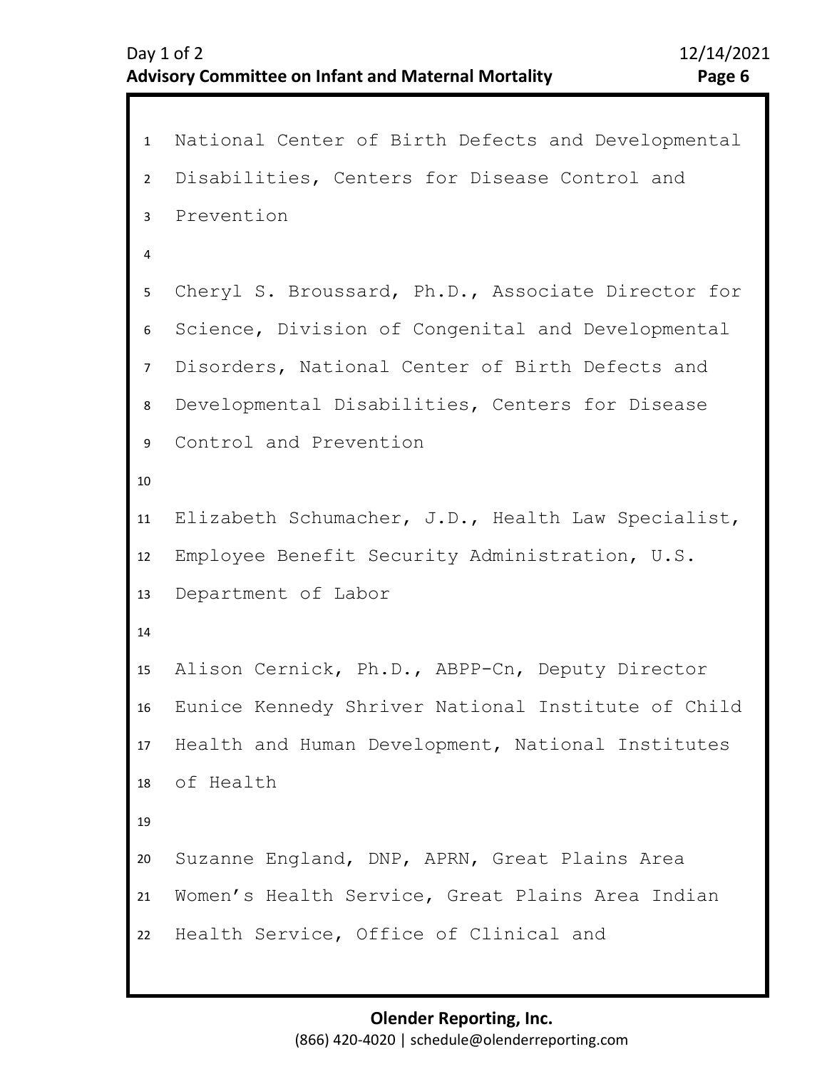```
1 National Center of Birth Defects and Developmental 
2 
3 
4 
5 
6 
10
11
12
13
14
15
16
17
18
19
20
21
22
7 
9 
8 
   Disabilities, Centers for Disease Control and 
   Prevention 
   Cheryl S. Broussard, Ph.D., Associate Director for 
   Science, Division of Congenital and Developmental 
   Disorders, National Center of Birth Defects and 
   Developmental Disabilities, Centers for Disease 
   Control and Prevention 
   Elizabeth Schumacher, J.D., Health Law Specialist, 
   Employee Benefit Security Administration, U.S. 
   Department of Labor 
   Alison Cernick, Ph.D., ABPP-Cn, Deputy Director 
   Eunice Kennedy Shriver National Institute of Child 
   Health and Human Development, National Institutes
   of Health 
   Suzanne England, DNP, APRN, Great Plains Area 
   Women's Health Service, Great Plains Area Indian 
   Health Service, Office of Clinical and
```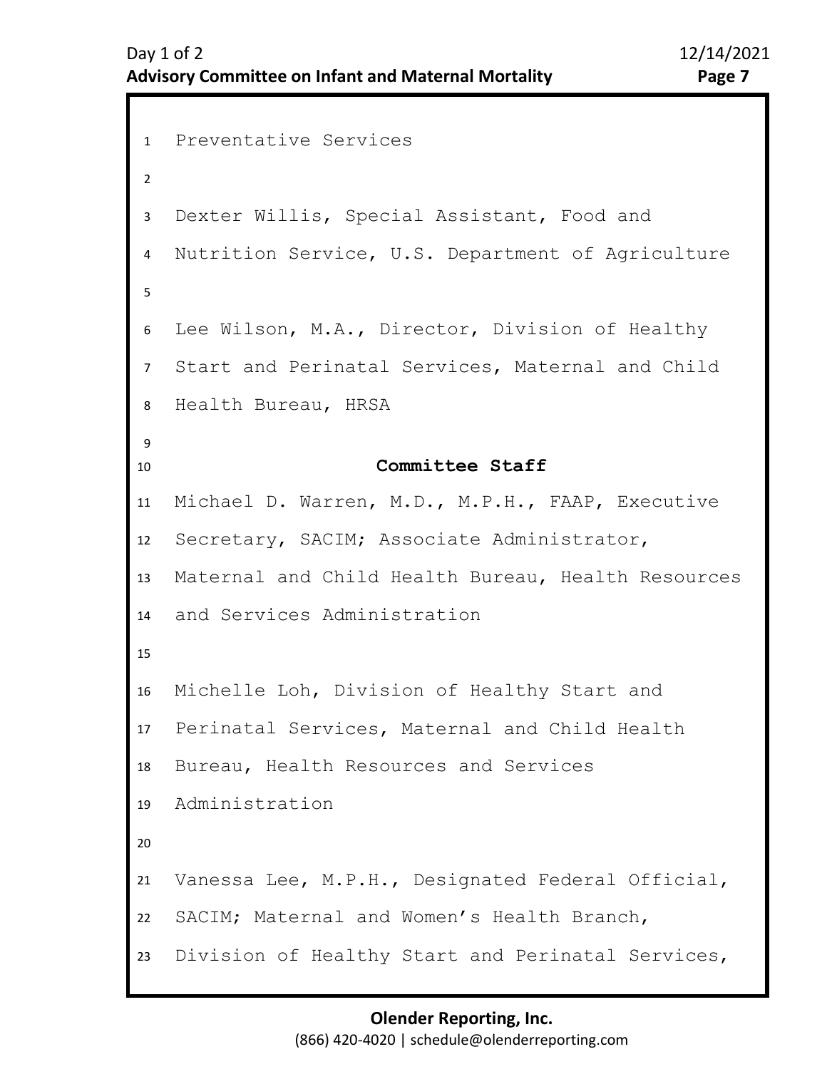```
1 Preventative Services 
2 
3 
4 
5 
6 
7 
8 
9 
13
14
15
16
17
18
19
20
21
22
23
10
12
11
   Dexter Willis, Special Assistant, Food and 
   Nutrition Service, U.S. Department of Agriculture 
   Lee Wilson, M.A., Director, Division of Healthy 
   Start and Perinatal Services, Maternal and Child 
   Health Bureau, HRSA 
                      Committee Staff
   Michael D. Warren, M.D., M.P.H., FAAP, Executive 
   Secretary, SACIM; Associate Administrator, 
   Maternal and Child Health Bureau, Health Resources 
   and Services Administration
   Michelle Loh, Division of Healthy Start and 
   Perinatal Services, Maternal and Child Health 
   Bureau, Health Resources and Services 
   Administration
   Vanessa Lee, M.P.H., Designated Federal Official, 
   SACIM; Maternal and Women's Health Branch, 
   Division of Healthy Start and Perinatal Services,
```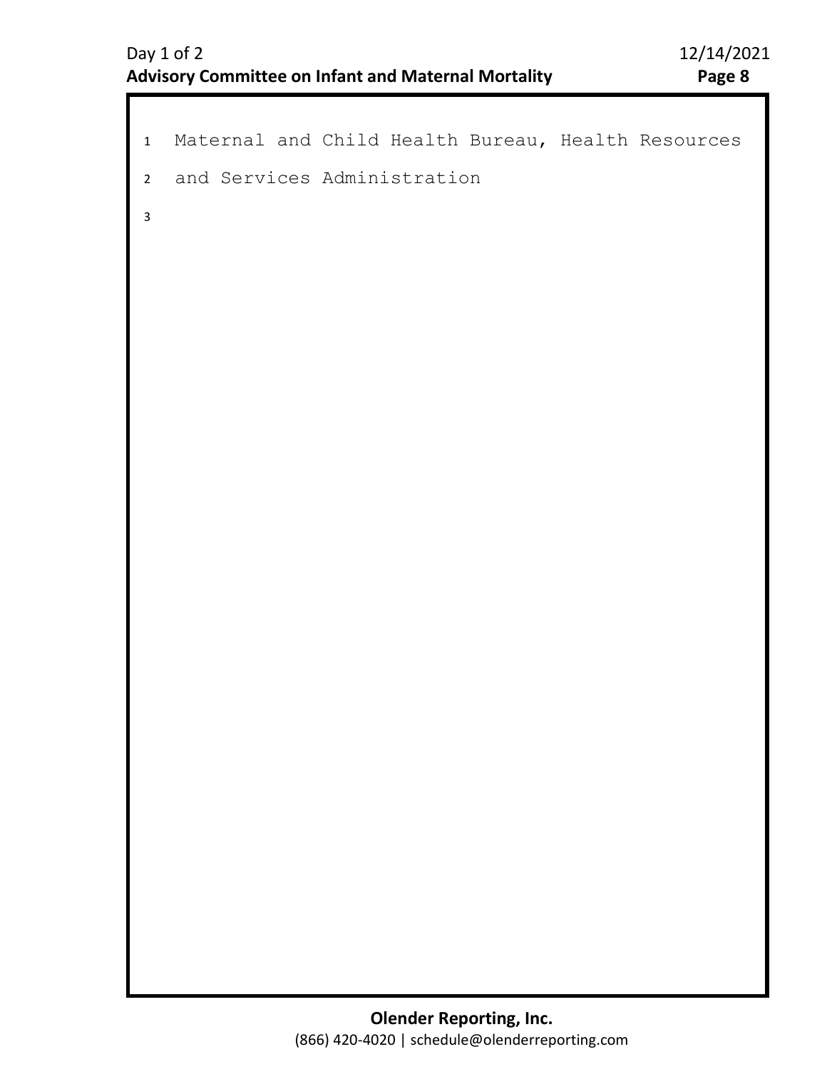```
1 Maternal and Child Health Bureau, Health Resources 
2 
3 
  and Services Administration
```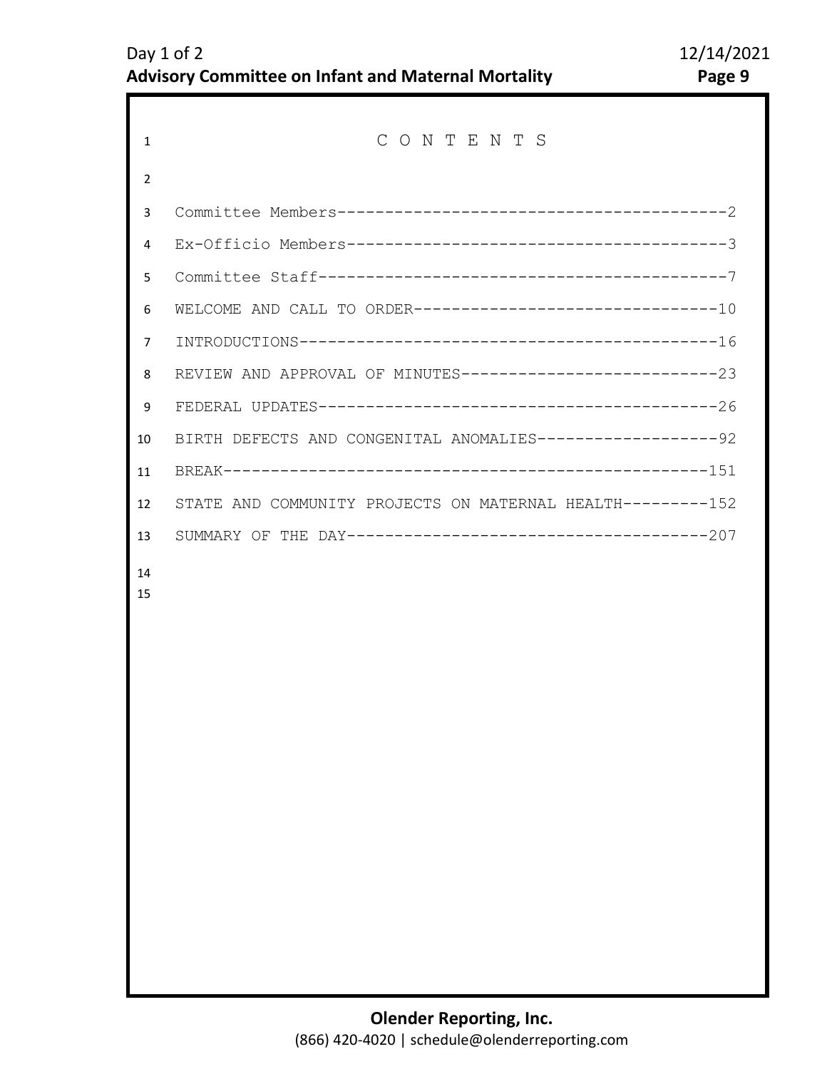| 1              | CONTENTS                                                     |  |
|----------------|--------------------------------------------------------------|--|
| 2              |                                                              |  |
| 3              |                                                              |  |
| 4              |                                                              |  |
| 5              |                                                              |  |
| 6              | WELCOME AND CALL TO ORDER---------------------------------10 |  |
| $\overline{7}$ |                                                              |  |
| 8              | REVIEW AND APPROVAL OF MINUTES----------------------------23 |  |
| 9              |                                                              |  |
| 10             | BIRTH DEFECTS AND CONGENITAL ANOMALIES-------------------92  |  |
| 11             |                                                              |  |
| 12             | STATE AND COMMUNITY PROJECTS ON MATERNAL HEALTH---------152  |  |
| 13             |                                                              |  |
| 14<br>15       |                                                              |  |
|                |                                                              |  |
|                |                                                              |  |
|                |                                                              |  |
|                |                                                              |  |
|                |                                                              |  |
|                |                                                              |  |
|                |                                                              |  |
|                |                                                              |  |
|                |                                                              |  |
|                |                                                              |  |
|                |                                                              |  |
|                |                                                              |  |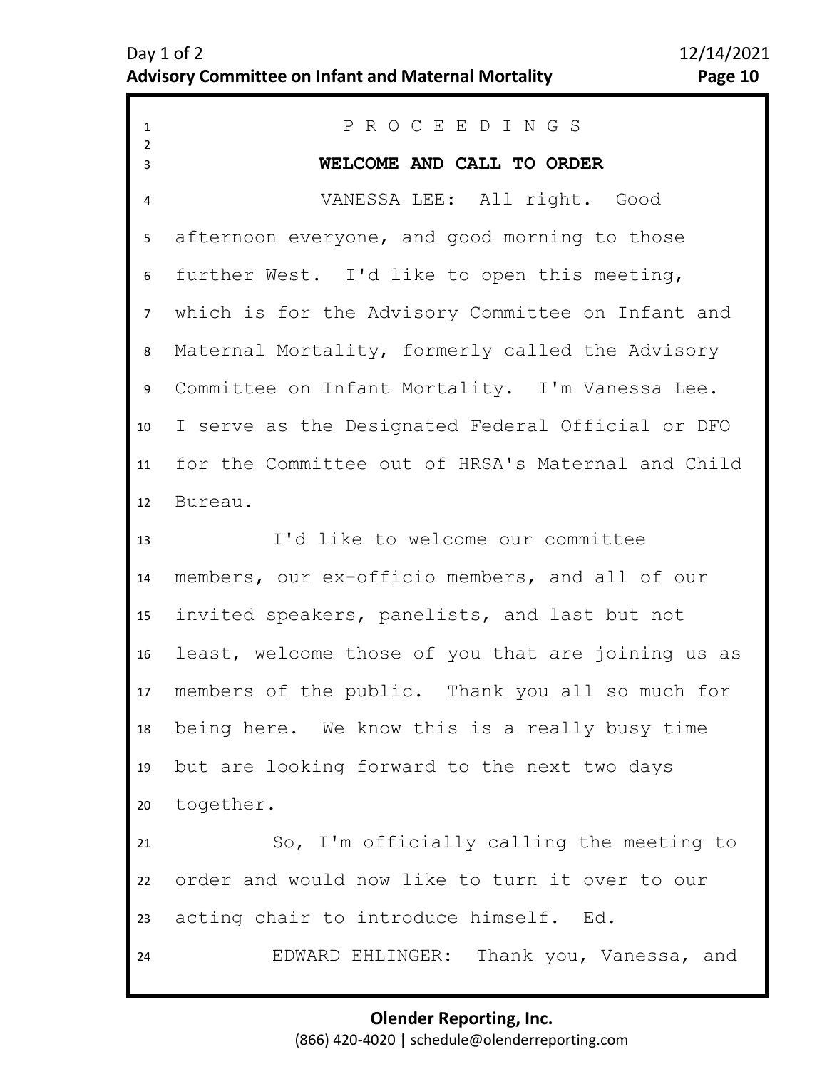<span id="page-9-0"></span>

| $\mathbf{1}$            | PROCEEDINGS                                        |
|-------------------------|----------------------------------------------------|
| $\overline{2}$<br>3     | WELCOME AND CALL TO ORDER                          |
| $\overline{\mathbf{4}}$ | VANESSA LEE: All right. Good                       |
| 5                       | afternoon everyone, and good morning to those      |
| 6                       | further West. I'd like to open this meeting,       |
| $\overline{7}$          | which is for the Advisory Committee on Infant and  |
| 8                       | Maternal Mortality, formerly called the Advisory   |
| 9                       | Committee on Infant Mortality. I'm Vanessa Lee.    |
| 10                      | I serve as the Designated Federal Official or DFO  |
| 11                      | for the Committee out of HRSA's Maternal and Child |
| 12                      | Bureau.                                            |
| 13                      | I'd like to welcome our committee                  |
| 14                      | members, our ex-officio members, and all of our    |
| 15                      | invited speakers, panelists, and last but not      |
| 16                      | least, welcome those of you that are joining us as |
| 17                      | members of the public. Thank you all so much for   |
| 18                      | being here. We know this is a really busy time     |
| 19                      | but are looking forward to the next two days       |
| 20 <sub>2</sub>         | together.                                          |
| 21                      | So, I'm officially calling the meeting to          |
| 22                      | order and would now like to turn it over to our    |
| 23                      | acting chair to introduce himself. Ed.             |
| 24                      | EDWARD EHLINGER: Thank you, Vanessa, and           |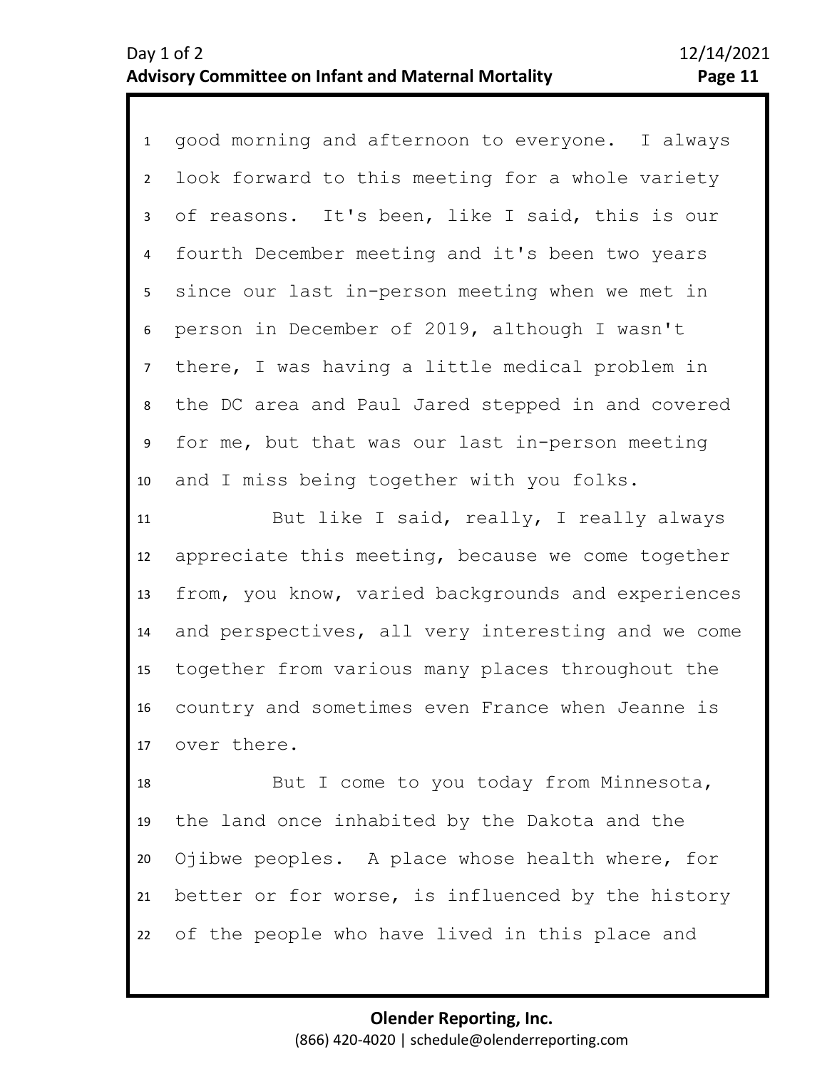1 good morning and afternoon to everyone. I always 2 3 4 5 6 7 8 9 10 look forward to this meeting for a whole variety of reasons. It's been, like I said, this is our fourth December meeting and it's been two years since our last in-person meeting when we met in person in December of 2019, although I wasn't there, I was having a little medical problem in the DC area and Paul Jared stepped in and covered for me, but that was our last in-person meeting and I miss being together with you folks.

13 14 15 16 17 12 11 But like I said, really, I really always appreciate this meeting, because we come together from, you know, varied backgrounds and experiences and perspectives, all very interesting and we come together from various many places throughout the country and sometimes even France when Jeanne is over there.

18 19 20 21 22 But I come to you today from Minnesota, the land once inhabited by the Dakota and the Ojibwe peoples. A place whose health where, for better or for worse, is influenced by the history of the people who have lived in this place and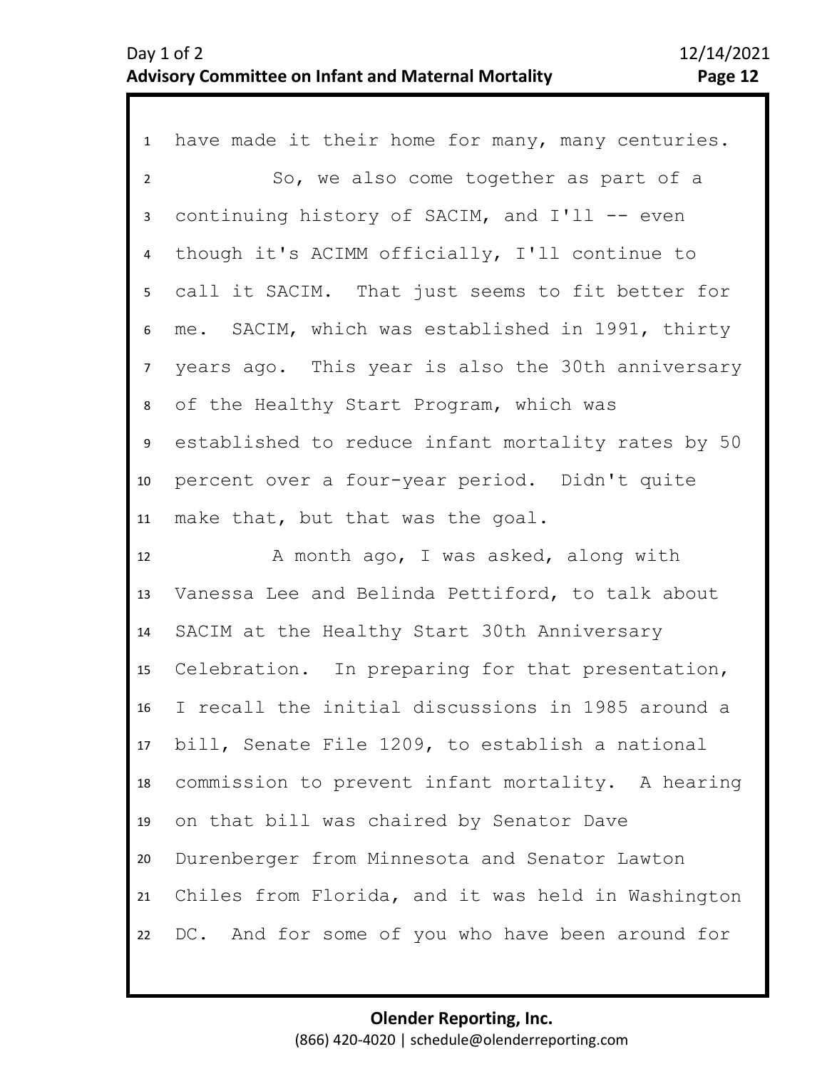| $\mathbf{1}$    | have made it their home for many, many centuries.  |
|-----------------|----------------------------------------------------|
| $\overline{2}$  | So, we also come together as part of a             |
| $\mathbf{3}$    | continuing history of SACIM, and I'll -- even      |
| $\overline{4}$  | though it's ACIMM officially, I'll continue to     |
| 5               | call it SACIM. That just seems to fit better for   |
| 6               | me. SACIM, which was established in 1991, thirty   |
| 7 <sup>7</sup>  | years ago. This year is also the 30th anniversary  |
| 8               | of the Healthy Start Program, which was            |
| 9               | established to reduce infant mortality rates by 50 |
| 10              | percent over a four-year period. Didn't quite      |
|                 | make that, but that was the goal.                  |
| 11              |                                                    |
| 12              | A month ago, I was asked, along with               |
| 13              | Vanessa Lee and Belinda Pettiford, to talk about   |
| 14              | SACIM at the Healthy Start 30th Anniversary        |
| 15 <sub>1</sub> | Celebration. In preparing for that presentation,   |
| 16              | I recall the initial discussions in 1985 around a  |
| 17              | bill, Senate File 1209, to establish a national    |
| 18              | commission to prevent infant mortality. A hearing  |
| 19              | on that bill was chaired by Senator Dave           |
| 20              | Durenberger from Minnesota and Senator Lawton      |
| 21              | Chiles from Florida, and it was held in Washington |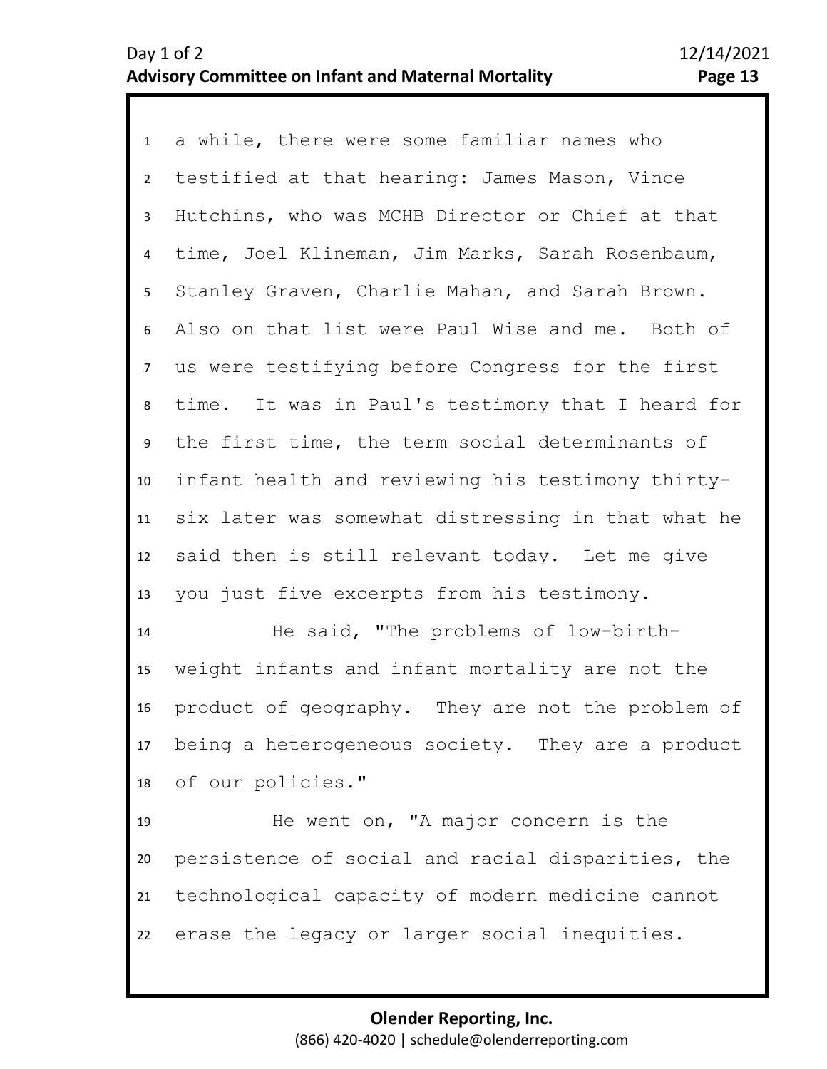1 a while, there were some familiar names who 2 3 4 5 6 7 8 9 10 11 12 13 testified at that hearing: James Mason, Vince Hutchins, who was MCHB Director or Chief at that time, Joel Klineman, Jim Marks, Sarah Rosenbaum, Stanley Graven, Charlie Mahan, and Sarah Brown. Also on that list were Paul Wise and me. Both of us were testifying before Congress for the first time. It was in Paul's testimony that I heard for the first time, the term social determinants of infant health and reviewing his testimony thirtysix later was somewhat distressing in that what he said then is still relevant today. Let me give you just five excerpts from his testimony.

14 15 16 17 18 He said, "The problems of low-birthweight infants and infant mortality are not the product of geography. They are not the problem of being a heterogeneous society. They are a product of our policies."

19 22 20 21 He went on, "A major concern is the persistence of social and racial disparities, the technological capacity of modern medicine cannot erase the legacy or larger social inequities.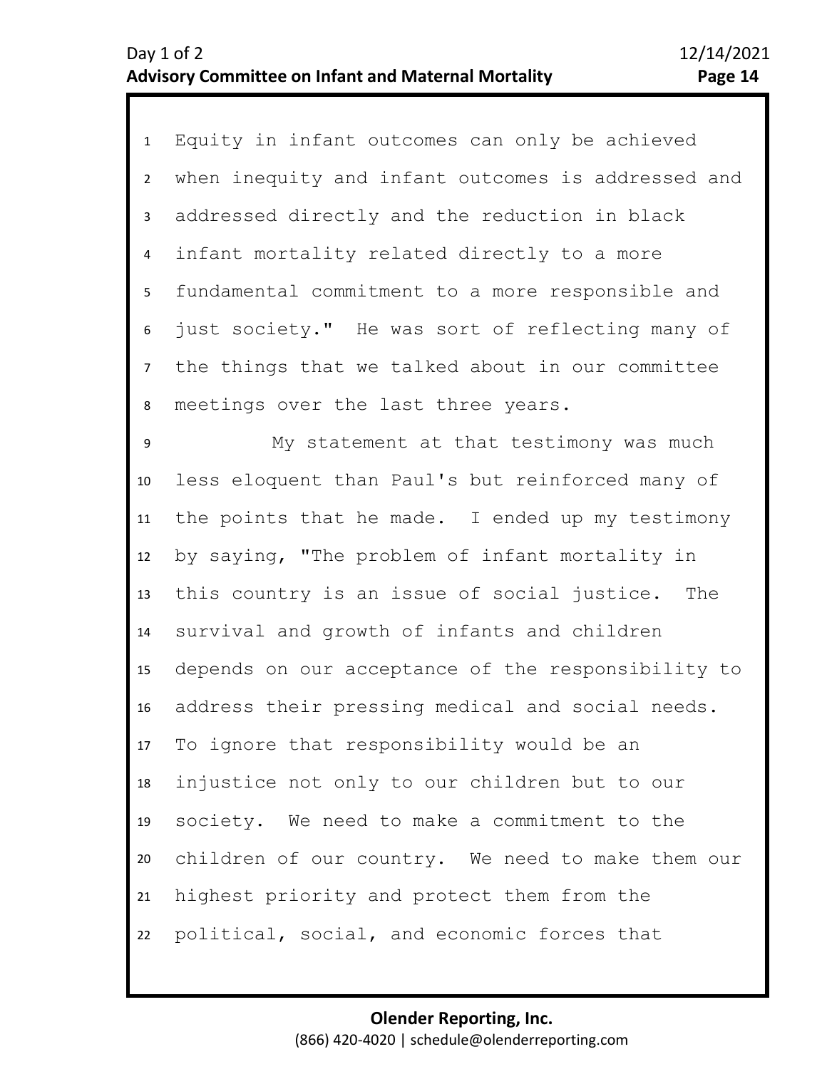1 Equity in infant outcomes can only be achieved 2 3 4 5 6 7 8 when inequity and infant outcomes is addressed and addressed directly and the reduction in black infant mortality related directly to a more fundamental commitment to a more responsible and just society." He was sort of reflecting many of the things that we talked about in our committee meetings over the last three years.

11 12 13 14 15 16 17 18 19 20 21 22 10 9 My statement at that testimony was much less eloquent than Paul's but reinforced many of the points that he made. I ended up my testimony by saying, "The problem of infant mortality in this country is an issue of social justice. The survival and growth of infants and children depends on our acceptance of the responsibility to address their pressing medical and social needs. To ignore that responsibility would be an injustice not only to our children but to our society. We need to make a commitment to the children of our country. We need to make them our highest priority and protect them from the political, social, and economic forces that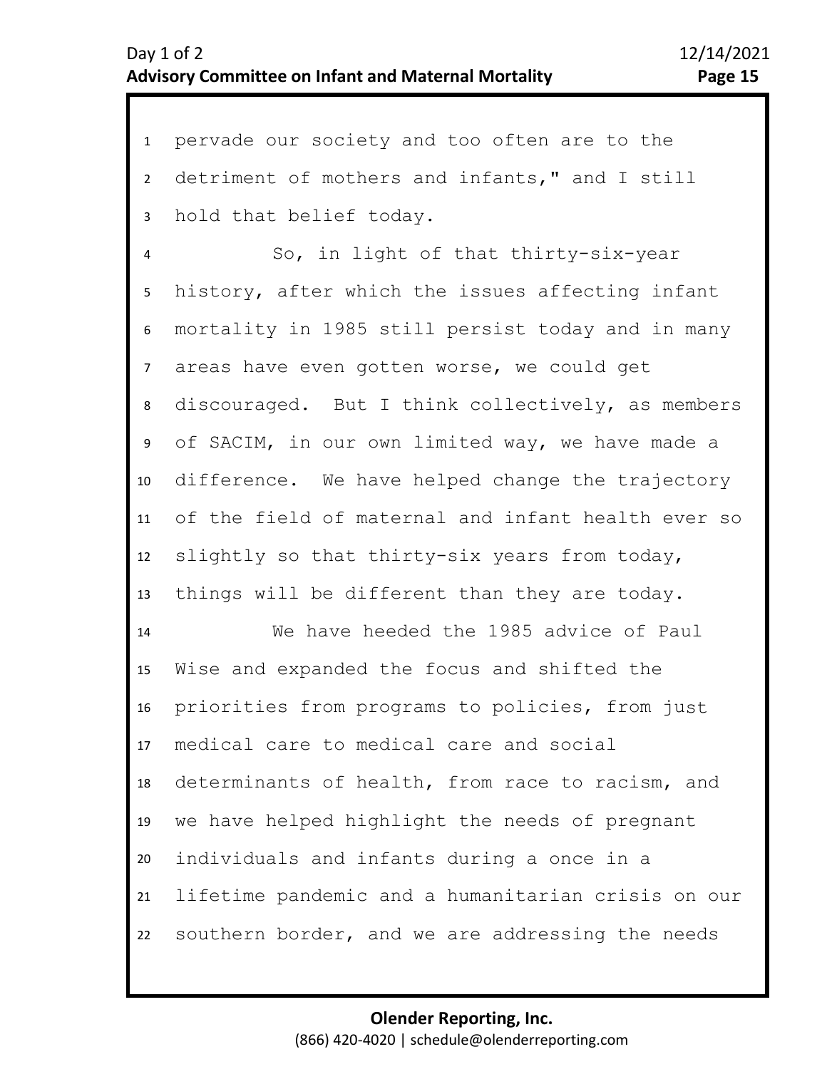1 pervade our society and too often are to the 2 3 detriment of mothers and infants," and I still hold that belief today.

4 5 6 7 10 11 12 13 8 9 So, in light of that thirty-six-year history, after which the issues affecting infant mortality in 1985 still persist today and in many areas have even gotten worse, we could get discouraged. But I think collectively, as members of SACIM, in our own limited way, we have made a difference. We have helped change the trajectory of the field of maternal and infant health ever so slightly so that thirty-six years from today, things will be different than they are today.

14 15 16 17 18 19 20 21 22 We have heeded the 1985 advice of Paul Wise and expanded the focus and shifted the priorities from programs to policies, from just medical care to medical care and social determinants of health, from race to racism, and we have helped highlight the needs of pregnant individuals and infants during a once in a lifetime pandemic and a humanitarian crisis on our southern border, and we are addressing the needs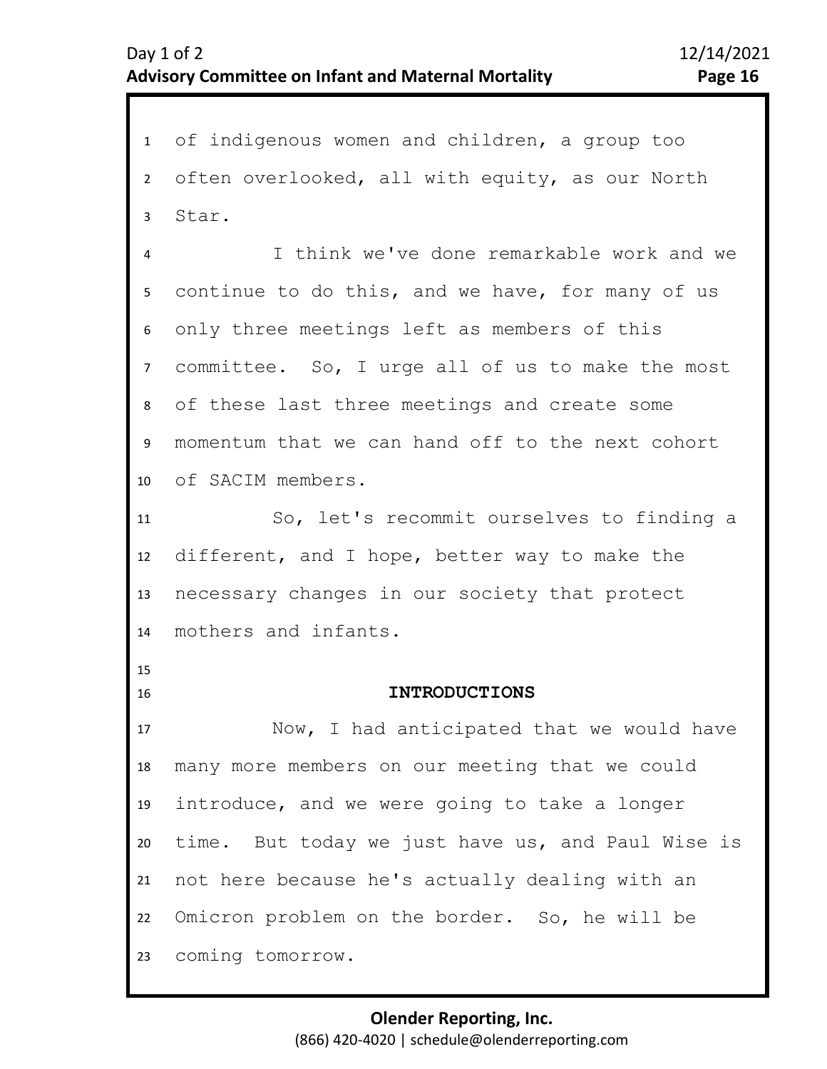<span id="page-15-0"></span>1 of indigenous women and children, a group too 2 3 4 5 6 7 11 12 13 14 15 16 17 18 19 20 21 22 23 8 10 9 often overlooked, all with equity, as our North Star. I think we've done remarkable work and we continue to do this, and we have, for many of us only three meetings left as members of this committee. So, I urge all of us to make the most of these last three meetings and create some momentum that we can hand off to the next cohort of SACIM members. So, let's recommit ourselves to finding a different, and I hope, better way to make the necessary changes in our society that protect mothers and infants. **INTRODUCTIONS**  Now, I had anticipated that we would have many more members on our meeting that we could introduce, and we were going to take a longer time. But today we just have us, and Paul Wise is not here because he's actually dealing with an Omicron problem on the border. So, he will be coming tomorrow.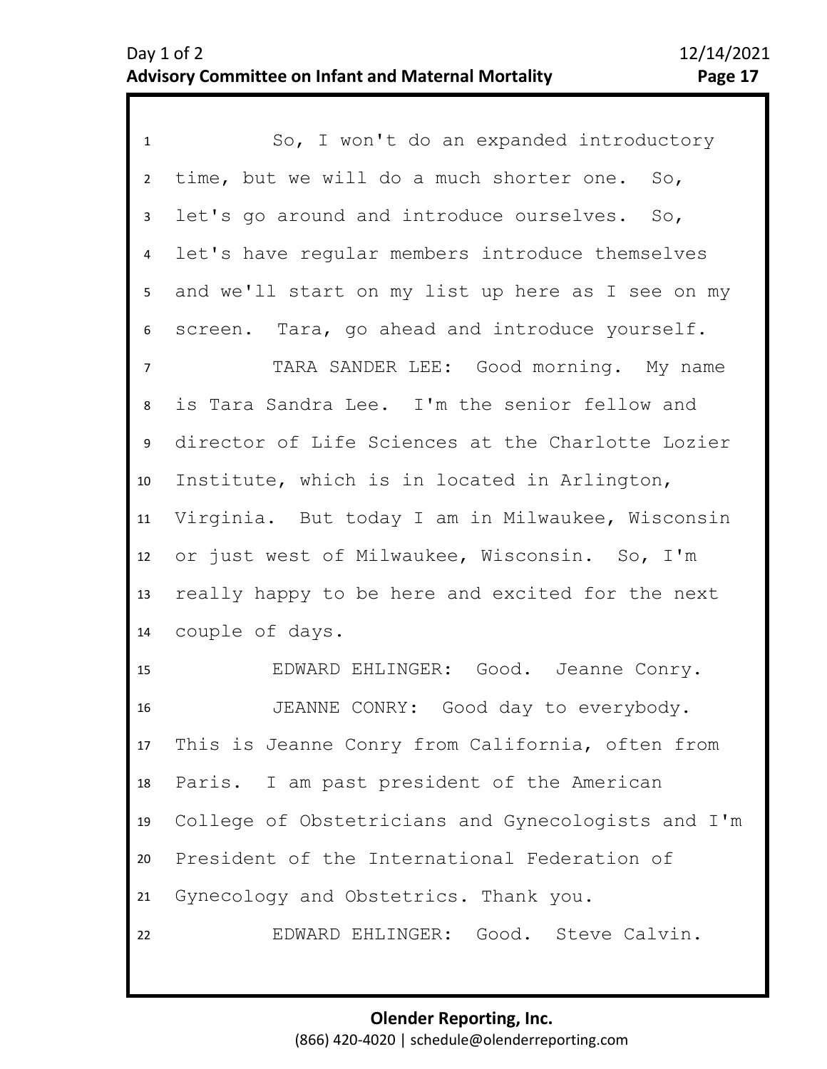| $\mathbf{1}$   | So, I won't do an expanded introductory            |
|----------------|----------------------------------------------------|
| $\overline{2}$ | time, but we will do a much shorter one. So,       |
| 3              | let's go around and introduce ourselves. So,       |
| $\overline{4}$ | let's have regular members introduce themselves    |
| 5              | and we'll start on my list up here as I see on my  |
| 6              | screen. Tara, go ahead and introduce yourself.     |
| $\overline{7}$ | TARA SANDER LEE: Good morning. My name             |
| 8              | is Tara Sandra Lee. I'm the senior fellow and      |
| 9              | director of Life Sciences at the Charlotte Lozier  |
| 10             | Institute, which is in located in Arlington,       |
| 11             | Virginia. But today I am in Milwaukee, Wisconsin   |
| 12             | or just west of Milwaukee, Wisconsin. So, I'm      |
| 13             | really happy to be here and excited for the next   |
| 14             | couple of days.                                    |
| 15             | EDWARD EHLINGER: Good. Jeanne Conry.               |
| 16             | JEANNE CONRY: Good day to everybody.               |
| 17             | This is Jeanne Conry from California, often from   |
| 18             | Paris. I am past president of the American         |
| 19             | College of Obstetricians and Gynecologists and I'm |
| 20             | President of the International Federation of       |
| 21             | Gynecology and Obstetrics. Thank you.              |
| 22             | EDWARD EHLINGER: Good. Steve Calvin.               |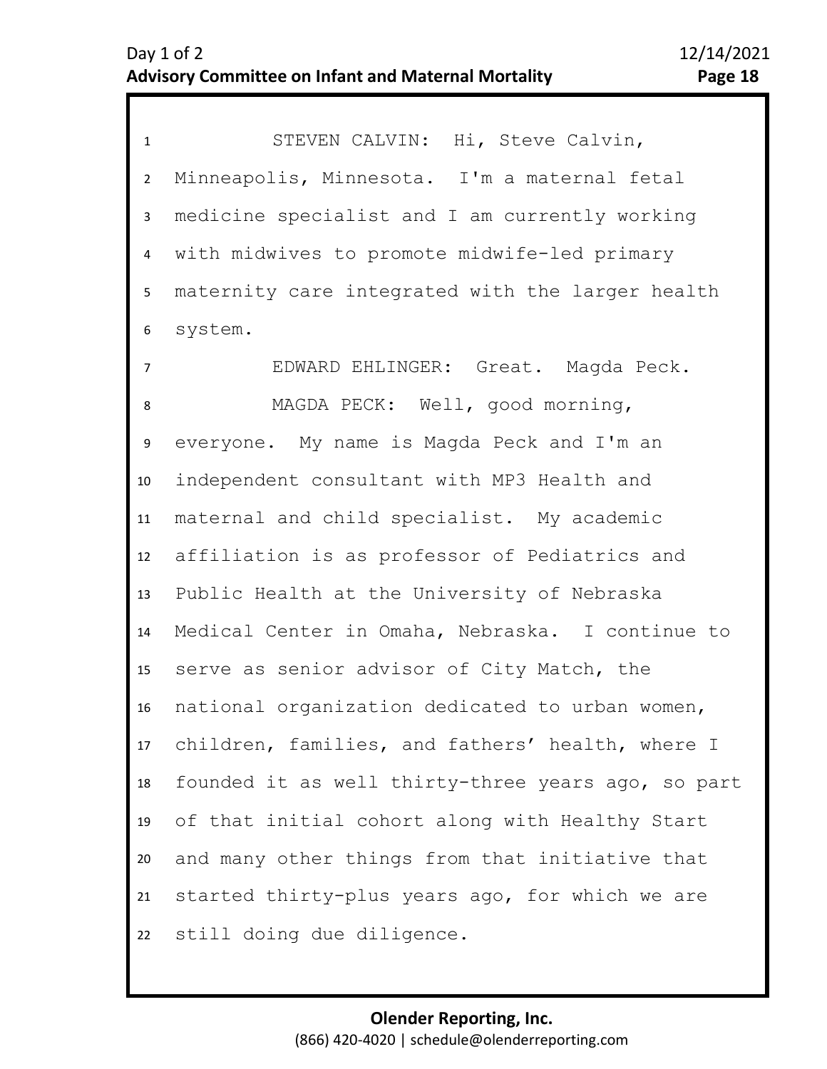1 STEVEN CALVIN: Hi, Steve Calvin, 2 3 4 5 6 Minneapolis, Minnesota. I'm a maternal fetal medicine specialist and I am currently working with midwives to promote midwife-led primary maternity care integrated with the larger health system.

7 8 11 12 13 14 15 16 17 18 19 20 21 22 10 9 EDWARD EHLINGER: Great. Magda Peck. MAGDA PECK: Well, good morning, everyone. My name is Magda Peck and I'm an independent consultant with MP3 Health and maternal and child specialist. My academic affiliation is as professor of Pediatrics and Public Health at the University of Nebraska Medical Center in Omaha, Nebraska. I continue to serve as senior advisor of City Match, the national organization dedicated to urban women, children, families, and fathers' health, where I founded it as well thirty-three years ago, so part of that initial cohort along with Healthy Start and many other things from that initiative that started thirty-plus years ago, for which we are still doing due diligence.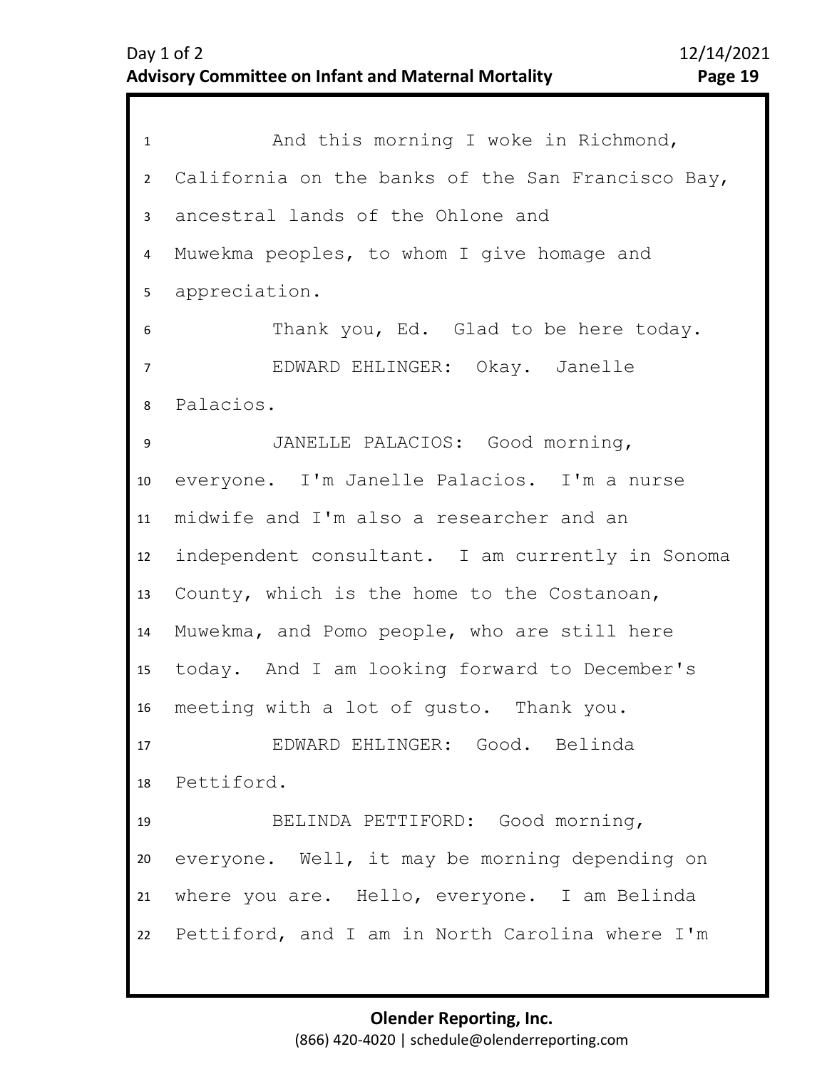| $\mathbf{1}$   | And this morning I woke in Richmond,               |
|----------------|----------------------------------------------------|
| $2^{\circ}$    | California on the banks of the San Francisco Bay,  |
| 3              | ancestral lands of the Ohlone and                  |
| 4              | Muwekma peoples, to whom I give homage and         |
| 5 <sub>1</sub> | appreciation.                                      |
| 6              | Thank you, Ed. Glad to be here today.              |
| $\overline{7}$ | EDWARD EHLINGER: Okay. Janelle                     |
| 8              | Palacios.                                          |
| 9              | JANELLE PALACIOS: Good morning,                    |
| 10             | everyone. I'm Janelle Palacios. I'm a nurse        |
| 11             | midwife and I'm also a researcher and an           |
| 12             | independent consultant. I am currently in Sonoma   |
| 13             | County, which is the home to the Costanoan,        |
| 14             | Muwekma, and Pomo people, who are still here       |
| 15             | today. And I am looking forward to December's      |
| 16             | meeting with a lot of gusto. Thank you.            |
| 17             | EDWARD EHLINGER: Good. Belinda                     |
| 18             | Pettiford.                                         |
| 19             | BELINDA PETTIFORD: Good morning,                   |
| 20             | everyone. Well, it may be morning depending on     |
| 21             | where you are. Hello, everyone. I am Belinda       |
|                | 22 Pettiford, and I am in North Carolina where I'm |
|                |                                                    |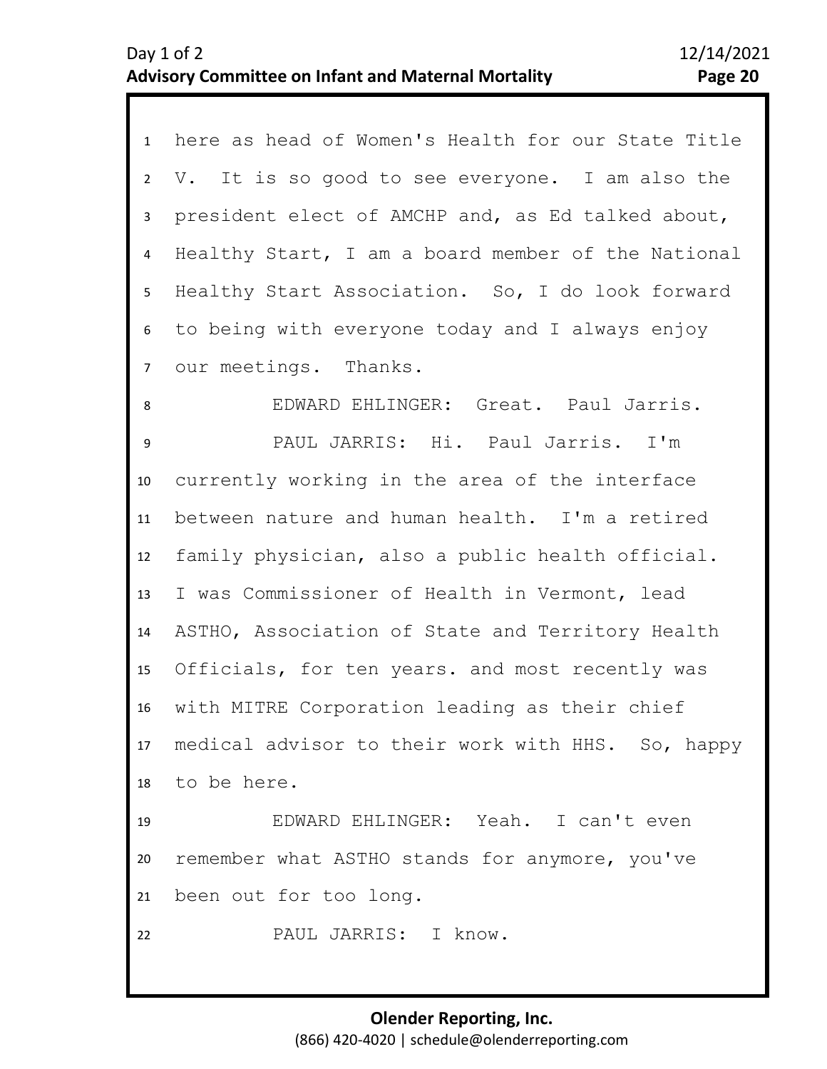| $\mathbf{1}$    | here as head of Women's Health for our State Title   |
|-----------------|------------------------------------------------------|
| $\overline{2}$  | V. It is so good to see everyone. I am also the      |
| 3               | president elect of AMCHP and, as Ed talked about,    |
| 4               | Healthy Start, I am a board member of the National   |
| 5               | Healthy Start Association. So, I do look forward     |
| 6               | to being with everyone today and I always enjoy      |
| $7\overline{ }$ | our meetings. Thanks.                                |
| 8               | EDWARD EHLINGER: Great. Paul Jarris.                 |
| 9               | PAUL JARRIS: Hi. Paul Jarris. I'm                    |
| 10              | currently working in the area of the interface       |
| 11              | between nature and human health. I'm a retired       |
| 12              | family physician, also a public health official.     |
| 13              | I was Commissioner of Health in Vermont, lead        |
| 14              | ASTHO, Association of State and Territory Health     |
| 15              | Officials, for ten years. and most recently was      |
| 16              | with MITRE Corporation leading as their chief        |
|                 | 17 medical advisor to their work with HHS. So, happy |
|                 | 18 to be here.                                       |
| 19              | EDWARD EHLINGER: Yeah. I can't even                  |
| 20              | remember what ASTHO stands for anymore, you've       |
| 21              | been out for too long.                               |
| 22              | PAUL JARRIS: I know.                                 |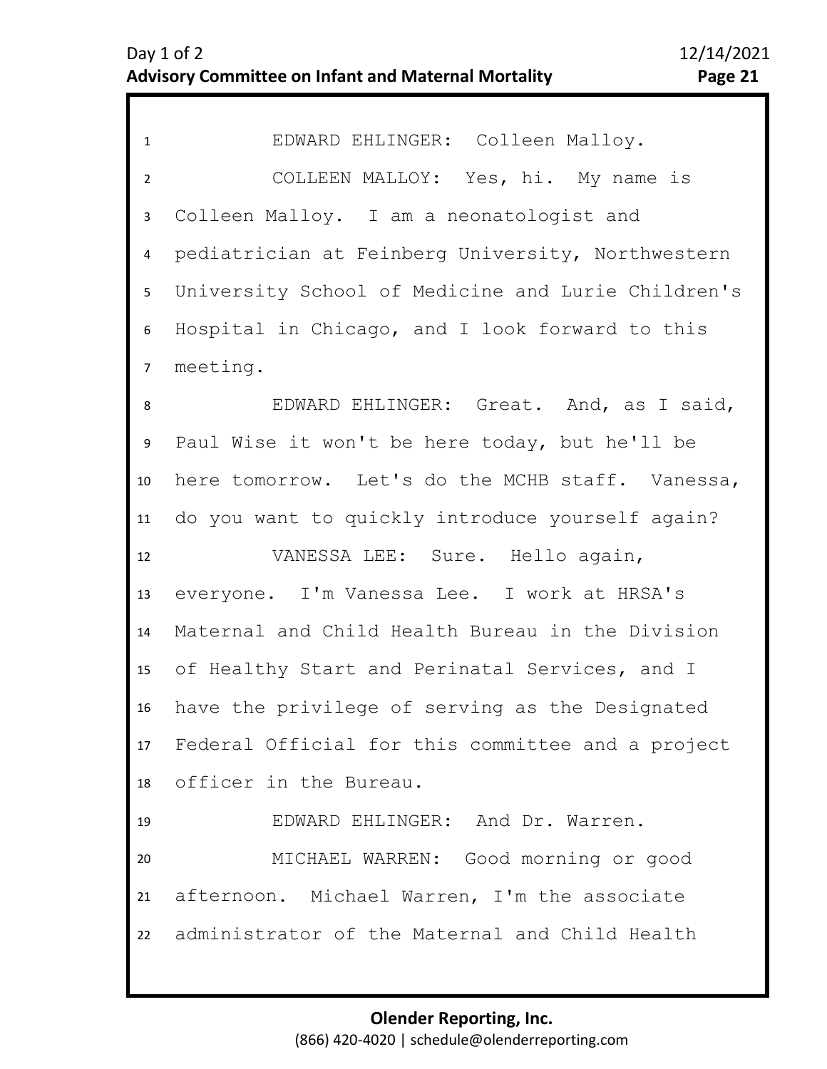| EDWARD EHLINGER: Colleen Malloy.                   |
|----------------------------------------------------|
| COLLEEN MALLOY: Yes, hi. My name is                |
| Colleen Malloy. I am a neonatologist and           |
| pediatrician at Feinberg University, Northwestern  |
| University School of Medicine and Lurie Children's |
| Hospital in Chicago, and I look forward to this    |
| meeting.                                           |
| EDWARD EHLINGER: Great. And, as I said,            |
| Paul Wise it won't be here today, but he'll be     |
| here tomorrow. Let's do the MCHB staff. Vanessa,   |
| do you want to quickly introduce yourself again?   |
| VANESSA LEE: Sure. Hello again,                    |
| everyone. I'm Vanessa Lee. I work at HRSA's        |
| Maternal and Child Health Bureau in the Division   |
| of Healthy Start and Perinatal Services, and I     |
| have the privilege of serving as the Designated    |
| Federal Official for this committee and a project  |
| officer in the Bureau.                             |
| EDWARD EHLINGER: And Dr. Warren.                   |
| MICHAEL WARREN: Good morning or good               |
| afternoon. Michael Warren, I'm the associate       |
| administrator of the Maternal and Child Health     |
|                                                    |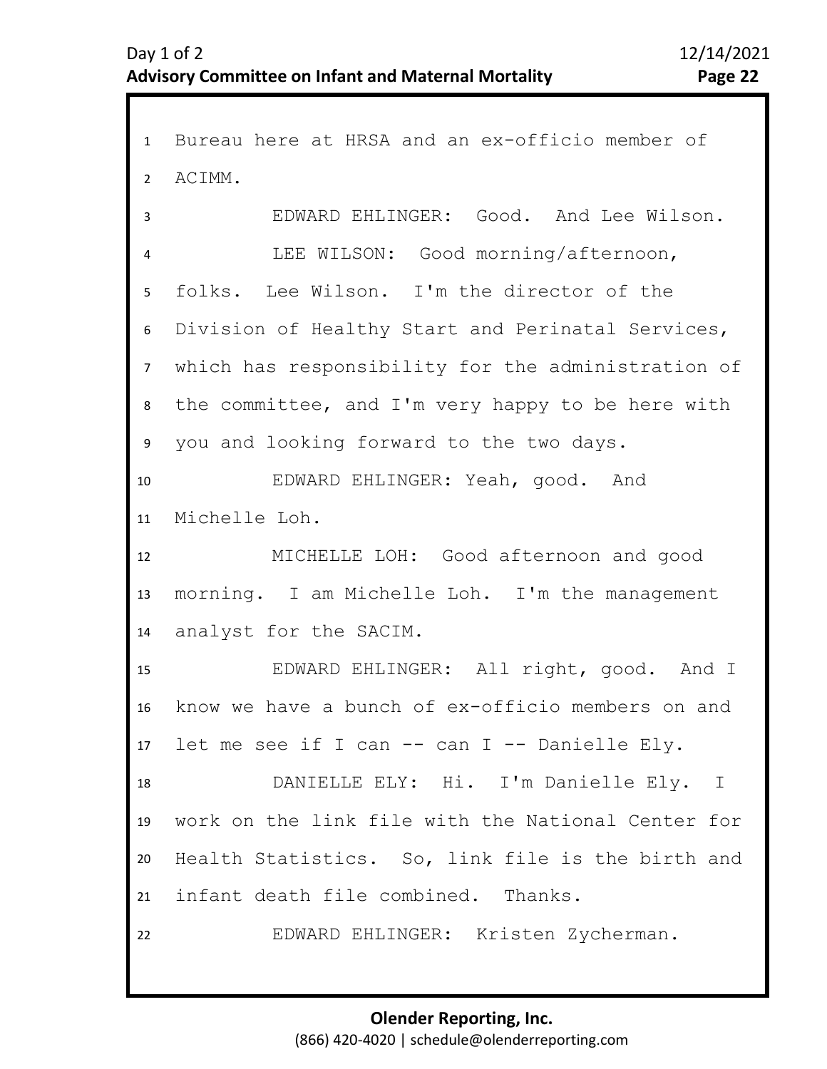1 Bureau here at HRSA and an ex-officio member of 2 3 4 5 6 7 11 12 13 14 15 16 17 18 19 20 21 22 8 10 9 ACIMM. EDWARD EHLINGER: Good. And Lee Wilson. LEE WILSON: Good morning/afternoon, folks. Lee Wilson. I'm the director of the Division of Healthy Start and Perinatal Services, which has responsibility for the administration of the committee, and I'm very happy to be here with you and looking forward to the two days. EDWARD EHLINGER: Yeah, good. And Michelle Loh. MICHELLE LOH: Good afternoon and good morning. I am Michelle Loh. I'm the management analyst for the SACIM. EDWARD EHLINGER: All right, good. And I know we have a bunch of ex-officio members on and let me see if I can -- can I -- Danielle Ely. DANIELLE ELY: Hi. I'm Danielle Ely. I work on the link file with the National Center for Health Statistics. So, link file is the birth and infant death file combined. Thanks. EDWARD EHLINGER: Kristen Zycherman.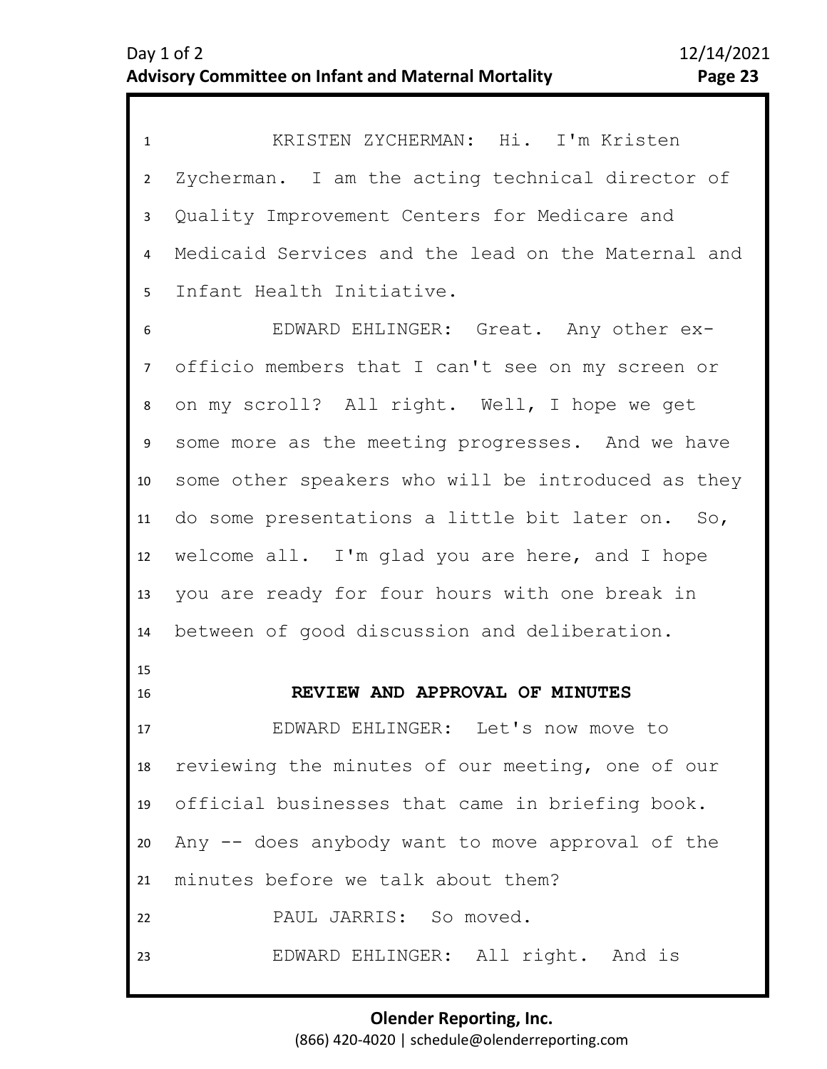1 KRISTEN ZYCHERMAN: Hi. I'm Kristen 2 3 4 5 Zycherman. I am the acting technical director of Quality Improvement Centers for Medicare and Medicaid Services and the lead on the Maternal and Infant Health Initiative.

9 10 11 12 13 14 15 16 6 8 7 EDWARD EHLINGER: Great. Any other exofficio members that I can't see on my screen or on my scroll? All right. Well, I hope we get some more as the meeting progresses. And we have some other speakers who will be introduced as they do some presentations a little bit later on. So, welcome all. I'm glad you are here, and I hope you are ready for four hours with one break in between of good discussion and deliberation.

**REVIEW AND APPROVAL OF MINUTES** 

<span id="page-22-0"></span>17 18 19 20  $21$ 22 23 EDWARD EHLINGER: Let's now move to reviewing the minutes of our meeting, one of our official businesses that came in briefing book. Any -- does anybody want to move approval of the minutes before we talk about them? PAUL JARRIS: So moved. EDWARD EHLINGER: All right. And is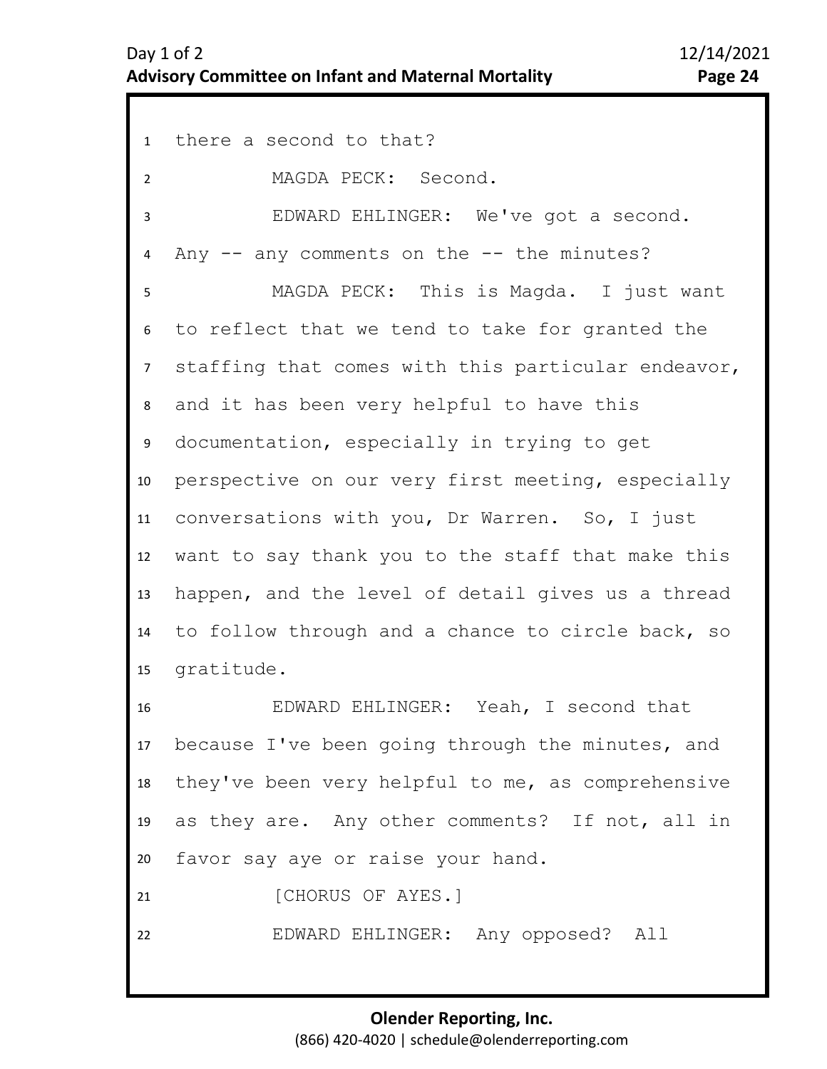1 there a second to that? 2 3 4 5 6 10 11 12 13 14 15 16 17 18 19 20 21 22 7 9 8 MAGDA PECK: Second. EDWARD EHLINGER: We've got a second. Any  $--$  any comments on the  $--$  the minutes? MAGDA PECK: This is Magda. I just want to reflect that we tend to take for granted the staffing that comes with this particular endeavor, and it has been very helpful to have this documentation, especially in trying to get perspective on our very first meeting, especially conversations with you, Dr Warren. So, I just want to say thank you to the staff that make this happen, and the level of detail gives us a thread to follow through and a chance to circle back, so gratitude. EDWARD EHLINGER: Yeah, I second that because I've been going through the minutes, and they've been very helpful to me, as comprehensive as they are. Any other comments? If not, all in favor say aye or raise your hand. [CHORUS OF AYES.] EDWARD EHLINGER: Any opposed? All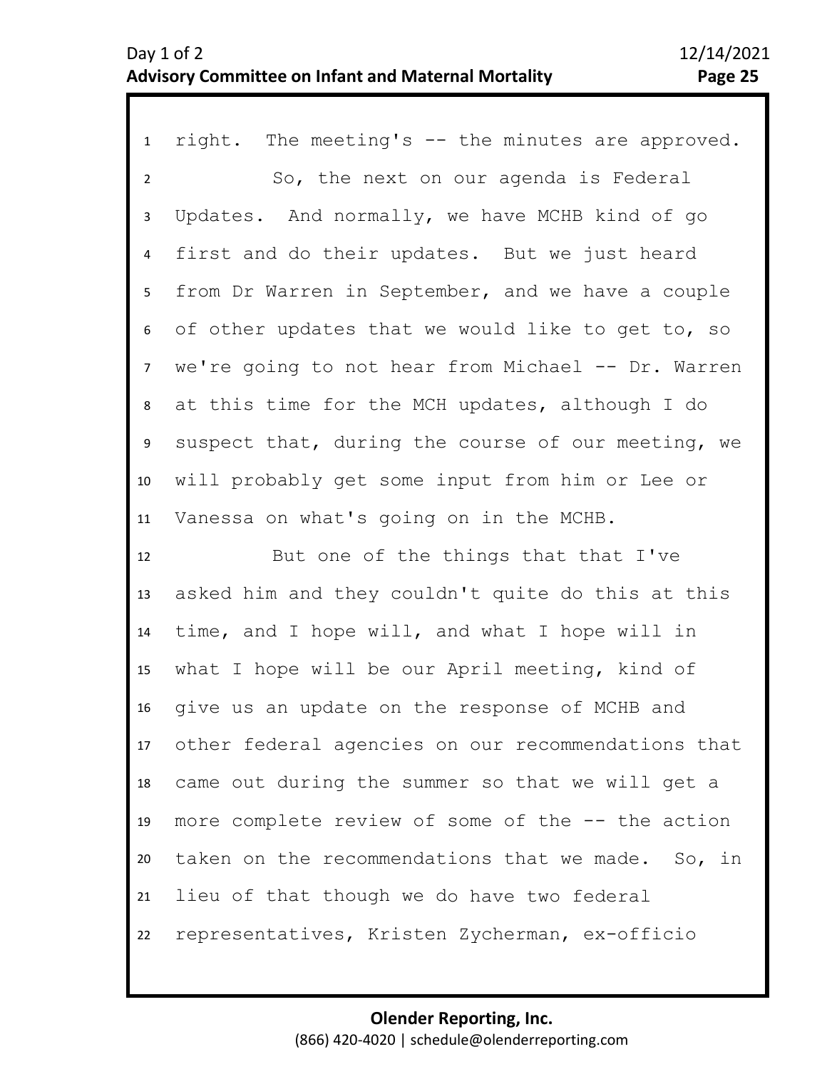## Day 1 of 2 12/14/2021 **Advisory Committee on Infant and Maternal Mortality Page 25**

1 right. The meeting's -- the minutes are approved. 2 3 4 8 9 10 11 5 7 6 So, the next on our agenda is Federal Updates. And normally, we have MCHB kind of go first and do their updates. But we just heard from Dr Warren in September, and we have a couple of other updates that we would like to get to, so we're going to not hear from Michael -- Dr. Warren at this time for the MCH updates, although I do suspect that, during the course of our meeting, we will probably get some input from him or Lee or Vanessa on what's going on in the MCHB.

12 13 14 15 16 17 18 19 20 21 22 But one of the things that that I've asked him and they couldn't quite do this at this time, and I hope will, and what I hope will in what I hope will be our April meeting, kind of give us an update on the response of MCHB and other federal agencies on our recommendations that came out during the summer so that we will get a more complete review of some of the -- the action taken on the recommendations that we made. So, in lieu of that though we do have two federal representatives, Kristen Zycherman, ex-officio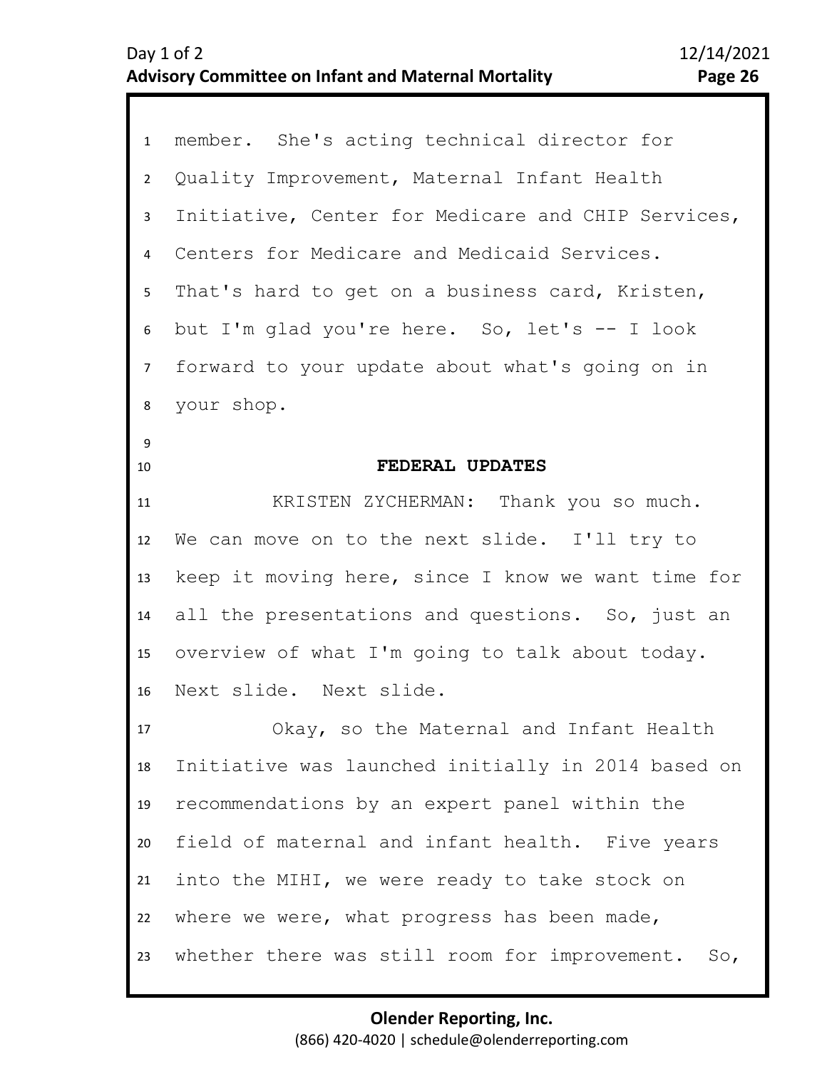<span id="page-25-0"></span>

| $\mathbf{1}$   | member. She's acting technical director for          |
|----------------|------------------------------------------------------|
| $\overline{2}$ | Quality Improvement, Maternal Infant Health          |
| $\mathbf{3}$   | Initiative, Center for Medicare and CHIP Services,   |
| 4              | Centers for Medicare and Medicaid Services.          |
| 5              | That's hard to get on a business card, Kristen,      |
| 6              | but I'm glad you're here. So, let's -- I look        |
| 7 <sup>7</sup> | forward to your update about what's going on in      |
| 8              | your shop.                                           |
| $\overline{9}$ |                                                      |
| 10             | FEDERAL UPDATES                                      |
| 11             | KRISTEN ZYCHERMAN: Thank you so much.                |
| 12             | We can move on to the next slide. I'll try to        |
| 13             | keep it moving here, since I know we want time for   |
| 14             | all the presentations and questions. So, just an     |
| 15             | overview of what I'm going to talk about today.      |
| 16             | Next slide. Next slide.                              |
| 17             | Okay, so the Maternal and Infant Health              |
| 18             | Initiative was launched initially in 2014 based on   |
| 19             | recommendations by an expert panel within the        |
| 20             | field of maternal and infant health. Five years      |
| 21             | into the MIHI, we were ready to take stock on        |
| 22             | where we were, what progress has been made,          |
| 23             | whether there was still room for improvement.<br>So, |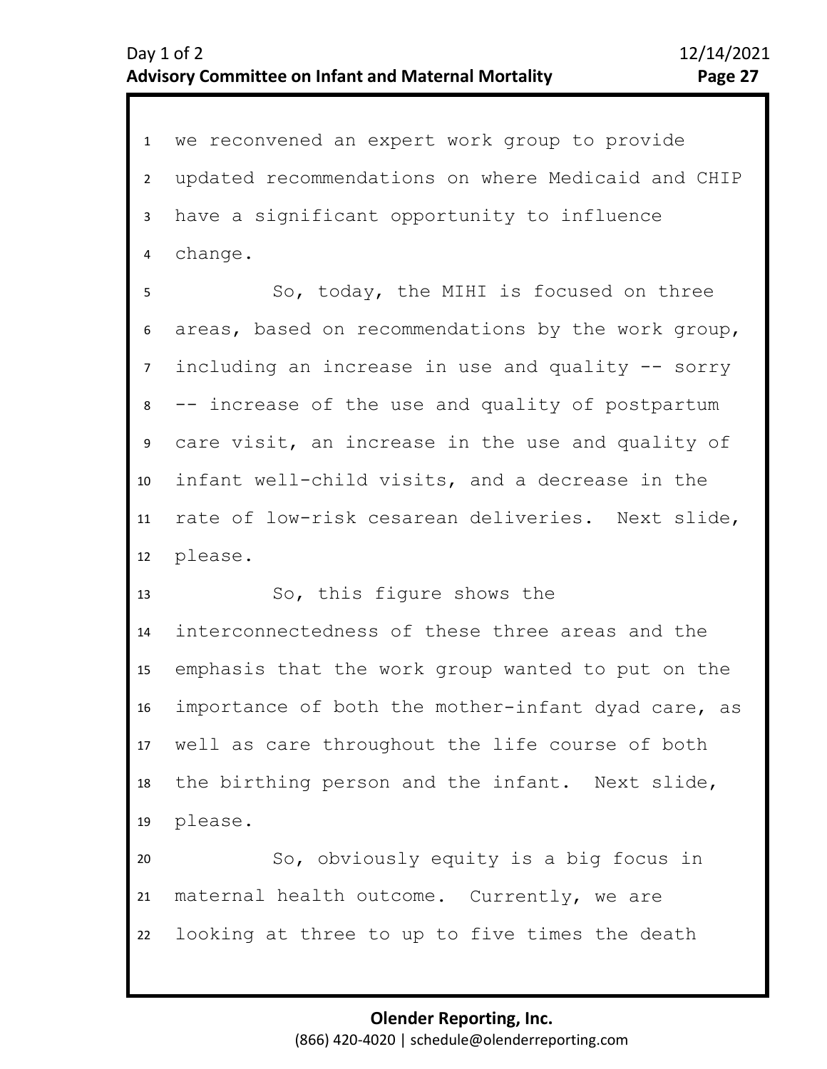1 we reconvened an expert work group to provide 2 3 4 updated recommendations on where Medicaid and CHIP have a significant opportunity to influence change.

8 9 10 11 12 5 7 6 So, today, the MIHI is focused on three areas, based on recommendations by the work group, including an increase in use and quality -- sorry -- increase of the use and quality of postpartum care visit, an increase in the use and quality of infant well-child visits, and a decrease in the rate of low-risk cesarean deliveries. Next slide, please.

13 14 15 16 17 18 19 So, this figure shows the interconnectedness of these three areas and the emphasis that the work group wanted to put on the importance of both the mother-infant dyad care, as well as care throughout the life course of both the birthing person and the infant. Next slide, please.

20 21 22 So, obviously equity is a big focus in maternal health outcome. Currently, we are looking at three to up to five times the death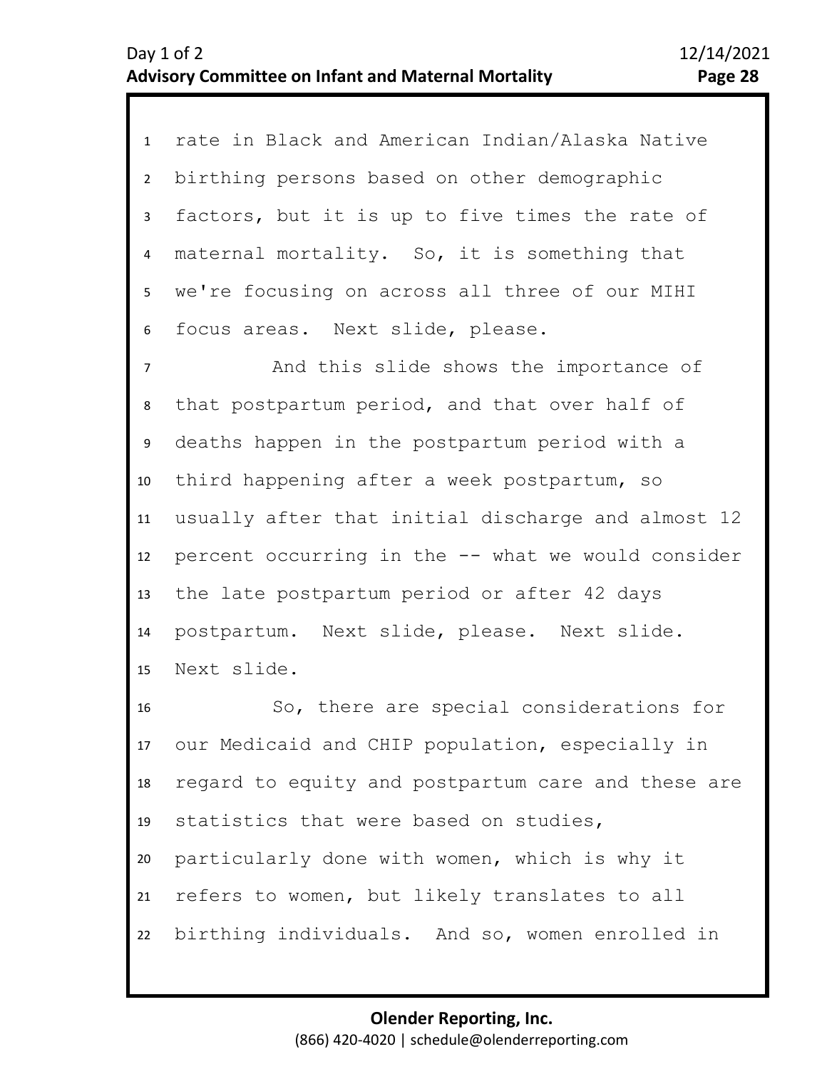| $\mathbf{1}$   | rate in Black and American Indian/Alaska Native    |
|----------------|----------------------------------------------------|
| $\overline{2}$ | birthing persons based on other demographic        |
| 3              | factors, but it is up to five times the rate of    |
| 4              | maternal mortality. So, it is something that       |
| 5              | we're focusing on across all three of our MIHI     |
| 6              | focus areas. Next slide, please.                   |
| $\overline{7}$ | And this slide shows the importance of             |
| 8              | that postpartum period, and that over half of      |
| 9              | deaths happen in the postpartum period with a      |
| 10             | third happening after a week postpartum, so        |
| 11             | usually after that initial discharge and almost 12 |
| 12             | percent occurring in the -- what we would consider |
| 13             | the late postpartum period or after 42 days        |
| 14             | postpartum. Next slide, please. Next slide.        |
| 15             | Next slide.                                        |
| 16             | So, there are special considerations for           |
| 17             | our Medicaid and CHIP population, especially in    |
| 18             | regard to equity and postpartum care and these are |
| 19             | statistics that were based on studies,             |
|                |                                                    |

20 21 22 particularly done with women, which is why it refers to women, but likely translates to all birthing individuals. And so, women enrolled in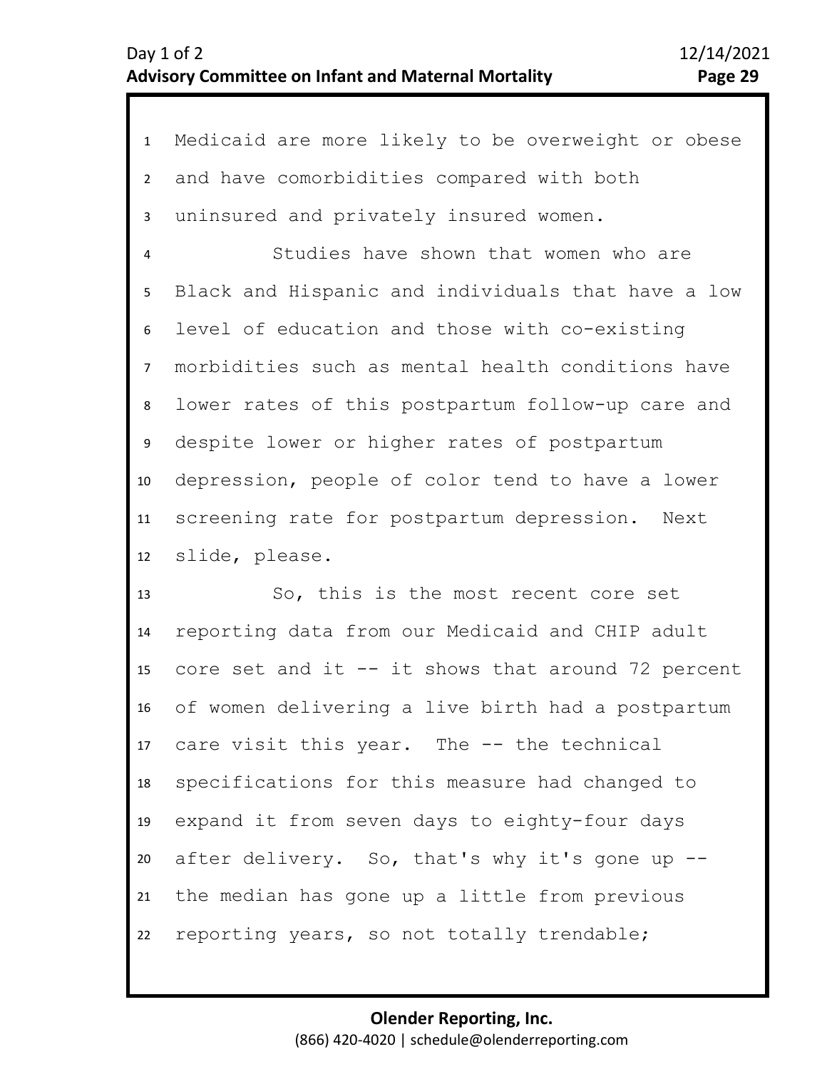1 Medicaid are more likely to be overweight or obese 2 3 4 8 9 10 11 12 5 7 6 and have comorbidities compared with both uninsured and privately insured women. Studies have shown that women who are Black and Hispanic and individuals that have a low level of education and those with co-existing morbidities such as mental health conditions have lower rates of this postpartum follow-up care and despite lower or higher rates of postpartum depression, people of color tend to have a lower screening rate for postpartum depression. Next slide, please.

13 14 15 16 17 18 19 20 21 22 So, this is the most recent core set reporting data from our Medicaid and CHIP adult core set and it  $--$  it shows that around 72 percent of women delivering a live birth had a postpartum care visit this year. The -- the technical specifications for this measure had changed to expand it from seven days to eighty-four days after delivery. So, that's why it's gone up - the median has gone up a little from previous reporting years, so not totally trendable;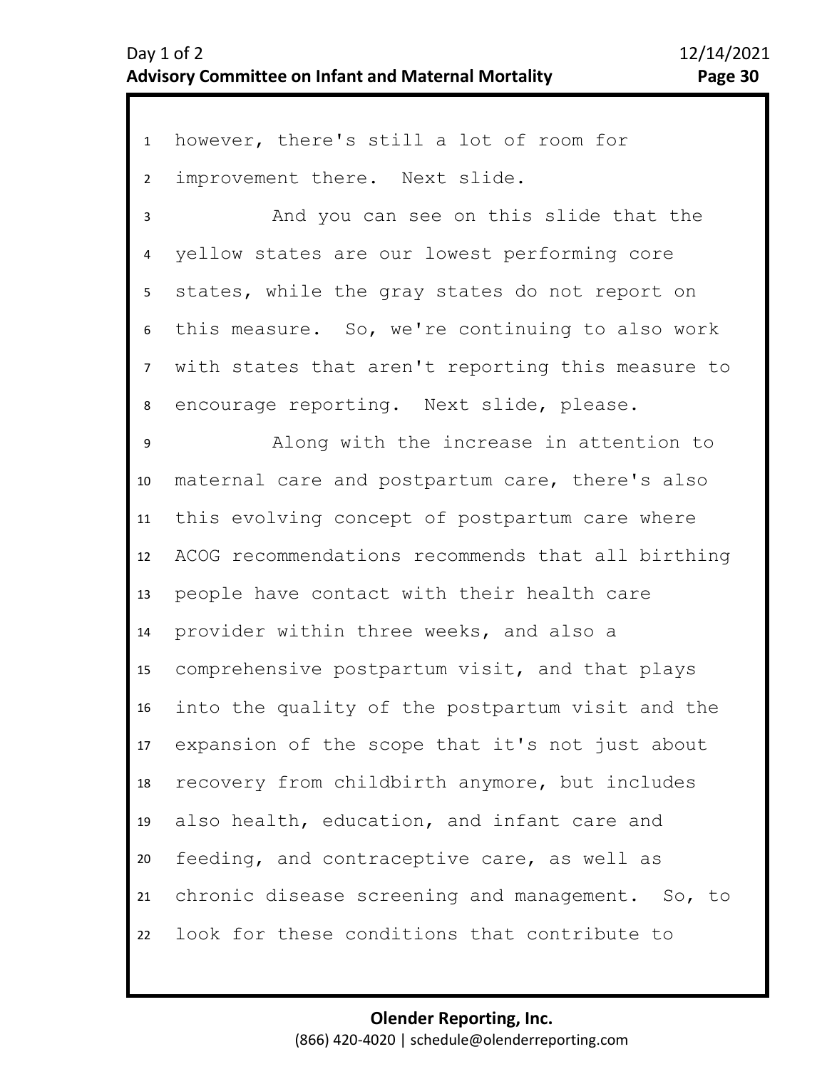1 however, there's still a lot of room for 2 improvement there. Next slide.

3 4 5 6 7 8 And you can see on this slide that the yellow states are our lowest performing core states, while the gray states do not report on this measure. So, we're continuing to also work with states that aren't reporting this measure to encourage reporting. Next slide, please.

10 11 12 13 14 15 16 17 18 19 20 21 22 9 Along with the increase in attention to maternal care and postpartum care, there's also this evolving concept of postpartum care where ACOG recommendations recommends that all birthing people have contact with their health care provider within three weeks, and also a comprehensive postpartum visit, and that plays into the quality of the postpartum visit and the expansion of the scope that it's not just about recovery from childbirth anymore, but includes also health, education, and infant care and feeding, and contraceptive care, as well as chronic disease screening and management. So, to look for these conditions that contribute to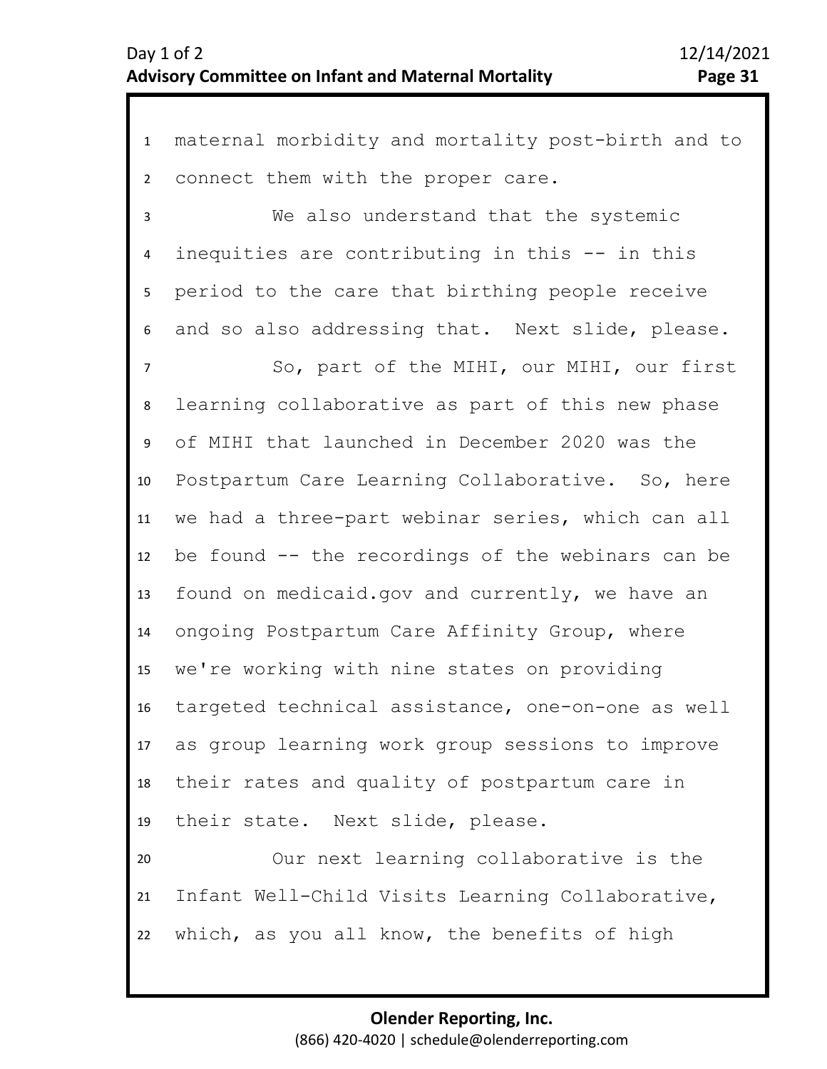1 maternal morbidity and mortality post-birth and to 2 3 4 5 9 10 11 12 13 14 15 16 17 18 19 20 21 6 8 7 connect them with the proper care. We also understand that the systemic inequities are contributing in this -- in this period to the care that birthing people receive and so also addressing that. Next slide, please. So, part of the MIHI, our MIHI, our first learning collaborative as part of this new phase of MIHI that launched in December 2020 was the Postpartum Care Learning Collaborative. So, here we had a three-part webinar series, which can all be found -- the recordings of the webinars can be found on medicaid.gov and currently, we have an ongoing Postpartum Care Affinity Group, where we're working with nine states on providing targeted technical assistance, one-on-one as well as group learning work group sessions to improve their rates and quality of postpartum care in their state. Next slide, please. Our next learning collaborative is the Infant Well-Child Visits Learning Collaborative,

22 which, as you all know, the benefits of high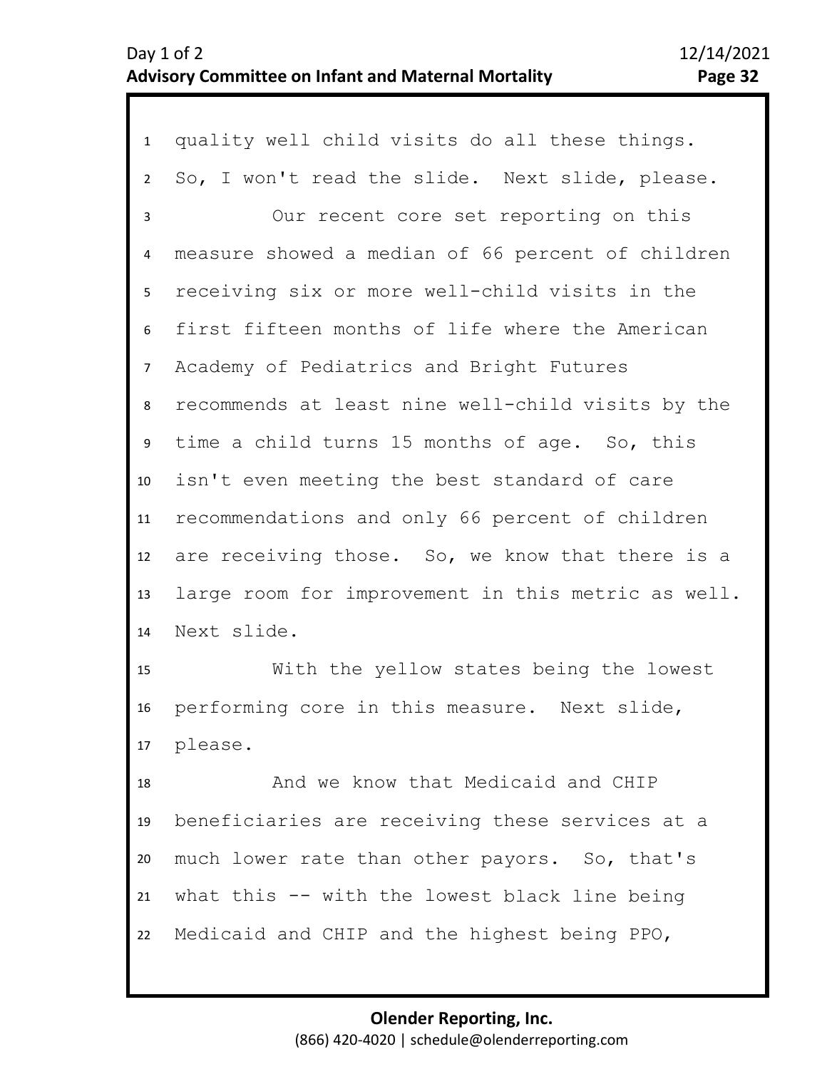1 quality well child visits do all these things. 2 3 7 8 9 10 11 12 13 14 4 6 5 So, I won't read the slide. Next slide, please. Our recent core set reporting on this measure showed a median of 66 percent of children receiving six or more well-child visits in the first fifteen months of life where the American Academy of Pediatrics and Bright Futures recommends at least nine well-child visits by the time a child turns 15 months of age. So, this isn't even meeting the best standard of care recommendations and only 66 percent of children are receiving those. So, we know that there is a large room for improvement in this metric as well. Next slide.

15 16 17 With the yellow states being the lowest performing core in this measure. Next slide, please.

18 19 20 21 22 And we know that Medicaid and CHIP beneficiaries are receiving these services at a much lower rate than other payors. So, that's what this -- with the lowest black line being Medicaid and CHIP and the highest being PPO,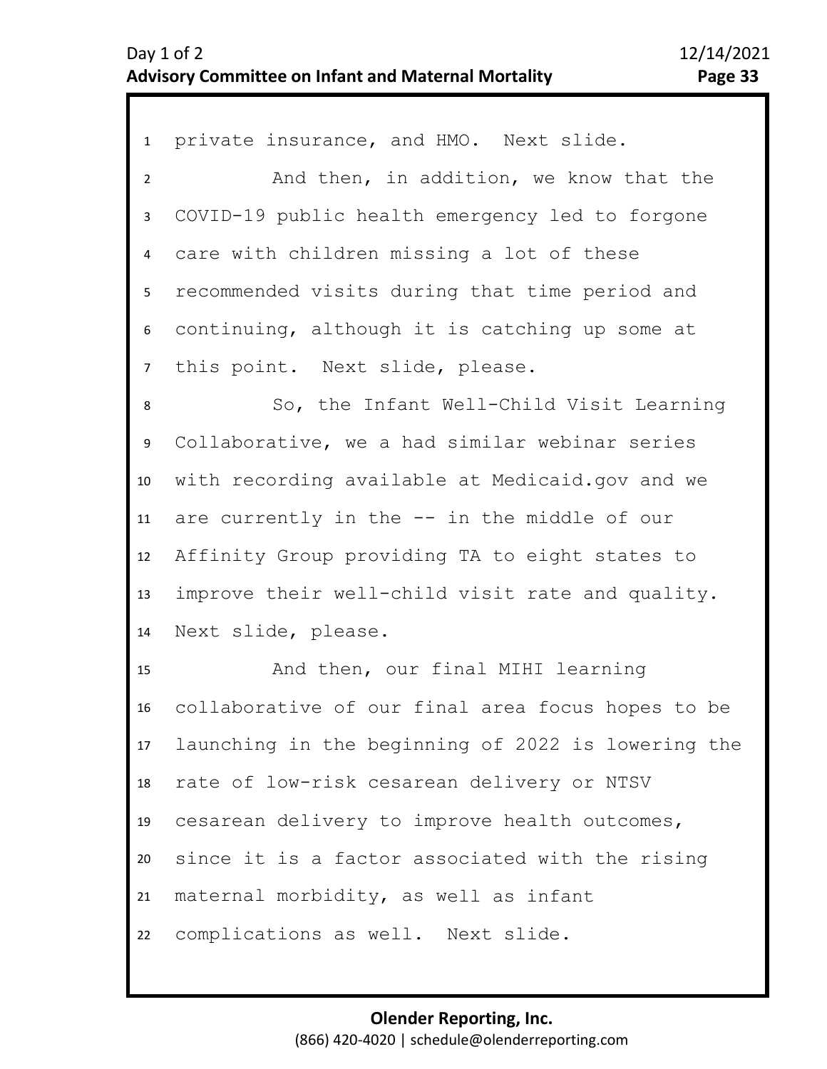1 private insurance, and HMO. Next slide. 2 3 4 5 6 9 10 11 12 13 14 15 16 17 18 19 20 21 22 7 8 And then, in addition, we know that the COVID-19 public health emergency led to forgone care with children missing a lot of these recommended visits during that time period and continuing, although it is catching up some at this point. Next slide, please. So, the Infant Well-Child Visit Learning Collaborative, we a had similar webinar series with recording available at Medicaid.gov and we are currently in the -- in the middle of our Affinity Group providing TA to eight states to improve their well-child visit rate and quality. Next slide, please. And then, our final MIHI learning collaborative of our final area focus hopes to be launching in the beginning of 2022 is lowering the rate of low-risk cesarean delivery or NTSV cesarean delivery to improve health outcomes, since it is a factor associated with the rising maternal morbidity, as well as infant complications as well. Next slide.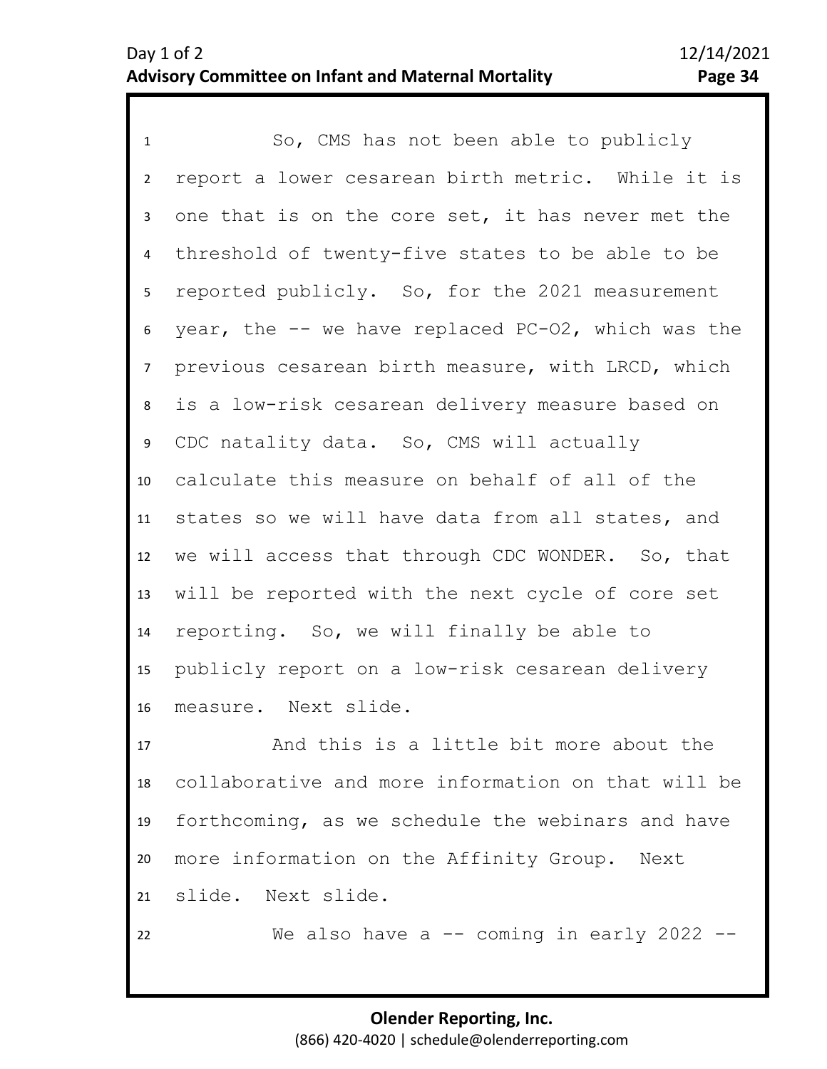1 So, CMS has not been able to publicly 2 3 4 5 8 9 10 11 12 13 14 15 16 6 7 report a lower cesarean birth metric. While it is one that is on the core set, it has never met the threshold of twenty-five states to be able to be reported publicly. So, for the 2021 measurement year, the -- we have replaced PC-O2, which was the previous cesarean birth measure, with LRCD, which is a low-risk cesarean delivery measure based on CDC natality data. So, CMS will actually calculate this measure on behalf of all of the states so we will have data from all states, and we will access that through CDC WONDER. So, that will be reported with the next cycle of core set reporting. So, we will finally be able to publicly report on a low-risk cesarean delivery measure. Next slide.

17 18 19 20 21 And this is a little bit more about the collaborative and more information on that will be forthcoming, as we schedule the webinars and have more information on the Affinity Group. Next slide. Next slide.

22

We also have a -- coming in early 2022 --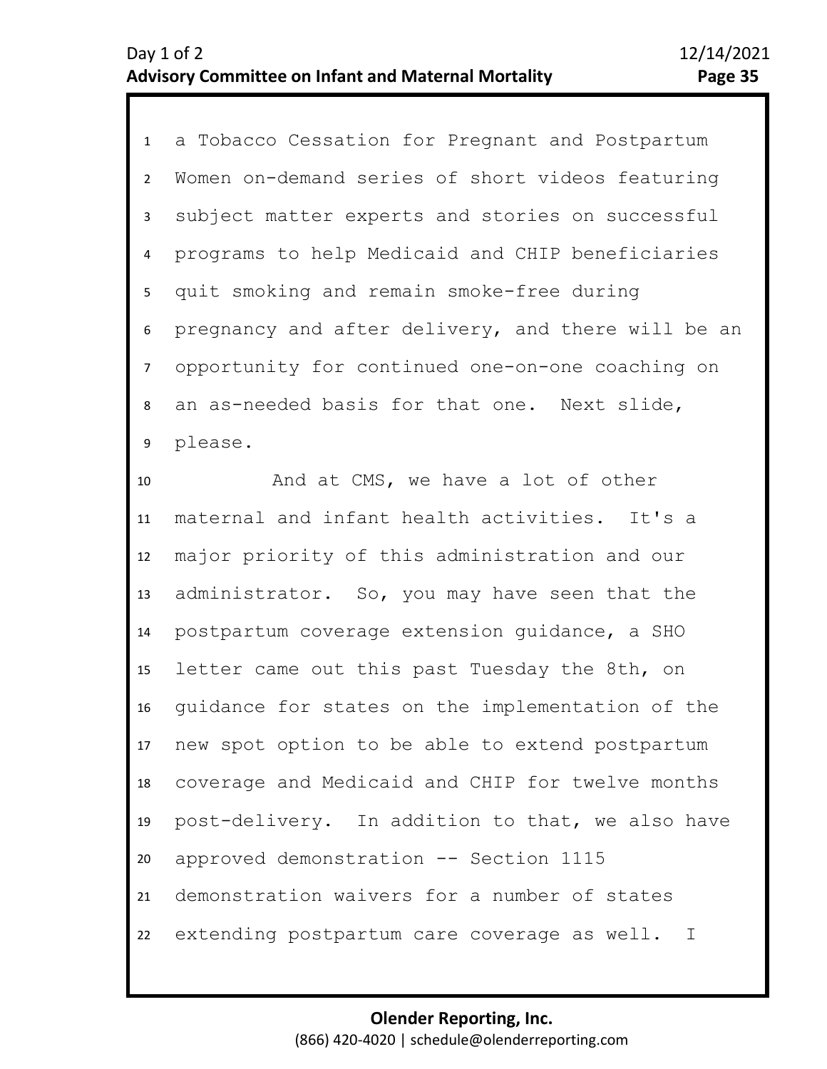1 a Tobacco Cessation for Pregnant and Postpartum 2 3 4 5 6 7 9 8 Women on-demand series of short videos featuring subject matter experts and stories on successful programs to help Medicaid and CHIP beneficiaries quit smoking and remain smoke-free during pregnancy and after delivery, and there will be an opportunity for continued one-on-one coaching on an as-needed basis for that one. Next slide, please.

10 11 12 13 14 15 16 17 18 19 20 21 22 And at CMS, we have a lot of other maternal and infant health activities. It's a major priority of this administration and our administrator. So, you may have seen that the postpartum coverage extension guidance, a SHO letter came out this past Tuesday the 8th, on guidance for states on the implementation of the new spot option to be able to extend postpartum coverage and Medicaid and CHIP for twelve months post-delivery. In addition to that, we also have approved demonstration -- Section 1115 demonstration waivers for a number of states extending postpartum care coverage as well. I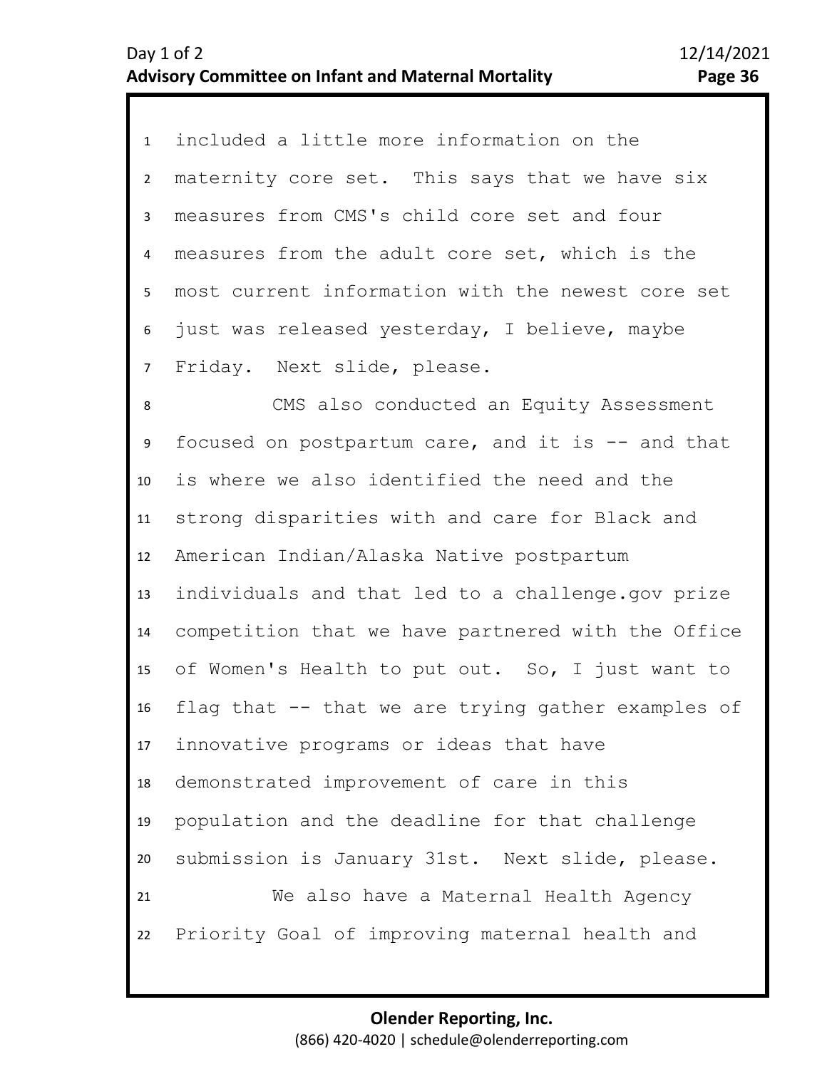1 included a little more information on the 2 3 4 8 9 10 11 12 13 14 15 16 17 18 19 20 21 22 5 7 6 maternity core set. This says that we have six measures from CMS's child core set and four measures from the adult core set, which is the most current information with the newest core set just was released yesterday, I believe, maybe Friday. Next slide, please. CMS also conducted an Equity Assessment focused on postpartum care, and it is -- and that is where we also identified the need and the strong disparities with and care for Black and American Indian/Alaska Native postpartum individuals and that led to a challenge.gov prize competition that we have partnered with the Office of Women's Health to put out. So, I just want to flag that -- that we are trying gather examples of innovative programs or ideas that have demonstrated improvement of care in this population and the deadline for that challenge submission is January 31st. Next slide, please. We also have a Maternal Health Agency Priority Goal of improving maternal health and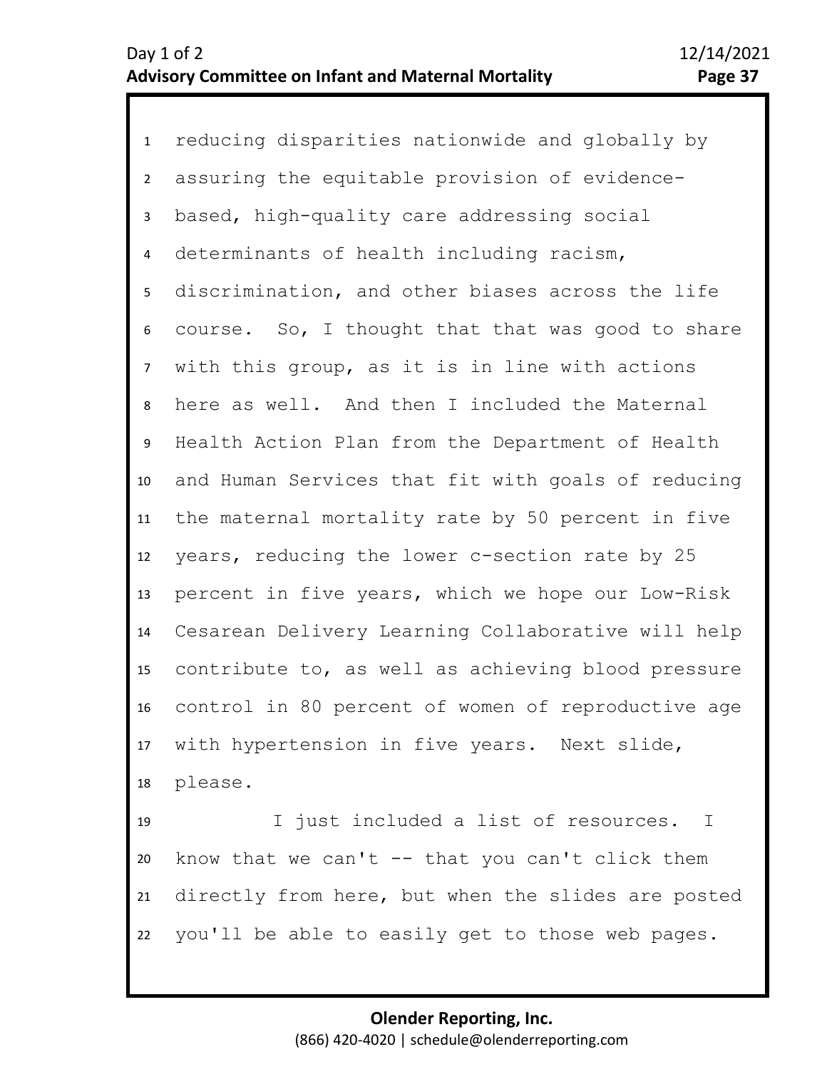1 reducing disparities nationwide and globally by 2 3 4 5 6 10 11 12 13 14 15 16 17 18 19 20 7 9 8 assuring the equitable provision of evidencebased, high-quality care addressing social determinants of health including racism, discrimination, and other biases across the life course. So, I thought that that was good to share with this group, as it is in line with actions here as well. And then I included the Maternal Health Action Plan from the Department of Health and Human Services that fit with goals of reducing the maternal mortality rate by 50 percent in five years, reducing the lower c-section rate by 25 percent in five years, which we hope our Low-Risk Cesarean Delivery Learning Collaborative will help contribute to, as well as achieving blood pressure control in 80 percent of women of reproductive age with hypertension in five years. Next slide, please. I just included a list of resources. I know that we can't  $-$  that you can't click them

21 22 directly from here, but when the slides are posted you'll be able to easily get to those web pages.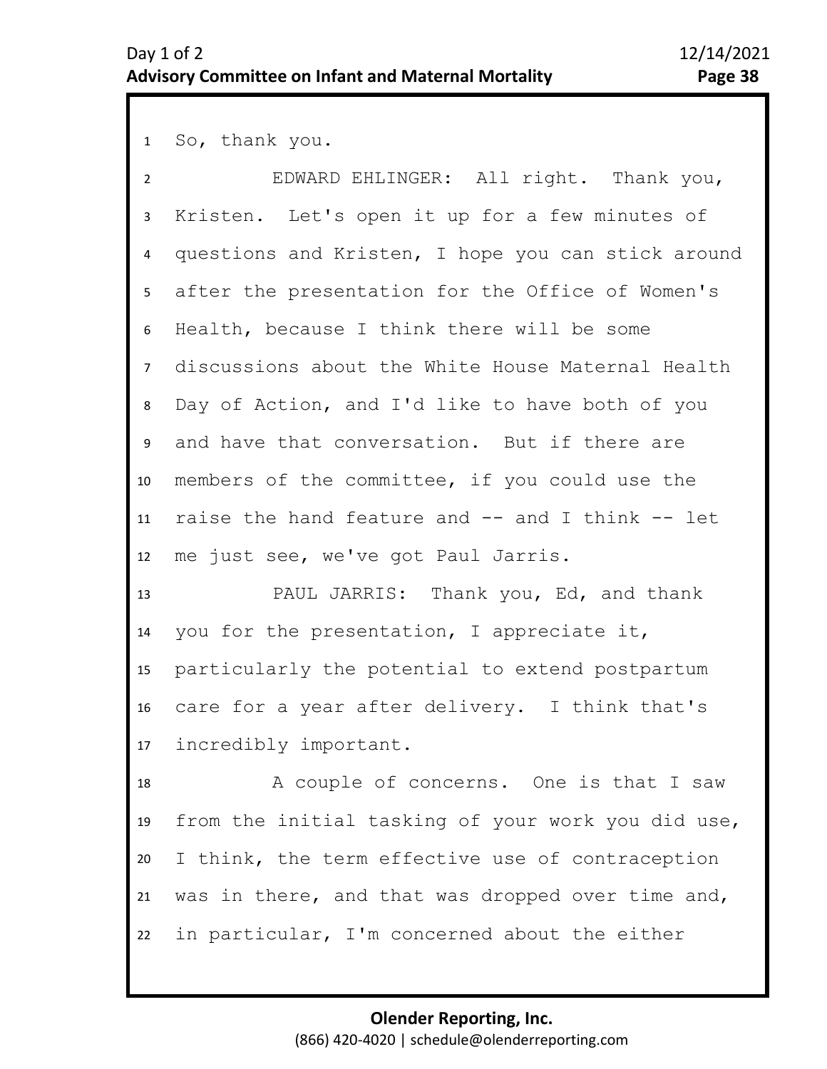1 So, thank you.

| $\overline{2}$  | EDWARD EHLINGER: All right. Thank you,             |
|-----------------|----------------------------------------------------|
| $\mathbf{3}$    | Kristen. Let's open it up for a few minutes of     |
| $\overline{4}$  | questions and Kristen, I hope you can stick around |
| 5               | after the presentation for the Office of Women's   |
| 6               | Health, because I think there will be some         |
| 7 <sup>7</sup>  | discussions about the White House Maternal Health  |
| 8               | Day of Action, and I'd like to have both of you    |
| 9               | and have that conversation. But if there are       |
| 10              | members of the committee, if you could use the     |
| 11              | raise the hand feature and -- and I think -- let   |
| 12              | me just see, we've got Paul Jarris.                |
| 13              | PAUL JARRIS: Thank you, Ed, and thank              |
| 14              | you for the presentation, I appreciate it,         |
| 15              | particularly the potential to extend postpartum    |
| 16              | care for a year after delivery. I think that's     |
| 17 <sup>7</sup> | incredibly important.                              |
| 18              | A couple of concerns. One is that I saw            |
| 19              | from the initial tasking of your work you did use, |
| 20              | I think, the term effective use of contraception   |
| 21              | was in there, and that was dropped over time and,  |
| 22              | in particular, I'm concerned about the either      |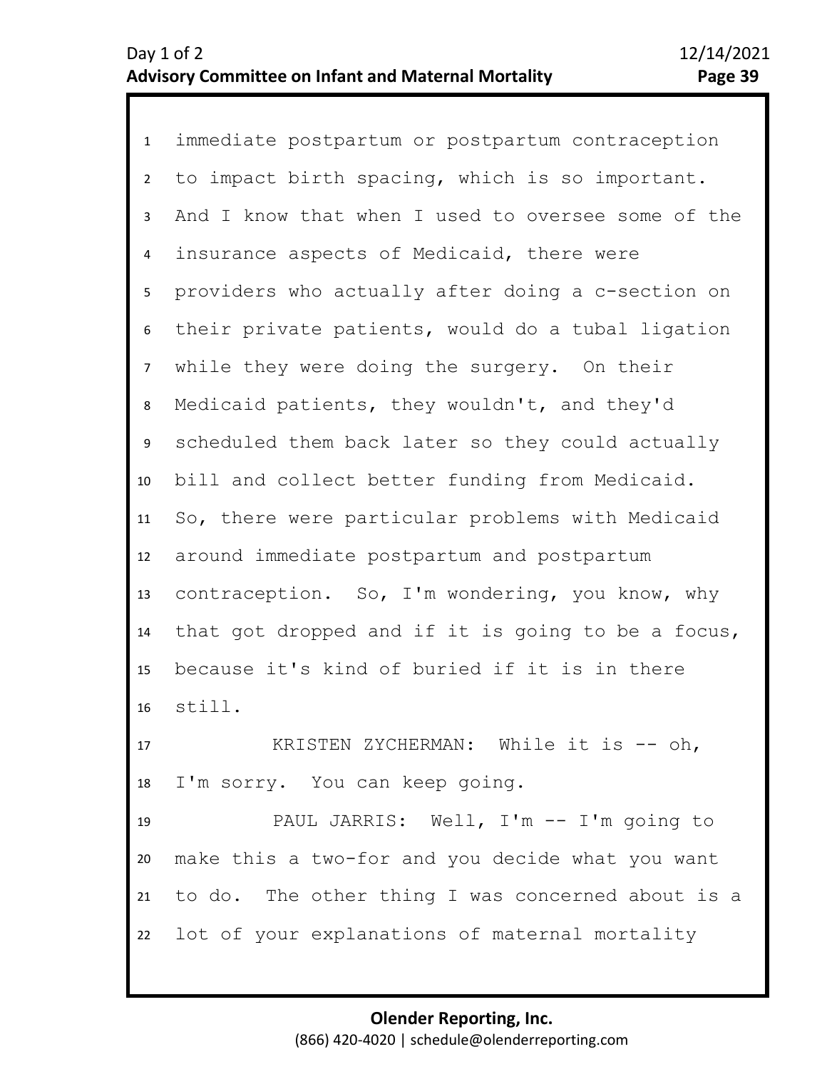1 immediate postpartum or postpartum contraception 2 3 4 5 6 7 8 11 12 13 14 15 16 9 10 to impact birth spacing, which is so important. And I know that when I used to oversee some of the insurance aspects of Medicaid, there were providers who actually after doing a c-section on their private patients, would do a tubal ligation while they were doing the surgery. On their Medicaid patients, they wouldn't, and they'd scheduled them back later so they could actually bill and collect better funding from Medicaid. So, there were particular problems with Medicaid around immediate postpartum and postpartum contraception. So, I'm wondering, you know, why that got dropped and if it is going to be a focus, because it's kind of buried if it is in there still.

17 18 KRISTEN ZYCHERMAN: While it is -- oh, I'm sorry. You can keep going.

19 20 21 22 PAUL JARRIS: Well, I'm -- I'm going to make this a two-for and you decide what you want to do. The other thing I was concerned about is a lot of your explanations of maternal mortality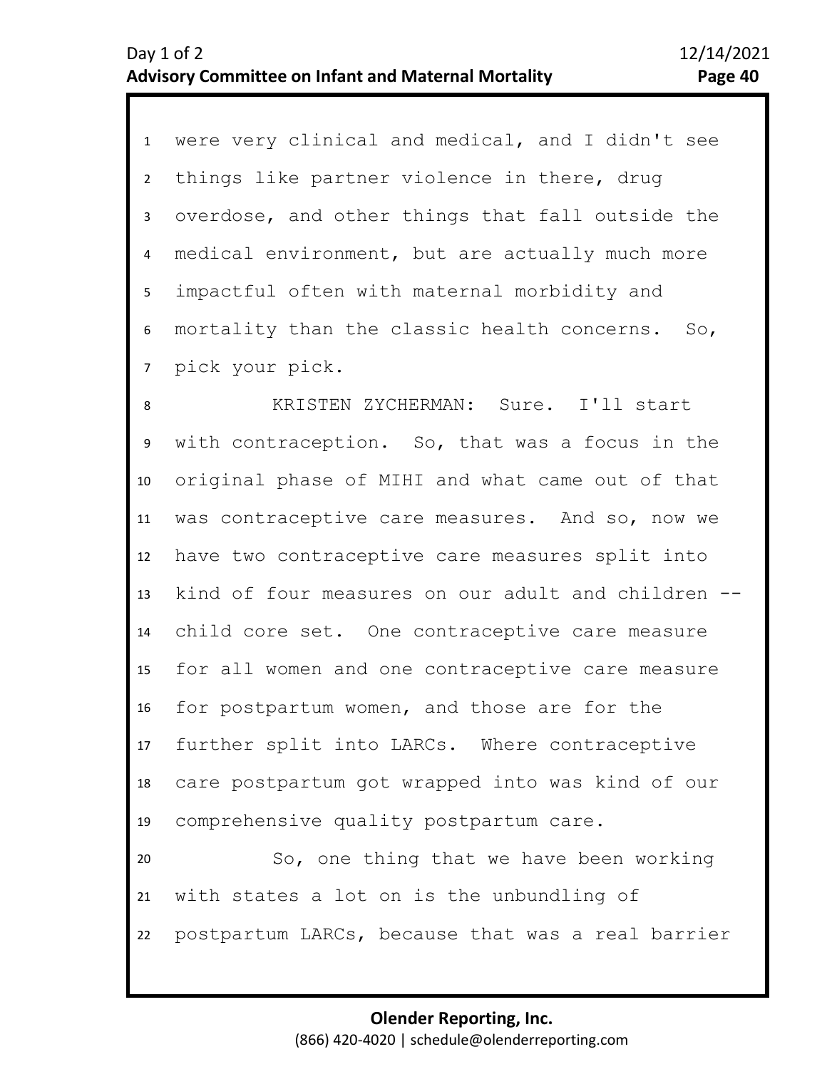1 were very clinical and medical, and I didn't see 2 3 4 5 6 7 things like partner violence in there, drug overdose, and other things that fall outside the medical environment, but are actually much more impactful often with maternal morbidity and mortality than the classic health concerns. So, pick your pick.

11 12 13 14 15 16 17 18 19 20 10 8 9 KRISTEN ZYCHERMAN: Sure. I'll start with contraception. So, that was a focus in the original phase of MIHI and what came out of that was contraceptive care measures. And so, now we have two contraceptive care measures split into kind of four measures on our adult and children - child core set. One contraceptive care measure for all women and one contraceptive care measure for postpartum women, and those are for the further split into LARCs. Where contraceptive care postpartum got wrapped into was kind of our comprehensive quality postpartum care. So, one thing that we have been working

21 22 with states a lot on is the unbundling of postpartum LARCs, because that was a real barrier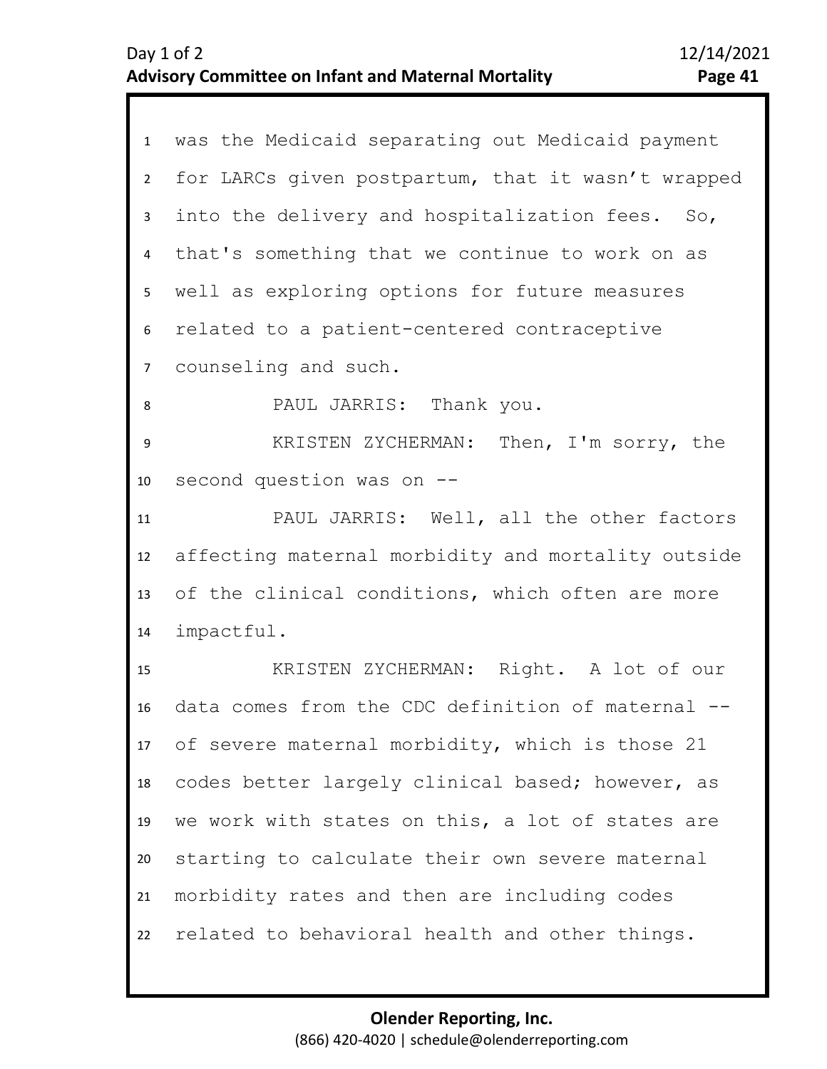| $\mathbf{1}$            | was the Medicaid separating out Medicaid payment   |
|-------------------------|----------------------------------------------------|
| $\overline{2}$          | for LARCs given postpartum, that it wasn't wrapped |
| $\mathbf{3}$            | into the delivery and hospitalization fees. So,    |
| $\overline{\mathbf{4}}$ | that's something that we continue to work on as    |
| 5                       | well as exploring options for future measures      |
| 6                       | related to a patient-centered contraceptive        |
| $\overline{7}$          | counseling and such.                               |
| 8                       | PAUL JARRIS: Thank you.                            |
| 9                       | KRISTEN ZYCHERMAN: Then, I'm sorry, the            |
| 10                      | second question was on --                          |
| 11                      | PAUL JARRIS: Well, all the other factors           |
| 12                      | affecting maternal morbidity and mortality outside |
| 13                      | of the clinical conditions, which often are more   |
| 14                      | impactful.                                         |
| 15                      | KRISTEN ZYCHERMAN: Right. A lot of our             |
| 16                      | data comes from the CDC definition of maternal --  |
|                         | 17 of severe maternal morbidity, which is those 21 |
| 18                      | codes better largely clinical based; however, as   |
| 19                      | we work with states on this, a lot of states are   |
| 20                      | starting to calculate their own severe maternal    |
| 21                      | morbidity rates and then are including codes       |
| 22                      | related to behavioral health and other things.     |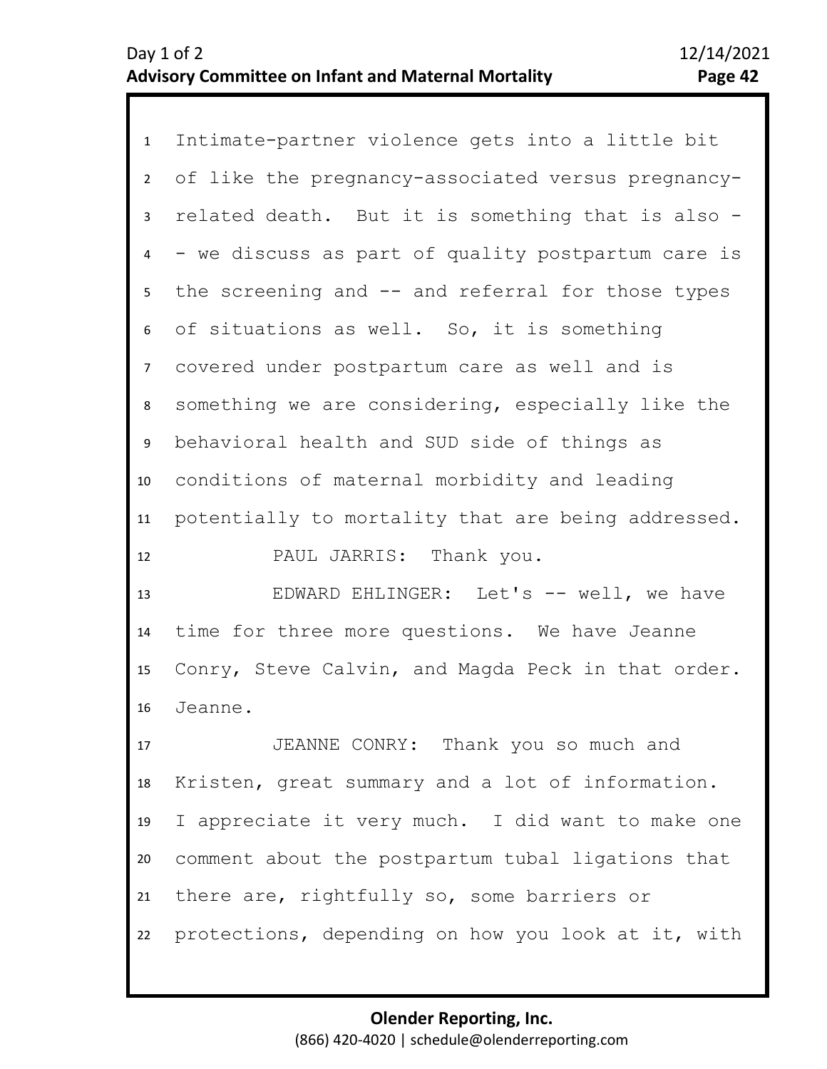1 Intimate-partner violence gets into a little bit 2 3 4 5 9 10 11 12 6 8 7 of like the pregnancy-associated versus pregnancyrelated death. But it is something that is also - - we discuss as part of quality postpartum care is the screening and -- and referral for those types of situations as well. So, it is something covered under postpartum care as well and is something we are considering, especially like the behavioral health and SUD side of things as conditions of maternal morbidity and leading potentially to mortality that are being addressed.

PAUL JARRIS: Thank you.

13 14 15 16 EDWARD EHLINGER: Let's -- well, we have time for three more questions. We have Jeanne Conry, Steve Calvin, and Magda Peck in that order. Jeanne.

17 18 19 20 21 22 JEANNE CONRY: Thank you so much and Kristen, great summary and a lot of information. I appreciate it very much. I did want to make one comment about the postpartum tubal ligations that there are, rightfully so, some barriers or protections, depending on how you look at it, with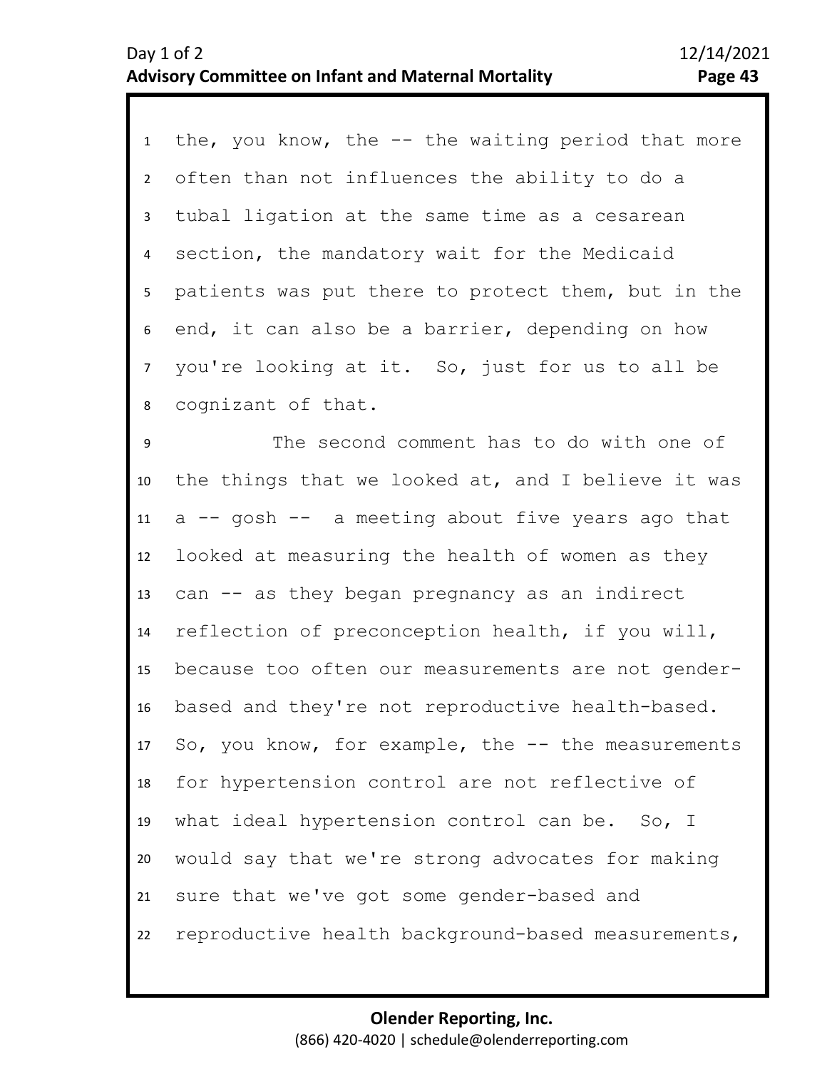1 the, you know, the -- the waiting period that more 2 3 4 5 6 7 11 12 13 14 15 16 17 18 19 20 21 10 8 9 often than not influences the ability to do a tubal ligation at the same time as a cesarean section, the mandatory wait for the Medicaid patients was put there to protect them, but in the end, it can also be a barrier, depending on how you're looking at it. So, just for us to all be cognizant of that. The second comment has to do with one of the things that we looked at, and I believe it was a -- gosh -- a meeting about five years ago that looked at measuring the health of women as they can -- as they began pregnancy as an indirect reflection of preconception health, if you will, because too often our measurements are not genderbased and they're not reproductive health-based. So, you know, for example, the  $-$  the measurements for hypertension control are not reflective of what ideal hypertension control can be. So, I would say that we're strong advocates for making sure that we've got some gender-based and

22 reproductive health background-based measurements,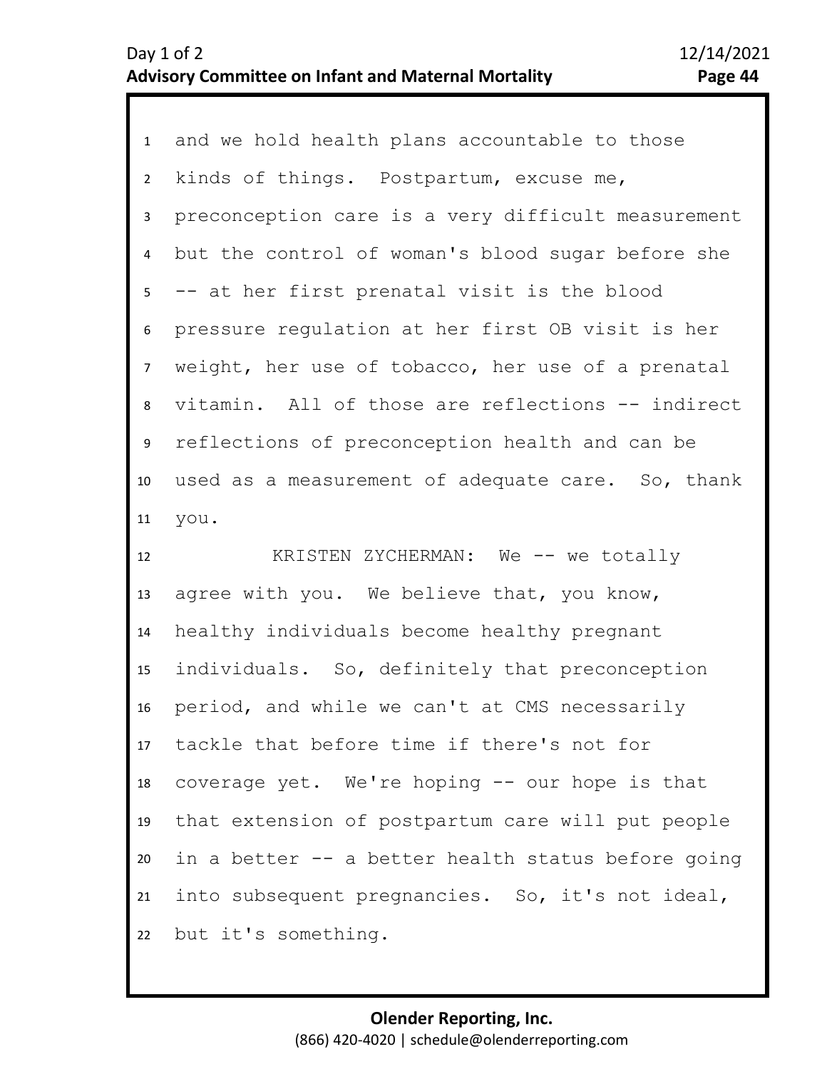1 and we hold health plans accountable to those 2 3 4 5 6 9 10 11 8 7 kinds of things. Postpartum, excuse me, preconception care is a very difficult measurement but the control of woman's blood sugar before she -- at her first prenatal visit is the blood pressure regulation at her first OB visit is her weight, her use of tobacco, her use of a prenatal vitamin. All of those are reflections -- indirect reflections of preconception health and can be used as a measurement of adequate care. So, thank you.

12 13 14 15 16 17 18 19 20 21 22 KRISTEN ZYCHERMAN: We -- we totally agree with you. We believe that, you know, healthy individuals become healthy pregnant individuals. So, definitely that preconception period, and while we can't at CMS necessarily tackle that before time if there's not for coverage yet. We're hoping -- our hope is that that extension of postpartum care will put people in a better -- a better health status before going into subsequent pregnancies. So, it's not ideal, but it's something.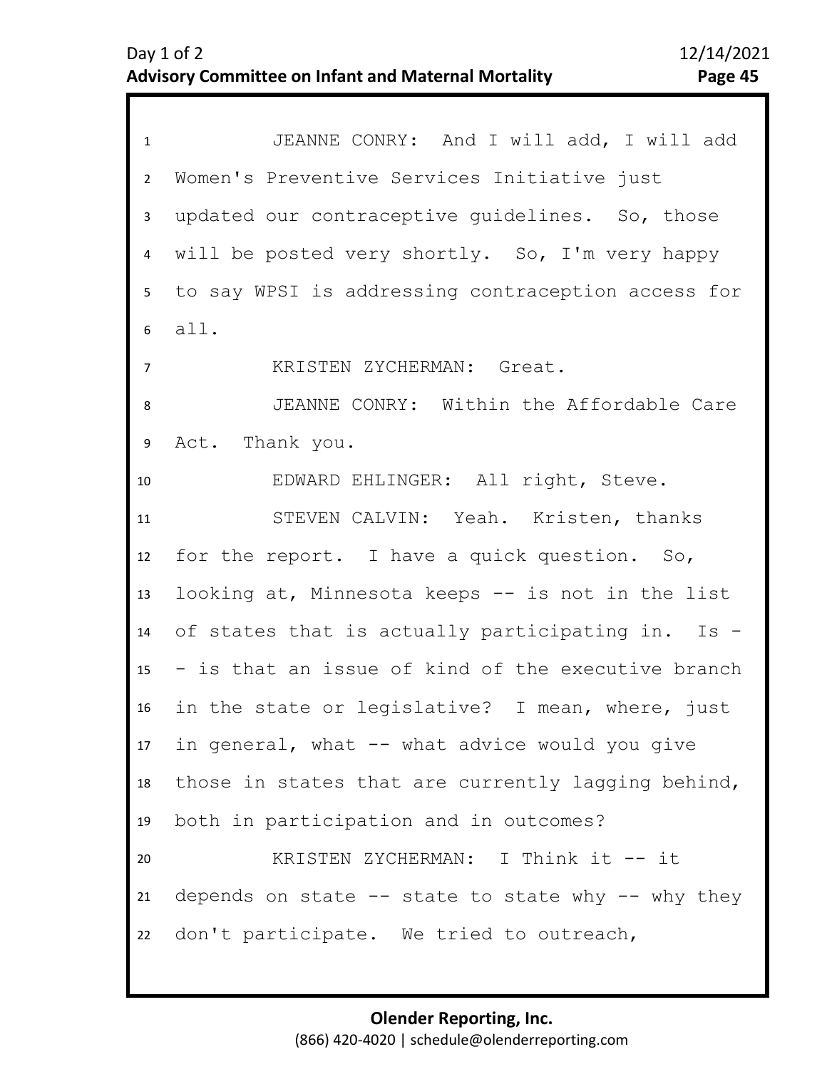| $\mathbf{1}$    | JEANNE CONRY: And I will add, I will add               |
|-----------------|--------------------------------------------------------|
| $\overline{2}$  | Women's Preventive Services Initiative just            |
| $\mathbf{3}$    | updated our contraceptive guidelines. So, those        |
| 4               | will be posted very shortly. So, I'm very happy        |
| 5               | to say WPSI is addressing contraception access for     |
| 6               | all.                                                   |
| $\overline{7}$  | KRISTEN ZYCHERMAN: Great.                              |
| 8               | JEANNE CONRY: Within the Affordable Care               |
| 9               | Act. Thank you.                                        |
| 10              | EDWARD EHLINGER: All right, Steve.                     |
| 11              | STEVEN CALVIN: Yeah. Kristen, thanks                   |
| 12              | for the report. I have a quick question. So,           |
| 13              | looking at, Minnesota keeps -- is not in the list      |
| 14              | of states that is actually participating in. Is -      |
| 15              | - is that an issue of kind of the executive branch     |
| 16 <sup>1</sup> | in the state or legislative? I mean, where, just       |
|                 | 17 in general, what -- what advice would you give      |
| 18              | those in states that are currently lagging behind,     |
| 19              | both in participation and in outcomes?                 |
|                 |                                                        |
| 20              | KRISTEN ZYCHERMAN: I Think it -- it                    |
| 21              | depends on state $--$ state to state why $--$ why they |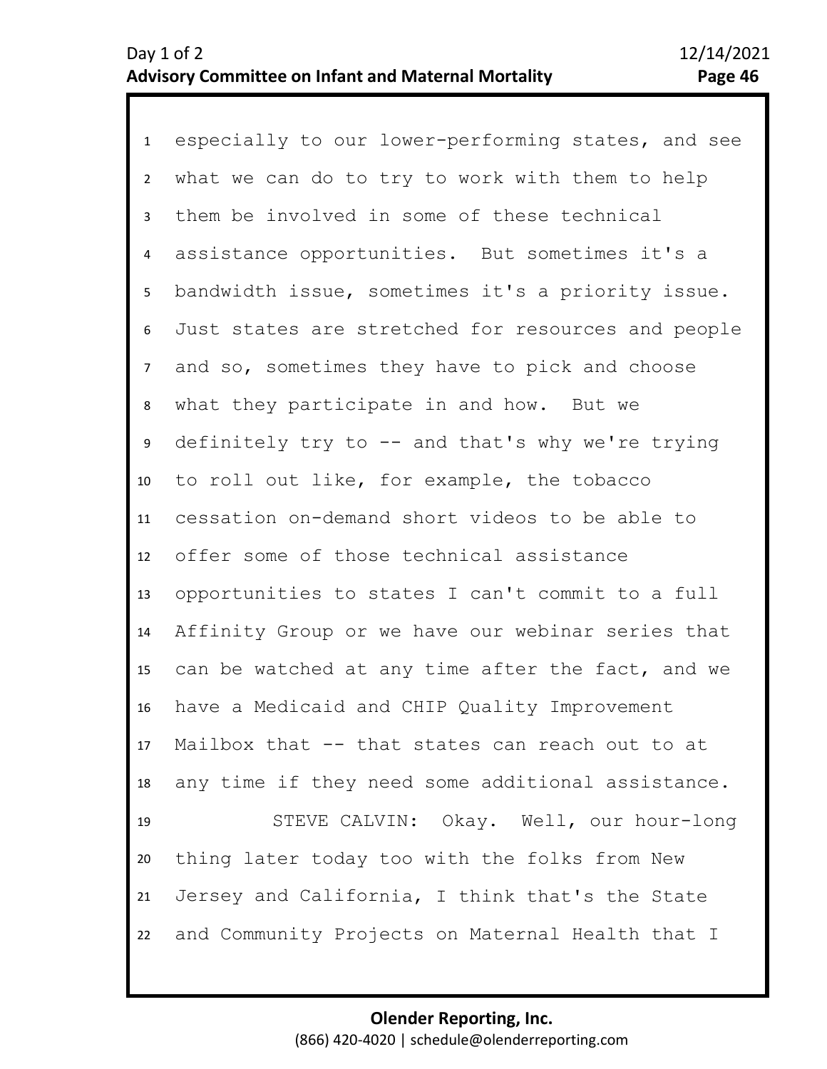1 especially to our lower-performing states, and see 2 3 4 5 9 10 11 12 13 14 15 16 17 18 19 20 21 22 6 8 7 what we can do to try to work with them to help them be involved in some of these technical assistance opportunities. But sometimes it's a bandwidth issue, sometimes it's a priority issue. Just states are stretched for resources and people and so, sometimes they have to pick and choose what they participate in and how. But we definitely try to  $-$  and that's why we're trying to roll out like, for example, the tobacco cessation on-demand short videos to be able to offer some of those technical assistance opportunities to states I can't commit to a full Affinity Group or we have our webinar series that can be watched at any time after the fact, and we have a Medicaid and CHIP Quality Improvement Mailbox that -- that states can reach out to at any time if they need some additional assistance. STEVE CALVIN: Okay. Well, our hour-long thing later today too with the folks from New Jersey and California, I think that's the State and Community Projects on Maternal Health that I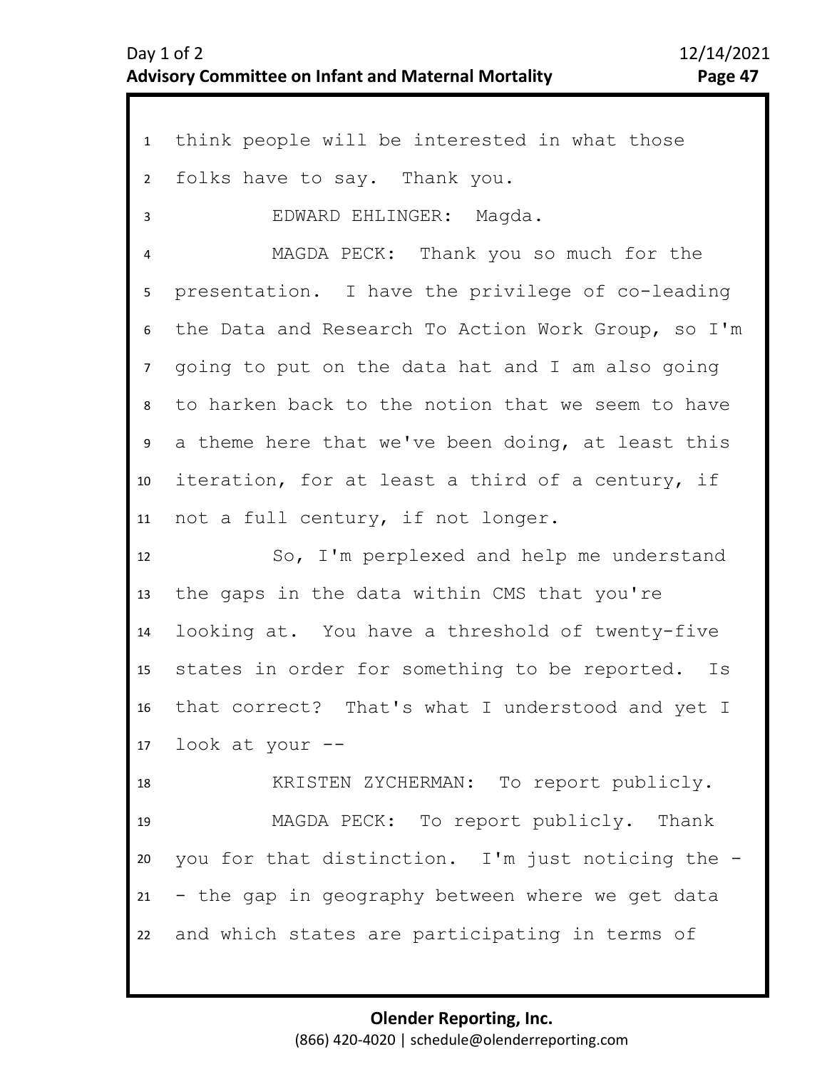| $\mathbf{1}$     | think people will be interested in what those      |
|------------------|----------------------------------------------------|
| $\overline{2}$   | folks have to say. Thank you.                      |
| 3                | EDWARD EHLINGER: Magda.                            |
| 4                | MAGDA PECK: Thank you so much for the              |
| 5                | presentation. I have the privilege of co-leading   |
| 6                | the Data and Research To Action Work Group, so I'm |
| $\overline{7}$   | going to put on the data hat and I am also going   |
| 8                | to harken back to the notion that we seem to have  |
| 9                | a theme here that we've been doing, at least this  |
| 10               | iteration, for at least a third of a century, if   |
| 11               | not a full century, if not longer.                 |
| 12 <sup>12</sup> | So, I'm perplexed and help me understand           |
| 13               | the gaps in the data within CMS that you're        |
| 14               | looking at. You have a threshold of twenty-five    |
| 15               | states in order for something to be reported. Is   |
| 16               | that correct? That's what I understood and yet I   |
|                  | 17 look at your --                                 |
| 18               | KRISTEN ZYCHERMAN: To report publicly.             |
| 19               | MAGDA PECK: To report publicly. Thank              |
| 20               | you for that distinction. I'm just noticing the -  |
| 21               | - the gap in geography between where we get data   |
| 22               | and which states are participating in terms of     |
|                  |                                                    |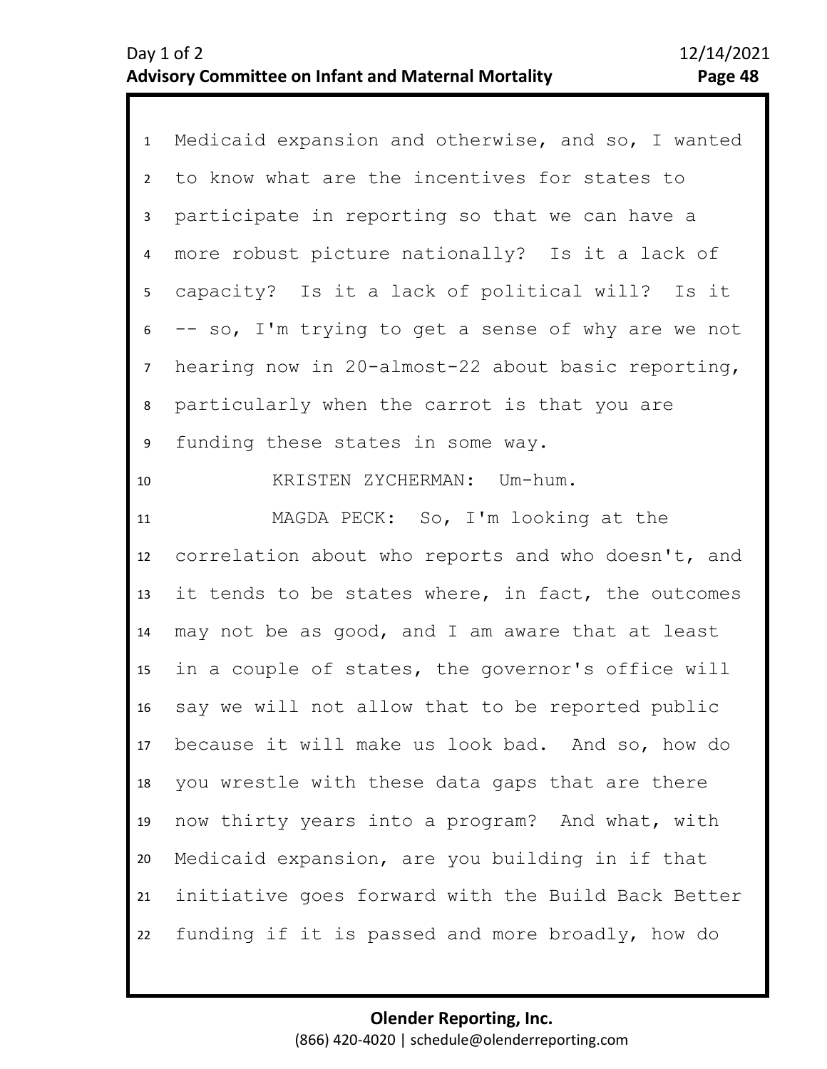| $\mathbf{1}$    | Medicaid expansion and otherwise, and so, I wanted |
|-----------------|----------------------------------------------------|
| $2^{\circ}$     | to know what are the incentives for states to      |
| $\mathbf{3}$    | participate in reporting so that we can have a     |
| 4               | more robust picture nationally? Is it a lack of    |
| 5 <sub>1</sub>  | capacity? Is it a lack of political will? Is it    |
| 6               | -- so, I'm trying to get a sense of why are we not |
| $7\overline{ }$ | hearing now in 20-almost-22 about basic reporting, |
| 8               | particularly when the carrot is that you are       |
| 9               | funding these states in some way.                  |
| 10              | KRISTEN ZYCHERMAN: Um-hum.                         |
| 11              | MAGDA PECK: So, I'm looking at the                 |
|                 |                                                    |
| 12              | correlation about who reports and who doesn't, and |
| 13              | it tends to be states where, in fact, the outcomes |
| 14              | may not be as good, and I am aware that at least   |
| 15 <sub>1</sub> | in a couple of states, the governor's office will  |
| 16              | say we will not allow that to be reported public   |
| 17              | because it will make us look bad. And so, how do   |
| 18              | you wrestle with these data gaps that are there    |
| 19              | now thirty years into a program? And what, with    |
| 20              | Medicaid expansion, are you building in if that    |
| 21              | initiative goes forward with the Build Back Better |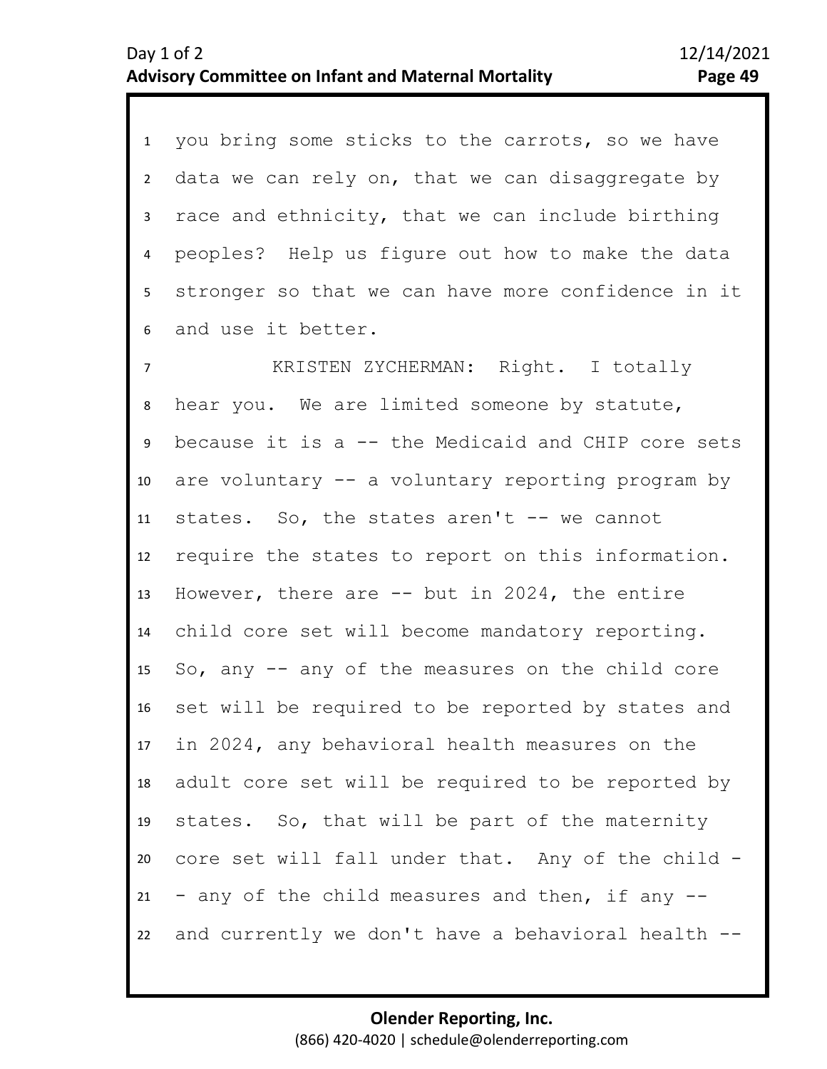1 you bring some sticks to the carrots, so we have 2 3 4 5 6 data we can rely on, that we can disaggregate by race and ethnicity, that we can include birthing peoples? Help us figure out how to make the data stronger so that we can have more confidence in it and use it better.

8 9 10 11 12 13 14 15 16 17 18 19 20 21 22 7 KRISTEN ZYCHERMAN: Right. I totally hear you. We are limited someone by statute, because it is a -- the Medicaid and CHIP core sets are voluntary -- a voluntary reporting program by states. So, the states aren't -- we cannot require the states to report on this information. However, there are  $-$  but in 2024, the entire child core set will become mandatory reporting. So, any -- any of the measures on the child core set will be required to be reported by states and in 2024, any behavioral health measures on the adult core set will be required to be reported by states. So, that will be part of the maternity core set will fall under that. Any of the child - - any of the child measures and then, if any - and currently we don't have a behavioral health --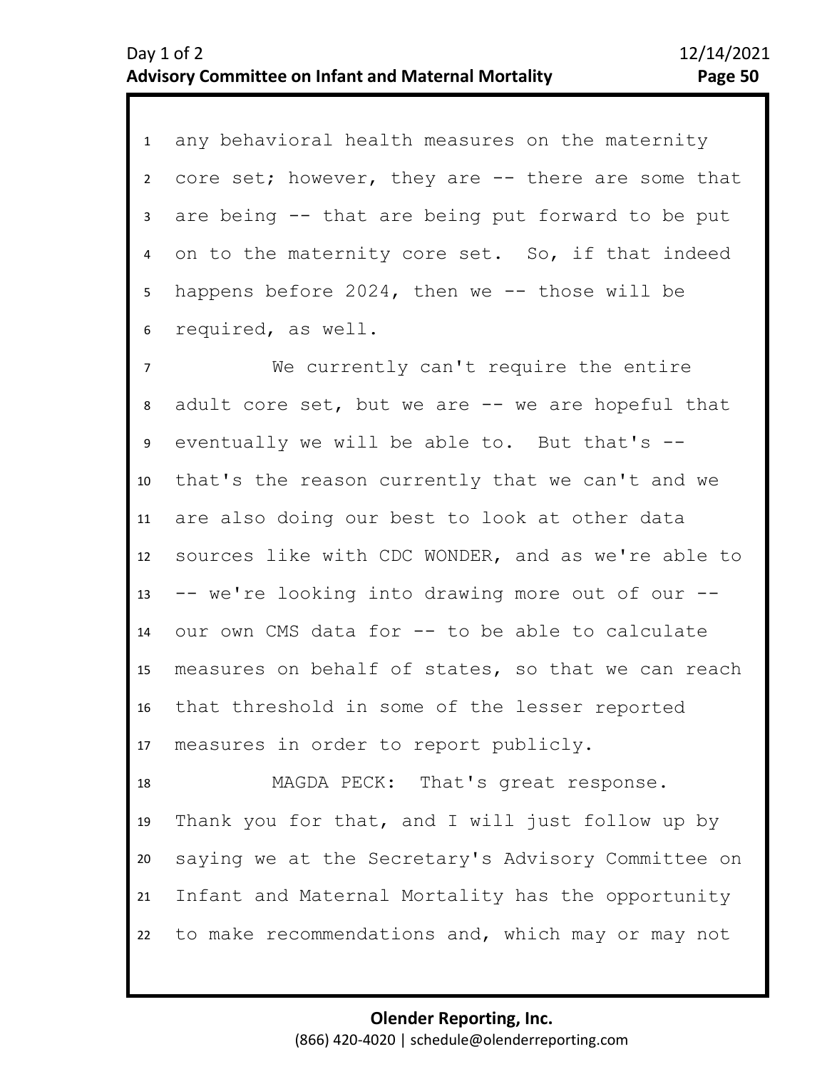1 any behavioral health measures on the maternity 2 3 4 5 6 core set; however, they are -- there are some that are being -- that are being put forward to be put on to the maternity core set. So, if that indeed happens before  $2024$ , then we  $-$ - those will be required, as well.

8 9 10 11 12 13 14 15 16 17 7 We currently can't require the entire adult core set, but we are -- we are hopeful that eventually we will be able to. But that's - that's the reason currently that we can't and we are also doing our best to look at other data sources like with CDC WONDER, and as we're able to -- we're looking into drawing more out of our - our own CMS data for -- to be able to calculate measures on behalf of states, so that we can reach that threshold in some of the lesser reported measures in order to report publicly.

18 19 20 21 22 MAGDA PECK: That's great response. Thank you for that, and I will just follow up by saying we at the Secretary's Advisory Committee on Infant and Maternal Mortality has the opportunity to make recommendations and, which may or may not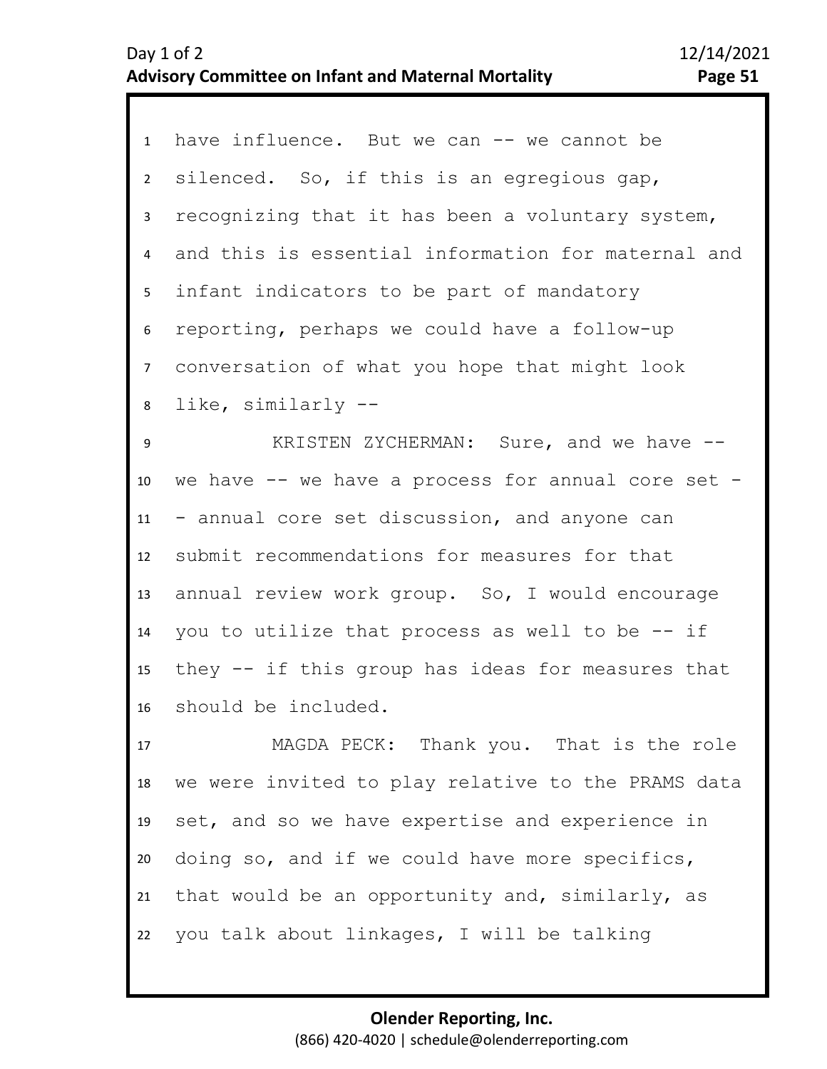| 1              | have influence. But we can -- we cannot be         |
|----------------|----------------------------------------------------|
| $2^{\circ}$    | silenced. So, if this is an egregious gap,         |
| $\mathbf{3}$   | recognizing that it has been a voluntary system,   |
| $\overline{4}$ | and this is essential information for maternal and |
| 5              | infant indicators to be part of mandatory          |
| 6              | reporting, perhaps we could have a follow-up       |
| 7 <sup>7</sup> | conversation of what you hope that might look      |
| 8              | like, similarly --                                 |
| 9              | KRISTEN ZYCHERMAN: Sure, and we have --            |
| 10             | we have -- we have a process for annual core set - |
| 11             | - annual core set discussion, and anyone can       |
| 12             | submit recommendations for measures for that       |
| 13             | annual review work group. So, I would encourage    |
| 14             | you to utilize that process as well to be $-$ - if |
| 15             | they -- if this group has ideas for measures that  |
| 16             | should be included.                                |
| 17             | MAGDA PECK: Thank you. That is the role            |
| 18             | we were invited to play relative to the PRAMS data |
| 19             | set, and so we have expertise and experience in    |
| 20             | doing so, and if we could have more specifics,     |
| 21             | that would be an opportunity and, similarly, as    |

22 you talk about linkages, I will be talking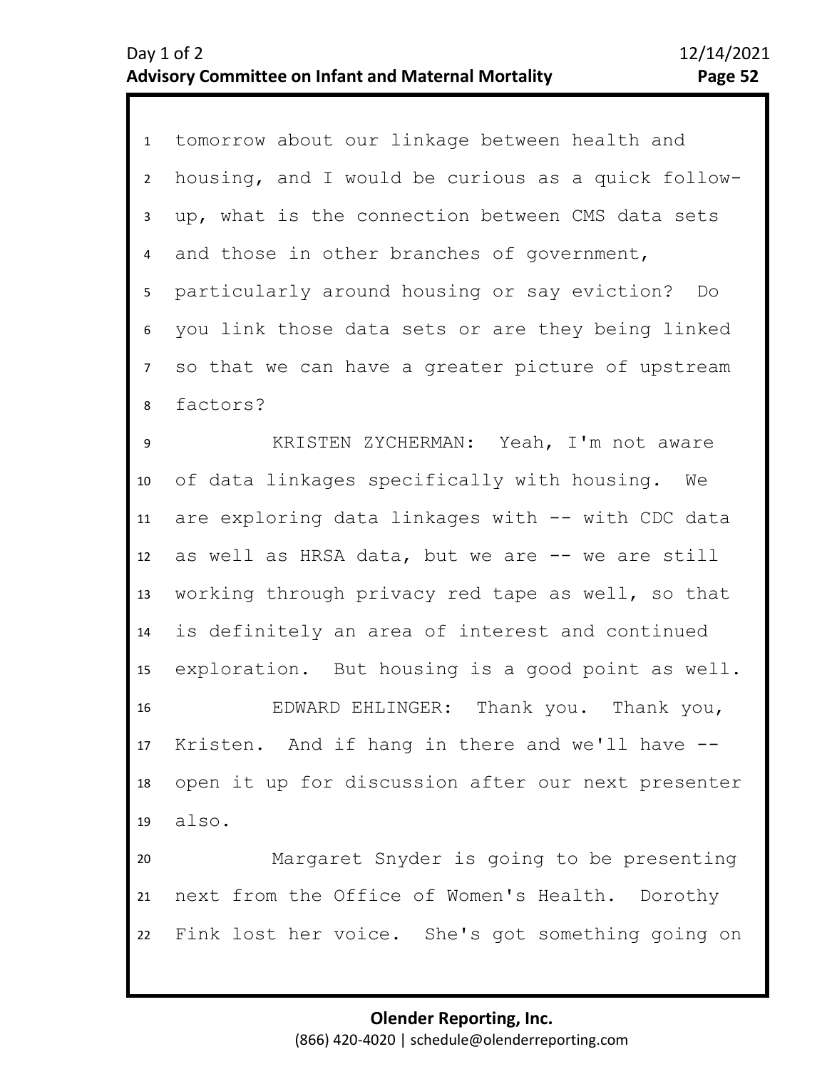| $\mathbf{1}$   | tomorrow about our linkage between health and      |
|----------------|----------------------------------------------------|
| $\overline{2}$ | housing, and I would be curious as a quick follow- |
| 3              | up, what is the connection between CMS data sets   |
| $\overline{4}$ | and those in other branches of government,         |
| 5              | particularly around housing or say eviction?<br>Do |
| 6              | you link those data sets or are they being linked  |
| $\overline{7}$ | so that we can have a greater picture of upstream  |
| 8              | factors?                                           |
| 9              | KRISTEN ZYCHERMAN: Yeah, I'm not aware             |
| 10             | of data linkages specifically with housing. We     |
| 11             | are exploring data linkages with -- with CDC data  |
| 12             | as well as HRSA data, but we are -- we are still   |
| 13             | working through privacy red tape as well, so that  |
| 14             | is definitely an area of interest and continued    |
| 15             | exploration. But housing is a good point as well.  |
| 16             | EDWARD EHLINGER: Thank you. Thank you,             |
|                | 17 Kristen. And if hang in there and we'll have -- |
| 18             | open it up for discussion after our next presenter |
| 19             | also.                                              |
| 20             | Margaret Snyder is going to be presenting          |
| 21             | next from the Office of Women's Health. Dorothy    |
| 22             | Fink lost her voice. She's got something going on  |
|                |                                                    |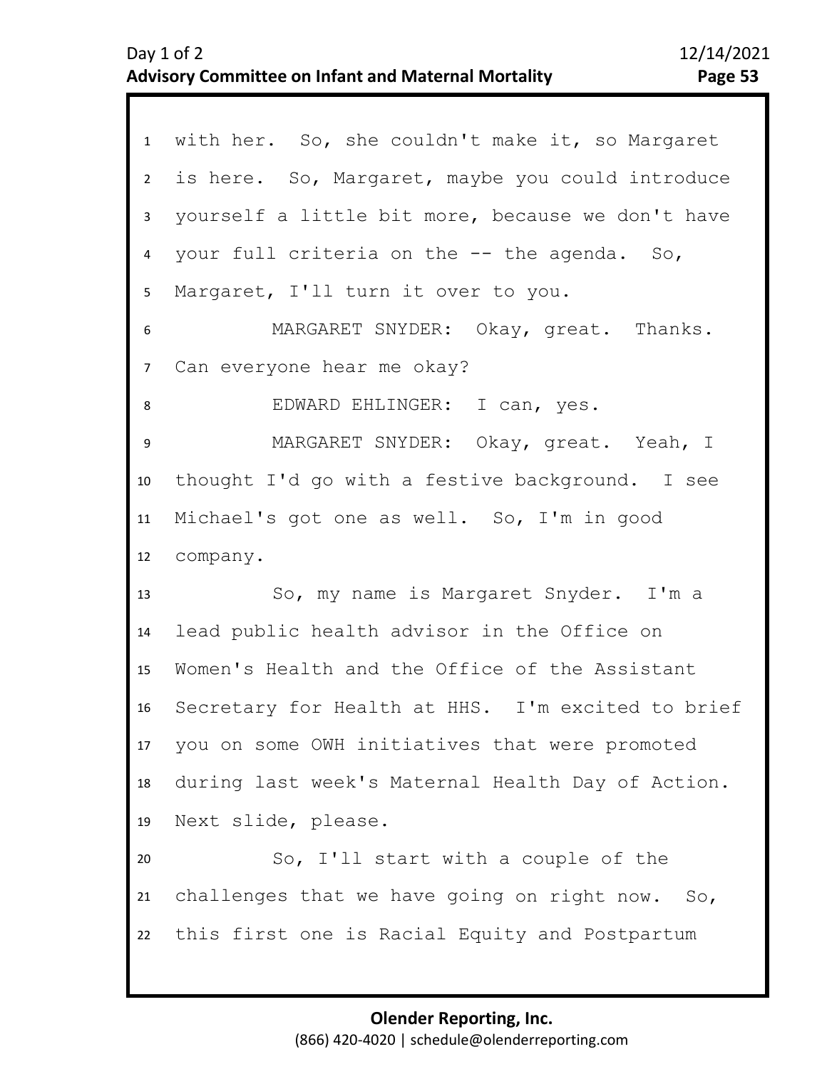| 1              | with her. So, she couldn't make it, so Margaret      |
|----------------|------------------------------------------------------|
|                |                                                      |
| $\overline{2}$ | is here. So, Margaret, maybe you could introduce     |
| $\mathbf{3}$   | yourself a little bit more, because we don't have    |
| 4              | your full criteria on the -- the agenda. So,         |
| 5              | Margaret, I'll turn it over to you.                  |
| 6              | MARGARET SNYDER: Okay, great. Thanks.                |
| $\overline{7}$ | Can everyone hear me okay?                           |
| 8              | EDWARD EHLINGER: I can, yes.                         |
| 9              | MARGARET SNYDER: Okay, great. Yeah, I                |
| 10             | thought I'd go with a festive background. I see      |
| 11             | Michael's got one as well. So, I'm in good           |
| 12             | company.                                             |
| 13             | So, my name is Margaret Snyder. I'm a                |
| 14             | lead public health advisor in the Office on          |
| 15             | Women's Health and the Office of the Assistant       |
|                | 16 Secretary for Health at HHS. I'm excited to brief |
|                | 17 you on some OWH initiatives that were promoted    |
| 18             | during last week's Maternal Health Day of Action.    |
| 19             | Next slide, please.                                  |
| 20             | So, I'll start with a couple of the                  |
| 21             | challenges that we have going on right now. So,      |
| 22             | this first one is Racial Equity and Postpartum       |
|                |                                                      |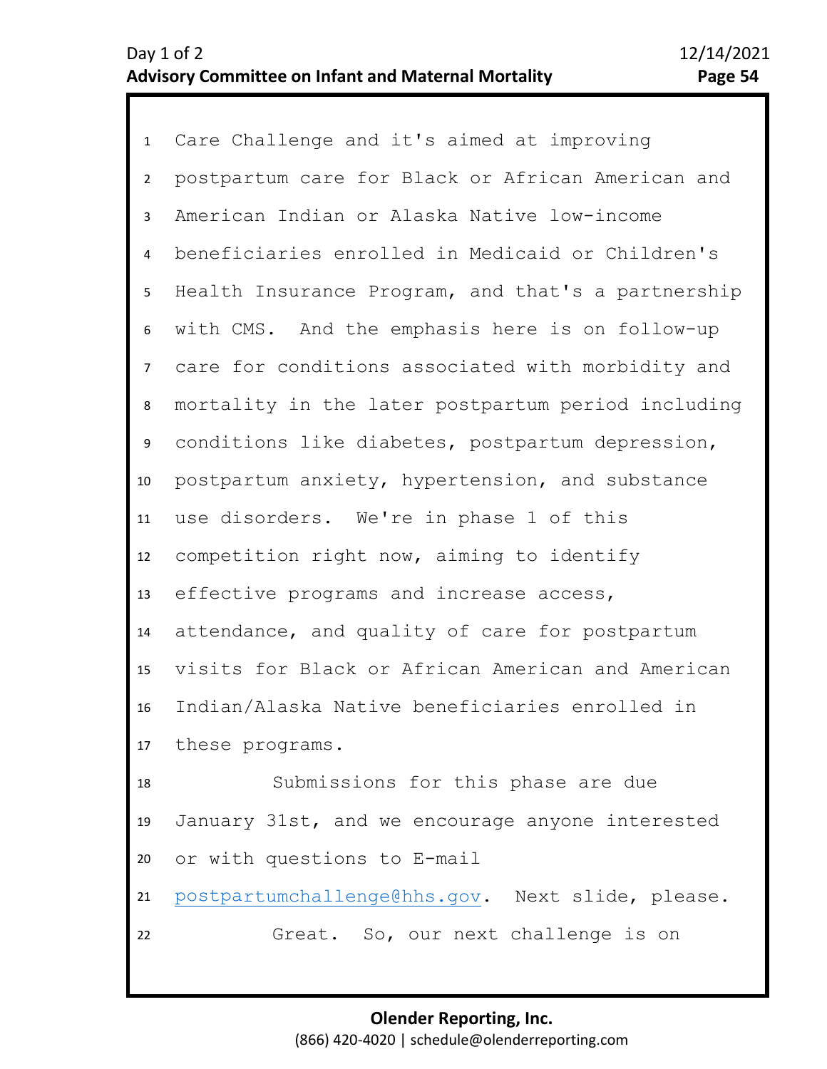1 Care Challenge and it's aimed at improving 2 3 4 5 6 7 13 14 15 16 17 18 19 8 11 12 9 10 postpartum care for Black or African American and American Indian or Alaska Native low-income beneficiaries enrolled in Medicaid or Children's Health Insurance Program, and that's a partnership with CMS. And the emphasis here is on follow-up care for conditions associated with morbidity and mortality in the later postpartum period including conditions like diabetes, postpartum depression, postpartum anxiety, hypertension, and substance use disorders. We're in phase 1 of this competition right now, aiming to identify effective programs and increase access, attendance, and quality of care for postpartum visits for Black or African American and American Indian/Alaska Native beneficiaries enrolled in these programs. Submissions for this phase are due January 31st, and we encourage anyone interested

20 or with questions to E-mail

22

21 [postpartumchallenge@hhs.gov.](mailto:postpartumchallenge@hhs.gov) Next slide, please.

Great. So, our next challenge is on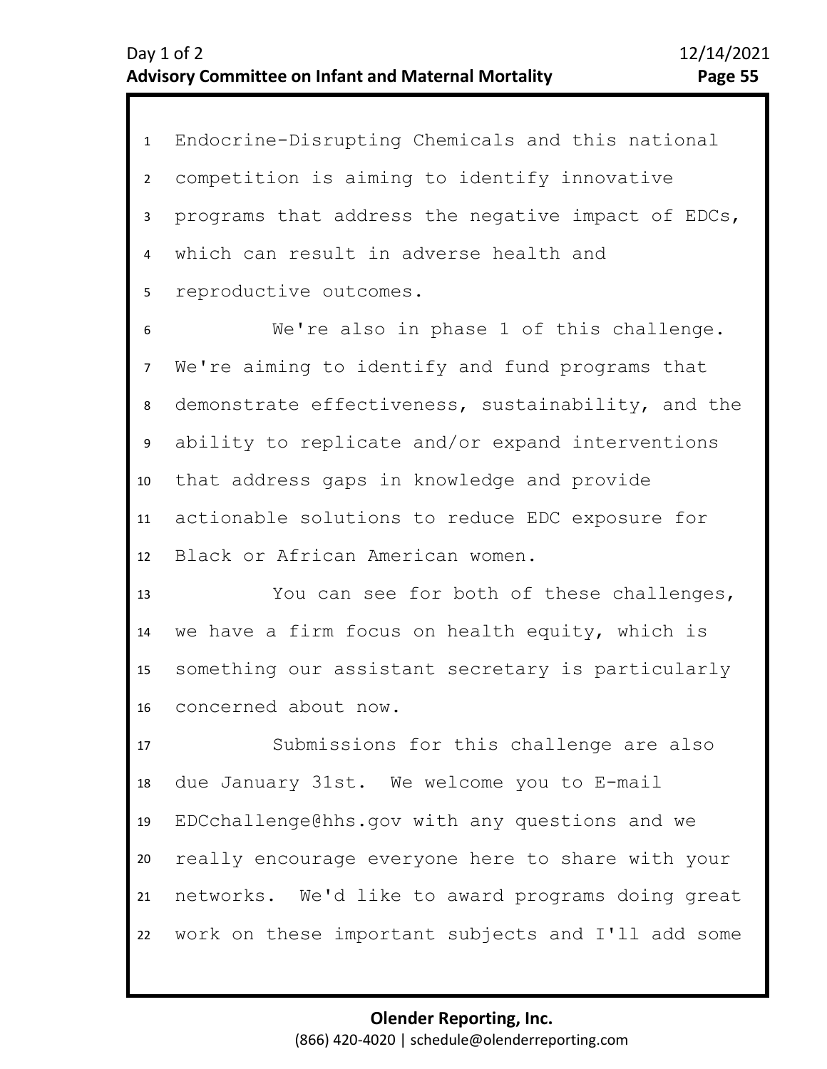1 Endocrine-Disrupting Chemicals and this national 2 3 4 5 competition is aiming to identify innovative programs that address the negative impact of EDCs, which can result in adverse health and reproductive outcomes.

9 10 11 12 6 8 7 We're also in phase 1 of this challenge. We're aiming to identify and fund programs that demonstrate effectiveness, sustainability, and the ability to replicate and/or expand interventions that address gaps in knowledge and provide actionable solutions to reduce EDC exposure for Black or African American women.

13 14 15 16 You can see for both of these challenges, we have a firm focus on health equity, which is something our assistant secretary is particularly concerned about now.

17 18 19 20 21 22 Submissions for this challenge are also due January 31st. We welcome you to E-mail EDCchallenge@hhs.gov with any questions and we really encourage everyone here to share with your networks. We'd like to award programs doing great work on these important subjects and I'll add some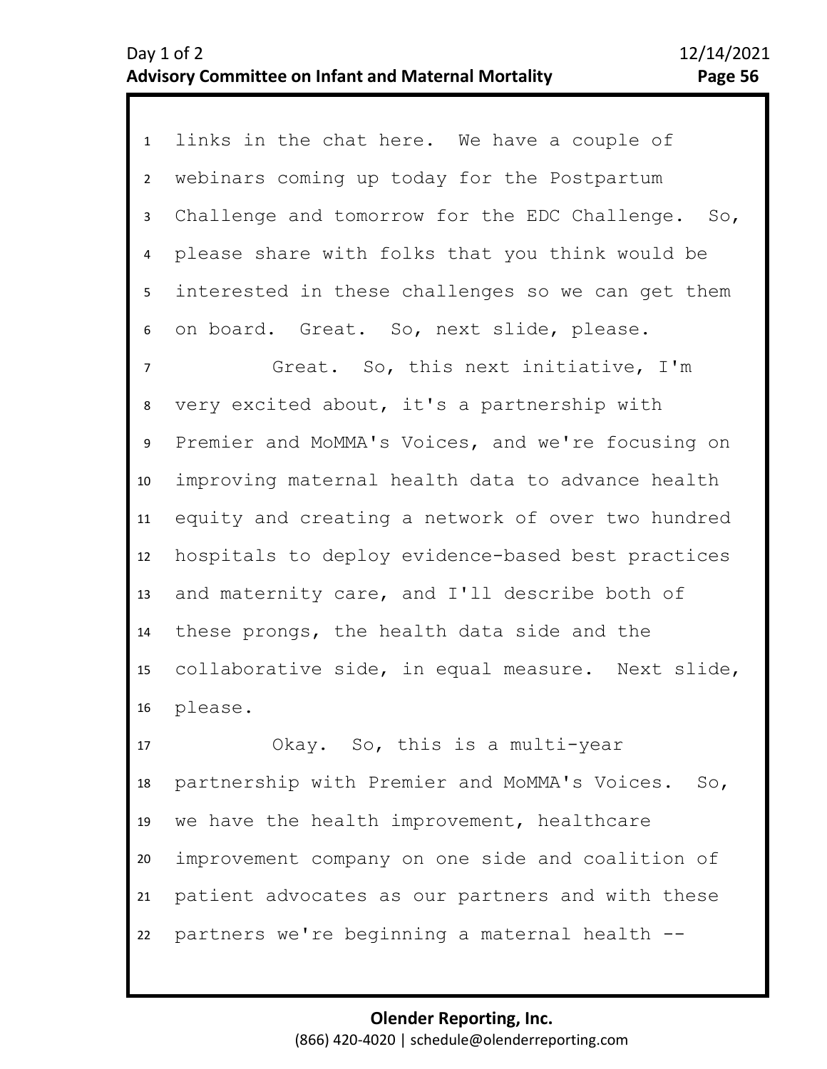1 links in the chat here. We have a couple of 2 3 4 5 6 webinars coming up today for the Postpartum Challenge and tomorrow for the EDC Challenge. So, please share with folks that you think would be interested in these challenges so we can get them on board. Great. So, next slide, please.

7 11 12 13 14 15 16 8 10 9 Great. So, this next initiative, I'm very excited about, it's a partnership with Premier and MoMMA's Voices, and we're focusing on improving maternal health data to advance health equity and creating a network of over two hundred hospitals to deploy evidence-based best practices and maternity care, and I'll describe both of these prongs, the health data side and the collaborative side, in equal measure. Next slide, please.

17 18 19 20 21 22 Okay. So, this is a multi-year partnership with Premier and MoMMA's Voices. So, we have the health improvement, healthcare improvement company on one side and coalition of patient advocates as our partners and with these partners we're beginning a maternal health --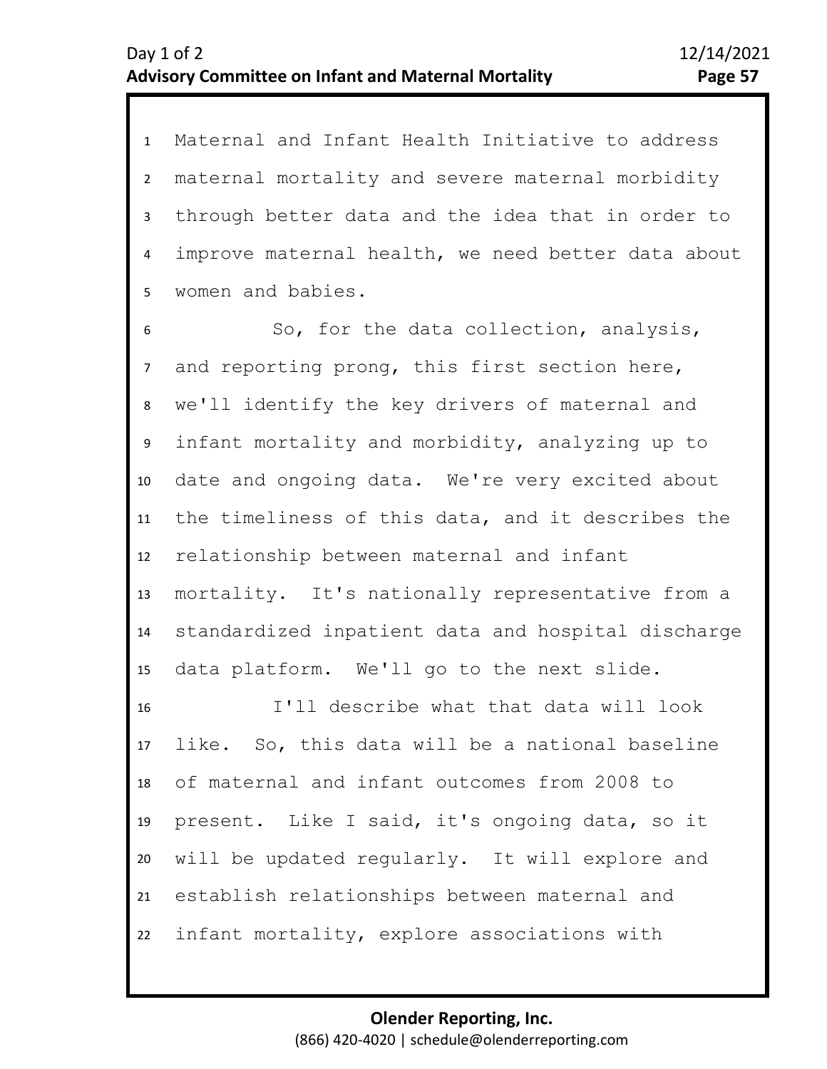1 Maternal and Infant Health Initiative to address 2 3 4 5 maternal mortality and severe maternal morbidity through better data and the idea that in order to improve maternal health, we need better data about women and babies.

6 7 11 12 13 14 15 9 10 8 So, for the data collection, analysis, and reporting prong, this first section here, we'll identify the key drivers of maternal and infant mortality and morbidity, analyzing up to date and ongoing data. We're very excited about the timeliness of this data, and it describes the relationship between maternal and infant mortality. It's nationally representative from a standardized inpatient data and hospital discharge data platform. We'll go to the next slide.

16 17 18 19 20 21 22 I'll describe what that data will look like. So, this data will be a national baseline of maternal and infant outcomes from 2008 to present. Like I said, it's ongoing data, so it will be updated regularly. It will explore and establish relationships between maternal and infant mortality, explore associations with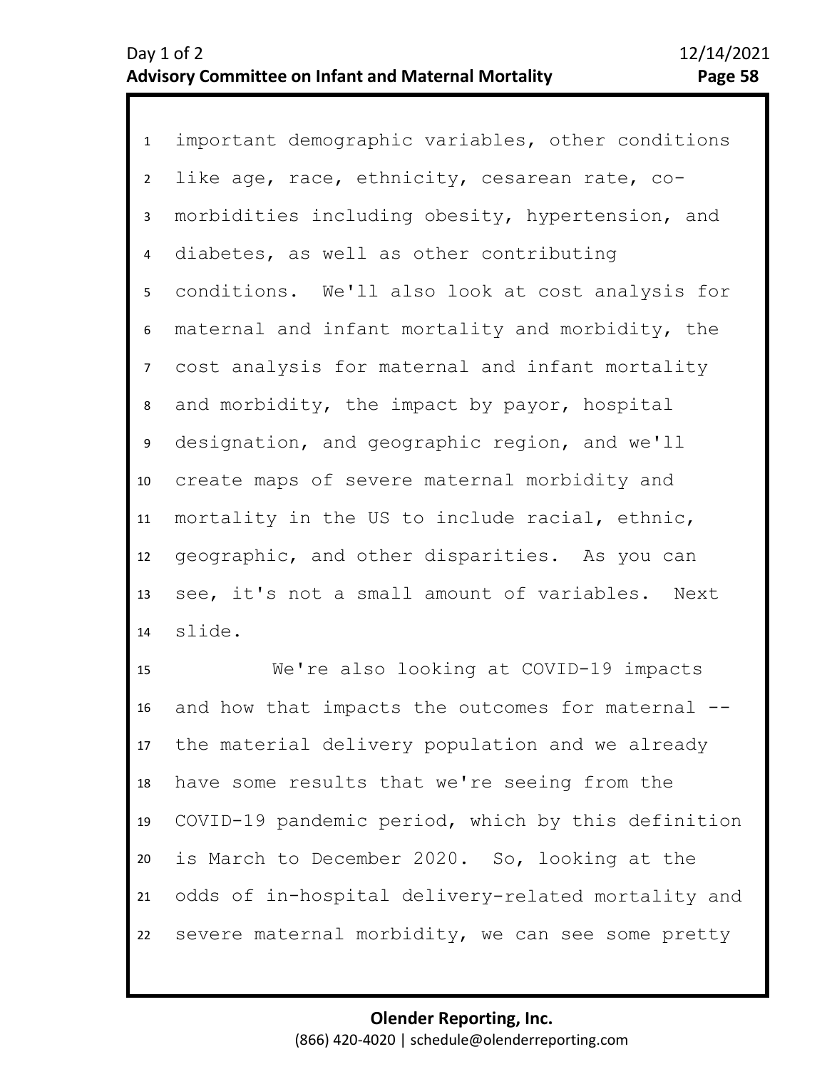1 important demographic variables, other conditions 2 3 4 5 9 10 11 12 13 14 6 8 7 like age, race, ethnicity, cesarean rate, comorbidities including obesity, hypertension, and diabetes, as well as other contributing conditions. We'll also look at cost analysis for maternal and infant mortality and morbidity, the cost analysis for maternal and infant mortality and morbidity, the impact by payor, hospital designation, and geographic region, and we'll create maps of severe maternal morbidity and mortality in the US to include racial, ethnic, geographic, and other disparities. As you can see, it's not a small amount of variables. Next slide.

15 16 17 18 19 20 21 22 We're also looking at COVID-19 impacts and how that impacts the outcomes for maternal - the material delivery population and we already have some results that we're seeing from the COVID-19 pandemic period, which by this definition is March to December 2020. So, looking at the odds of in-hospital delivery-related mortality and severe maternal morbidity, we can see some pretty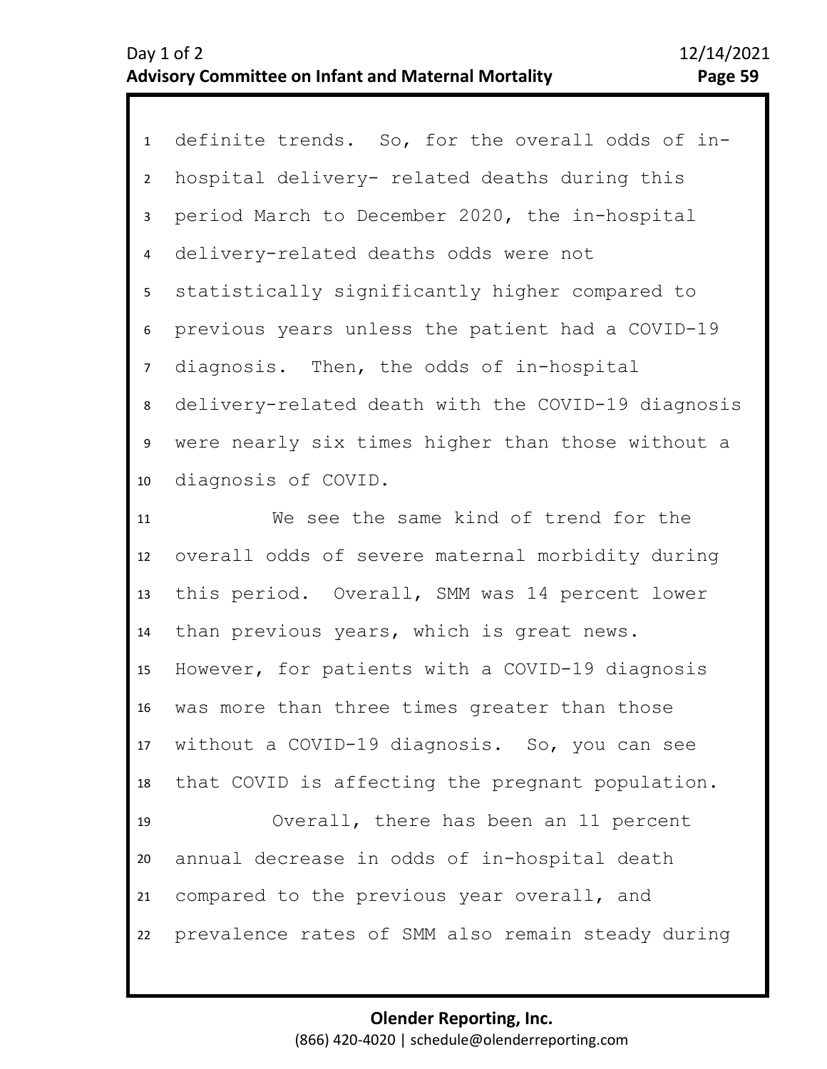| 1              | definite trends. So, for the overall odds of in-   |
|----------------|----------------------------------------------------|
| $\overline{2}$ | hospital delivery- related deaths during this      |
| 3              | period March to December 2020, the in-hospital     |
| $\overline{4}$ | delivery-related deaths odds were not              |
| 5              | statistically significantly higher compared to     |
| 6              | previous years unless the patient had a COVID-19   |
| $\overline{7}$ | diagnosis. Then, the odds of in-hospital           |
| 8              | delivery-related death with the COVID-19 diagnosis |
| 9              | were nearly six times higher than those without a  |
| 10             | diagnosis of COVID.                                |
| 11             | We see the same kind of trend for the              |
|                |                                                    |
| 12             | overall odds of severe maternal morbidity during   |
| 13             | this period. Overall, SMM was 14 percent lower     |
| 14             | than previous years, which is great news.          |
| 15             | However, for patients with a COVID-19 diagnosis    |
| 16             | was more than three times greater than those       |
|                | 17 without a COVID-19 diagnosis. So, you can see   |
| 18             | that COVID is affecting the pregnant population.   |
| 19             | Overall, there has been an 11 percent              |
| 20             | annual decrease in odds of in-hospital death       |
| 21             | compared to the previous year overall, and         |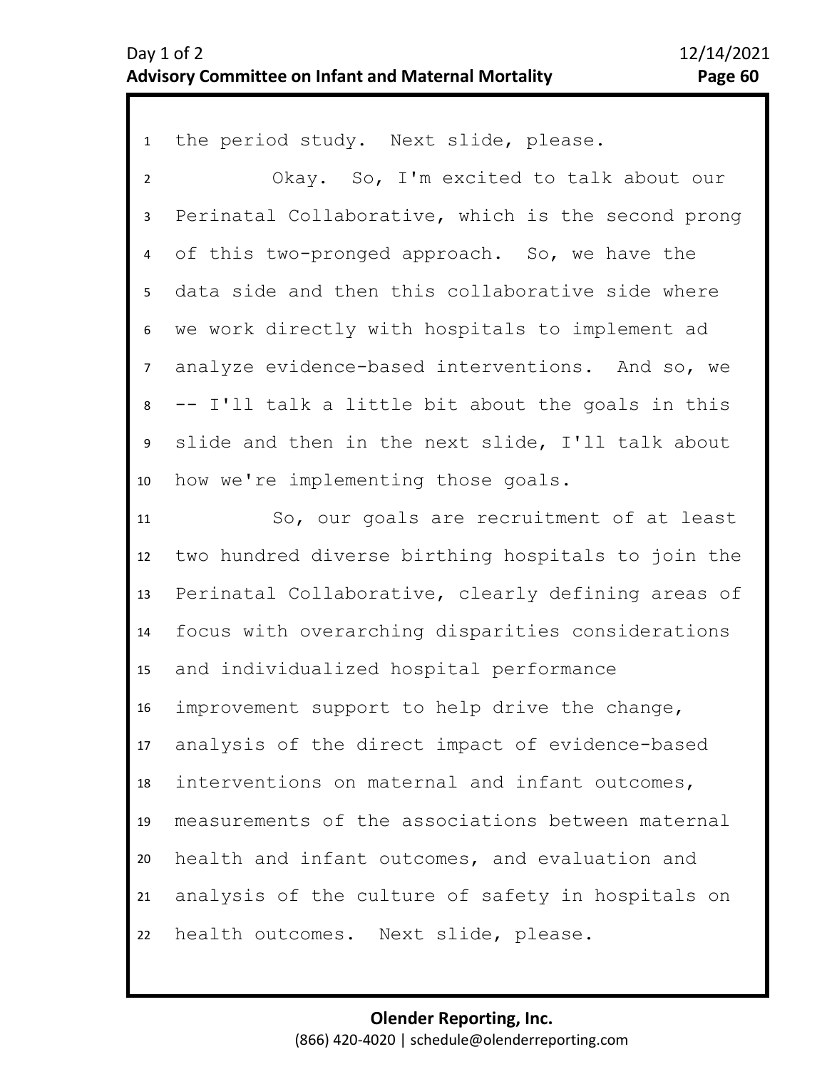## Day 1 of 2 12/14/2021 **Advisory Committee on Infant and Maternal Mortality Page 60**

| $\mathbf{1}$   | the period study. Next slide, please.              |
|----------------|----------------------------------------------------|
| $\overline{2}$ | Okay. So, I'm excited to talk about our            |
| 3              | Perinatal Collaborative, which is the second prong |
| 4              | of this two-pronged approach. So, we have the      |
| 5              | data side and then this collaborative side where   |
| 6              | we work directly with hospitals to implement ad    |
| $\overline{7}$ | analyze evidence-based interventions. And so, we   |
| 8              | -- I'll talk a little bit about the goals in this  |
| 9              | slide and then in the next slide, I'll talk about  |
| 10             | how we're implementing those goals.                |
| 11             | So, our goals are recruitment of at least          |
| 12             | two hundred diverse birthing hospitals to join the |
| 13             | Perinatal Collaborative, clearly defining areas of |
| 14             | focus with overarching disparities considerations  |
| 15             | and individualized hospital performance            |
| 16             | improvement support to help drive the change,      |
| 17             | analysis of the direct impact of evidence-based    |
| 18             | interventions on maternal and infant outcomes,     |
| 19             | measurements of the associations between maternal  |
| 20             | health and infant outcomes, and evaluation and     |
| 21             | analysis of the culture of safety in hospitals on  |
|                |                                                    |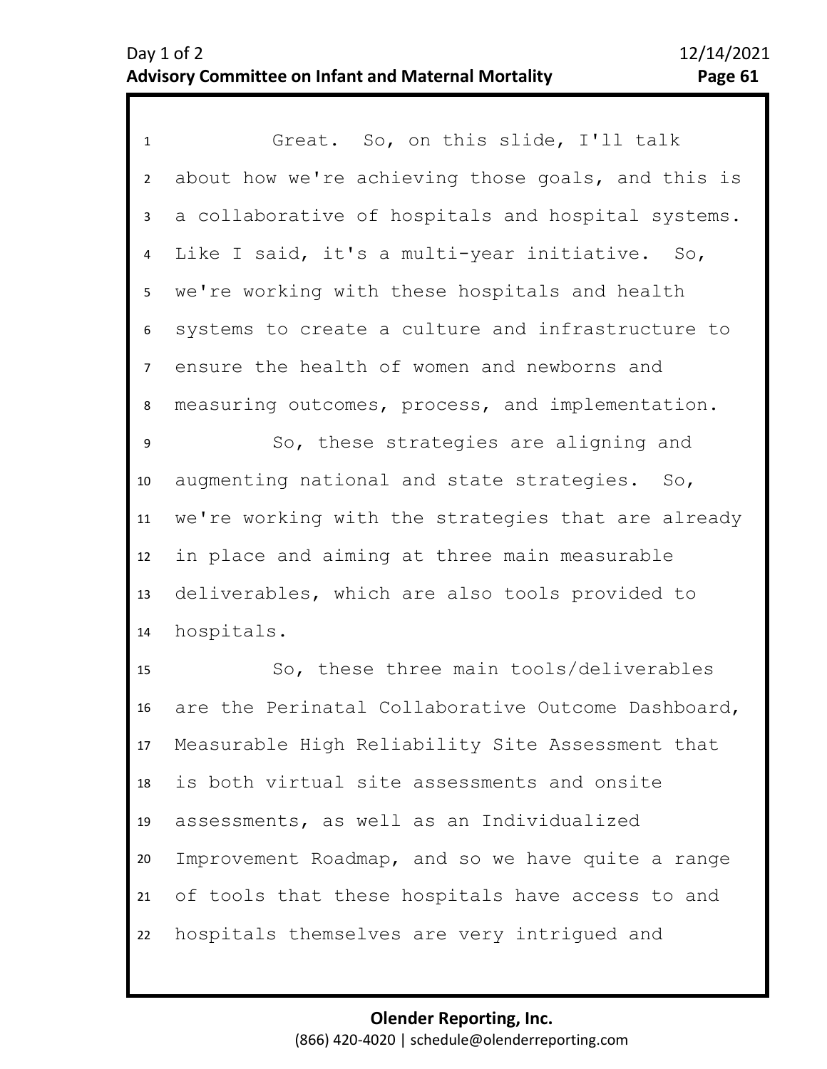1 Great. So, on this slide, I'll talk 2 3 4 5 6 10 11 12 13 14 7 9 8 about how we're achieving those goals, and this is a collaborative of hospitals and hospital systems. Like I said, it's a multi-year initiative. So, we're working with these hospitals and health systems to create a culture and infrastructure to ensure the health of women and newborns and measuring outcomes, process, and implementation. So, these strategies are aligning and augmenting national and state strategies. So, we're working with the strategies that are already in place and aiming at three main measurable deliverables, which are also tools provided to hospitals.

15 16 17 18 19 20 21 22 So, these three main tools/deliverables are the Perinatal Collaborative Outcome Dashboard, Measurable High Reliability Site Assessment that is both virtual site assessments and onsite assessments, as well as an Individualized Improvement Roadmap, and so we have quite a range of tools that these hospitals have access to and hospitals themselves are very intrigued and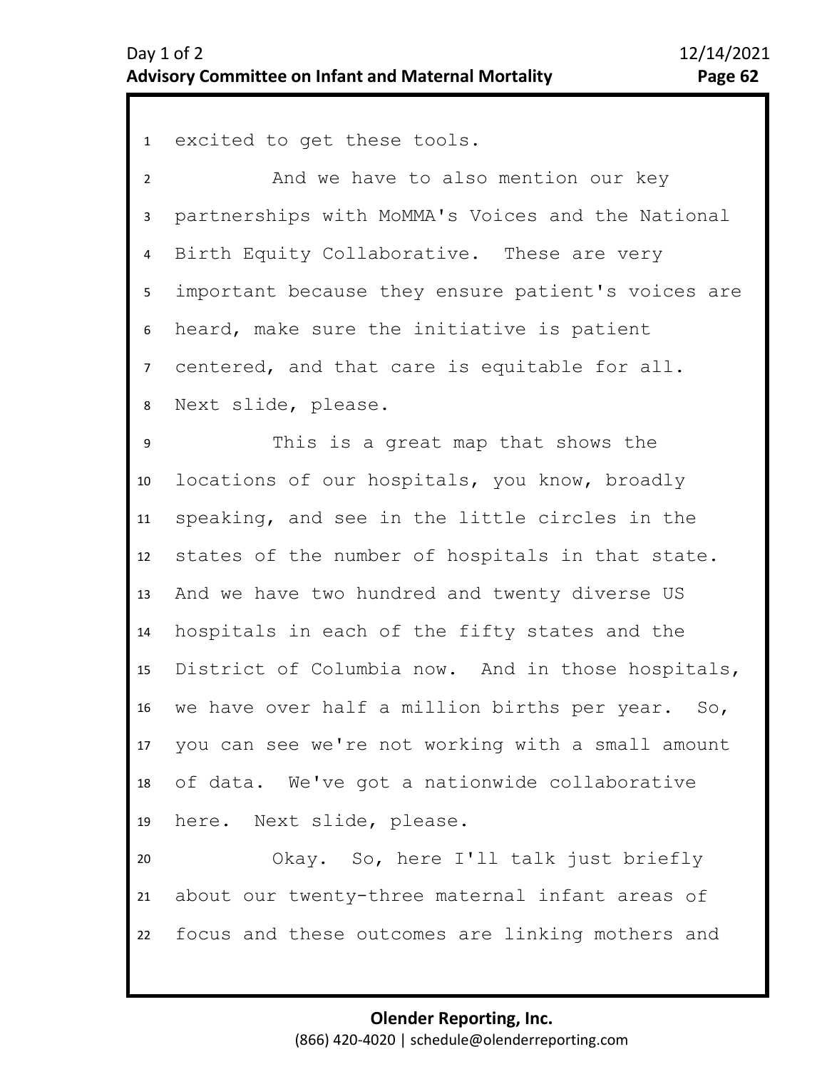1 excited to get these tools.

2 3 4 5 6 7 8 And we have to also mention our key partnerships with MoMMA's Voices and the National Birth Equity Collaborative. These are very important because they ensure patient's voices are heard, make sure the initiative is patient centered, and that care is equitable for all. Next slide, please.

10 11 12 13 14 15 16 17 18 19 9 This is a great map that shows the locations of our hospitals, you know, broadly speaking, and see in the little circles in the states of the number of hospitals in that state. And we have two hundred and twenty diverse US hospitals in each of the fifty states and the District of Columbia now. And in those hospitals, we have over half a million births per year. So, you can see we're not working with a small amount of data. We've got a nationwide collaborative here. Next slide, please.

20 21 22 Okay. So, here I'll talk just briefly about our twenty-three maternal infant areas of focus and these outcomes are linking mothers and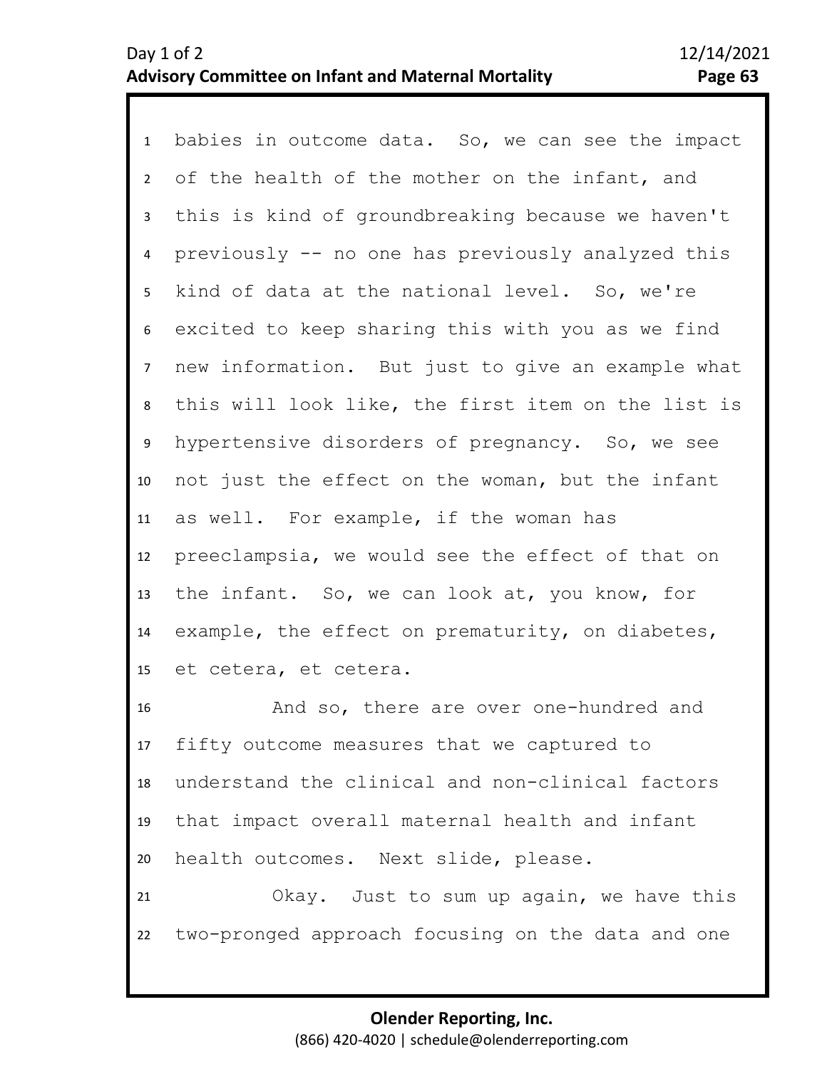1 babies in outcome data. So, we can see the impact 2 3 4 8 9 10 11 12 13 14 15 5 7 6 of the health of the mother on the infant, and this is kind of groundbreaking because we haven't previously -- no one has previously analyzed this kind of data at the national level. So, we're excited to keep sharing this with you as we find new information. But just to give an example what this will look like, the first item on the list is hypertensive disorders of pregnancy. So, we see not just the effect on the woman, but the infant as well. For example, if the woman has preeclampsia, we would see the effect of that on the infant. So, we can look at, you know, for example, the effect on prematurity, on diabetes, et cetera, et cetera.

16 17 18 19 20 And so, there are over one-hundred and fifty outcome measures that we captured to understand the clinical and non-clinical factors that impact overall maternal health and infant health outcomes. Next slide, please.

21 22 Okay. Just to sum up again, we have this two-pronged approach focusing on the data and one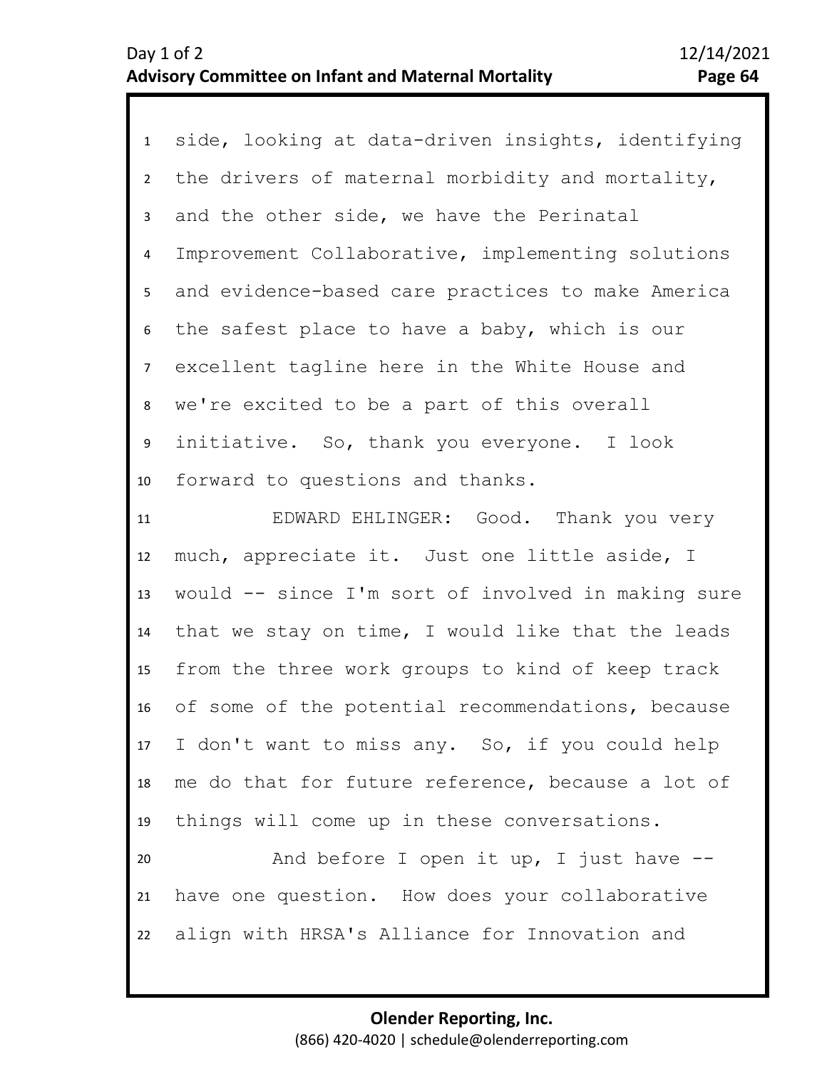1 side, looking at data-driven insights, identifying 2 3 4 5 10 11 12 6 8 9 7 the drivers of maternal morbidity and mortality, and the other side, we have the Perinatal Improvement Collaborative, implementing solutions and evidence-based care practices to make America the safest place to have a baby, which is our excellent tagline here in the White House and we're excited to be a part of this overall initiative. So, thank you everyone. I look forward to questions and thanks. EDWARD EHLINGER: Good. Thank you very much, appreciate it. Just one little aside, I

13 14 15 16 17 18 19 would -- since I'm sort of involved in making sure that we stay on time, I would like that the leads from the three work groups to kind of keep track of some of the potential recommendations, because I don't want to miss any. So, if you could help me do that for future reference, because a lot of things will come up in these conversations.

20 21 22 And before I open it up, I just have  $-$ have one question. How does your collaborative align with HRSA's Alliance for Innovation and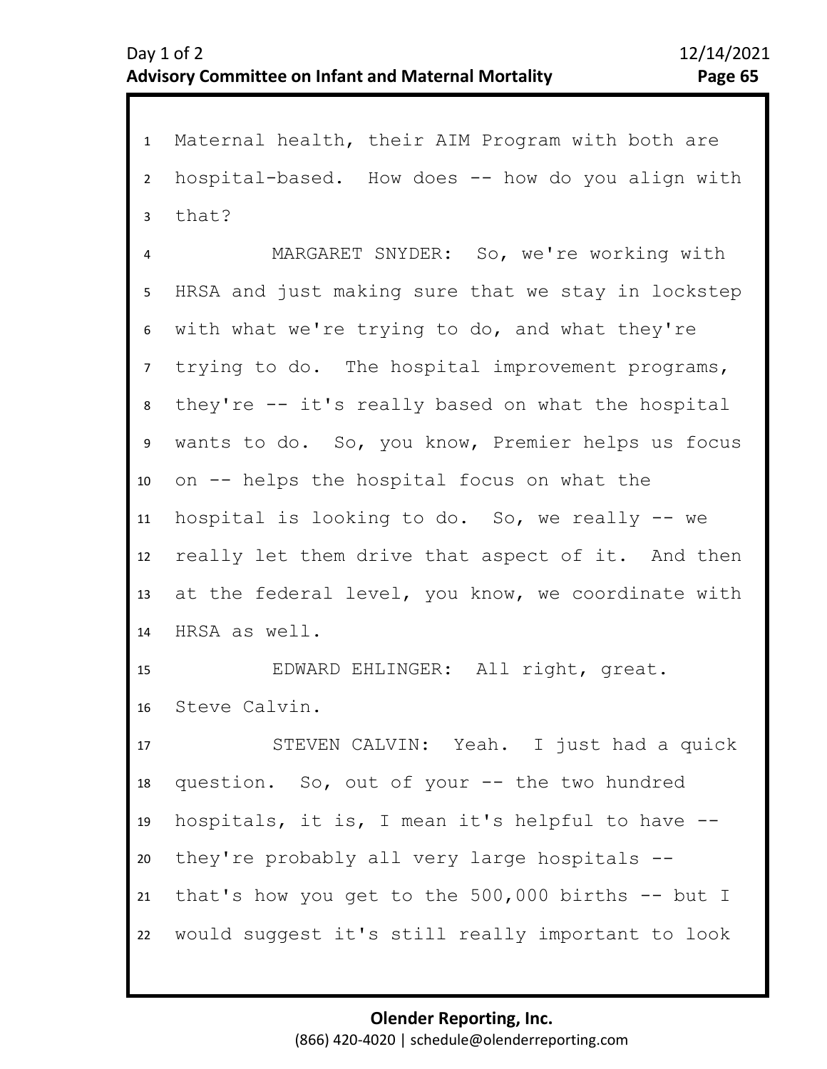1 Maternal health, their AIM Program with both are 2 3 4 5 9 10 11 12 13 14 15 16 17 18 19 20 21 6 8 7 hospital-based. How does -- how do you align with that? MARGARET SNYDER: So, we're working with HRSA and just making sure that we stay in lockstep with what we're trying to do, and what they're trying to do. The hospital improvement programs, they're -- it's really based on what the hospital wants to do. So, you know, Premier helps us focus on -- helps the hospital focus on what the hospital is looking to do. So, we really -- we really let them drive that aspect of it. And then at the federal level, you know, we coordinate with HRSA as well. EDWARD EHLINGER: All right, great. Steve Calvin. STEVEN CALVIN: Yeah. I just had a quick question. So, out of your -- the two hundred hospitals, it is, I mean it's helpful to have - they're probably all very large hospitals - that's how you get to the 500,000 births -- but I

22 would suggest it's still really important to look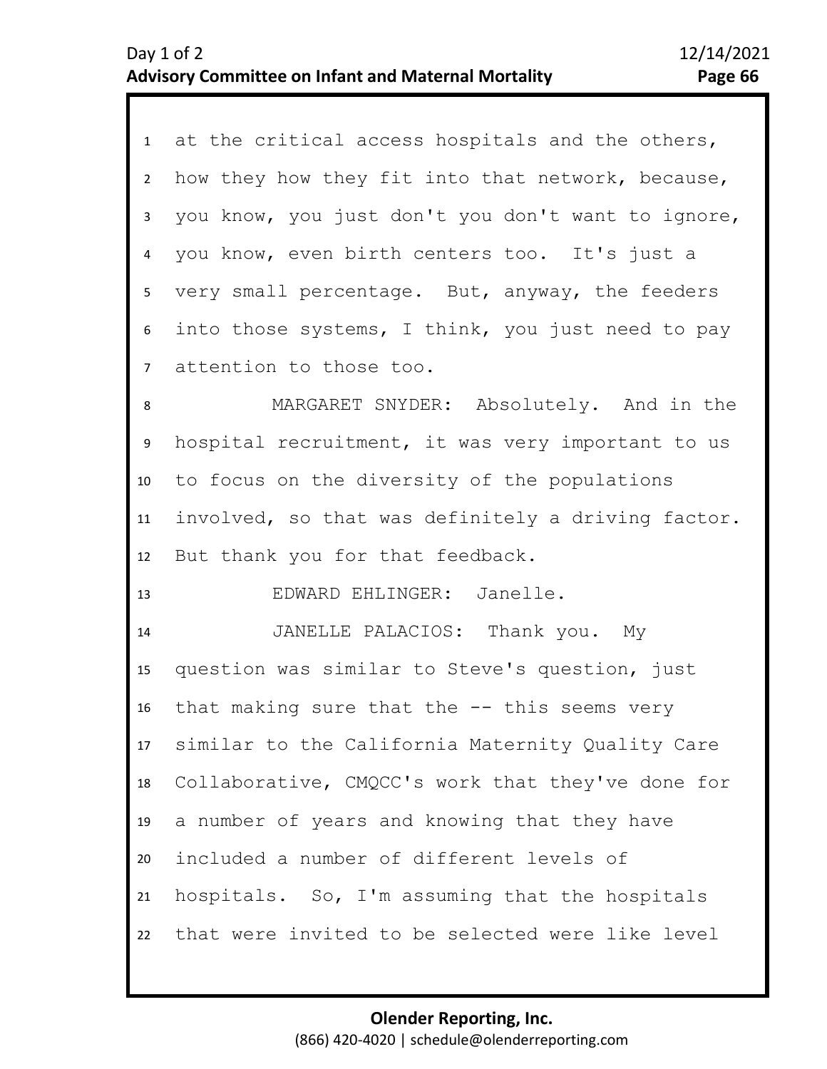|                  | 1 at the critical access hospitals and the others, |
|------------------|----------------------------------------------------|
| $2^{\circ}$      | how they how they fit into that network, because,  |
| 3                | you know, you just don't you don't want to ignore, |
| 4                | you know, even birth centers too. It's just a      |
| 5                | very small percentage. But, anyway, the feeders    |
| 6                | into those systems, I think, you just need to pay  |
| 7 <sup>7</sup>   | attention to those too.                            |
| 8                | MARGARET SNYDER: Absolutely. And in the            |
| 9                | hospital recruitment, it was very important to us  |
| 10               | to focus on the diversity of the populations       |
| 11               | involved, so that was definitely a driving factor. |
| 12               | But thank you for that feedback.                   |
| 13               | EDWARD EHLINGER: Janelle.                          |
| 14               | JANELLE PALACIOS: Thank you. My                    |
| 15               | question was similar to Steve's question, just     |
| 16               | that making sure that the $-$ - this seems very    |
| 17 <sup>17</sup> | similar to the California Maternity Quality Care   |
| 18               | Collaborative, CMQCC's work that they've done for  |
| 19               | a number of years and knowing that they have       |
| 20               | included a number of different levels of           |
| 21               | hospitals. So, I'm assuming that the hospitals     |
| 22               | that were invited to be selected were like level   |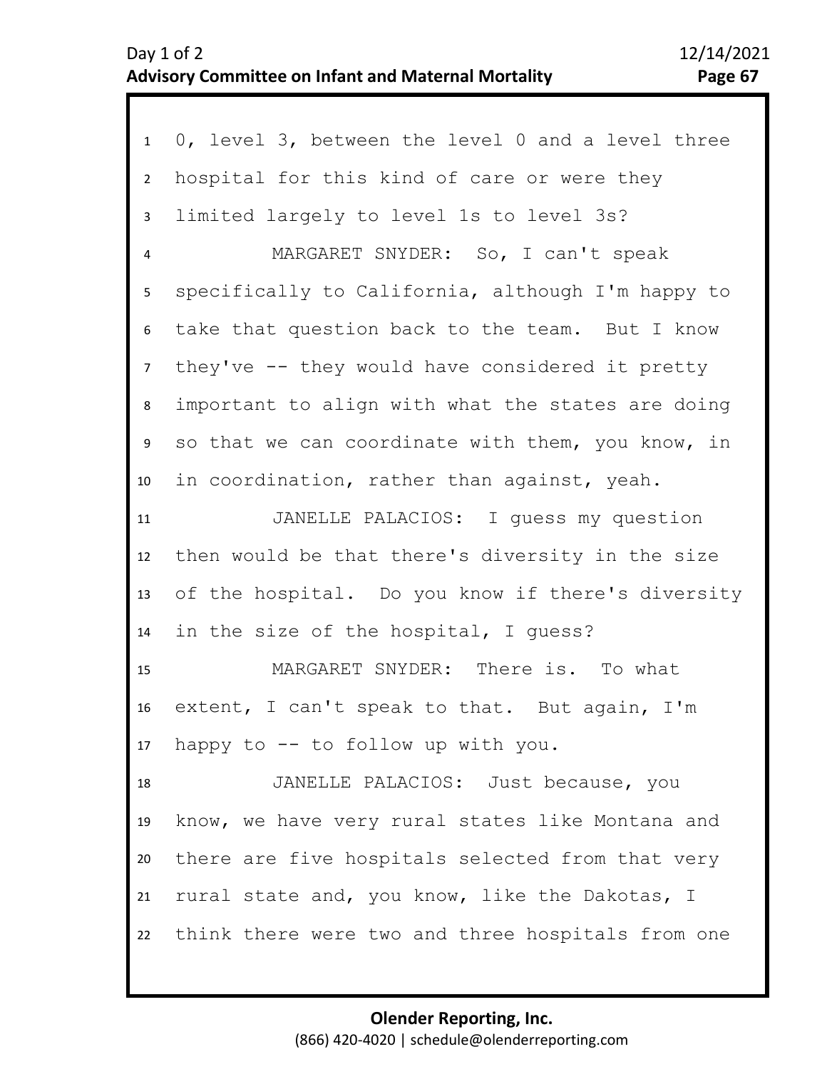## Day 1 of 2 12/14/2021 **Advisory Committee on Infant and Maternal Mortality Page 67**

| 1                       | 0, level 3, between the level 0 and a level three    |
|-------------------------|------------------------------------------------------|
| $2^{\circ}$             | hospital for this kind of care or were they          |
| $\mathbf{3}$            | limited largely to level 1s to level 3s?             |
| $\overline{\mathbf{4}}$ | MARGARET SNYDER: So, I can't speak                   |
| 5 <sub>1</sub>          | specifically to California, although I'm happy to    |
| 6                       | take that question back to the team. But I know      |
| 7 <sup>7</sup>          | they've -- they would have considered it pretty      |
| 8                       | important to align with what the states are doing    |
| 9                       | so that we can coordinate with them, you know, in    |
| 10                      | in coordination, rather than against, yeah.          |
| 11                      | JANELLE PALACIOS: I quess my question                |
| 12                      | then would be that there's diversity in the size     |
| 13                      | of the hospital. Do you know if there's diversity    |
| 14                      | in the size of the hospital, I guess?                |
| 15                      | MARGARET SNYDER: There is. To what                   |
| 16                      | extent, I can't speak to that. But again, I'm        |
|                         | 17 happy to -- to follow up with you.                |
| 18                      | JANELLE PALACIOS: Just because, you                  |
| 19                      | know, we have very rural states like Montana and     |
| 20                      | there are five hospitals selected from that very     |
| 21                      | rural state and, you know, like the Dakotas, I       |
|                         | 22 think there were two and three hospitals from one |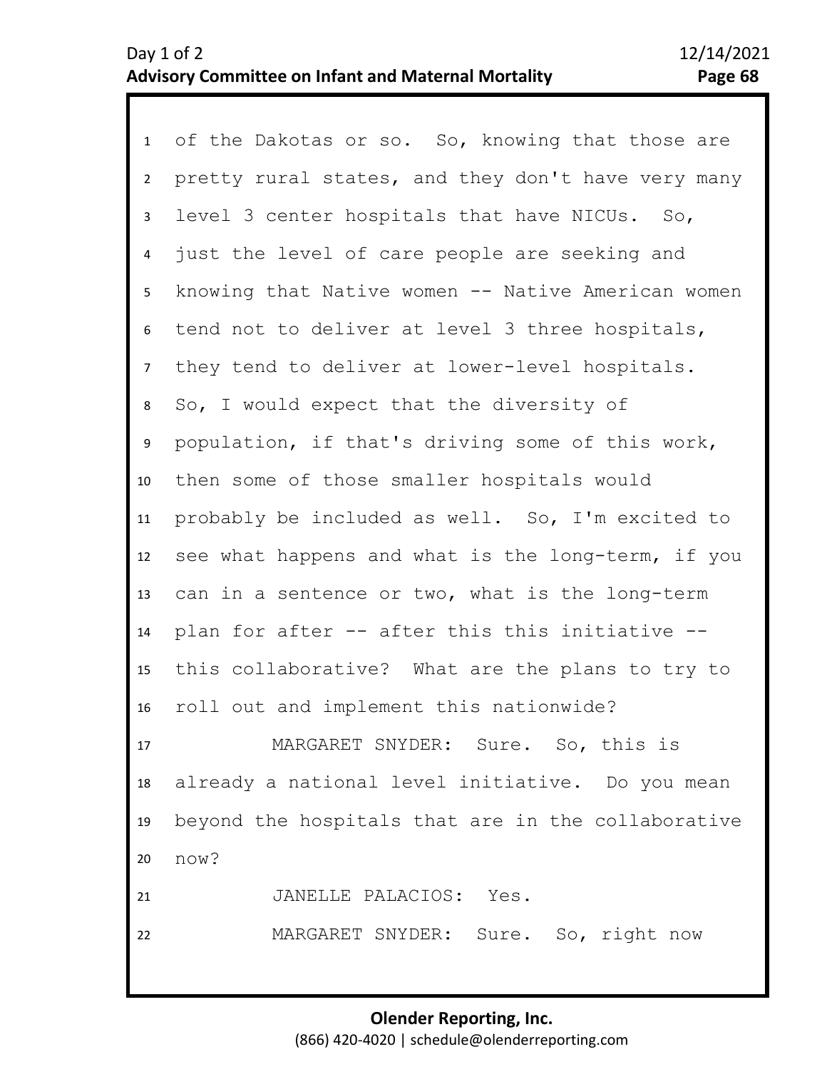1 of the Dakotas or so. So, knowing that those are 2 3 7 8 9 10 11 12 13 14 15 16 17 18 19 4 6 5 pretty rural states, and they don't have very many level 3 center hospitals that have NICUs. So, just the level of care people are seeking and knowing that Native women -- Native American women tend not to deliver at level 3 three hospitals, they tend to deliver at lower-level hospitals. So, I would expect that the diversity of population, if that's driving some of this work, then some of those smaller hospitals would probably be included as well. So, I'm excited to see what happens and what is the long-term, if you can in a sentence or two, what is the long-term plan for after -- after this this initiative - this collaborative? What are the plans to try to roll out and implement this nationwide? MARGARET SNYDER: Sure. So, this is already a national level initiative. Do you mean beyond the hospitals that are in the collaborative

21 JANELLE PALACIOS: Yes.

20

now?

22

MARGARET SNYDER: Sure. So, right now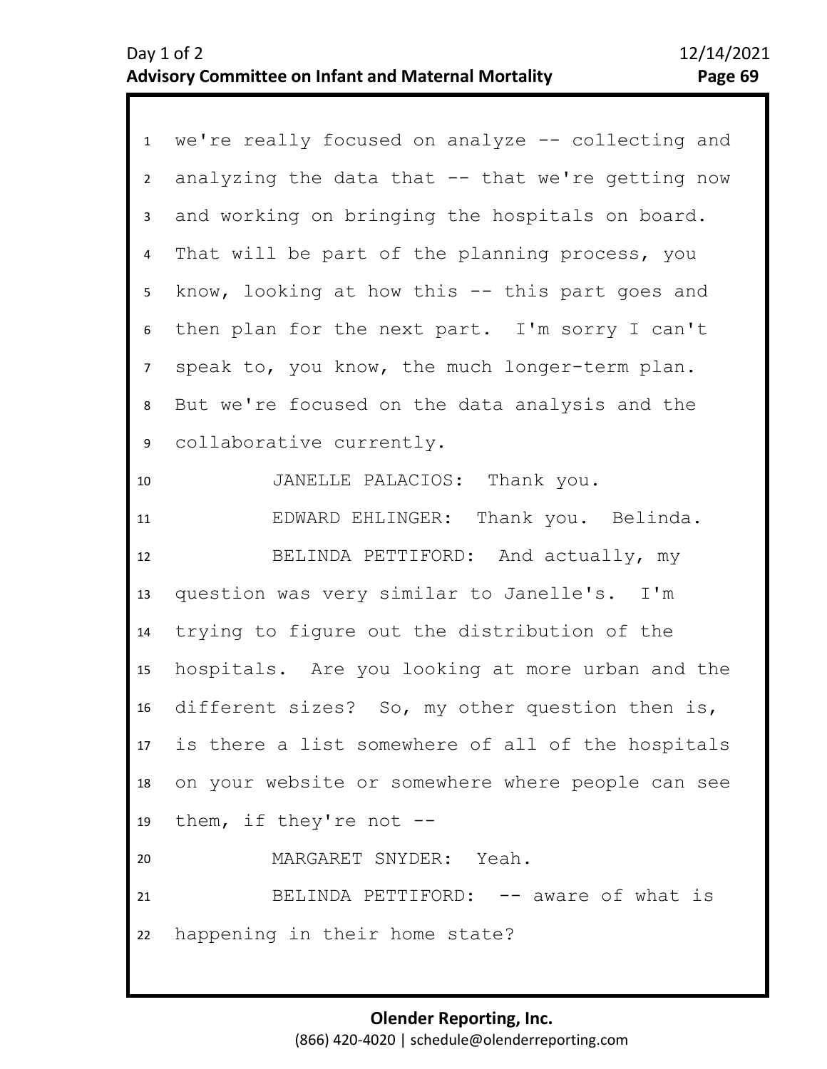| $\mathbf{1}$   | we're really focused on analyze -- collecting and |
|----------------|---------------------------------------------------|
| $2^{\circ}$    | analyzing the data that -- that we're getting now |
| 3              | and working on bringing the hospitals on board.   |
| 4              | That will be part of the planning process, you    |
| 5              | know, looking at how this -- this part goes and   |
| 6              | then plan for the next part. I'm sorry I can't    |
| $\overline{7}$ | speak to, you know, the much longer-term plan.    |
| 8              | But we're focused on the data analysis and the    |
| 9              | collaborative currently.                          |
| 10             | JANELLE PALACIOS: Thank you.                      |
| 11             | EDWARD EHLINGER: Thank you. Belinda.              |
| 12             | BELINDA PETTIFORD: And actually, my               |
| 13             | question was very similar to Janelle's. I'm       |
| 14             | trying to figure out the distribution of the      |
| 15             | hospitals. Are you looking at more urban and the  |
| 16             | different sizes? So, my other question then is,   |
| 17             | is there a list somewhere of all of the hospitals |
| 18             | on your website or somewhere where people can see |
| 19             | them, if they're not --                           |
| 20             | MARGARET SNYDER: Yeah.                            |
| 21             | BELINDA PETTIFORD: -- aware of what is            |
| 22             | happening in their home state?                    |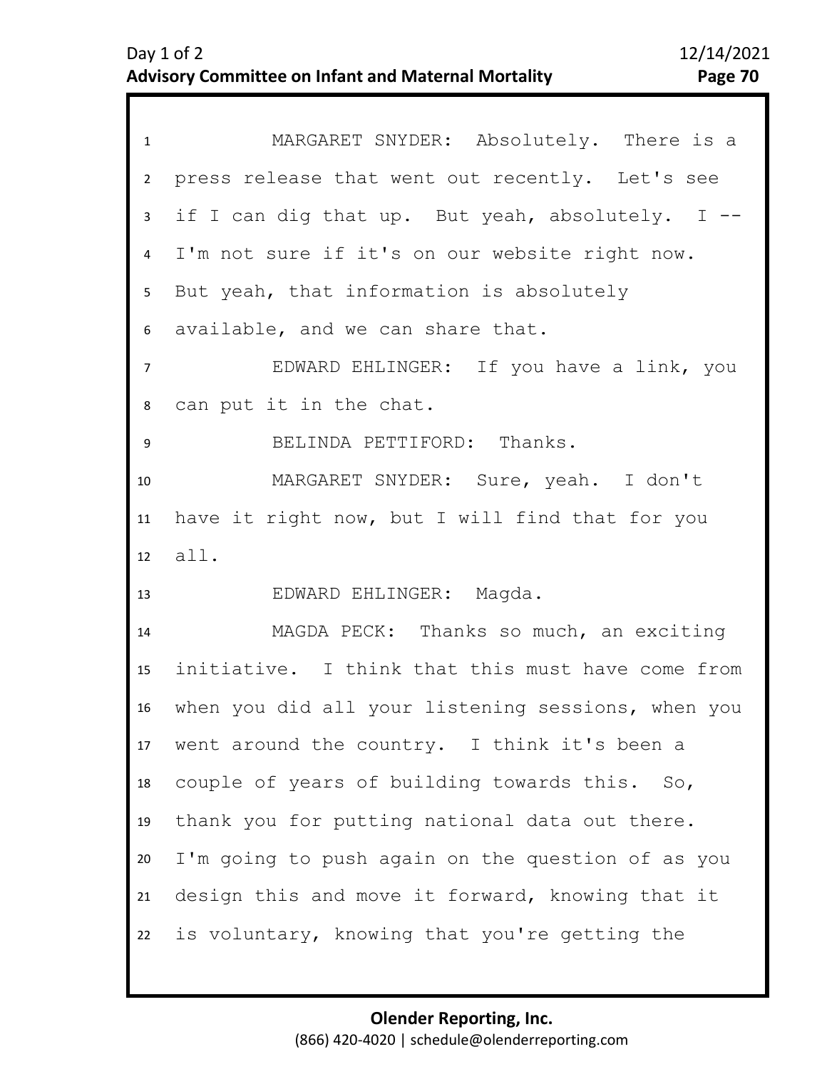| $\mathbf{1}$    | MARGARET SNYDER: Absolutely. There is a            |
|-----------------|----------------------------------------------------|
| $\overline{2}$  | press release that went out recently. Let's see    |
| $\mathbf{3}$    | if I can dig that up. But yeah, absolutely. I --   |
| $\overline{4}$  | I'm not sure if it's on our website right now.     |
| 5               | But yeah, that information is absolutely           |
| 6               | available, and we can share that.                  |
| $\overline{7}$  | EDWARD EHLINGER: If you have a link, you           |
| 8               | can put it in the chat.                            |
| 9               | BELINDA PETTIFORD: Thanks.                         |
| 10              | MARGARET SNYDER: Sure, yeah. I don't               |
| 11              | have it right now, but I will find that for you    |
| 12 <sup>2</sup> | all.                                               |
| 13              | EDWARD EHLINGER: Magda.                            |
| 14              | MAGDA PECK: Thanks so much, an exciting            |
| 15              | initiative. I think that this must have come from  |
| 16              | when you did all your listening sessions, when you |
| 17 <sup>7</sup> | went around the country. I think it's been a       |
| 18              | couple of years of building towards this. So,      |
| 19              | thank you for putting national data out there.     |
| 20              | I'm going to push again on the question of as you  |
| 21              | design this and move it forward, knowing that it   |
| 22              | is voluntary, knowing that you're getting the      |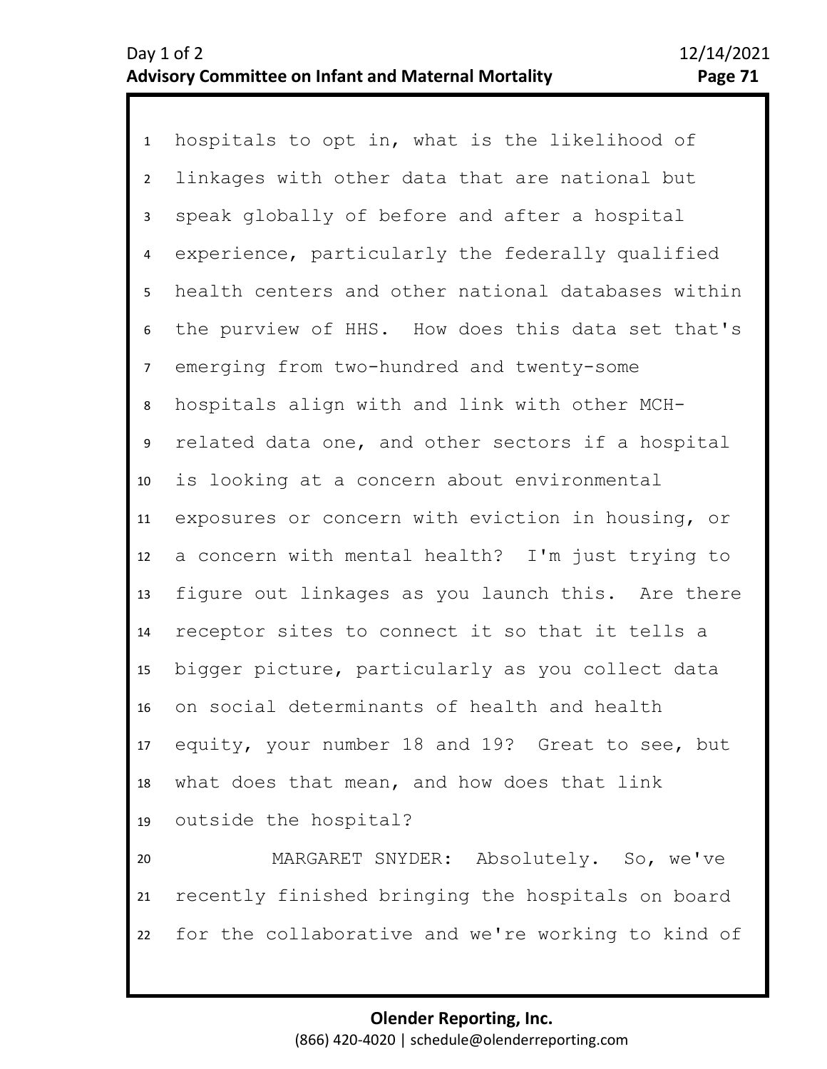1 hospitals to opt in, what is the likelihood of 2 3 4 9 10 11 12 13 14 15 16 17 18 19 20 21 5 8 6 7 linkages with other data that are national but speak globally of before and after a hospital experience, particularly the federally qualified health centers and other national databases within the purview of HHS. How does this data set that's emerging from two-hundred and twenty-some hospitals align with and link with other MCHrelated data one, and other sectors if a hospital is looking at a concern about environmental exposures or concern with eviction in housing, or a concern with mental health? I'm just trying to figure out linkages as you launch this. Are there receptor sites to connect it so that it tells a bigger picture, particularly as you collect data on social determinants of health and health equity, your number 18 and 19? Great to see, but what does that mean, and how does that link outside the hospital? MARGARET SNYDER: Absolutely. So, we've recently finished bringing the hospitals on board

22 for the collaborative and we're working to kind of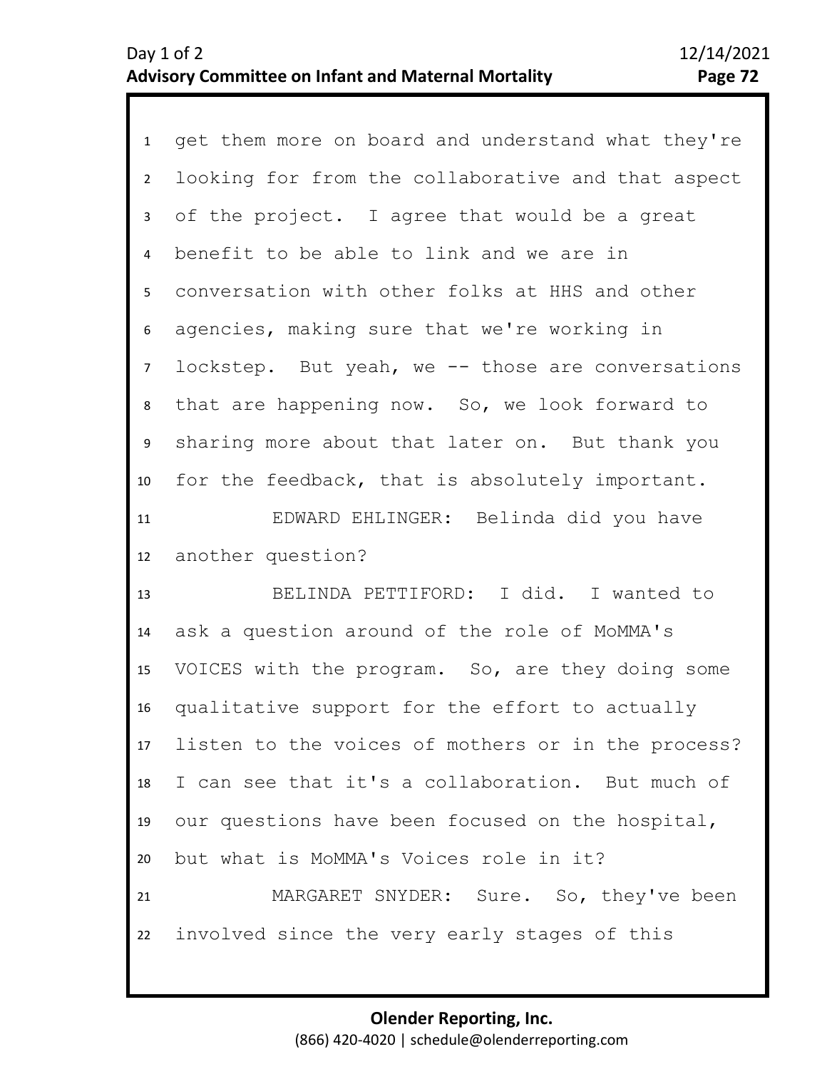1 get them more on board and understand what they're 2 3 4 5 10 11 12 6 8 9 7 looking for from the collaborative and that aspect of the project. I agree that would be a great benefit to be able to link and we are in conversation with other folks at HHS and other agencies, making sure that we're working in lockstep. But yeah, we -- those are conversations that are happening now. So, we look forward to sharing more about that later on. But thank you for the feedback, that is absolutely important. EDWARD EHLINGER: Belinda did you have another question?

13 14 15 16 17 18 19 20 21 22 BELINDA PETTIFORD: I did. I wanted to ask a question around of the role of MoMMA's VOICES with the program. So, are they doing some qualitative support for the effort to actually listen to the voices of mothers or in the process? I can see that it's a collaboration. But much of our questions have been focused on the hospital, but what is MoMMA's Voices role in it? MARGARET SNYDER: Sure. So, they've been involved since the very early stages of this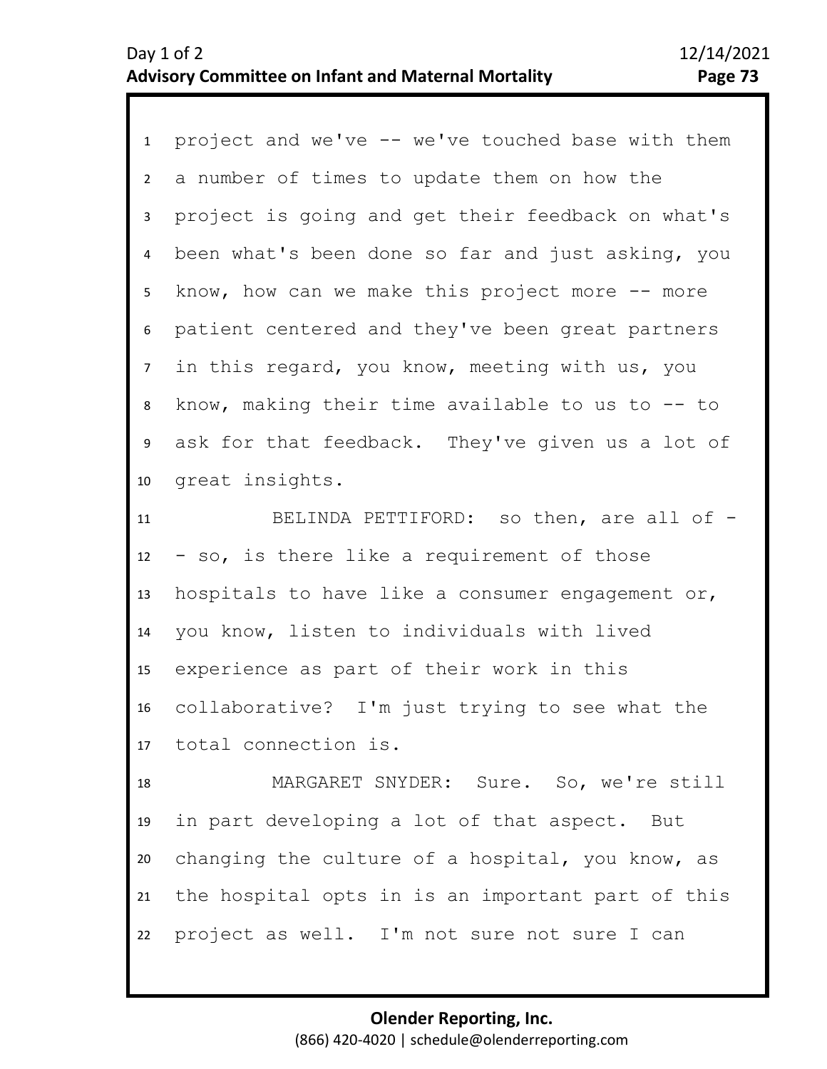1 project and we've -- we've touched base with them 2 3 4 5 6 7 11 12 13 14 15 16 17 18 19 8 10 9 a number of times to update them on how the project is going and get their feedback on what's been what's been done so far and just asking, you know, how can we make this project more  $-$  more patient centered and they've been great partners in this regard, you know, meeting with us, you know, making their time available to us to -- to ask for that feedback. They've given us a lot of great insights. BELINDA PETTIFORD: so then, are all of -- so, is there like a requirement of those hospitals to have like a consumer engagement or, you know, listen to individuals with lived experience as part of their work in this collaborative? I'm just trying to see what the total connection is. MARGARET SNYDER: Sure. So, we're still in part developing a lot of that aspect. But

20 21 22 changing the culture of a hospital, you know, as the hospital opts in is an important part of this project as well. I'm not sure not sure I can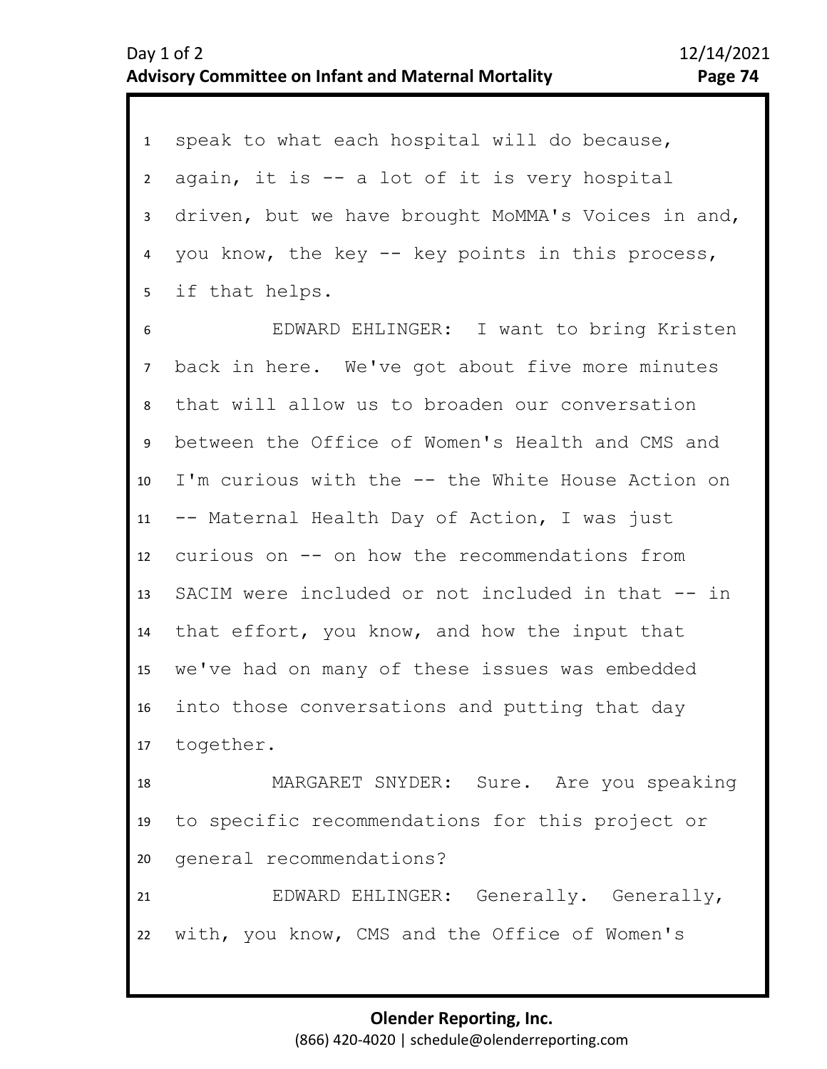1 speak to what each hospital will do because, 2 3 4 5 again, it is -- a lot of it is very hospital driven, but we have brought MoMMA's Voices in and, you know, the key -- key points in this process, if that helps.

7 8 9 10 11 12 13 14 15 16 17 6 EDWARD EHLINGER: I want to bring Kristen back in here. We've got about five more minutes that will allow us to broaden our conversation between the Office of Women's Health and CMS and I'm curious with the -- the White House Action on -- Maternal Health Day of Action, I was just curious on -- on how the recommendations from SACIM were included or not included in that -- in that effort, you know, and how the input that we've had on many of these issues was embedded into those conversations and putting that day together.

18 19 20 MARGARET SNYDER: Sure. Are you speaking to specific recommendations for this project or general recommendations?

21 22 EDWARD EHLINGER: Generally. Generally, with, you know, CMS and the Office of Women's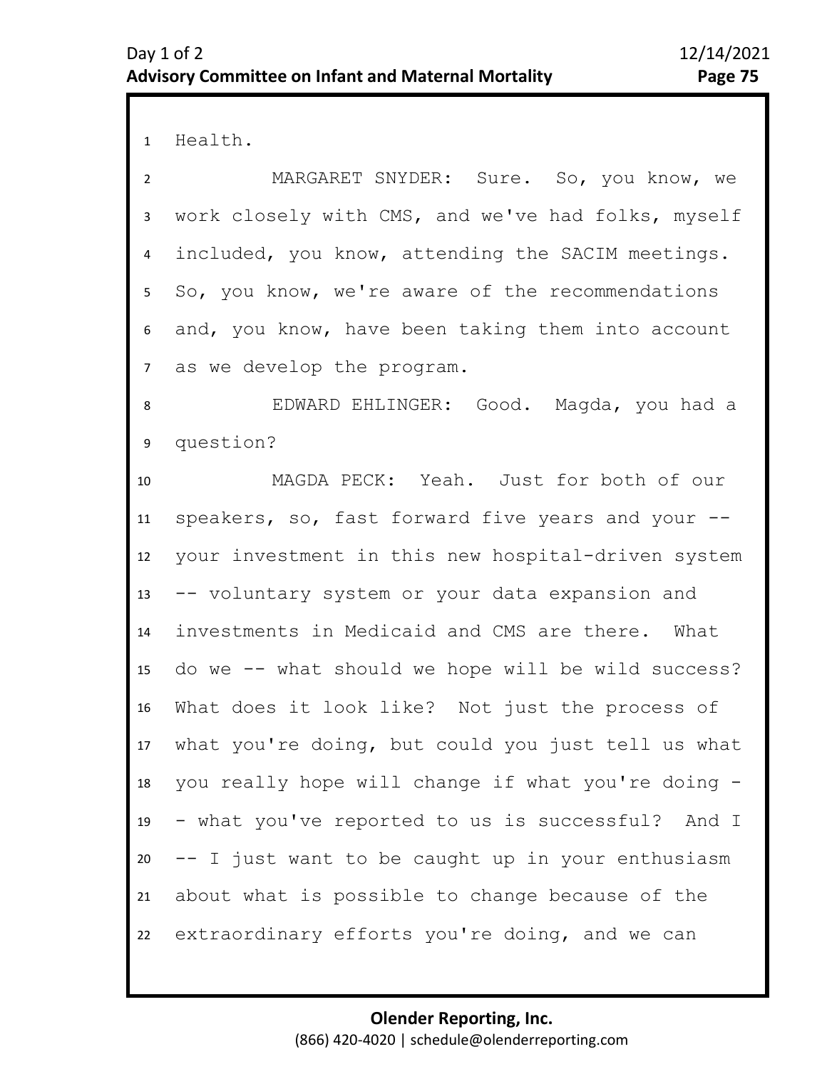1 Health.

2 3 4 5 7 6 MARGARET SNYDER: Sure. So, you know, we work closely with CMS, and we've had folks, myself included, you know, attending the SACIM meetings. So, you know, we're aware of the recommendations and, you know, have been taking them into account as we develop the program.

8 9 EDWARD EHLINGER: Good. Magda, you had a question?

10 11 12 13 14 15 16 17 18 19 20 21 22 MAGDA PECK: Yeah. Just for both of our speakers, so, fast forward five years and your - your investment in this new hospital-driven system -- voluntary system or your data expansion and investments in Medicaid and CMS are there. What do we -- what should we hope will be wild success? What does it look like? Not just the process of what you're doing, but could you just tell us what you really hope will change if what you're doing - - what you've reported to us is successful? And I -- I just want to be caught up in your enthusiasm about what is possible to change because of the extraordinary efforts you're doing, and we can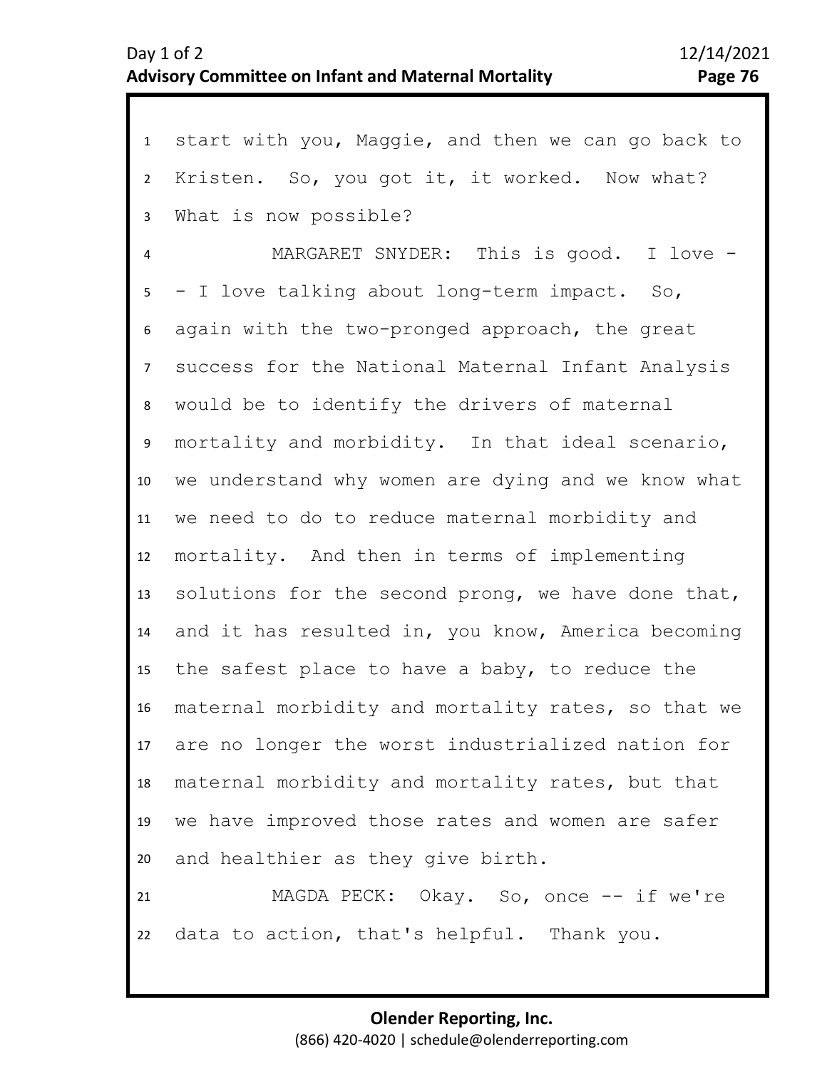| 1               | start with you, Maggie, and then we can go back to   |
|-----------------|------------------------------------------------------|
| $\overline{2}$  | Kristen. So, you got it, it worked. Now what?        |
| 3               | What is now possible?                                |
| $\overline{4}$  | MARGARET SNYDER: This is good. I love -              |
| 5               | - I love talking about long-term impact. So,         |
| 6               | again with the two-pronged approach, the great       |
| $7\overline{ }$ | success for the National Maternal Infant Analysis    |
| 8               | would be to identify the drivers of maternal         |
| 9               | mortality and morbidity. In that ideal scenario,     |
| 10              | we understand why women are dying and we know what   |
| 11              | we need to do to reduce maternal morbidity and       |
| 12              | mortality. And then in terms of implementing         |
| 13              | solutions for the second prong, we have done that,   |
| 14              | and it has resulted in, you know, America becoming   |
| 15              | the safest place to have a baby, to reduce the       |
| 16              | maternal morbidity and mortality rates, so that we   |
|                 | 17 are no longer the worst industrialized nation for |
| 18              | maternal morbidity and mortality rates, but that     |
| 19              | we have improved those rates and women are safer     |
| 20              | and healthier as they give birth.                    |
| 21              | MAGDA PECK: Okay. So, once -- if we're               |
| 22              | data to action, that's helpful. Thank you.           |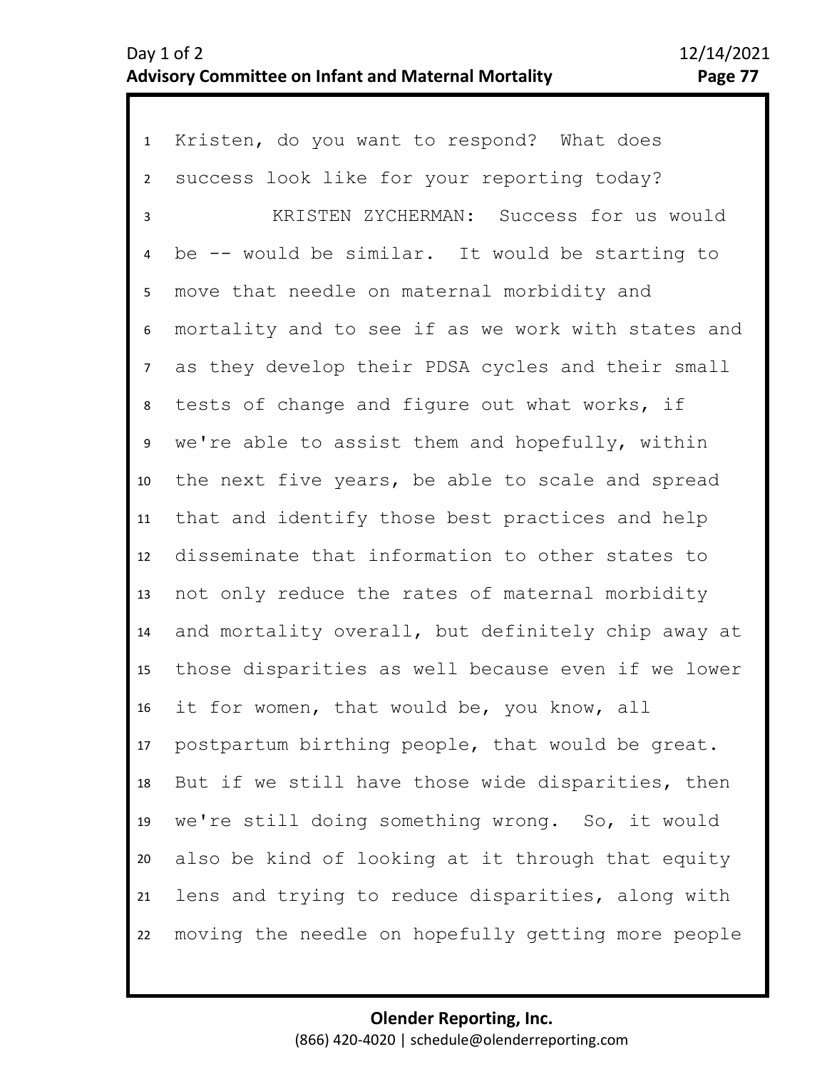| $\mathbf{1}$   | Kristen, do you want to respond? What does         |
|----------------|----------------------------------------------------|
| $\overline{2}$ | success look like for your reporting today?        |
| 3              | KRISTEN ZYCHERMAN: Success for us would            |
| 4              | be -- would be similar. It would be starting to    |
| 5              | move that needle on maternal morbidity and         |
| 6              | mortality and to see if as we work with states and |
| 7 <sup>7</sup> | as they develop their PDSA cycles and their small  |
| 8              | tests of change and figure out what works, if      |
| 9              | we're able to assist them and hopefully, within    |
| 10             | the next five years, be able to scale and spread   |
| 11             | that and identify those best practices and help    |
| 12             | disseminate that information to other states to    |
| 13             | not only reduce the rates of maternal morbidity    |
| 14             | and mortality overall, but definitely chip away at |
| 15             | those disparities as well because even if we lower |
| 16             | it for women, that would be, you know, all         |
| 17             | postpartum birthing people, that would be great.   |
| 18             | But if we still have those wide disparities, then  |
| 19             | we're still doing something wrong. So, it would    |
| 20             | also be kind of looking at it through that equity  |
| 21             | lens and trying to reduce disparities, along with  |
| 22             | moving the needle on hopefully getting more people |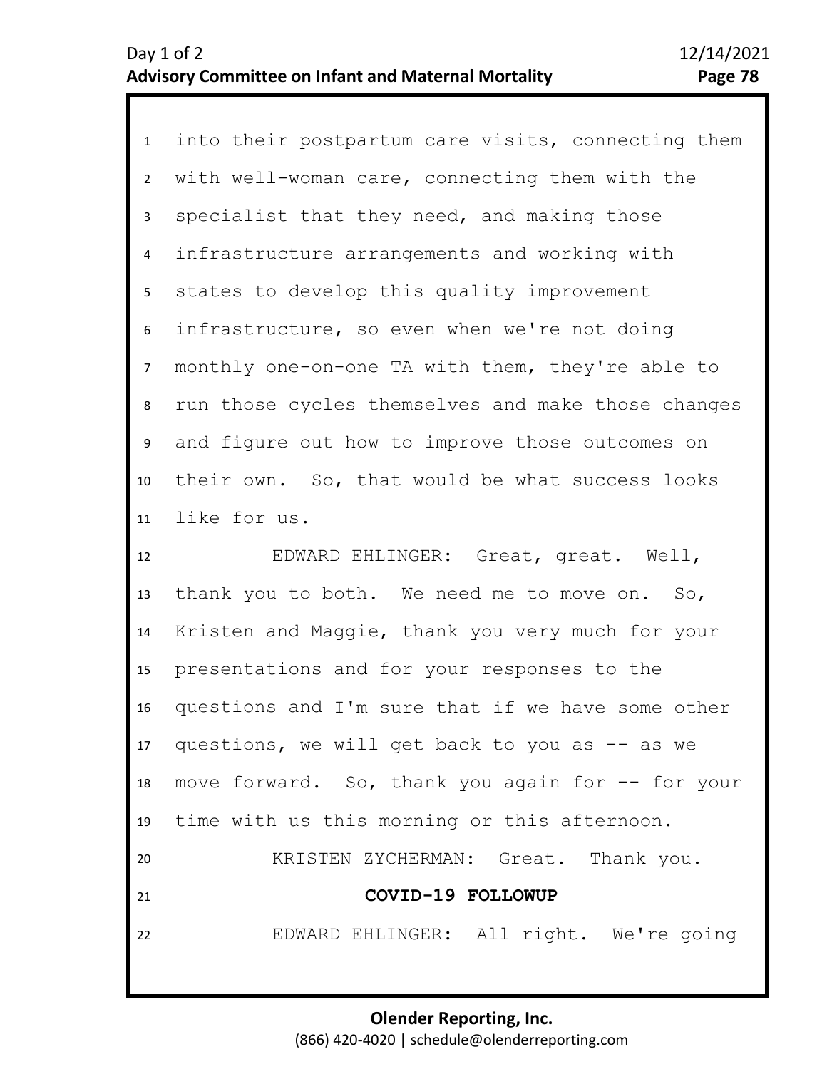1 into their postpartum care visits, connecting them 2 3 7 8 9 10 11 4 6 5 with well-woman care, connecting them with the specialist that they need, and making those infrastructure arrangements and working with states to develop this quality improvement infrastructure, so even when we're not doing monthly one-on-one TA with them, they're able to run those cycles themselves and make those changes and figure out how to improve those outcomes on their own. So, that would be what success looks like for us.

12 13 14 15 16 17 18 19 20 21 22 EDWARD EHLINGER: Great, great. Well, thank you to both. We need me to move on. So, Kristen and Maggie, thank you very much for your presentations and for your responses to the questions and I'm sure that if we have some other questions, we will get back to you as  $-$  as we move forward. So, thank you again for -- for your time with us this morning or this afternoon. KRISTEN ZYCHERMAN: Great. Thank you. **COVID-19 FOLLOWUP**  EDWARD EHLINGER: All right. We're going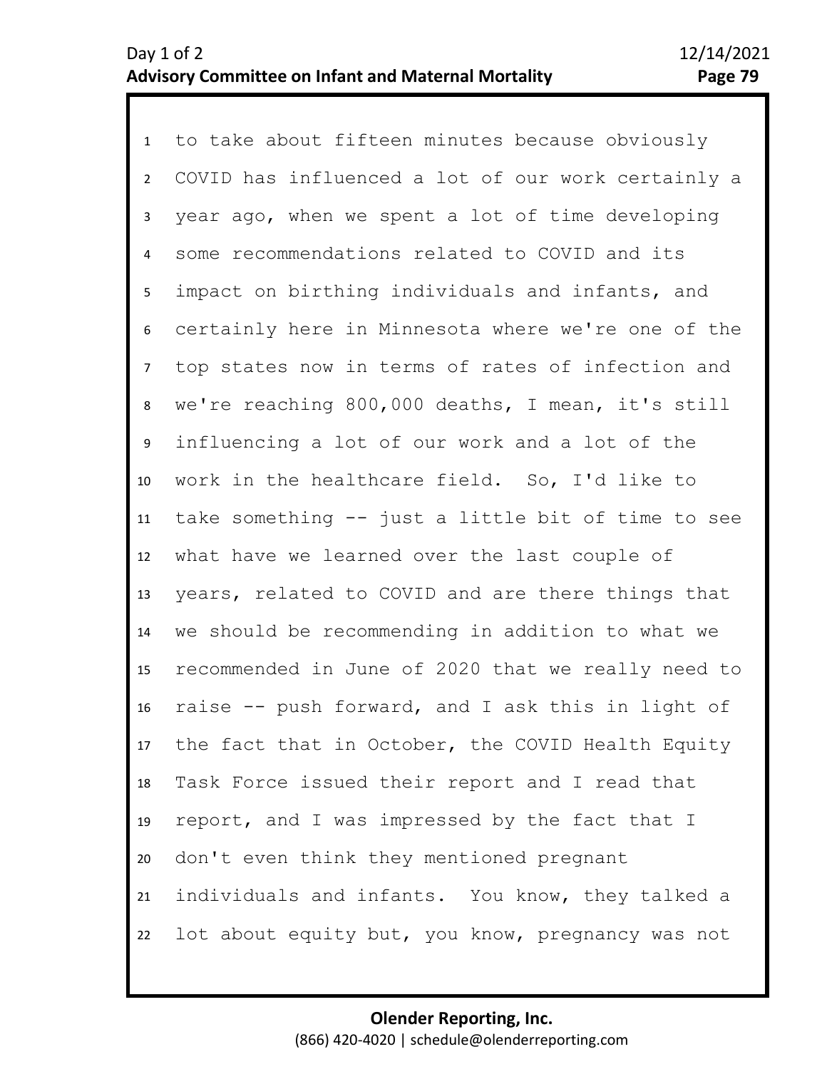1 to take about fifteen minutes because obviously 2 3 4 9 10 11 12 13 14 15 16 17 18 19 20 21 22 5 8 6 7 COVID has influenced a lot of our work certainly a year ago, when we spent a lot of time developing some recommendations related to COVID and its impact on birthing individuals and infants, and certainly here in Minnesota where we're one of the top states now in terms of rates of infection and we're reaching 800,000 deaths, I mean, it's still influencing a lot of our work and a lot of the work in the healthcare field. So, I'd like to take something -- just a little bit of time to see what have we learned over the last couple of years, related to COVID and are there things that we should be recommending in addition to what we recommended in June of 2020 that we really need to raise -- push forward, and I ask this in light of the fact that in October, the COVID Health Equity Task Force issued their report and I read that report, and I was impressed by the fact that I don't even think they mentioned pregnant individuals and infants. You know, they talked a lot about equity but, you know, pregnancy was not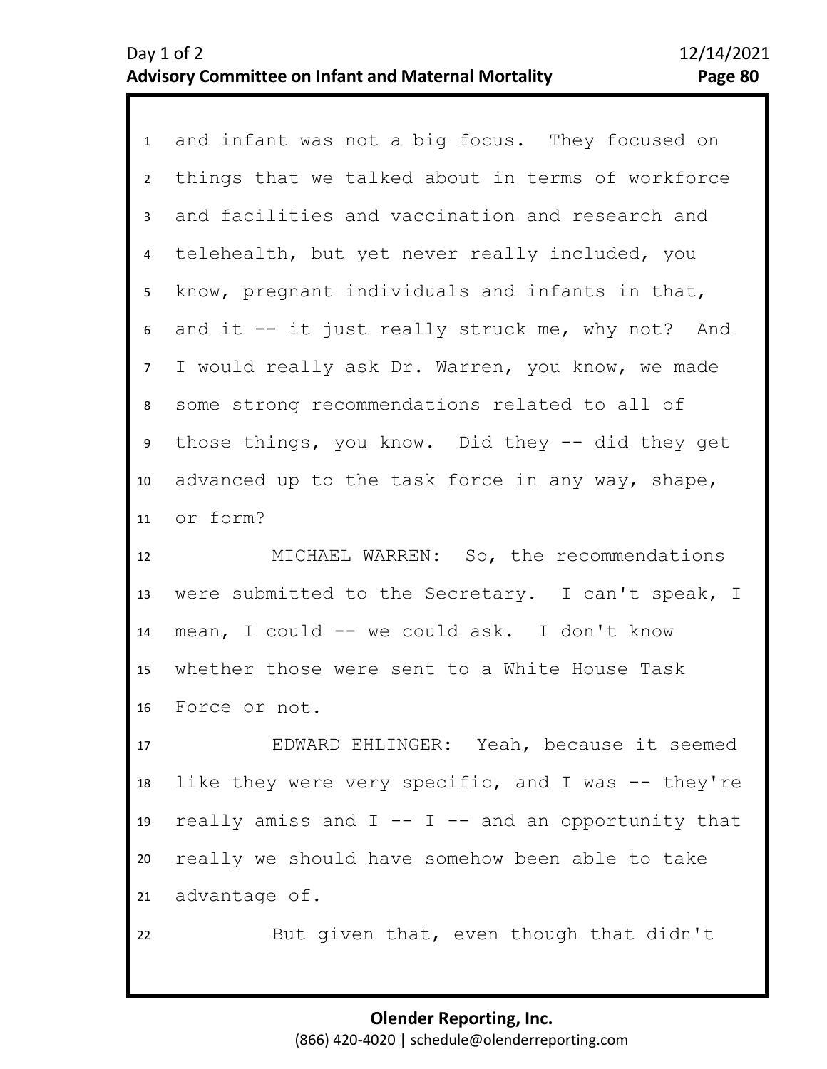| 1              | and infant was not a big focus. They focused on        |
|----------------|--------------------------------------------------------|
| $\overline{2}$ | things that we talked about in terms of workforce      |
| 3              | and facilities and vaccination and research and        |
| $\overline{4}$ | telehealth, but yet never really included, you         |
| 5              | know, pregnant individuals and infants in that,        |
| 6              | and it -- it just really struck me, why not? And       |
| $\overline{7}$ | I would really ask Dr. Warren, you know, we made       |
| 8              | some strong recommendations related to all of          |
| 9              | those things, you know. Did they -- did they get       |
| 10             | advanced up to the task force in any way, shape,       |
| 11             | or form?                                               |
| 12             | MICHAEL WARREN: So, the recommendations                |
| 13             | were submitted to the Secretary. I can't speak, I      |
| 14             | mean, I could -- we could ask. I don't know            |
| 15             | whether those were sent to a White House Task          |
| 16             | Force or not.                                          |
| 17             | EDWARD EHLINGER: Yeah, because it seemed               |
| 18             | like they were very specific, and I was -- they're     |
| 19             | really amiss and $I$ -- $I$ -- and an opportunity that |
| 20             | really we should have somehow been able to take        |
| 21             | advantage of.                                          |
|                |                                                        |
| 22             | But given that, even though that didn't                |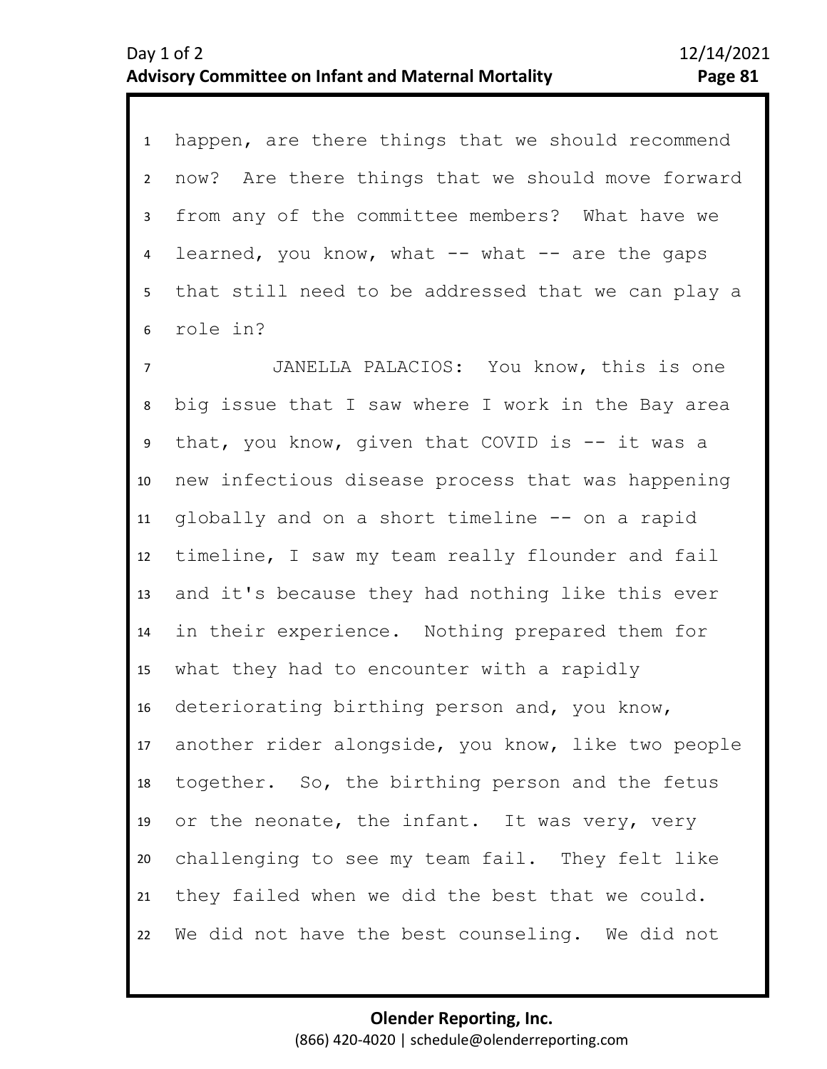1 happen, are there things that we should recommend 2 3 4 5 6 now? Are there things that we should move forward from any of the committee members? What have we learned, you know, what  $-$  what  $-$  are the gaps that still need to be addressed that we can play a role in?

10 11 12 13 14 15 16 17 18 19 20 21 22 8 9 7 JANELLA PALACIOS: You know, this is one big issue that I saw where I work in the Bay area that, you know, given that COVID is -- it was a new infectious disease process that was happening globally and on a short timeline -- on a rapid timeline, I saw my team really flounder and fail and it's because they had nothing like this ever in their experience. Nothing prepared them for what they had to encounter with a rapidly deteriorating birthing person and, you know, another rider alongside, you know, like two people together. So, the birthing person and the fetus or the neonate, the infant. It was very, very challenging to see my team fail. They felt like they failed when we did the best that we could. We did not have the best counseling. We did not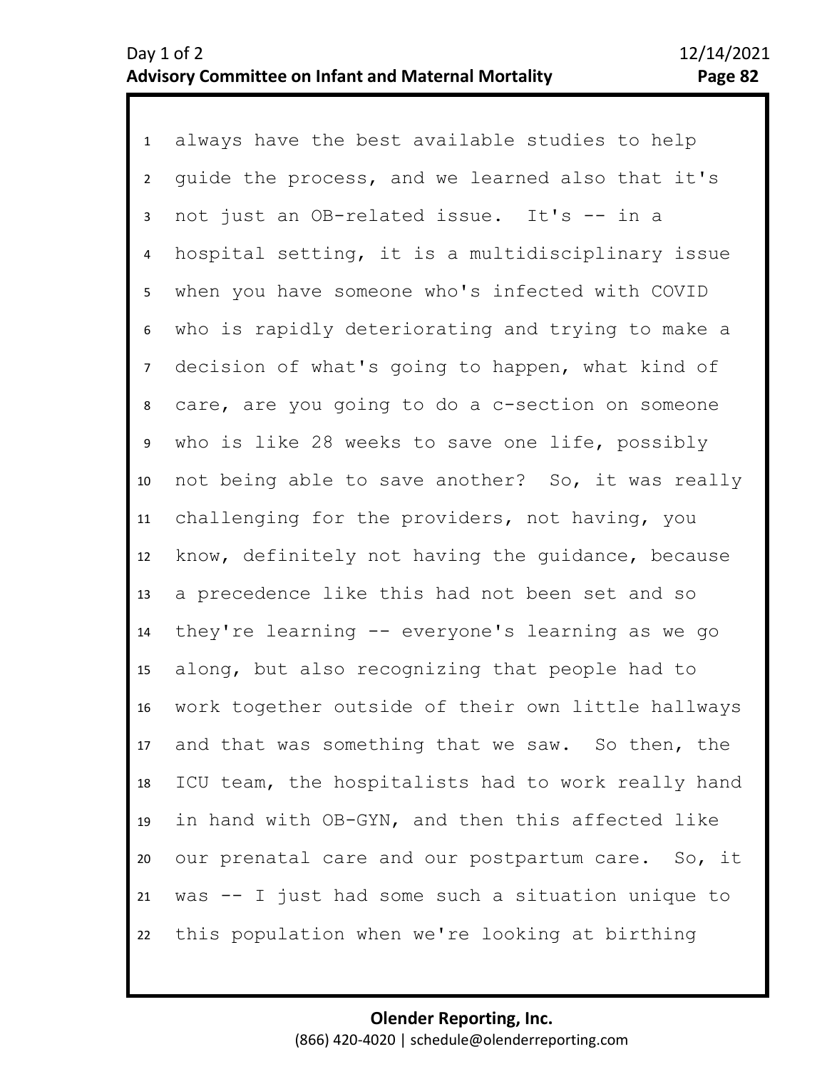1 always have the best available studies to help 2 3 4 5 6 10 11 12 13 14 15 16 17 18 19 20 21 22 7 9 8 guide the process, and we learned also that it's not just an OB-related issue. It's -- in a hospital setting, it is a multidisciplinary issue when you have someone who's infected with COVID who is rapidly deteriorating and trying to make a decision of what's going to happen, what kind of care, are you going to do a c-section on someone who is like 28 weeks to save one life, possibly not being able to save another? So, it was really challenging for the providers, not having, you know, definitely not having the guidance, because a precedence like this had not been set and so they're learning -- everyone's learning as we go along, but also recognizing that people had to work together outside of their own little hallways and that was something that we saw. So then, the ICU team, the hospitalists had to work really hand in hand with OB-GYN, and then this affected like our prenatal care and our postpartum care. So, it was -- I just had some such a situation unique to this population when we're looking at birthing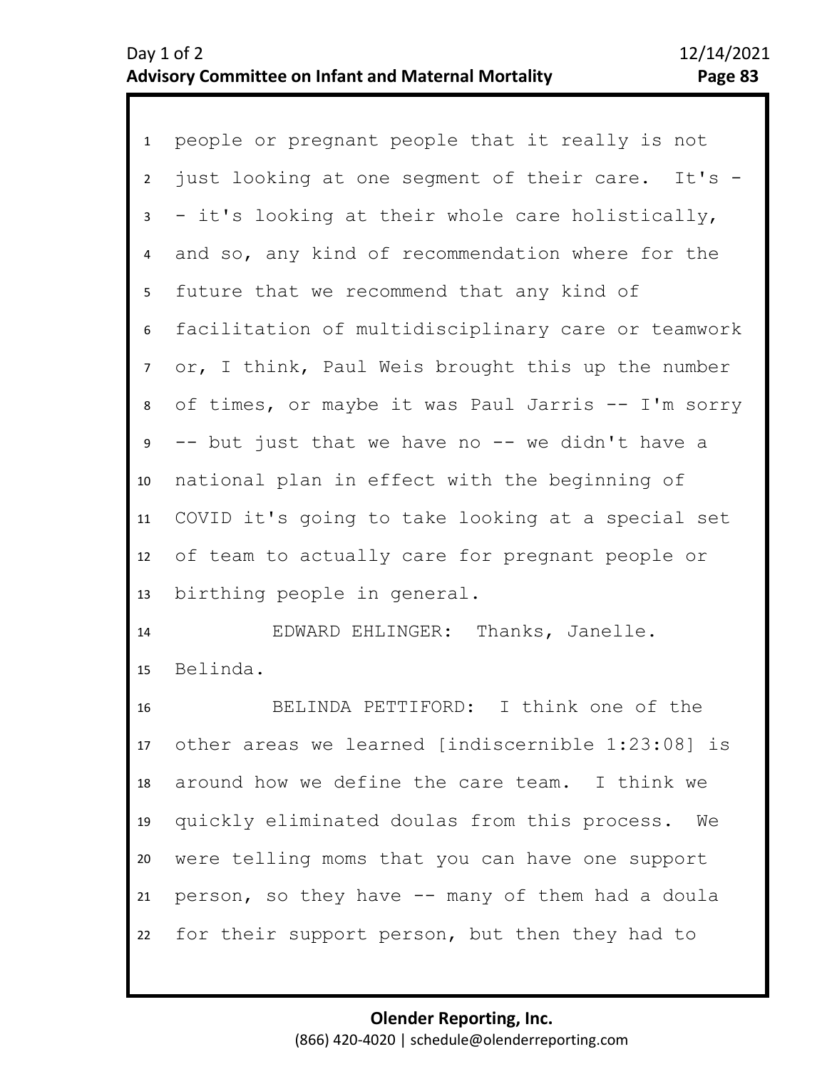1 people or pregnant people that it really is not 2 3 4 5 6 10 11 12 13 7 9 8 just looking at one segment of their care. It's - - it's looking at their whole care holistically, and so, any kind of recommendation where for the future that we recommend that any kind of facilitation of multidisciplinary care or teamwork or, I think, Paul Weis brought this up the number of times, or maybe it was Paul Jarris -- I'm sorry -- but just that we have no -- we didn't have a national plan in effect with the beginning of COVID it's going to take looking at a special set of team to actually care for pregnant people or birthing people in general.

14 15 EDWARD EHLINGER: Thanks, Janelle. Belinda.

16 17 18 19 20 21 22 BELINDA PETTIFORD: I think one of the other areas we learned [indiscernible 1:23:08] is around how we define the care team. I think we quickly eliminated doulas from this process. We were telling moms that you can have one support person, so they have -- many of them had a doula for their support person, but then they had to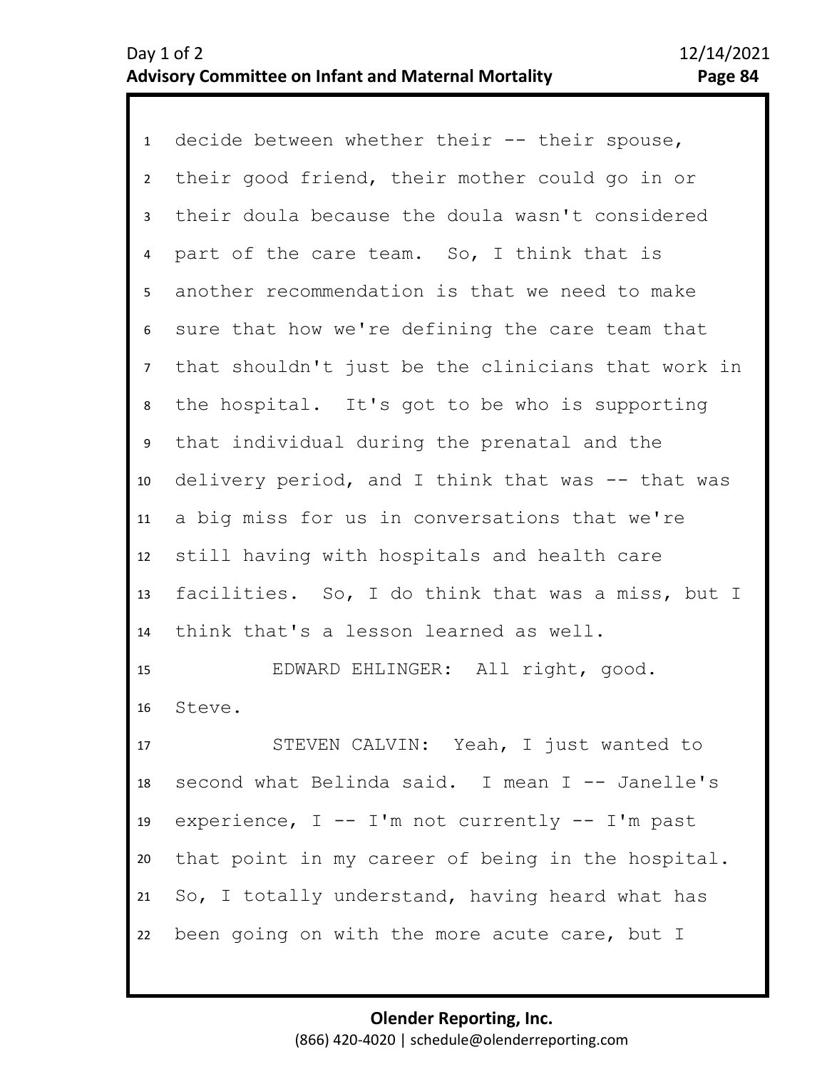1 decide between whether their -- their spouse, 2 3 4 5 9 10 11 12 13 14 6 8 7 their good friend, their mother could go in or their doula because the doula wasn't considered part of the care team. So, I think that is another recommendation is that we need to make sure that how we're defining the care team that that shouldn't just be the clinicians that work in the hospital. It's got to be who is supporting that individual during the prenatal and the delivery period, and I think that was -- that was a big miss for us in conversations that we're still having with hospitals and health care facilities. So, I do think that was a miss, but I think that's a lesson learned as well.

15 16 EDWARD EHLINGER: All right, good. Steve.

17 18 19 20 21 22 STEVEN CALVIN: Yeah, I just wanted to second what Belinda said. I mean I -- Janelle's experience,  $I$  -- I'm not currently -- I'm past that point in my career of being in the hospital. So, I totally understand, having heard what has been going on with the more acute care, but I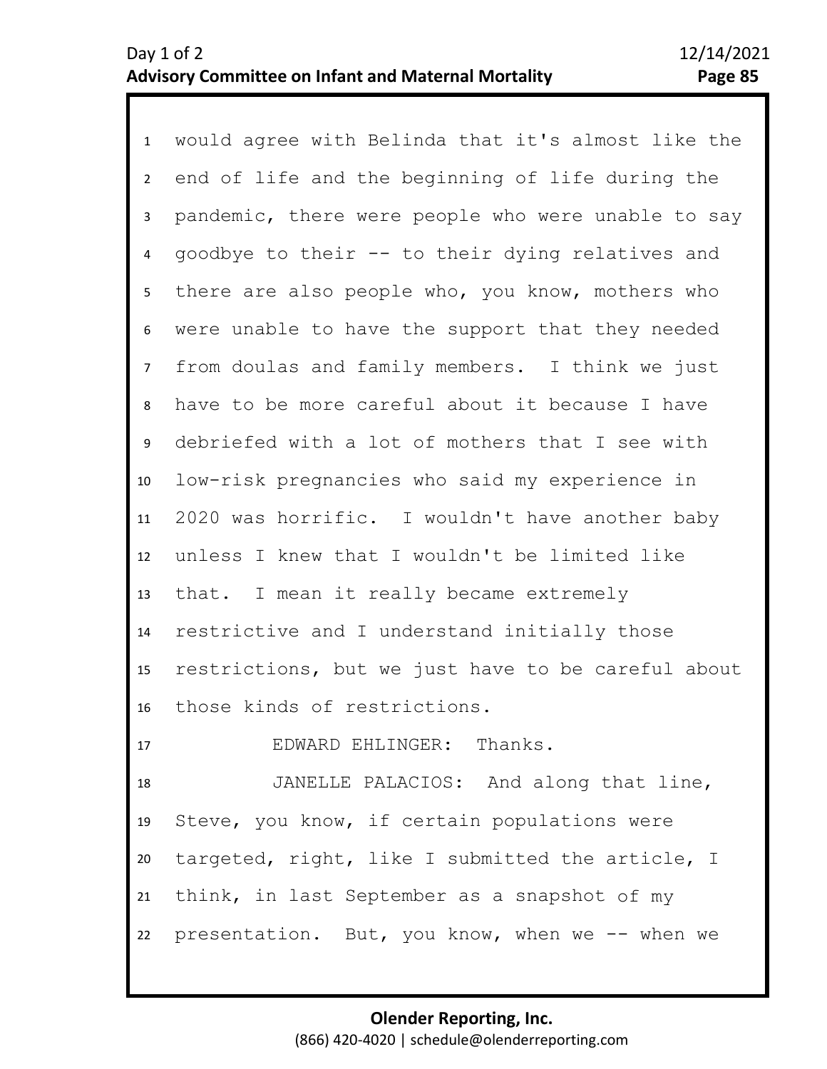1 would agree with Belinda that it's almost like the 2 3 4 5 10 11 12 13 14 15 16 17 6 8 9 7 end of life and the beginning of life during the pandemic, there were people who were unable to say goodbye to their -- to their dying relatives and there are also people who, you know, mothers who were unable to have the support that they needed from doulas and family members. I think we just have to be more careful about it because I have debriefed with a lot of mothers that I see with low-risk pregnancies who said my experience in 2020 was horrific. I wouldn't have another baby unless I knew that I wouldn't be limited like that. I mean it really became extremely restrictive and I understand initially those restrictions, but we just have to be careful about those kinds of restrictions. EDWARD EHLINGER: Thanks.

18 19 20 21 22 JANELLE PALACIOS: And along that line, Steve, you know, if certain populations were targeted, right, like I submitted the article, I think, in last September as a snapshot of my presentation. But, you know, when we -- when we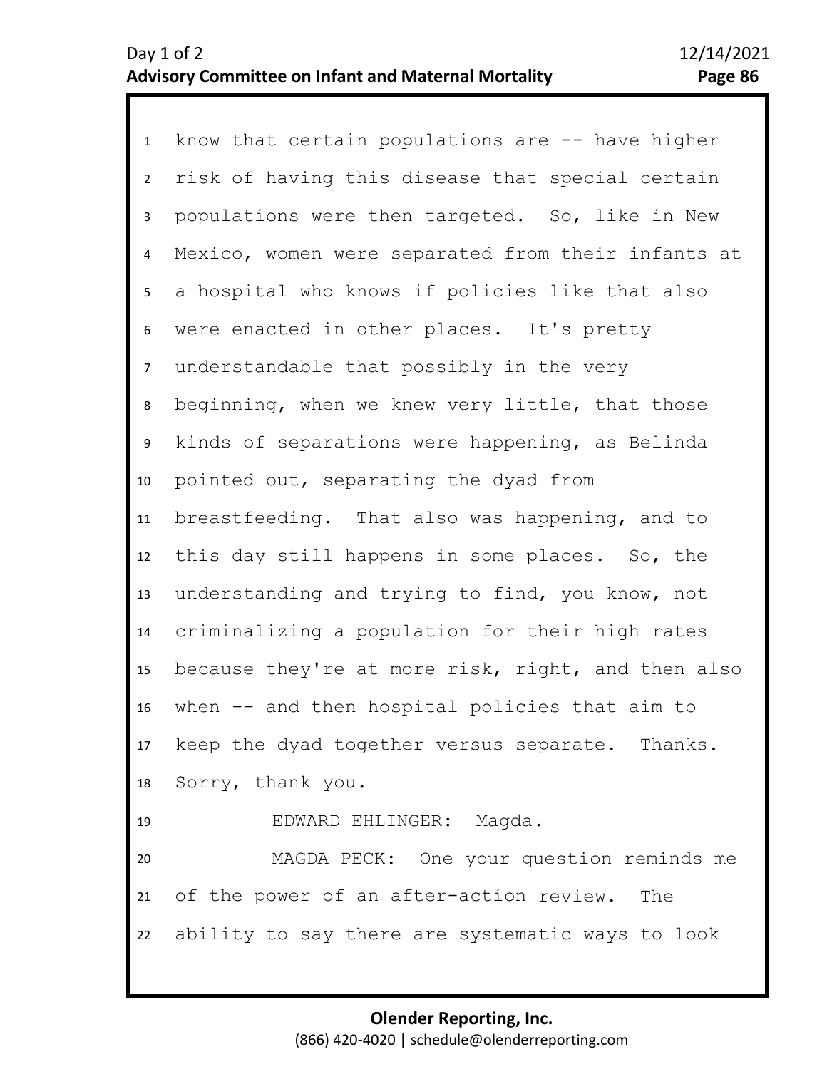1 know that certain populations are -- have higher 2 3 4 5 9 10 11 12 13 14 15 16 17 18 19 20 21 22 6 8 7 risk of having this disease that special certain populations were then targeted. So, like in New Mexico, women were separated from their infants at a hospital who knows if policies like that also were enacted in other places. It's pretty understandable that possibly in the very beginning, when we knew very little, that those kinds of separations were happening, as Belinda pointed out, separating the dyad from breastfeeding. That also was happening, and to this day still happens in some places. So, the understanding and trying to find, you know, not criminalizing a population for their high rates because they're at more risk, right, and then also when -- and then hospital policies that aim to keep the dyad together versus separate. Thanks. Sorry, thank you. EDWARD EHLINGER: Magda. MAGDA PECK: One your question reminds me of the power of an after-action review. The ability to say there are systematic ways to look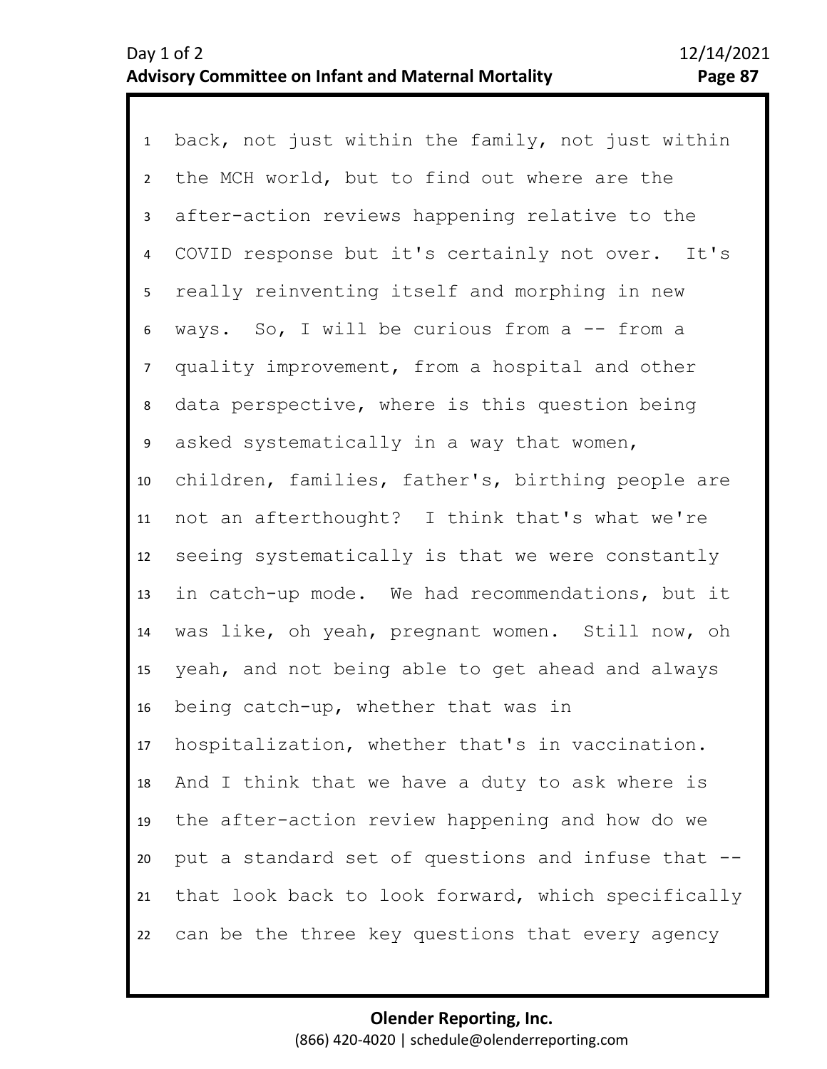1 back, not just within the family, not just within 2 3 4 5 6 10 11 12 13 14 15 16 17 18 19 20 21 22 7 9 8 the MCH world, but to find out where are the after-action reviews happening relative to the COVID response but it's certainly not over. It's really reinventing itself and morphing in new ways. So, I will be curious from a -- from a quality improvement, from a hospital and other data perspective, where is this question being asked systematically in a way that women, children, families, father's, birthing people are not an afterthought? I think that's what we're seeing systematically is that we were constantly in catch-up mode. We had recommendations, but it was like, oh yeah, pregnant women. Still now, oh yeah, and not being able to get ahead and always being catch-up, whether that was in hospitalization, whether that's in vaccination. And I think that we have a duty to ask where is the after-action review happening and how do we put a standard set of questions and infuse that - that look back to look forward, which specifically can be the three key questions that every agency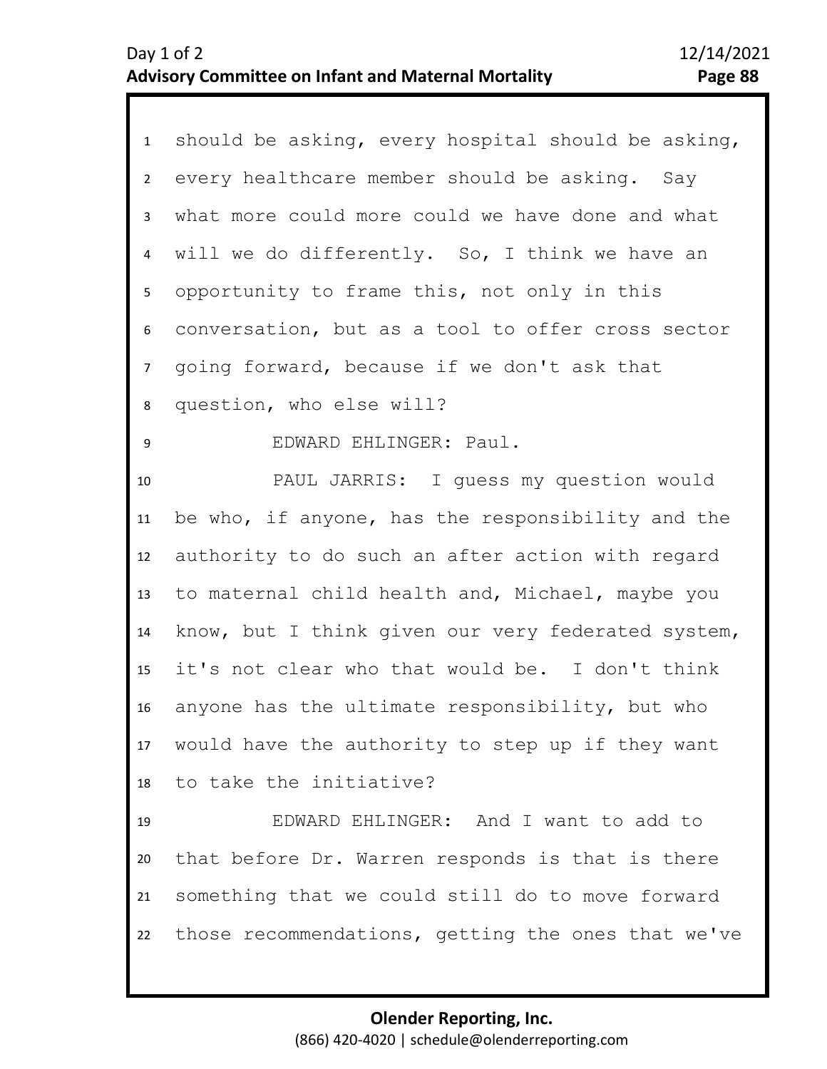| $\mathbf{1}$    | should be asking, every hospital should be asking,  |
|-----------------|-----------------------------------------------------|
| $2^{\circ}$     | every healthcare member should be asking. Say       |
| $\mathbf{3}$    | what more could more could we have done and what    |
| $\overline{4}$  | will we do differently. So, I think we have an      |
| 5               | opportunity to frame this, not only in this         |
| 6               | conversation, but as a tool to offer cross sector   |
| 7 <sup>7</sup>  | going forward, because if we don't ask that         |
| 8               | question, who else will?                            |
| 9               | EDWARD EHLINGER: Paul.                              |
| 10              | PAUL JARRIS: I guess my question would              |
| 11              | be who, if anyone, has the responsibility and the   |
| 12              | authority to do such an after action with regard    |
| 13              | to maternal child health and, Michael, maybe you    |
| 14              | know, but I think given our very federated system,  |
| 15              | it's not clear who that would be. I don't think     |
| 16 <sup>1</sup> | anyone has the ultimate responsibility, but who     |
|                 | 17 would have the authority to step up if they want |
| 18              | to take the initiative?                             |
| 19              | EDWARD EHLINGER: And I want to add to               |
| 20              | that before Dr. Warren responds is that is there    |
| 21              | something that we could still do to move forward    |
| 22              | those recommendations, getting the ones that we've  |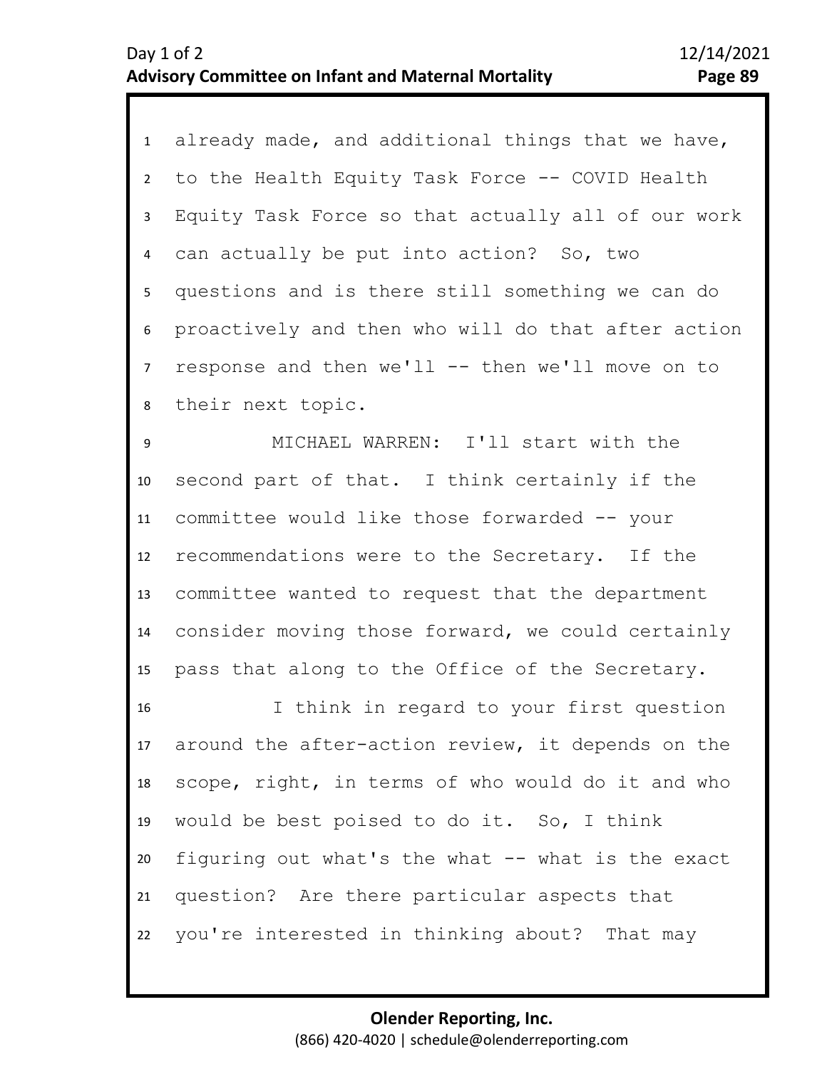1 already made, and additional things that we have, 2 3 4 5 6 8 7 to the Health Equity Task Force -- COVID Health Equity Task Force so that actually all of our work can actually be put into action? So, two questions and is there still something we can do proactively and then who will do that after action response and then  $we'll$  -- then  $we'll$  move on to their next topic.

10 11 12 13 14 15 9 MICHAEL WARREN: I'll start with the second part of that. I think certainly if the committee would like those forwarded -- your recommendations were to the Secretary. If the committee wanted to request that the department consider moving those forward, we could certainly pass that along to the Office of the Secretary.

16 17 18 19 20 21 22 I think in regard to your first question around the after-action review, it depends on the scope, right, in terms of who would do it and who would be best poised to do it. So, I think figuring out what's the what -- what is the exact question? Are there particular aspects that you're interested in thinking about? That may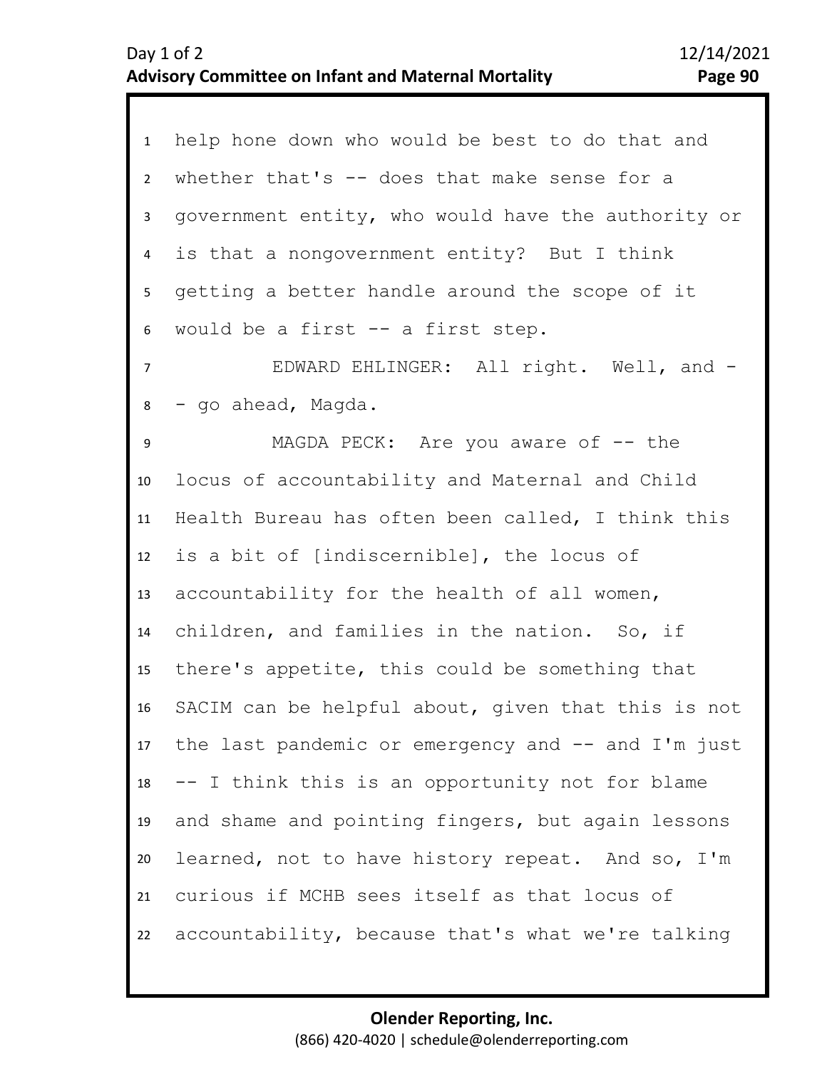| $\mathbf{1}$   | help hone down who would be best to do that and    |
|----------------|----------------------------------------------------|
| $\overline{2}$ | whether that's -- does that make sense for a       |
| 3              | government entity, who would have the authority or |
| $\overline{4}$ | is that a nongovernment entity? But I think        |
| 5              | getting a better handle around the scope of it     |
| 6              | would be a first -- a first step.                  |
| $\overline{7}$ | EDWARD EHLINGER: All right. Well, and -            |
| 8              | - go ahead, Magda.                                 |
| 9              | MAGDA PECK: Are you aware of $-$ the               |
| 10             | locus of accountability and Maternal and Child     |
| 11             | Health Bureau has often been called, I think this  |
| 12             | is a bit of [indiscernible], the locus of          |
| 13             | accountability for the health of all women,        |
| 14             | children, and families in the nation. So, if       |
| 15             | there's appetite, this could be something that     |
| 16             | SACIM can be helpful about, given that this is not |
| 17             | the last pandemic or emergency and -- and I'm just |
| 18             | -- I think this is an opportunity not for blame    |
| 19             | and shame and pointing fingers, but again lessons  |
| 20             | learned, not to have history repeat. And so, I'm   |
| 21             | curious if MCHB sees itself as that locus of       |
| 22             | accountability, because that's what we're talking  |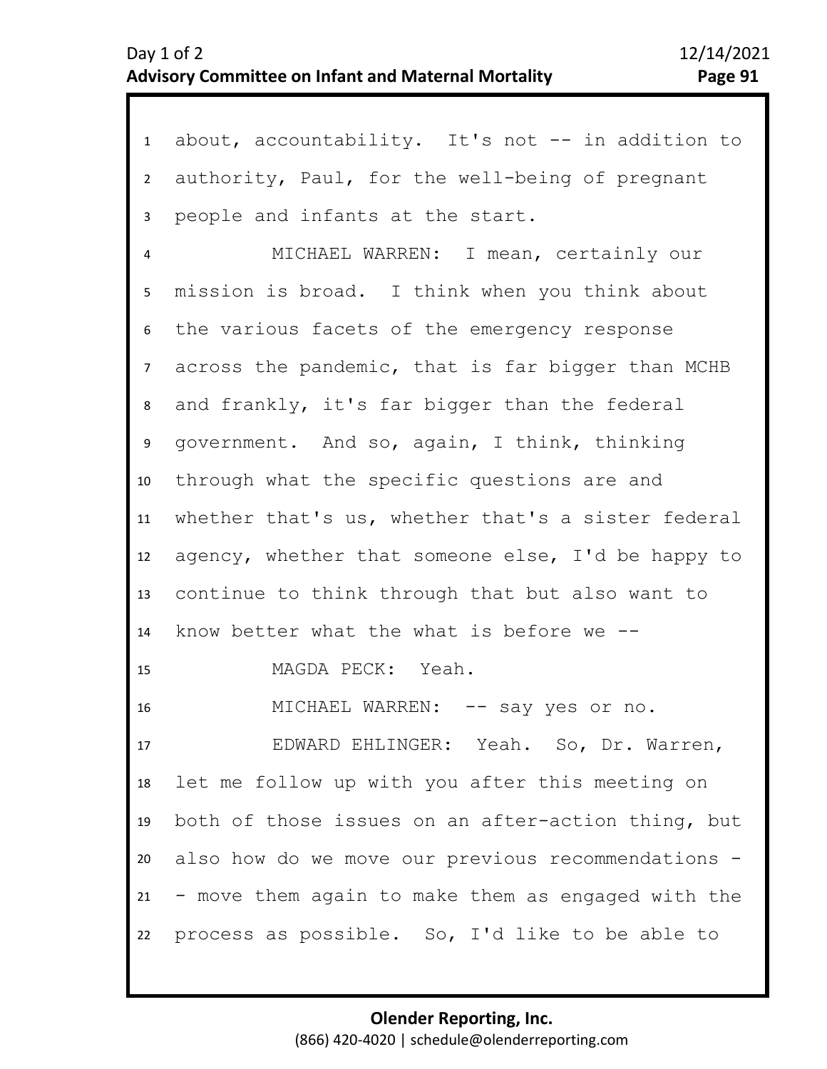| 1               | about, accountability. It's not -- in addition to  |
|-----------------|----------------------------------------------------|
| $2^{\circ}$     | authority, Paul, for the well-being of pregnant    |
| $\mathbf{3}$    | people and infants at the start.                   |
| 4               | MICHAEL WARREN: I mean, certainly our              |
| 5 <sub>1</sub>  | mission is broad. I think when you think about     |
| 6               | the various facets of the emergency response       |
| 7 <sup>7</sup>  | across the pandemic, that is far bigger than MCHB  |
| 8               | and frankly, it's far bigger than the federal      |
| 9               | government. And so, again, I think, thinking       |
| 10 <sup>1</sup> | through what the specific questions are and        |
| 11              | whether that's us, whether that's a sister federal |
| 12              | agency, whether that someone else, I'd be happy to |
| 13              | continue to think through that but also want to    |
| 14              | know better what the what is before we --          |
| 15              | MAGDA PECK: Yeah.                                  |
| 16              | MICHAEL WARREN: -- say yes or no.                  |
| 17              | EDWARD EHLINGER: Yeah. So, Dr. Warren,             |
| 18              | let me follow up with you after this meeting on    |
| 19              | both of those issues on an after-action thing, but |
| 20              | also how do we move our previous recommendations - |
| 21              | - move them again to make them as engaged with the |
| 22              | process as possible. So, I'd like to be able to    |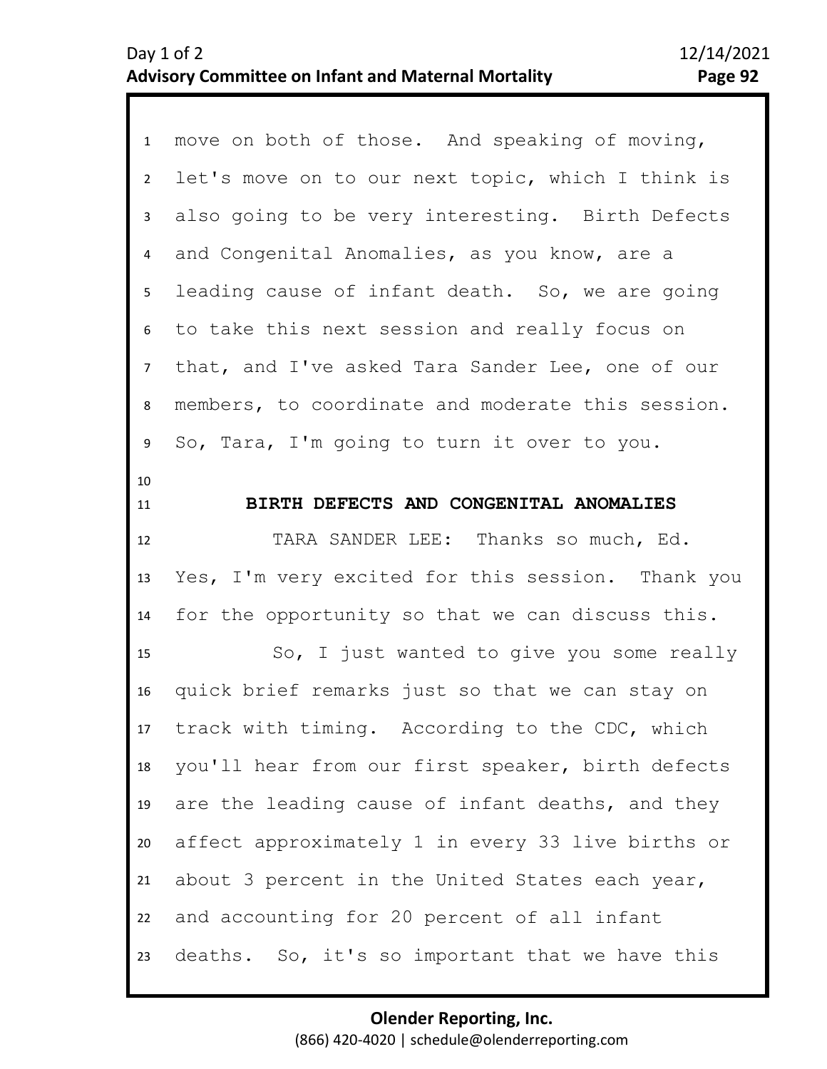| $\mathbf{1}$    | move on both of those. And speaking of moving,    |
|-----------------|---------------------------------------------------|
| $2^{\circ}$     | let's move on to our next topic, which I think is |
| $\mathbf{3}$    | also going to be very interesting. Birth Defects  |
| $\overline{4}$  | and Congenital Anomalies, as you know, are a      |
| 5 <sub>1</sub>  | leading cause of infant death. So, we are going   |
| 6               | to take this next session and really focus on     |
| $\overline{7}$  | that, and I've asked Tara Sander Lee, one of our  |
| 8               | members, to coordinate and moderate this session. |
| 9               | So, Tara, I'm going to turn it over to you.       |
| 10<br>11        | BIRTH DEFECTS AND CONGENITAL ANOMALIES            |
| 12              | TARA SANDER LEE: Thanks so much, Ed.              |
| 13              | Yes, I'm very excited for this session. Thank you |
| 14              | for the opportunity so that we can discuss this.  |
| 15              | So, I just wanted to give you some really         |
| 16              | quick brief remarks just so that we can stay on   |
| 17 <sup>2</sup> | track with timing. According to the CDC, which    |
| 18              | you'll hear from our first speaker, birth defects |
| 19              | are the leading cause of infant deaths, and they  |
| 20              | affect approximately 1 in every 33 live births or |
| 21              | about 3 percent in the United States each year,   |
| 22              | and accounting for 20 percent of all infant       |
| 23              | deaths. So, it's so important that we have this   |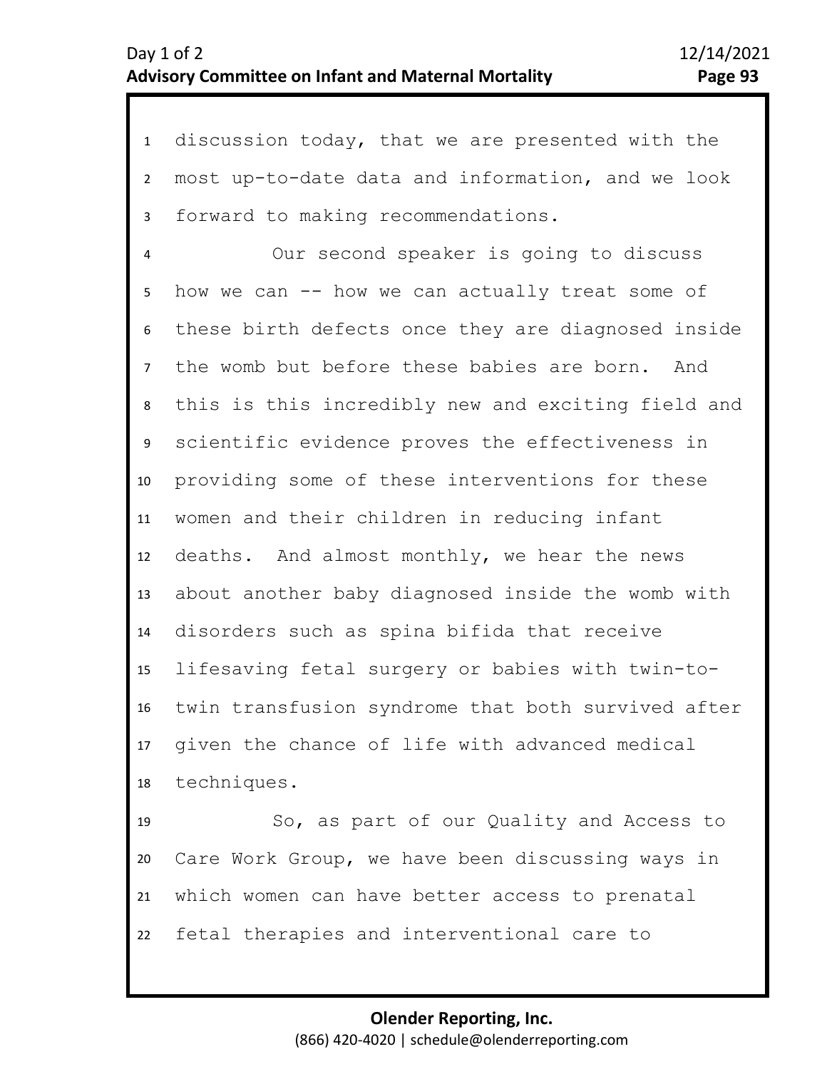1 discussion today, that we are presented with the 2 3 4 5 6 10 11 12 13 14 15 16 17 18 7 9 8 most up-to-date data and information, and we look forward to making recommendations. Our second speaker is going to discuss how we can -- how we can actually treat some of these birth defects once they are diagnosed inside the womb but before these babies are born. And this is this incredibly new and exciting field and scientific evidence proves the effectiveness in providing some of these interventions for these women and their children in reducing infant deaths. And almost monthly, we hear the news about another baby diagnosed inside the womb with disorders such as spina bifida that receive lifesaving fetal surgery or babies with twin-totwin transfusion syndrome that both survived after given the chance of life with advanced medical techniques.

19 20 21 22 So, as part of our Quality and Access to Care Work Group, we have been discussing ways in which women can have better access to prenatal fetal therapies and interventional care to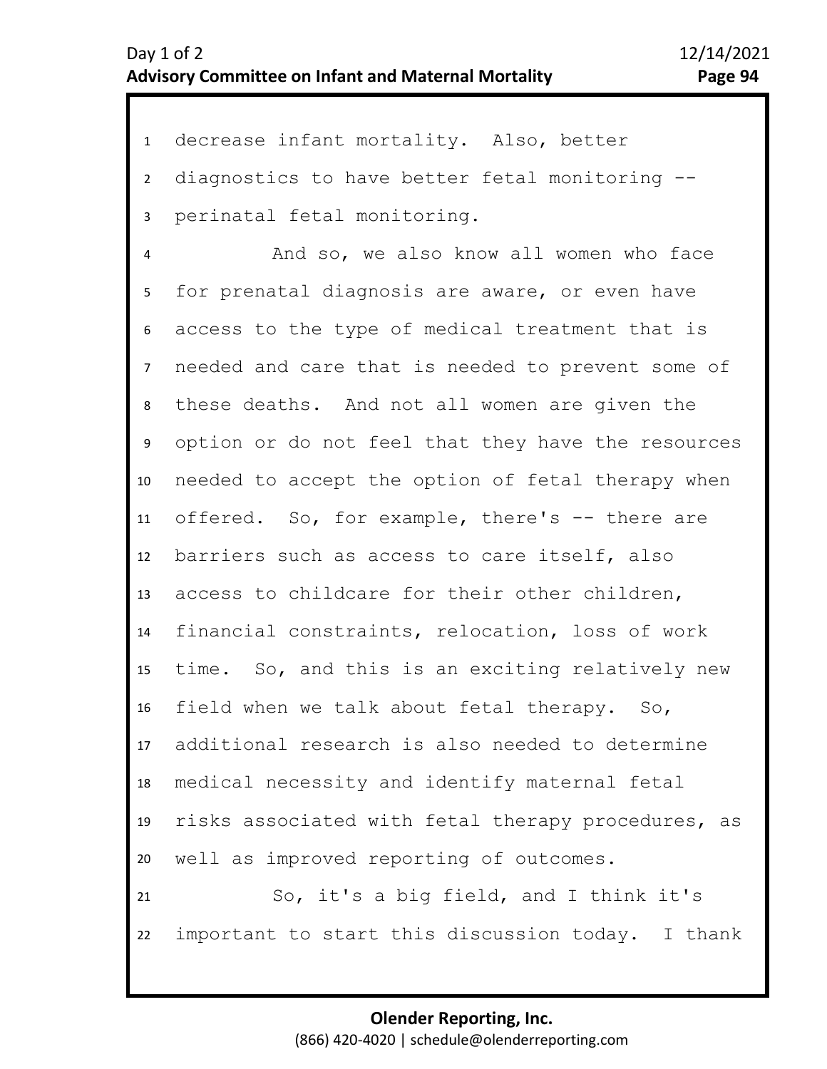1 decrease infant mortality. Also, better 2 3 diagnostics to have better fetal monitoring - perinatal fetal monitoring.

4 5 9 10 11 12 13 14 15 16 17 18 19 20 21 22 6 8 7 And so, we also know all women who face for prenatal diagnosis are aware, or even have access to the type of medical treatment that is needed and care that is needed to prevent some of these deaths. And not all women are given the option or do not feel that they have the resources needed to accept the option of fetal therapy when offered. So, for example, there's -- there are barriers such as access to care itself, also access to childcare for their other children, financial constraints, relocation, loss of work time. So, and this is an exciting relatively new field when we talk about fetal therapy. So, additional research is also needed to determine medical necessity and identify maternal fetal risks associated with fetal therapy procedures, as well as improved reporting of outcomes. So, it's a big field, and I think it's important to start this discussion today. I thank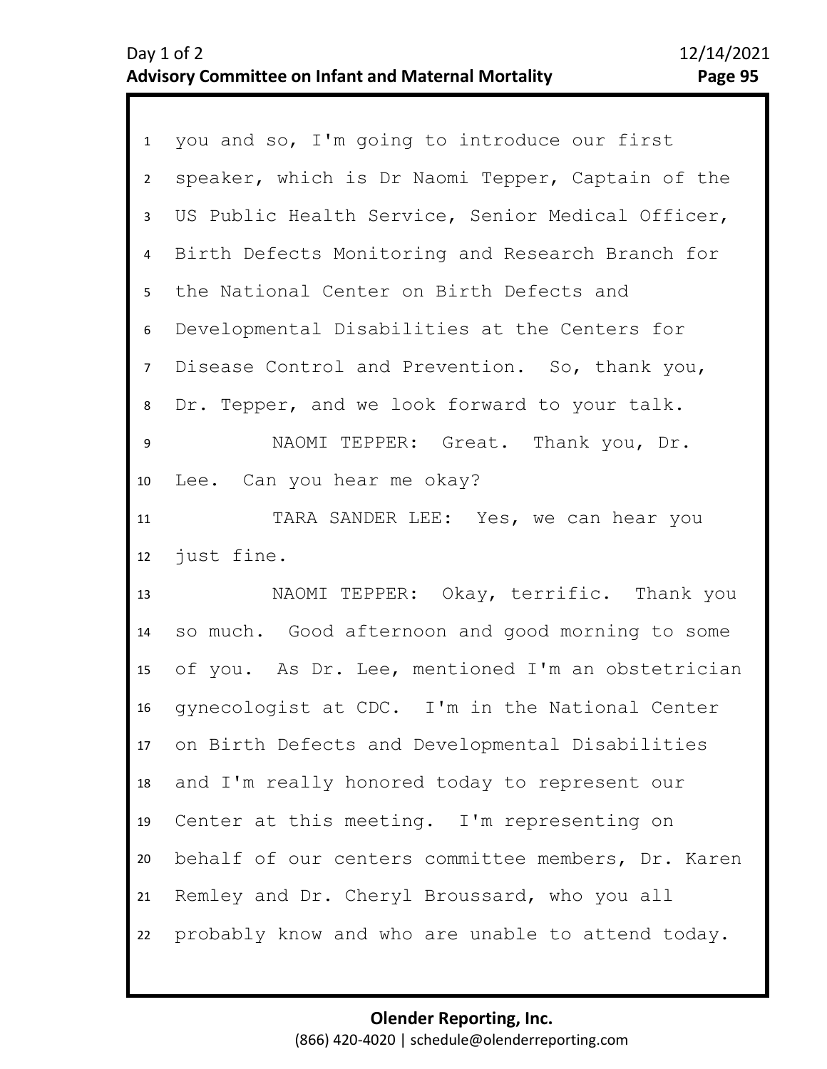| 1              | you and so, I'm going to introduce our first       |
|----------------|----------------------------------------------------|
| $\overline{2}$ | speaker, which is Dr Naomi Tepper, Captain of the  |
| 3              | US Public Health Service, Senior Medical Officer,  |
| 4              | Birth Defects Monitoring and Research Branch for   |
| 5              | the National Center on Birth Defects and           |
| 6              | Developmental Disabilities at the Centers for      |
| 7 <sup>7</sup> | Disease Control and Prevention. So, thank you,     |
| 8              | Dr. Tepper, and we look forward to your talk.      |
| 9              | NAOMI TEPPER: Great. Thank you, Dr.                |
| 10             | Lee. Can you hear me okay?                         |
| 11             | TARA SANDER LEE: Yes, we can hear you              |
| 12             | just fine.                                         |
| 13             | NAOMI TEPPER: Okay, terrific. Thank you            |
| 14             | so much. Good afternoon and good morning to some   |
| 15             | of you. As Dr. Lee, mentioned I'm an obstetrician  |
| 16             |                                                    |
|                | gynecologist at CDC. I'm in the National Center    |
| 17             | on Birth Defects and Developmental Disabilities    |
| 18             | and I'm really honored today to represent our      |
| 19             | Center at this meeting. I'm representing on        |
| 20             | behalf of our centers committee members, Dr. Karen |
| 21             | Remley and Dr. Cheryl Broussard, who you all       |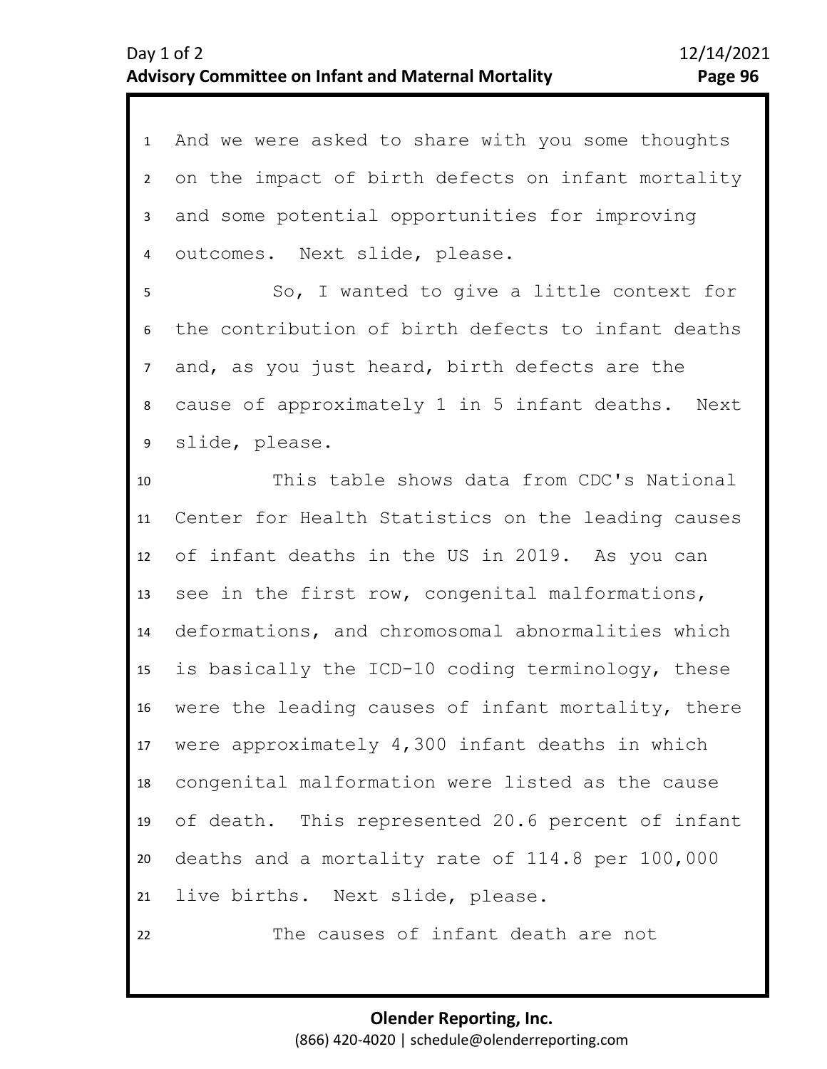| $\mathbf{1}$    | And we were asked to share with you some thoughts  |
|-----------------|----------------------------------------------------|
| $2^{\circ}$     | on the impact of birth defects on infant mortality |
| 3               | and some potential opportunities for improving     |
| $\overline{4}$  | outcomes. Next slide, please.                      |
| 5               | So, I wanted to give a little context for          |
| 6               | the contribution of birth defects to infant deaths |
| $\overline{7}$  | and, as you just heard, birth defects are the      |
| 8               | cause of approximately 1 in 5 infant deaths. Next  |
| 9               | slide, please.                                     |
| 10              | This table shows data from CDC's National          |
| 11              | Center for Health Statistics on the leading causes |
| 12              | of infant deaths in the US in 2019. As you can     |
| 13              | see in the first row, congenital malformations,    |
| 14              | deformations, and chromosomal abnormalities which  |
| 15 <sub>1</sub> | is basically the ICD-10 coding terminology, these  |
| 16              | were the leading causes of infant mortality, there |
| 17              | were approximately 4,300 infant deaths in which    |
| 18              | congenital malformation were listed as the cause   |
| 19              | of death. This represented 20.6 percent of infant  |
| 20              | deaths and a mortality rate of 114.8 per 100,000   |
| 21              | live births. Next slide, please.                   |
| 22              | The causes of infant death are not                 |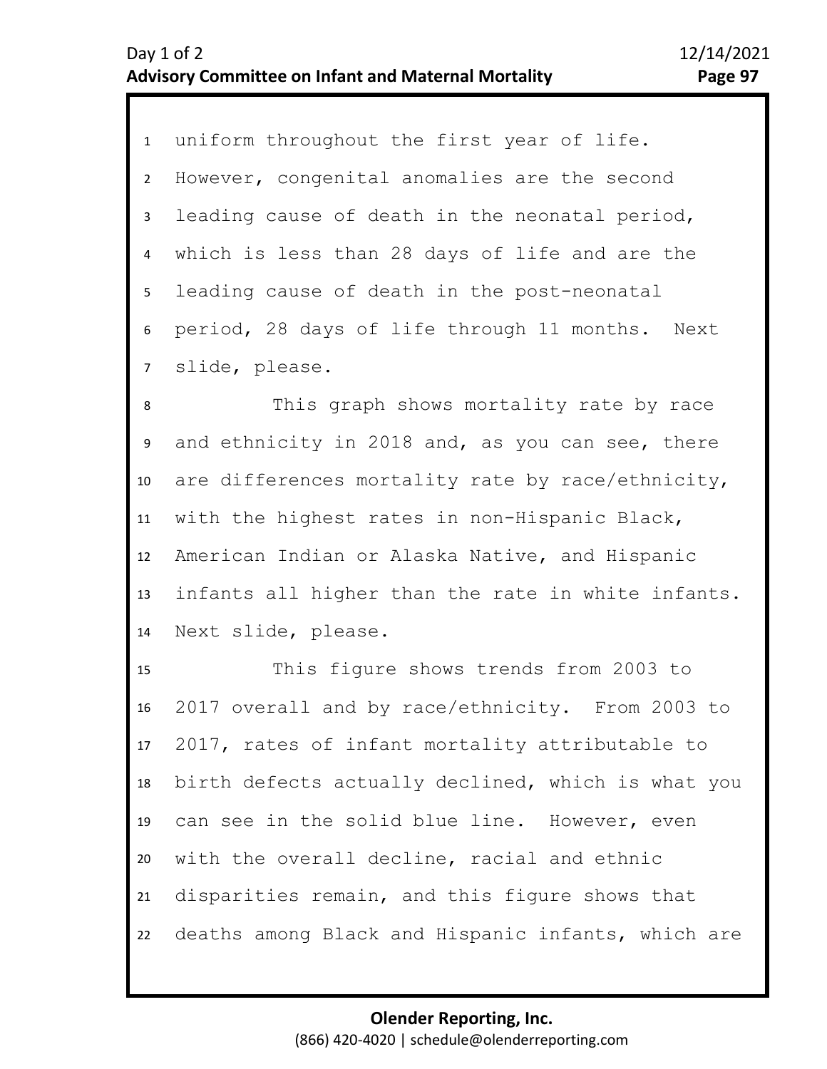1 uniform throughout the first year of life. 2 6 7 3 5 4 However, congenital anomalies are the second leading cause of death in the neonatal period, which is less than 28 days of life and are the leading cause of death in the post-neonatal period, 28 days of life through 11 months. Next slide, please.

8 9 10 11 12 13 14 This graph shows mortality rate by race and ethnicity in 2018 and, as you can see, there are differences mortality rate by race/ethnicity, with the highest rates in non-Hispanic Black, American Indian or Alaska Native, and Hispanic infants all higher than the rate in white infants. Next slide, please.

15 16 17 18 19 20 21 22 This figure shows trends from 2003 to 2017 overall and by race/ethnicity. From 2003 to 2017, rates of infant mortality attributable to birth defects actually declined, which is what you can see in the solid blue line. However, even with the overall decline, racial and ethnic disparities remain, and this figure shows that deaths among Black and Hispanic infants, which are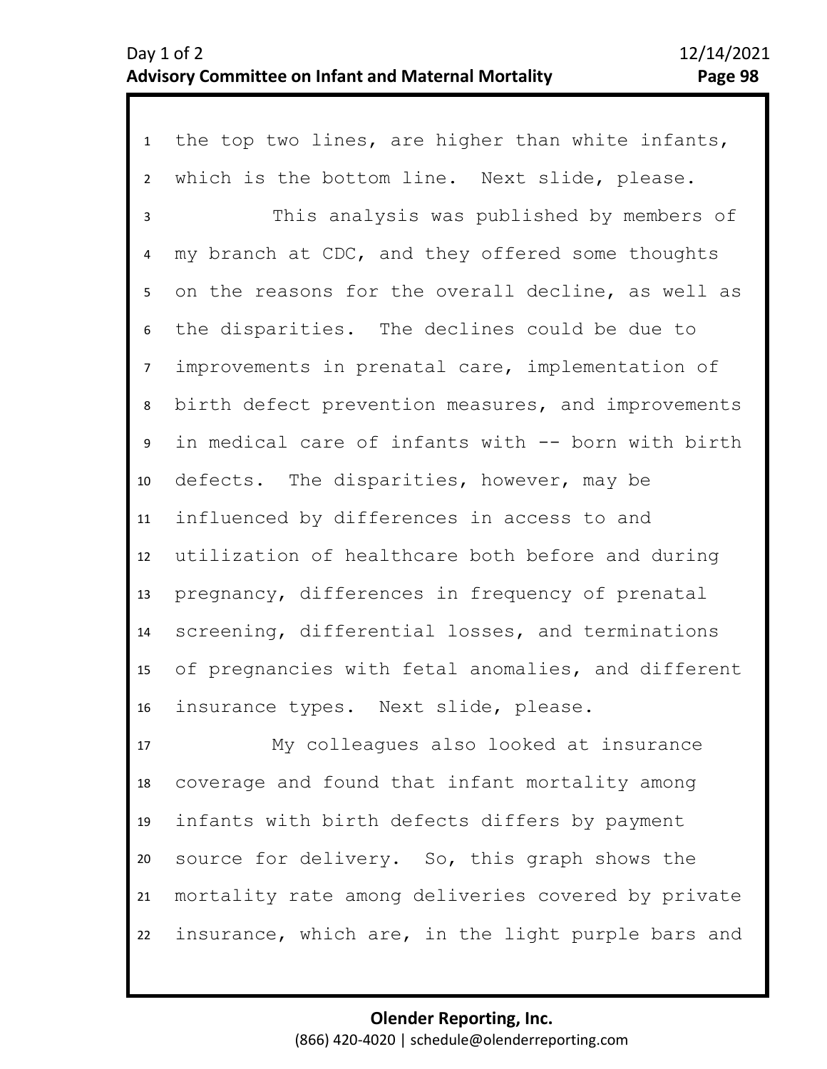1 the top two lines, are higher than white infants, 2 3 4 5 9 10 11 12 13 14 15 16 17 6 8 7 which is the bottom line. Next slide, please. This analysis was published by members of my branch at CDC, and they offered some thoughts on the reasons for the overall decline, as well as the disparities. The declines could be due to improvements in prenatal care, implementation of birth defect prevention measures, and improvements in medical care of infants with -- born with birth defects. The disparities, however, may be influenced by differences in access to and utilization of healthcare both before and during pregnancy, differences in frequency of prenatal screening, differential losses, and terminations of pregnancies with fetal anomalies, and different insurance types. Next slide, please. My colleagues also looked at insurance

18 19 20 21 22 coverage and found that infant mortality among infants with birth defects differs by payment source for delivery. So, this graph shows the mortality rate among deliveries covered by private insurance, which are, in the light purple bars and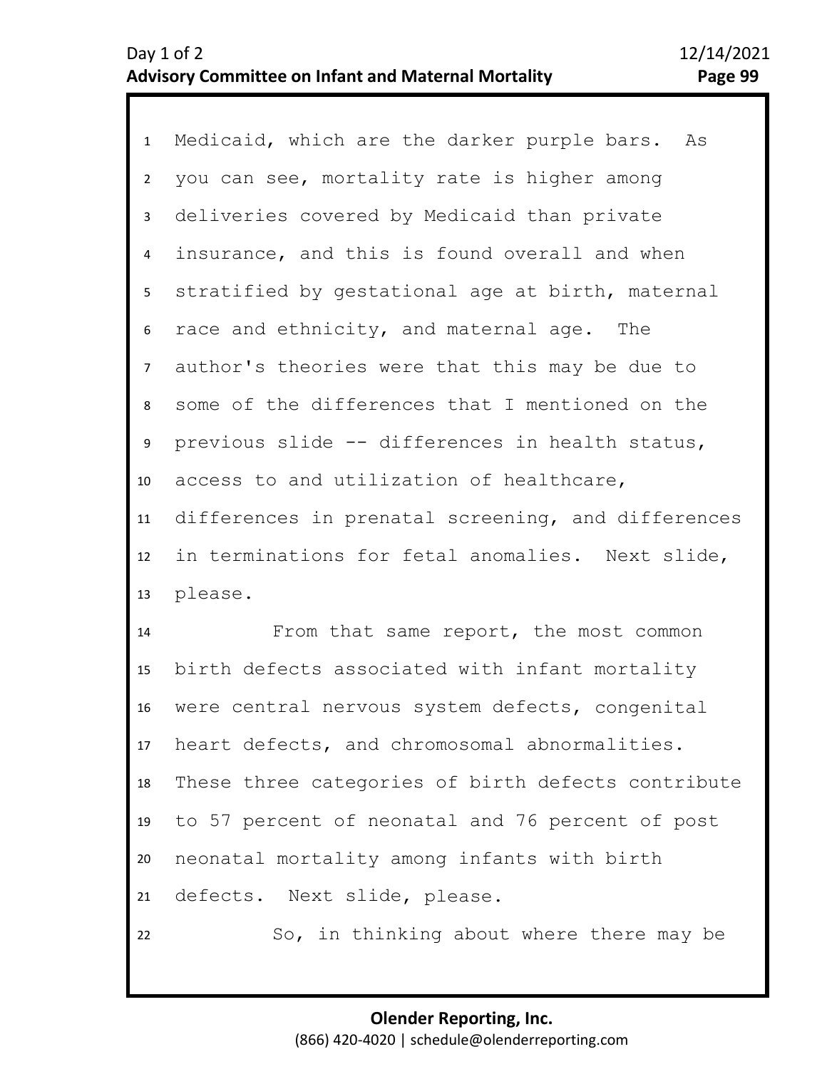1 Medicaid, which are the darker purple bars. As 2 3 4 8 9 10 11 12 13 5 7 6 you can see, mortality rate is higher among deliveries covered by Medicaid than private insurance, and this is found overall and when stratified by gestational age at birth, maternal race and ethnicity, and maternal age. The author's theories were that this may be due to some of the differences that I mentioned on the previous slide -- differences in health status, access to and utilization of healthcare, differences in prenatal screening, and differences in terminations for fetal anomalies. Next slide, please.

14 15 16 17 18 19 20 21 22 From that same report, the most common birth defects associated with infant mortality were central nervous system defects, congenital heart defects, and chromosomal abnormalities. These three categories of birth defects contribute to 57 percent of neonatal and 76 percent of post neonatal mortality among infants with birth defects. Next slide, please.

So, in thinking about where there may be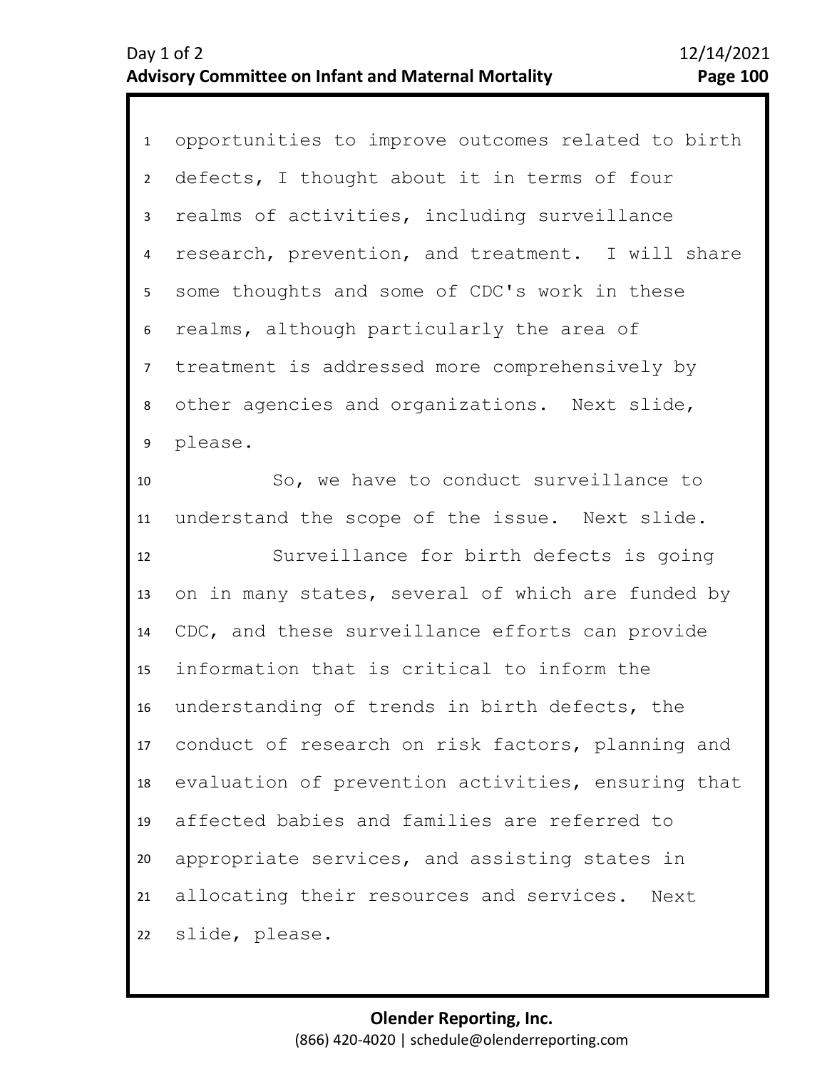1 opportunities to improve outcomes related to birth 2 3 4 5 9 10 11 12 13 14 15 16 17 18 19 20 21 22 6 8 7 defects, I thought about it in terms of four realms of activities, including surveillance research, prevention, and treatment. I will share some thoughts and some of CDC's work in these realms, although particularly the area of treatment is addressed more comprehensively by other agencies and organizations. Next slide, please. So, we have to conduct surveillance to understand the scope of the issue. Next slide. Surveillance for birth defects is going on in many states, several of which are funded by CDC, and these surveillance efforts can provide information that is critical to inform the understanding of trends in birth defects, the conduct of research on risk factors, planning and evaluation of prevention activities, ensuring that affected babies and families are referred to appropriate services, and assisting states in allocating their resources and services. Next slide, please.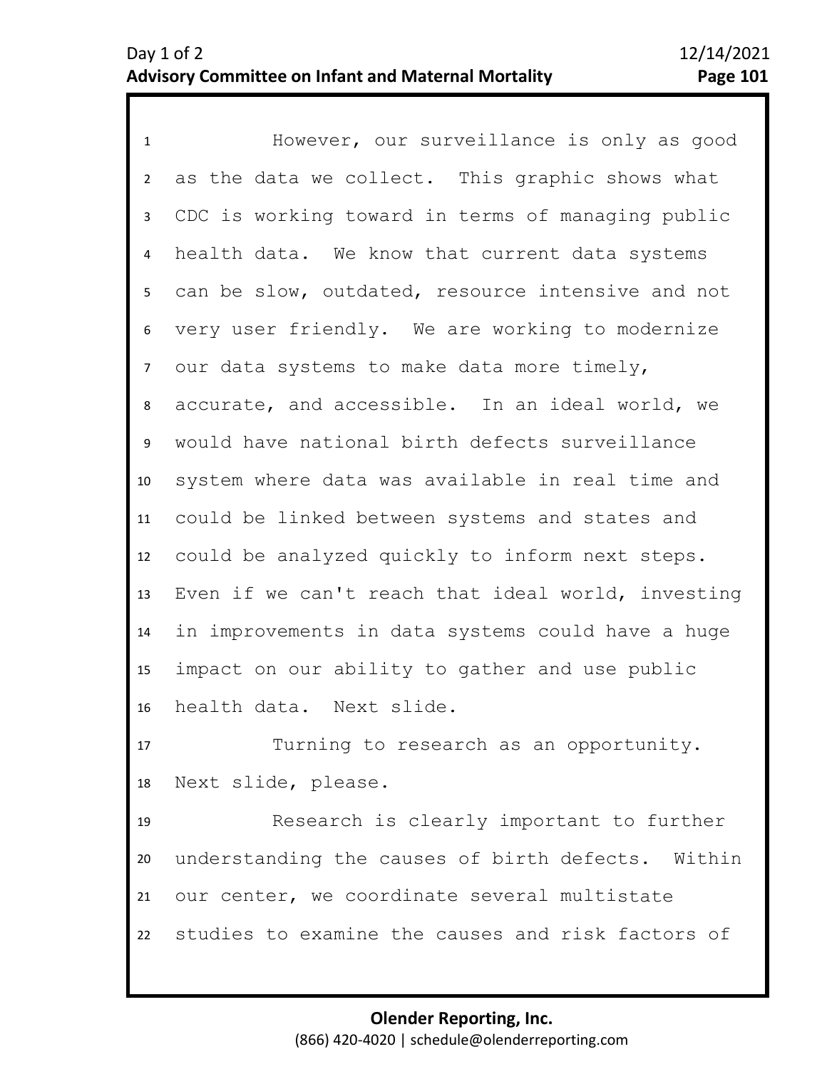1 However, our surveillance is only as good 2 3 4 5 9 10 11 12 13 14 15 16 6 8 7 as the data we collect. This graphic shows what CDC is working toward in terms of managing public health data. We know that current data systems can be slow, outdated, resource intensive and not very user friendly. We are working to modernize our data systems to make data more timely, accurate, and accessible. In an ideal world, we would have national birth defects surveillance system where data was available in real time and could be linked between systems and states and could be analyzed quickly to inform next steps. Even if we can't reach that ideal world, investing in improvements in data systems could have a huge impact on our ability to gather and use public health data. Next slide.

17 18 Turning to research as an opportunity. Next slide, please.

19 20 21 22 Research is clearly important to further understanding the causes of birth defects. Within our center, we coordinate several multistate studies to examine the causes and risk factors of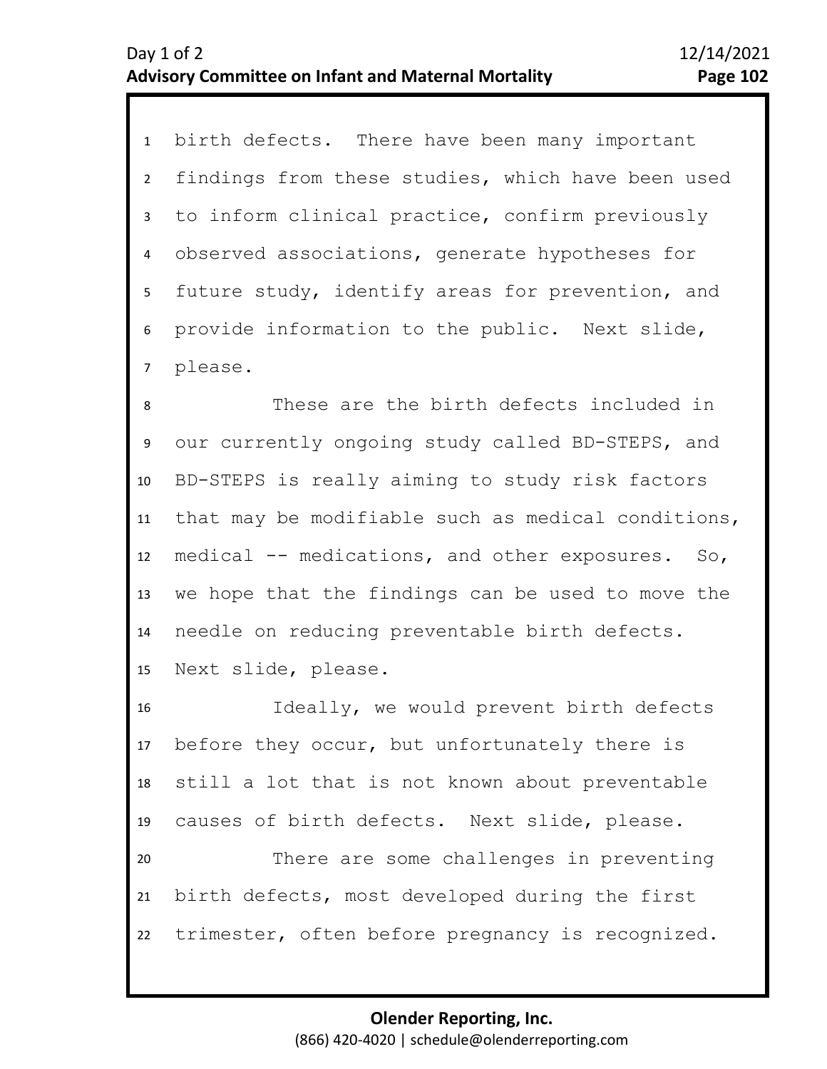1 birth defects. There have been many important 2 3 4 5 6 7 findings from these studies, which have been used to inform clinical practice, confirm previously observed associations, generate hypotheses for future study, identify areas for prevention, and provide information to the public. Next slide, please.

10 11 12 13 14 15 8 9 These are the birth defects included in our currently ongoing study called BD-STEPS, and BD-STEPS is really aiming to study risk factors that may be modifiable such as medical conditions, medical -- medications, and other exposures. So, we hope that the findings can be used to move the needle on reducing preventable birth defects. Next slide, please.

16 17 18 19 20 21 22 Ideally, we would prevent birth defects before they occur, but unfortunately there is still a lot that is not known about preventable causes of birth defects. Next slide, please. There are some challenges in preventing birth defects, most developed during the first trimester, often before pregnancy is recognized.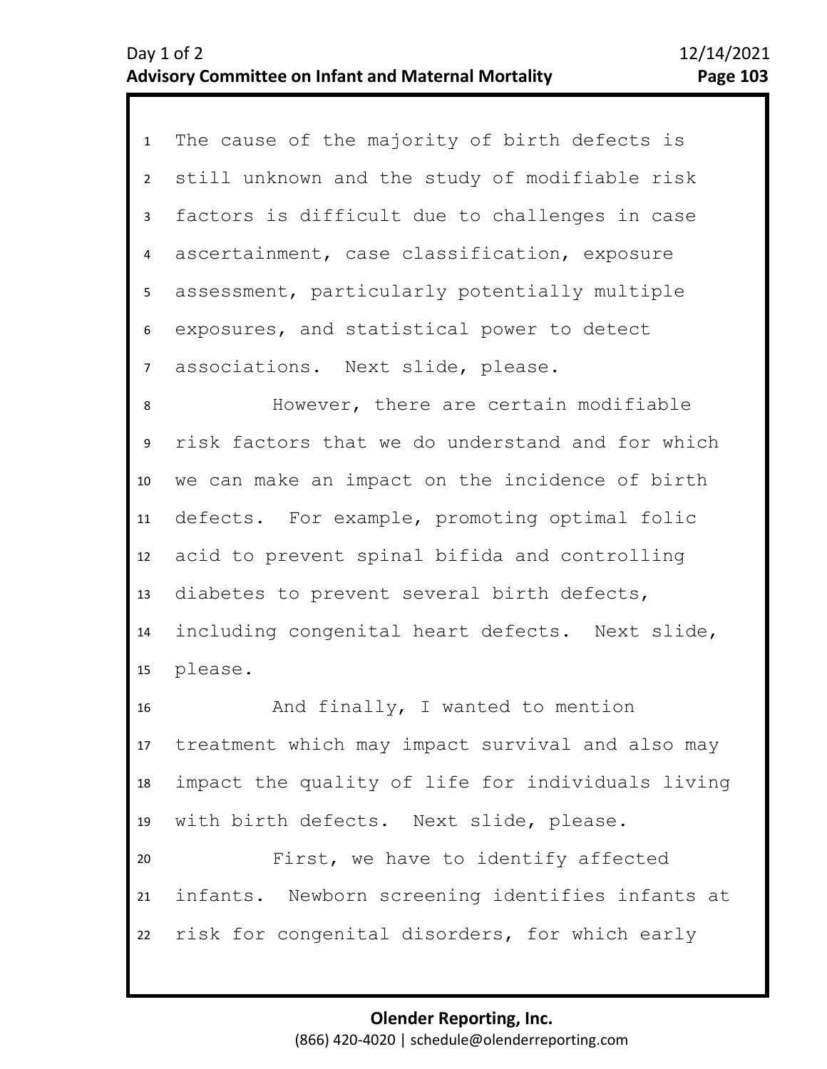1 The cause of the majority of birth defects is 2 3 4 8 9 10 11 12 13 14 15 16 17 18 5 7 6 still unknown and the study of modifiable risk factors is difficult due to challenges in case ascertainment, case classification, exposure assessment, particularly potentially multiple exposures, and statistical power to detect associations. Next slide, please. However, there are certain modifiable risk factors that we do understand and for which we can make an impact on the incidence of birth defects. For example, promoting optimal folic acid to prevent spinal bifida and controlling diabetes to prevent several birth defects, including congenital heart defects. Next slide, please. And finally, I wanted to mention treatment which may impact survival and also may impact the quality of life for individuals living with birth defects. Next slide, please.

20 21 22 First, we have to identify affected infants. Newborn screening identifies infants at risk for congenital disorders, for which early

19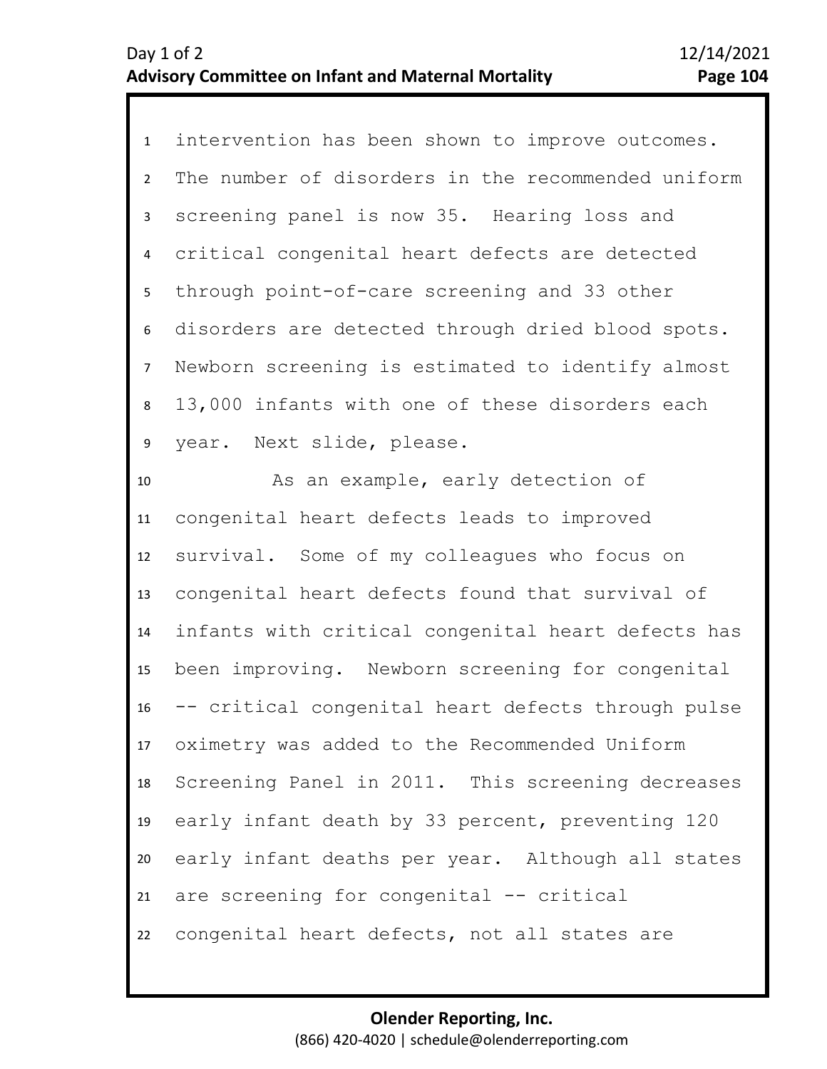1 intervention has been shown to improve outcomes. 2 3 4 8 9 5 7 6 The number of disorders in the recommended uniform screening panel is now 35. Hearing loss and critical congenital heart defects are detected through point-of-care screening and 33 other disorders are detected through dried blood spots. Newborn screening is estimated to identify almost 13,000 infants with one of these disorders each year. Next slide, please.

10 11 12 13 14 15 16 17 18 19 20 21 22 As an example, early detection of congenital heart defects leads to improved survival. Some of my colleagues who focus on congenital heart defects found that survival of infants with critical congenital heart defects has been improving. Newborn screening for congenital -- critical congenital heart defects through pulse oximetry was added to the Recommended Uniform Screening Panel in 2011. This screening decreases early infant death by 33 percent, preventing 120 early infant deaths per year. Although all states are screening for congenital -- critical congenital heart defects, not all states are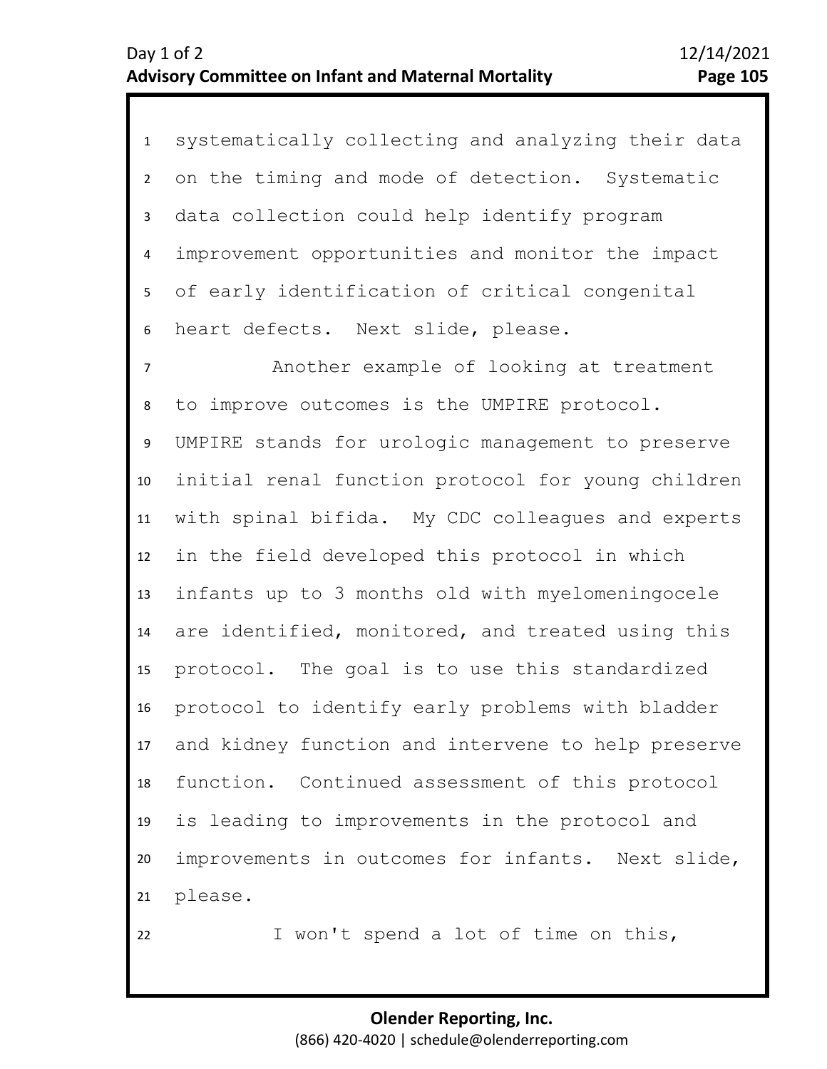| $\mathbf{1}$   | systematically collecting and analyzing their data |
|----------------|----------------------------------------------------|
| $\overline{2}$ | on the timing and mode of detection. Systematic    |
| $\mathbf{3}$   | data collection could help identify program        |
| 4              | improvement opportunities and monitor the impact   |
| 5              | of early identification of critical congenital     |
| 6              | heart defects. Next slide, please.                 |
| $\overline{7}$ | Another example of looking at treatment            |
| 8              | to improve outcomes is the UMPIRE protocol.        |
| 9              | UMPIRE stands for urologic management to preserve  |
| 10             | initial renal function protocol for young children |
| 11             | with spinal bifida. My CDC colleagues and experts  |
| 12             | in the field developed this protocol in which      |
| 13             | infants up to 3 months old with myelomeningocele   |
| 14             | are identified, monitored, and treated using this  |
| 15             | protocol. The goal is to use this standardized     |
| 16             | protocol to identify early problems with bladder   |
| 17             | and kidney function and intervene to help preserve |
| 18             | function. Continued assessment of this protocol    |
| 19             | is leading to improvements in the protocol and     |
| 20             | improvements in outcomes for infants. Next slide,  |
| 21             | please.                                            |
| 22             | I won't spend a lot of time on this,               |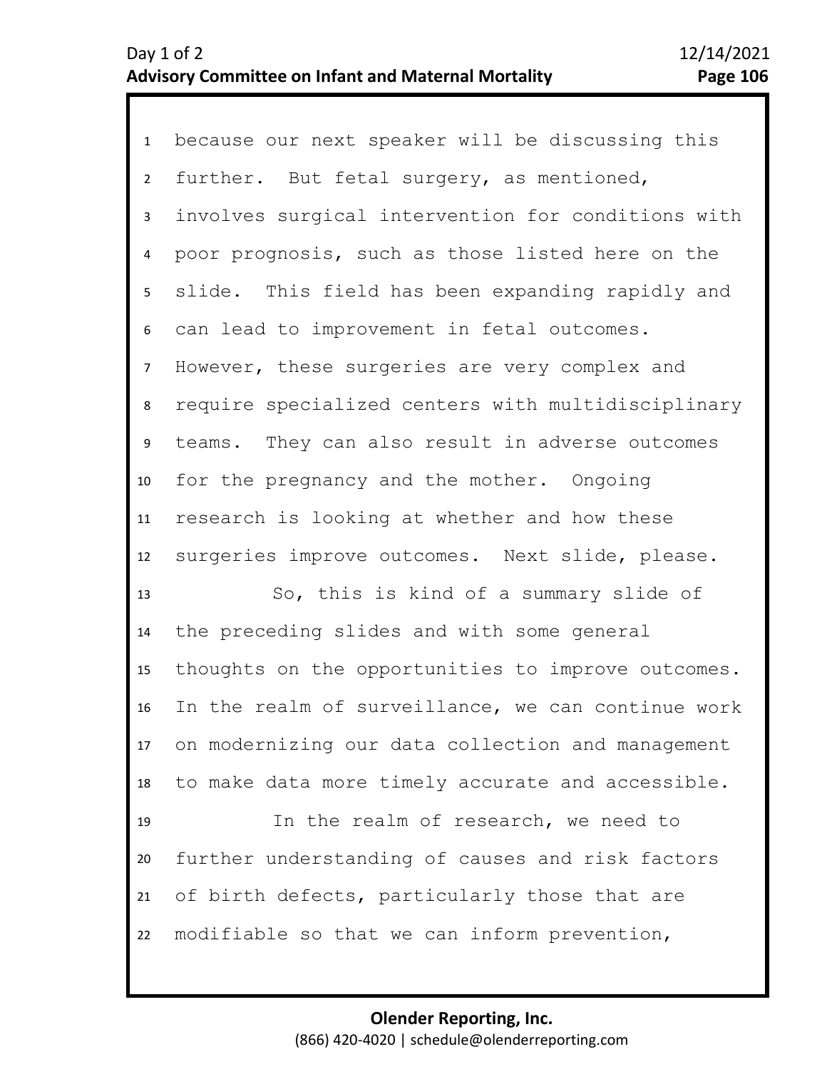1 because our next speaker will be discussing this 2 3 4 8 9 10 11 12 13 14 5 7 6 further. But fetal surgery, as mentioned, involves surgical intervention for conditions with poor prognosis, such as those listed here on the slide. This field has been expanding rapidly and can lead to improvement in fetal outcomes. However, these surgeries are very complex and require specialized centers with multidisciplinary teams. They can also result in adverse outcomes for the pregnancy and the mother. Ongoing research is looking at whether and how these surgeries improve outcomes. Next slide, please. So, this is kind of a summary slide of the preceding slides and with some general

15 16 17 18 thoughts on the opportunities to improve outcomes. In the realm of surveillance, we can continue work on modernizing our data collection and management to make data more timely accurate and accessible.

19 20 21 22 In the realm of research, we need to further understanding of causes and risk factors of birth defects, particularly those that are modifiable so that we can inform prevention,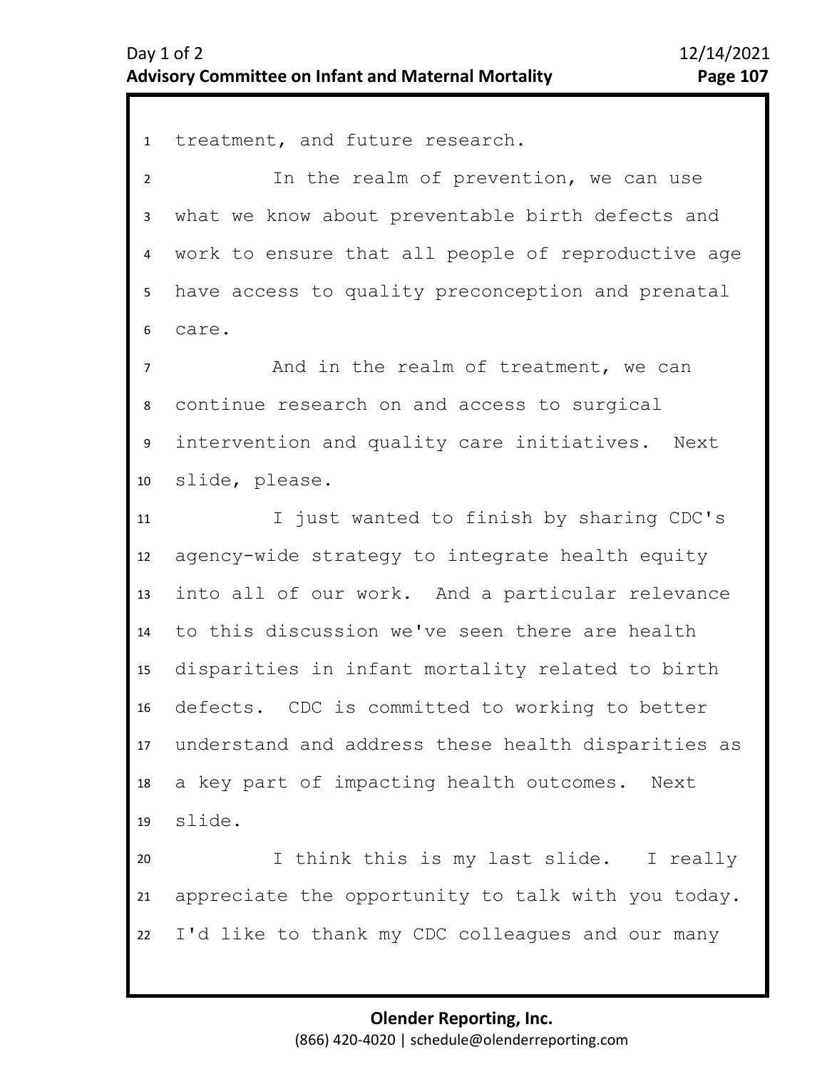1 treatment, and future research. 2 3 4 5 9 10 11 12 13 14 15 16 17 18 19 20 21 22 6 8 7 In the realm of prevention, we can use what we know about preventable birth defects and work to ensure that all people of reproductive age have access to quality preconception and prenatal care. And in the realm of treatment, we can continue research on and access to surgical intervention and quality care initiatives. Next slide, please. I just wanted to finish by sharing CDC's agency-wide strategy to integrate health equity into all of our work. And a particular relevance to this discussion we've seen there are health disparities in infant mortality related to birth defects. CDC is committed to working to better understand and address these health disparities as a key part of impacting health outcomes. Next slide. I think this is my last slide. I really appreciate the opportunity to talk with you today. I'd like to thank my CDC colleagues and our many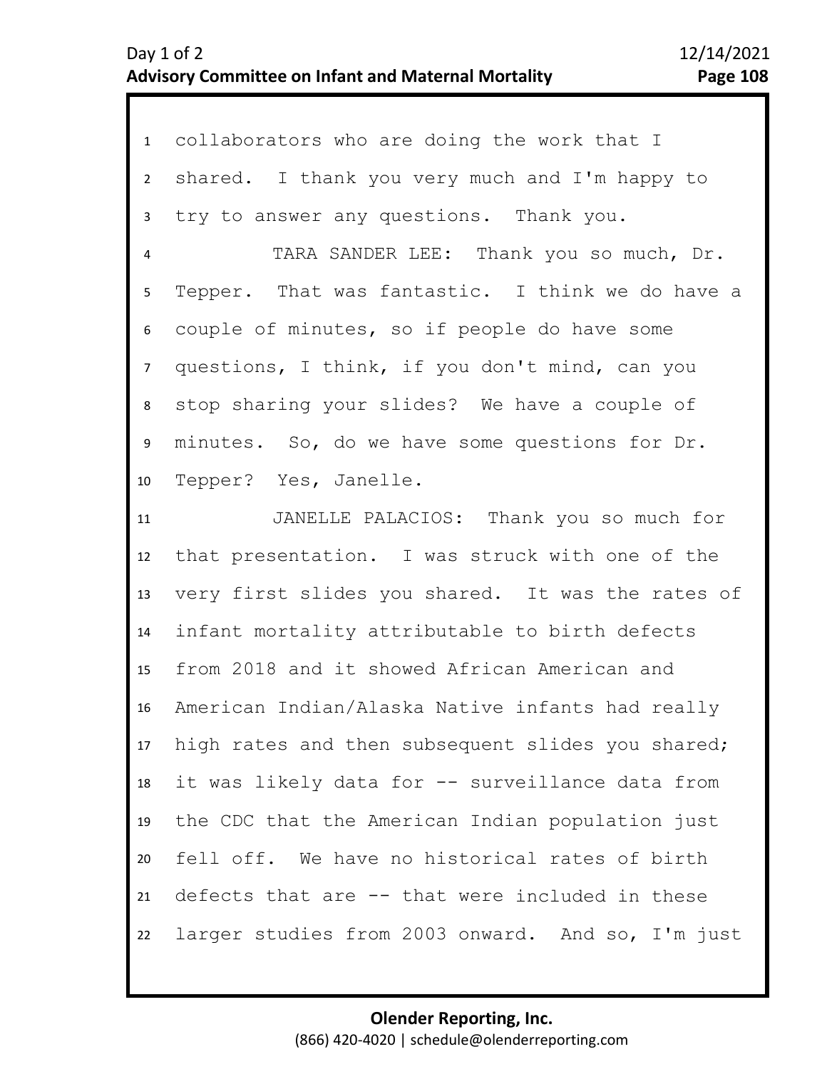|                 | 1 collaborators who are doing the work that I     |
|-----------------|---------------------------------------------------|
| $2^{\circ}$     | shared. I thank you very much and I'm happy to    |
| 3               | try to answer any questions. Thank you.           |
| 4               | TARA SANDER LEE: Thank you so much, Dr.           |
| 5               | Tepper. That was fantastic. I think we do have a  |
| 6               | couple of minutes, so if people do have some      |
| 7 <sup>7</sup>  | questions, I think, if you don't mind, can you    |
| 8               | stop sharing your slides? We have a couple of     |
| 9               | minutes. So, do we have some questions for Dr.    |
| 10              | Tepper? Yes, Janelle.                             |
| 11              | JANELLE PALACIOS: Thank you so much for           |
| 12              | that presentation. I was struck with one of the   |
| 13              | very first slides you shared. It was the rates of |
| 14              | infant mortality attributable to birth defects    |
| 15 <sub>1</sub> | from 2018 and it showed African American and      |
| 16              | American Indian/Alaska Native infants had really  |
| 17 <sup>7</sup> | high rates and then subsequent slides you shared; |
| 18              | it was likely data for -- surveillance data from  |
| 19              | the CDC that the American Indian population just  |
| 20              | fell off. We have no historical rates of birth    |
| 21              | defects that are -- that were included in these   |
| 22              | larger studies from 2003 onward. And so, I'm just |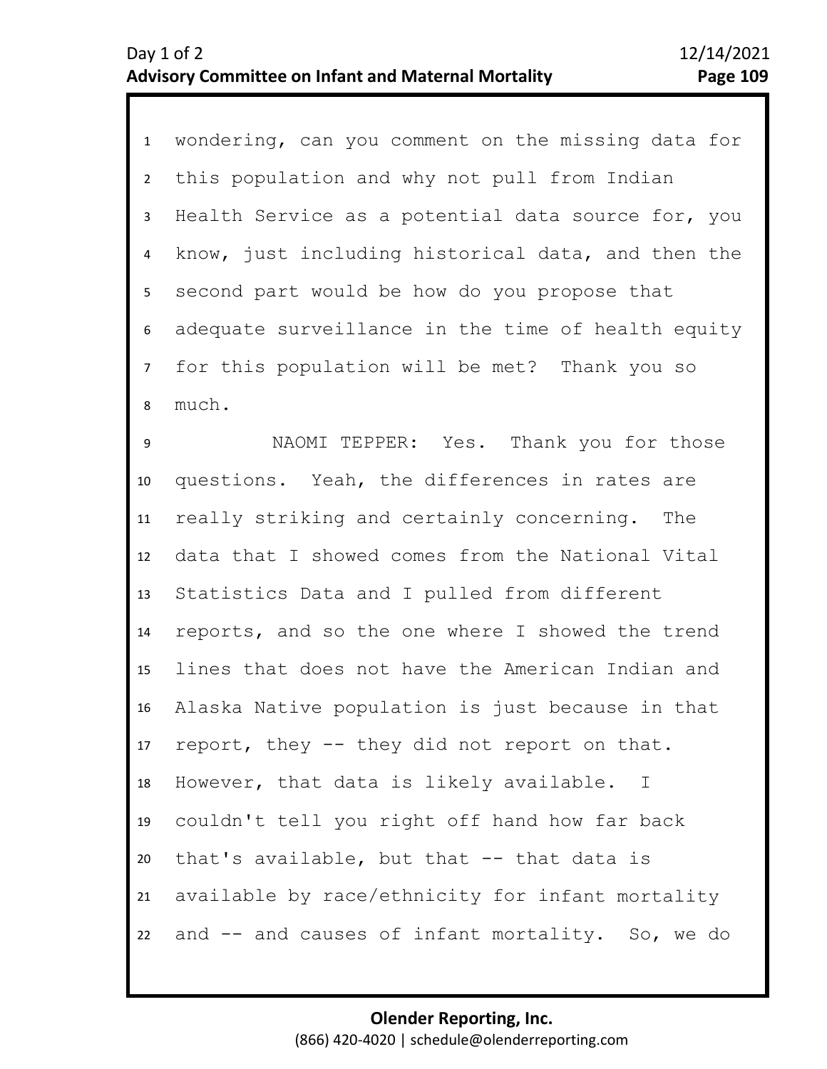1 wondering, can you comment on the missing data for 2 3 4 9 10 11 12 13 14 15 16 17 18 19 20 21 22 5 7 8 6 this population and why not pull from Indian Health Service as a potential data source for, you know, just including historical data, and then the second part would be how do you propose that adequate surveillance in the time of health equity for this population will be met? Thank you so much. NAOMI TEPPER: Yes. Thank you for those questions. Yeah, the differences in rates are really striking and certainly concerning. The data that I showed comes from the National Vital Statistics Data and I pulled from different reports, and so the one where I showed the trend lines that does not have the American Indian and Alaska Native population is just because in that report, they -- they did not report on that. However, that data is likely available. I couldn't tell you right off hand how far back that's available, but that -- that data is available by race/ethnicity for infant mortality and -- and causes of infant mortality. So, we do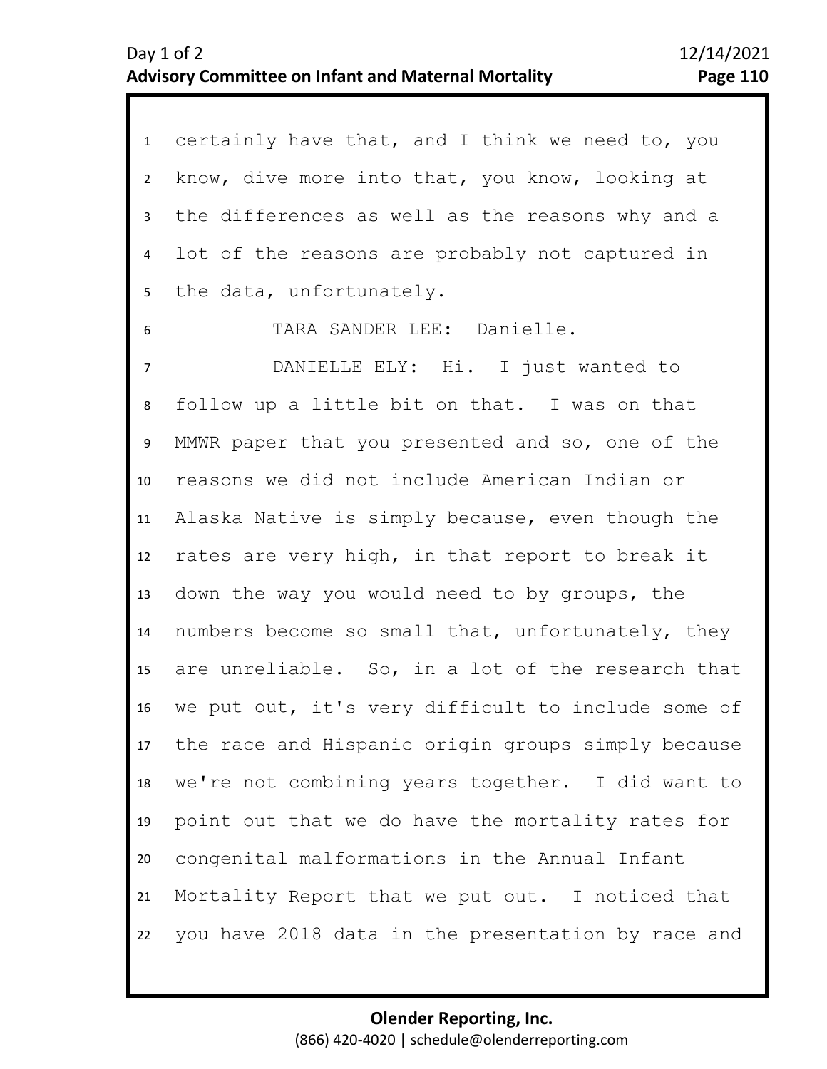| $\mathbf{1}$    | certainly have that, and I think we need to, you      |
|-----------------|-------------------------------------------------------|
| $2^{\circ}$     | know, dive more into that, you know, looking at       |
| $\mathbf{3}$    | the differences as well as the reasons why and a      |
| $\overline{4}$  | lot of the reasons are probably not captured in       |
| 5 <sub>1</sub>  | the data, unfortunately.                              |
| 6               | TARA SANDER LEE: Danielle.                            |
| $\overline{7}$  | DANIELLE ELY: Hi. I just wanted to                    |
| 8               | follow up a little bit on that. I was on that         |
| 9               | MMWR paper that you presented and so, one of the      |
| 10              | reasons we did not include American Indian or         |
| 11              | Alaska Native is simply because, even though the      |
| 12              | rates are very high, in that report to break it       |
| 13              | down the way you would need to by groups, the         |
| 14              | numbers become so small that, unfortunately, they     |
| 15 <sub>1</sub> | are unreliable. So, in a lot of the research that     |
| 16              | we put out, it's very difficult to include some of    |
|                 | 17 the race and Hispanic origin groups simply because |
| 18              | we're not combining years together. I did want to     |
| 19              | point out that we do have the mortality rates for     |
| 20              | congenital malformations in the Annual Infant         |
| 21              | Mortality Report that we put out. I noticed that      |
| 22              | you have 2018 data in the presentation by race and    |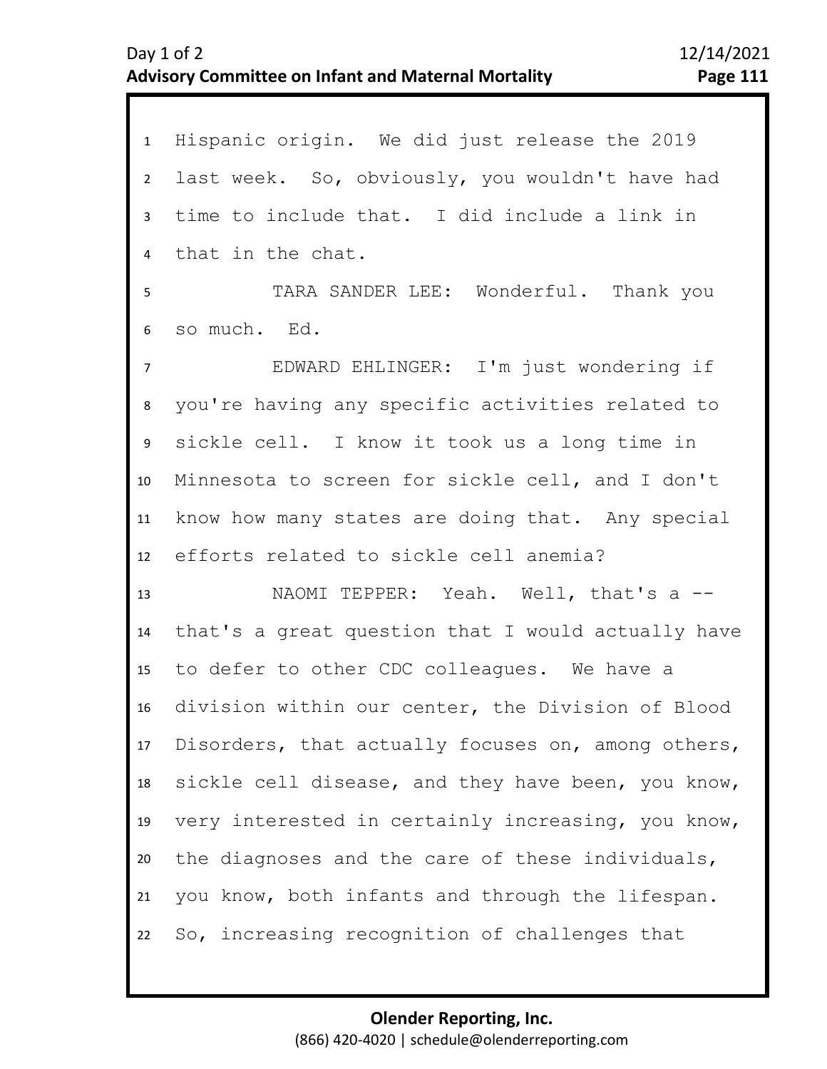1 Hispanic origin. We did just release the 2019 2 3 4 5 10 11 12 13 14 15 16 17 18 19 20 21 22 6 9 7 8 last week. So, obviously, you wouldn't have had time to include that. I did include a link in that in the chat. TARA SANDER LEE: Wonderful. Thank you so much. Ed. EDWARD EHLINGER: I'm just wondering if you're having any specific activities related to sickle cell. I know it took us a long time in Minnesota to screen for sickle cell, and I don't know how many states are doing that. Any special efforts related to sickle cell anemia? NAOMI TEPPER: Yeah. Well, that's a -that's a great question that I would actually have to defer to other CDC colleagues. We have a division within our center, the Division of Blood Disorders, that actually focuses on, among others, sickle cell disease, and they have been, you know, very interested in certainly increasing, you know, the diagnoses and the care of these individuals, you know, both infants and through the lifespan. So, increasing recognition of challenges that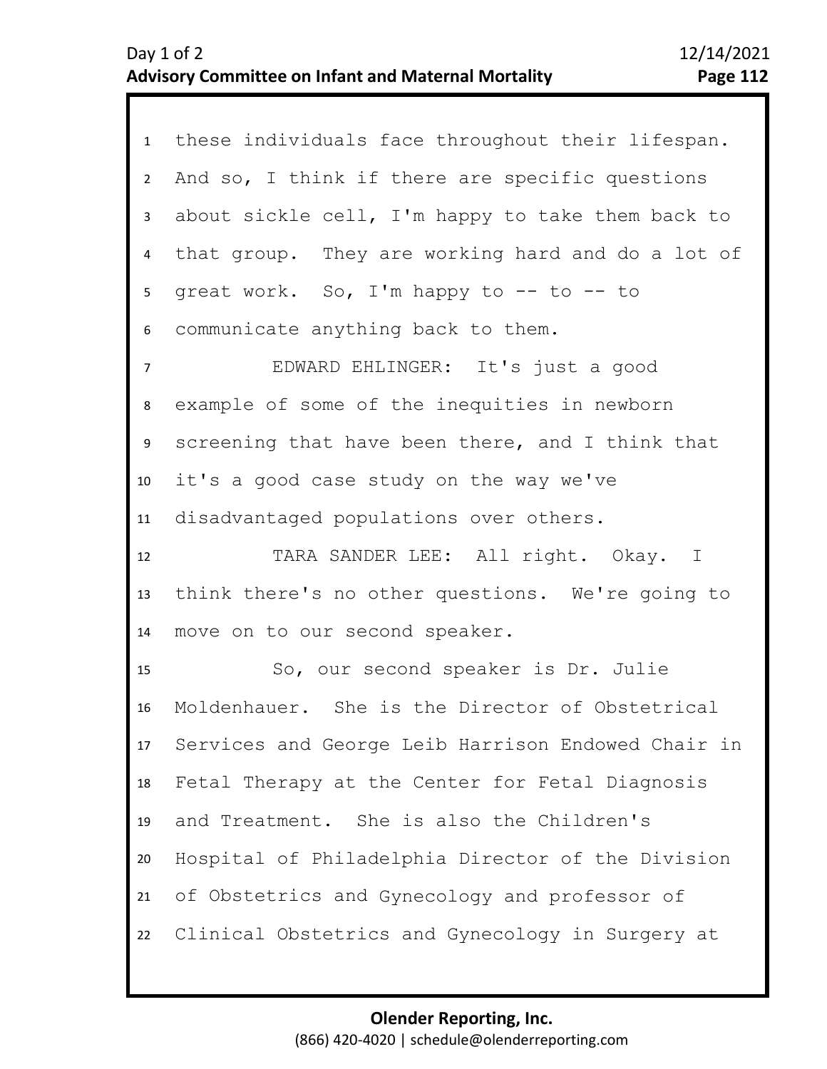| 1              | these individuals face throughout their lifespan.  |
|----------------|----------------------------------------------------|
| $2^{\circ}$    | And so, I think if there are specific questions    |
| $\mathbf{3}$   | about sickle cell, I'm happy to take them back to  |
| $\overline{4}$ | that group. They are working hard and do a lot of  |
| 5 <sub>1</sub> | great work. So, I'm happy to -- to -- to           |
| 6              | communicate anything back to them.                 |
| $\overline{7}$ | EDWARD EHLINGER: It's just a good                  |
| 8              | example of some of the inequities in newborn       |
| 9              | screening that have been there, and I think that   |
| 10             | it's a good case study on the way we've            |
| 11             | disadvantaged populations over others.             |
|                |                                                    |
| 12             | TARA SANDER LEE: All right. Okay. I                |
| 13             | think there's no other questions. We're going to   |
| 14             | move on to our second speaker.                     |
| 15             | So, our second speaker is Dr. Julie                |
| 16             | Moldenhauer. She is the Director of Obstetrical    |
| 17             | Services and George Leib Harrison Endowed Chair in |
| 18             | Fetal Therapy at the Center for Fetal Diagnosis    |
| 19             | and Treatment. She is also the Children's          |
| 20             | Hospital of Philadelphia Director of the Division  |
| 21             | of Obstetrics and Gynecology and professor of      |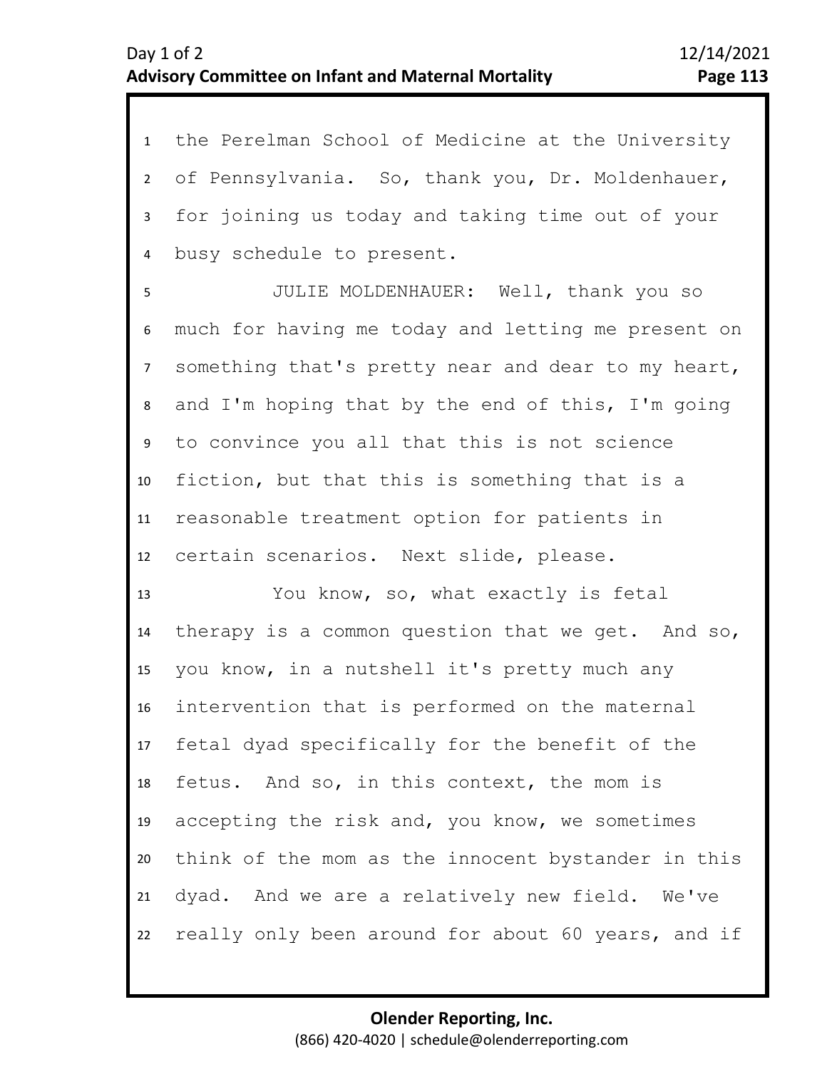1 the Perelman School of Medicine at the University 2 3 4 of Pennsylvania. So, thank you, Dr. Moldenhauer, for joining us today and taking time out of your busy schedule to present.

6 7 8 9 10 11 12 5 JULIE MOLDENHAUER: Well, thank you so much for having me today and letting me present on something that's pretty near and dear to my heart, and I'm hoping that by the end of this, I'm going to convince you all that this is not science fiction, but that this is something that is a reasonable treatment option for patients in certain scenarios. Next slide, please.

13 14 15 16 17 18 19 20 21 22 You know, so, what exactly is fetal therapy is a common question that we get. And so, you know, in a nutshell it's pretty much any intervention that is performed on the maternal fetal dyad specifically for the benefit of the fetus. And so, in this context, the mom is accepting the risk and, you know, we sometimes think of the mom as the innocent bystander in this dyad. And we are a relatively new field. We've really only been around for about 60 years, and if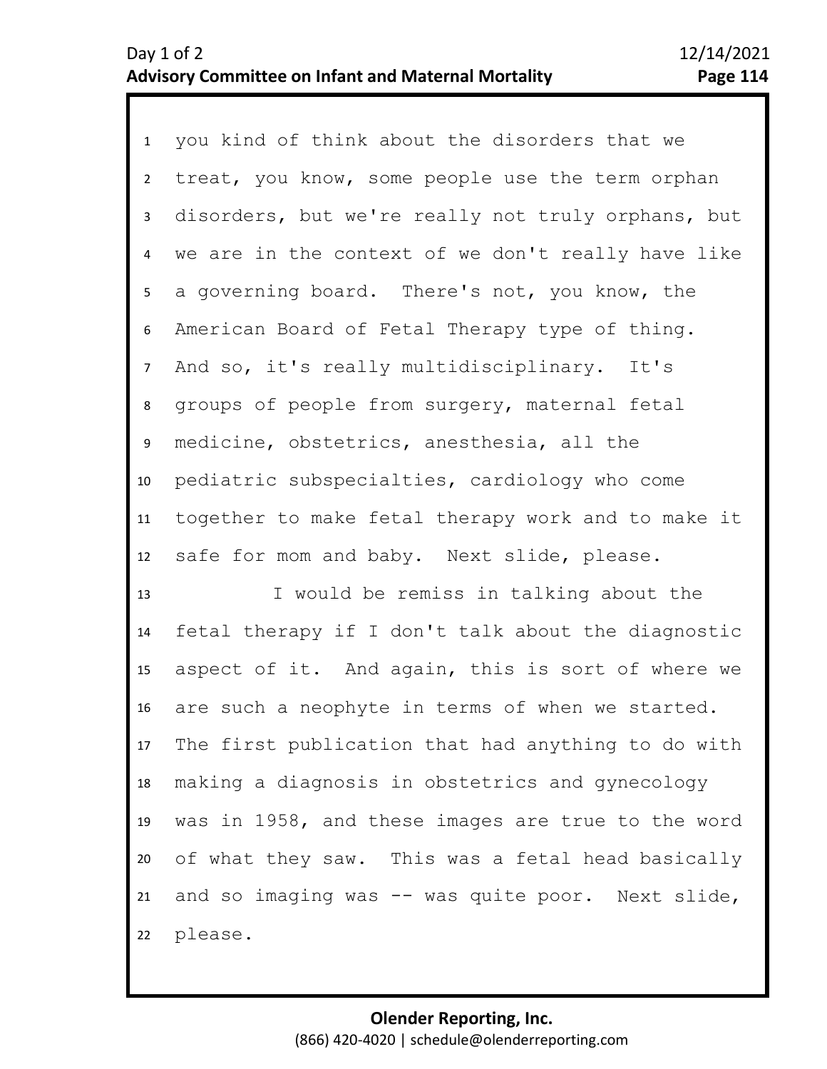1 you kind of think about the disorders that we 2 3 4 8 9 10 11 12 5 7 6 treat, you know, some people use the term orphan disorders, but we're really not truly orphans, but we are in the context of we don't really have like a governing board. There's not, you know, the American Board of Fetal Therapy type of thing. And so, it's really multidisciplinary. It's groups of people from surgery, maternal fetal medicine, obstetrics, anesthesia, all the pediatric subspecialties, cardiology who come together to make fetal therapy work and to make it safe for mom and baby. Next slide, please.

13 14 15 16 17 18 19 20 21 22 I would be remiss in talking about the fetal therapy if I don't talk about the diagnostic aspect of it. And again, this is sort of where we are such a neophyte in terms of when we started. The first publication that had anything to do with making a diagnosis in obstetrics and gynecology was in 1958, and these images are true to the word of what they saw. This was a fetal head basically and so imaging was -- was quite poor. Next slide, please.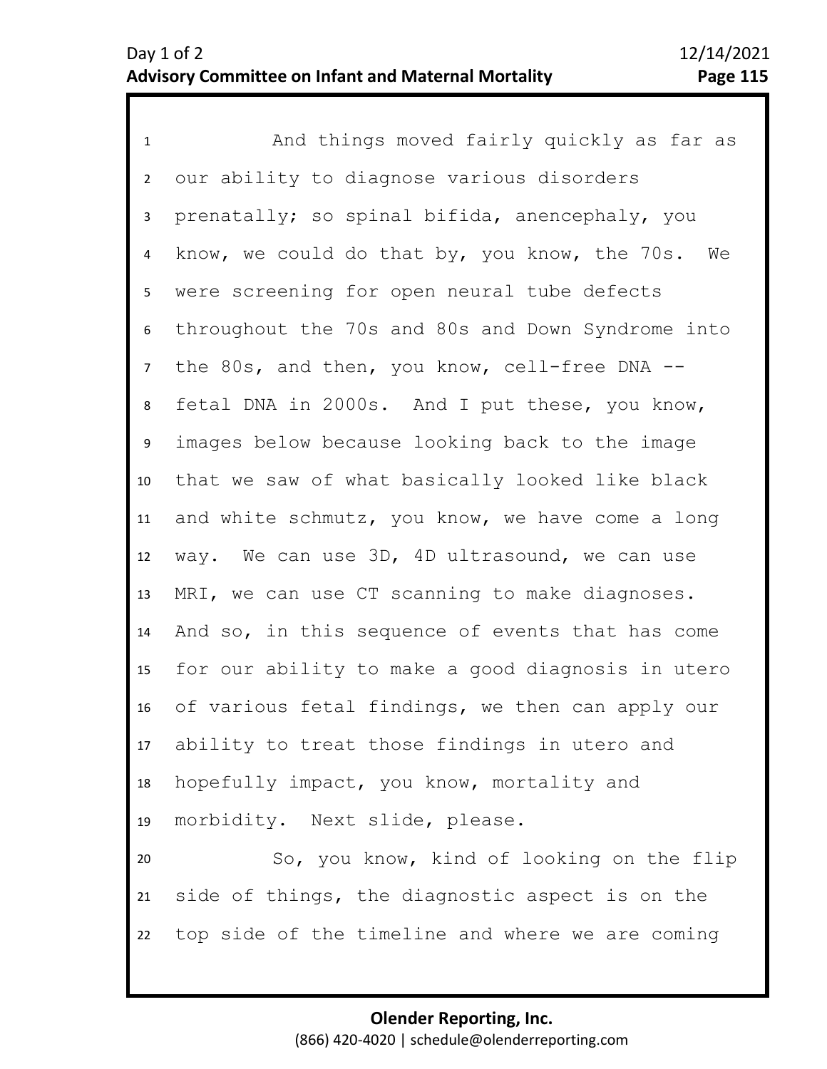1 And things moved fairly quickly as far as 2 3 4 7 8 9 10 11 12 13 14 15 16 17 18 19 20 5 6 our ability to diagnose various disorders prenatally; so spinal bifida, anencephaly, you know, we could do that by, you know, the 70s. We were screening for open neural tube defects throughout the 70s and 80s and Down Syndrome into the 80s, and then, you know, cell-free DNA - fetal DNA in 2000s. And I put these, you know, images below because looking back to the image that we saw of what basically looked like black and white schmutz, you know, we have come a long way. We can use 3D, 4D ultrasound, we can use MRI, we can use CT scanning to make diagnoses. And so, in this sequence of events that has come for our ability to make a good diagnosis in utero of various fetal findings, we then can apply our ability to treat those findings in utero and hopefully impact, you know, mortality and morbidity. Next slide, please. So, you know, kind of looking on the flip

21 22 side of things, the diagnostic aspect is on the top side of the timeline and where we are coming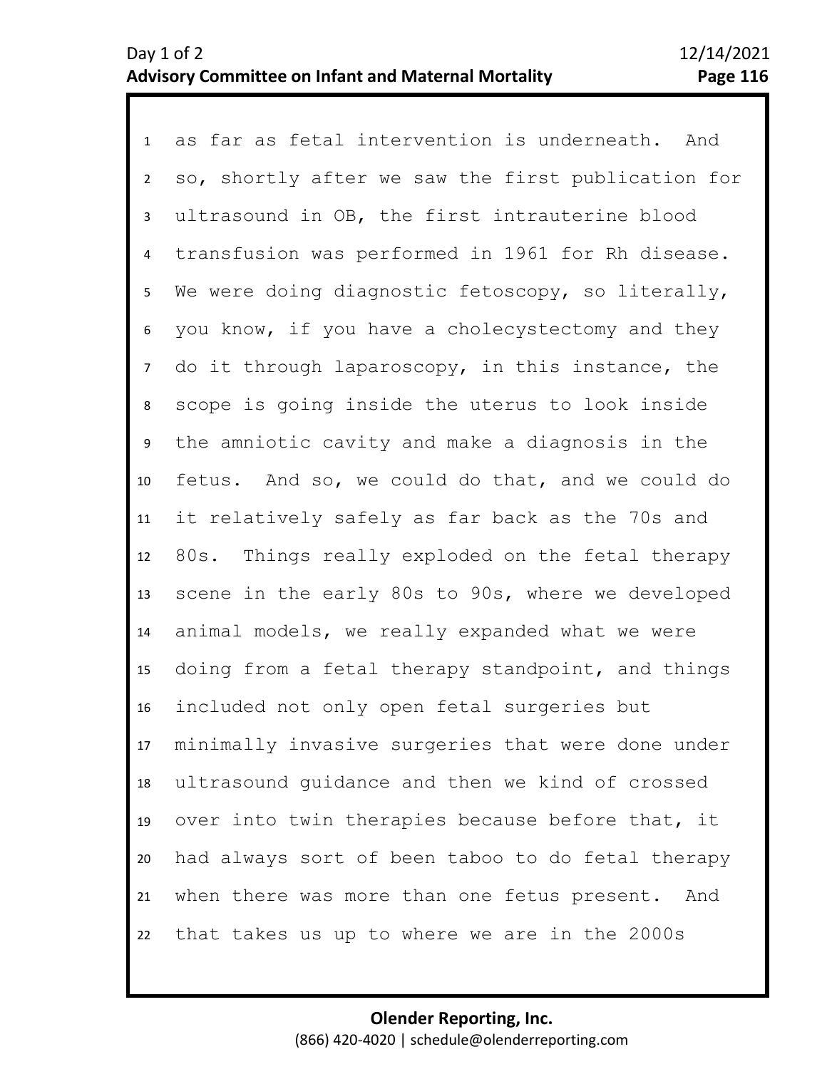1 as far as fetal intervention is underneath. And 2 3 4 7 8 9 10 11 12 13 14 15 16 17 18 19 20 21 22 5 6 so, shortly after we saw the first publication for ultrasound in OB, the first intrauterine blood transfusion was performed in 1961 for Rh disease. We were doing diagnostic fetoscopy, so literally, you know, if you have a cholecystectomy and they do it through laparoscopy, in this instance, the scope is going inside the uterus to look inside the amniotic cavity and make a diagnosis in the fetus. And so, we could do that, and we could do it relatively safely as far back as the 70s and 80s. Things really exploded on the fetal therapy scene in the early 80s to 90s, where we developed animal models, we really expanded what we were doing from a fetal therapy standpoint, and things included not only open fetal surgeries but minimally invasive surgeries that were done under ultrasound guidance and then we kind of crossed over into twin therapies because before that, it had always sort of been taboo to do fetal therapy when there was more than one fetus present. And that takes us up to where we are in the 2000s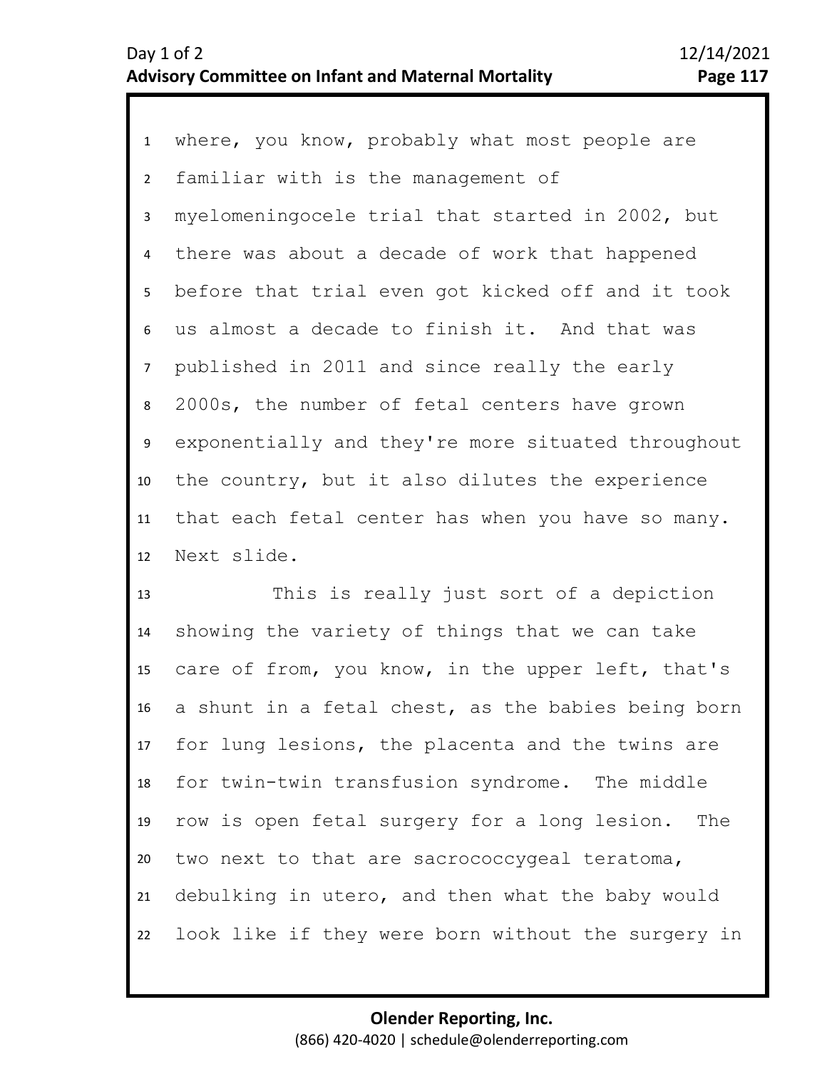1 where, you know, probably what most people are 2 3 4 7 8 9 10 11 12 5 6 familiar with is the management of myelomeningocele trial that started in 2002, but there was about a decade of work that happened before that trial even got kicked off and it took us almost a decade to finish it. And that was published in 2011 and since really the early 2000s, the number of fetal centers have grown exponentially and they're more situated throughout the country, but it also dilutes the experience that each fetal center has when you have so many. Next slide.

13 14 15 16 17 18 19 20 21 22 This is really just sort of a depiction showing the variety of things that we can take care of from, you know, in the upper left, that's a shunt in a fetal chest, as the babies being born for lung lesions, the placenta and the twins are for twin-twin transfusion syndrome. The middle row is open fetal surgery for a long lesion. The two next to that are sacrococcygeal teratoma, debulking in utero, and then what the baby would look like if they were born without the surgery in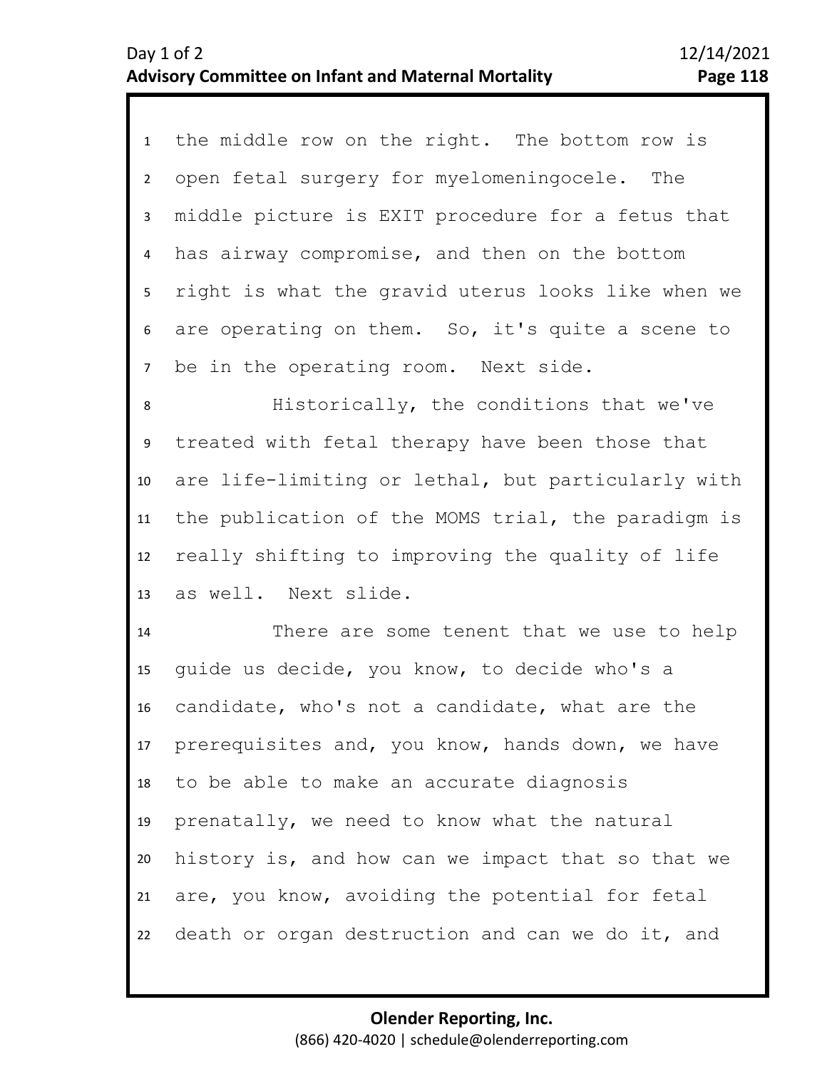1 the middle row on the right. The bottom row is 2 3 4 5 7 6 open fetal surgery for myelomeningocele. The middle picture is EXIT procedure for a fetus that has airway compromise, and then on the bottom right is what the gravid uterus looks like when we are operating on them. So, it's quite a scene to be in the operating room. Next side.

8 9 10 11 12 13 Historically, the conditions that we've treated with fetal therapy have been those that are life-limiting or lethal, but particularly with the publication of the MOMS trial, the paradigm is really shifting to improving the quality of life as well. Next slide.

14 15 16 17 18 19 20 21 22 There are some tenent that we use to help guide us decide, you know, to decide who's a candidate, who's not a candidate, what are the prerequisites and, you know, hands down, we have to be able to make an accurate diagnosis prenatally, we need to know what the natural history is, and how can we impact that so that we are, you know, avoiding the potential for fetal death or organ destruction and can we do it, and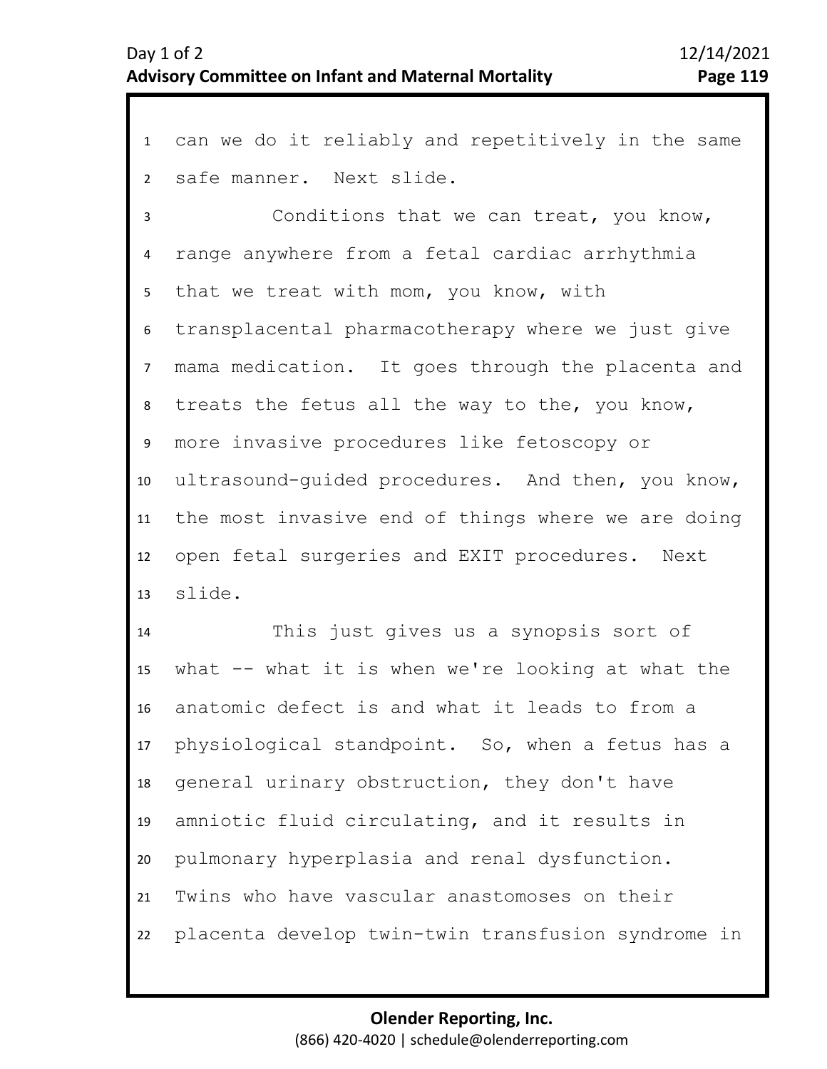can we do it reliably and repetitively in the same safe manner. Next slide.

 Conditions that we can treat, you know, range anywhere from a fetal cardiac arrhythmia that we treat with mom, you know, with transplacental pharmacotherapy where we just give mama medication. It goes through the placenta and treats the fetus all the way to the, you know, more invasive procedures like fetoscopy or ultrasound-guided procedures. And then, you know, the most invasive end of things where we are doing open fetal surgeries and EXIT procedures. Next slide.

 This just gives us a synopsis sort of what -- what it is when we're looking at what the anatomic defect is and what it leads to from a physiological standpoint. So, when a fetus has a general urinary obstruction, they don't have amniotic fluid circulating, and it results in pulmonary hyperplasia and renal dysfunction. Twins who have vascular anastomoses on their placenta develop twin-twin transfusion syndrome in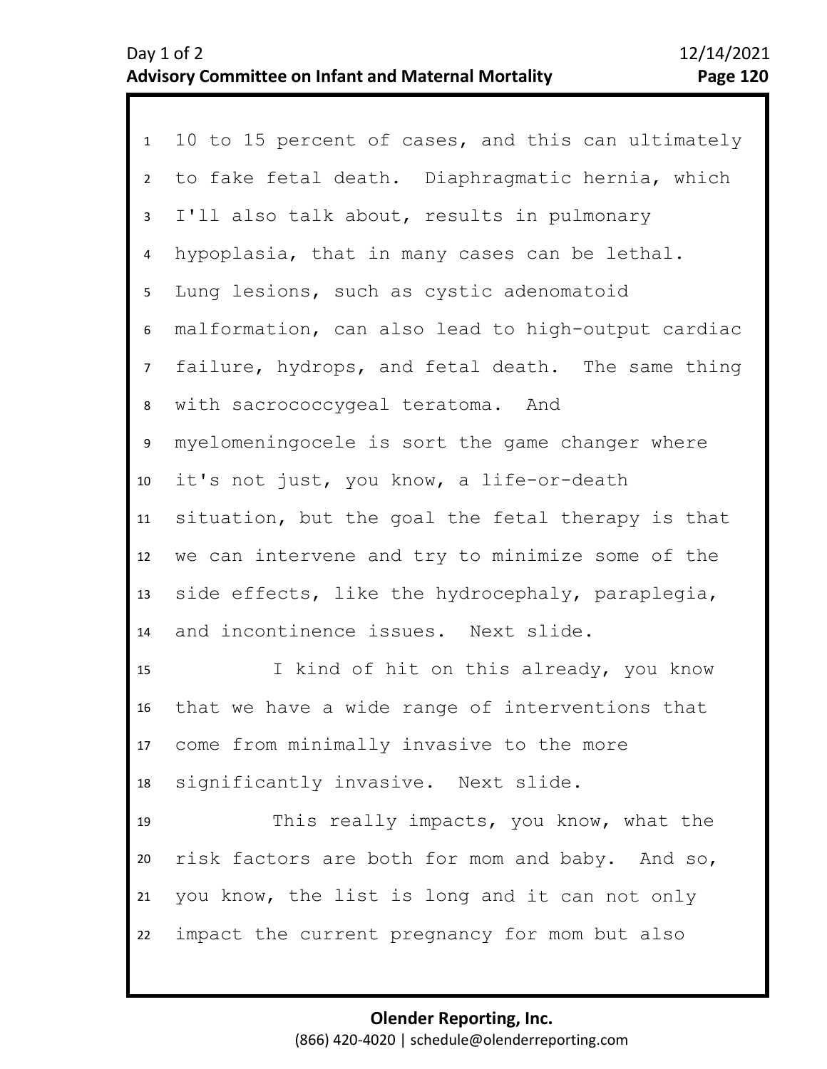| 1              | 10 to 15 percent of cases, and this can ultimately |
|----------------|----------------------------------------------------|
| $\overline{2}$ | to fake fetal death. Diaphragmatic hernia, which   |
| $\mathbf{3}$   | I'll also talk about, results in pulmonary         |
| 4              | hypoplasia, that in many cases can be lethal.      |
| 5 <sub>1</sub> | Lung lesions, such as cystic adenomatoid           |
| 6              | malformation, can also lead to high-output cardiac |
| 7 <sup>7</sup> | failure, hydrops, and fetal death. The same thing  |
| 8              | with sacrococcygeal teratoma. And                  |
| 9              | myelomeningocele is sort the game changer where    |
| 10             | it's not just, you know, a life-or-death           |
| 11             | situation, but the goal the fetal therapy is that  |
| 12             | we can intervene and try to minimize some of the   |
| 13             | side effects, like the hydrocephaly, paraplegia,   |
| 14             | and incontinence issues. Next slide.               |
| 15             | I kind of hit on this already, you know            |
| 16             | that we have a wide range of interventions that    |
|                | 17 come from minimally invasive to the more        |
| 18             | significantly invasive. Next slide.                |
| 19             | This really impacts, you know, what the            |
| 20             | risk factors are both for mom and baby. And so,    |
| 21             | you know, the list is long and it can not only     |
| 22             | impact the current pregnancy for mom but also      |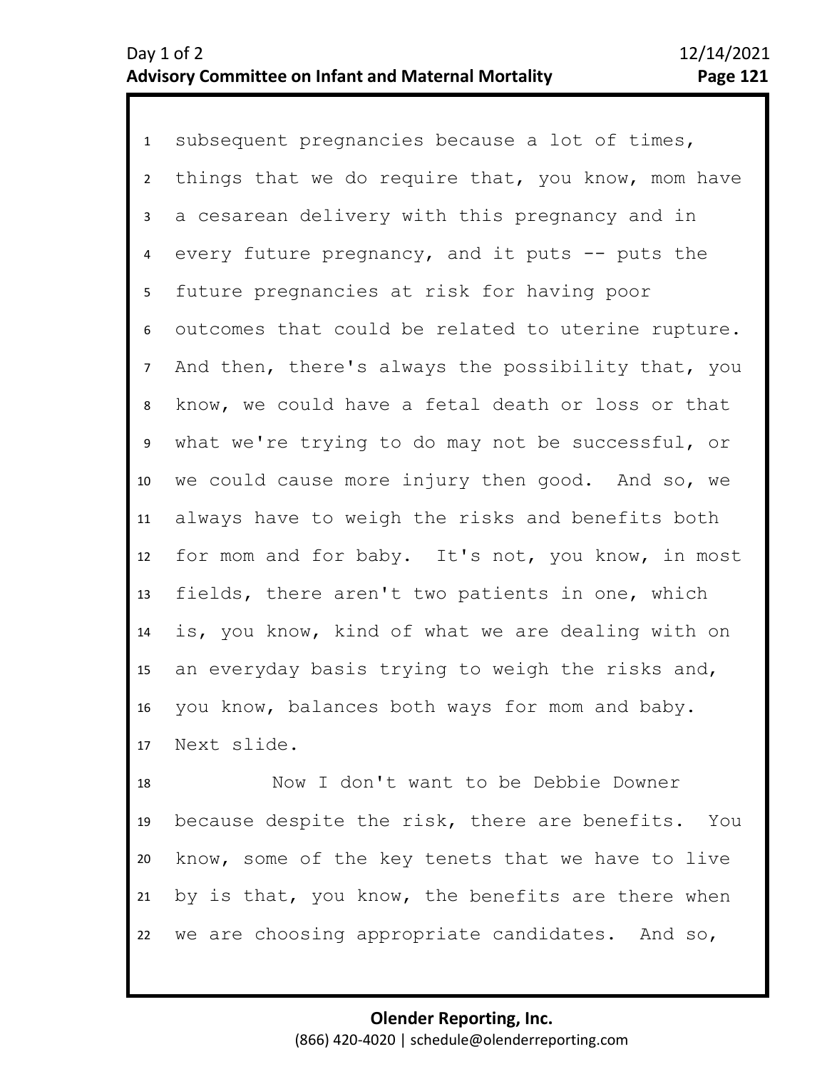1 subsequent pregnancies because a lot of times, 2 3 4 8 9 10 11 12 13 14 15 16 17 5 7 6 things that we do require that, you know, mom have a cesarean delivery with this pregnancy and in every future pregnancy, and it puts  $-$  puts the future pregnancies at risk for having poor outcomes that could be related to uterine rupture. And then, there's always the possibility that, you know, we could have a fetal death or loss or that what we're trying to do may not be successful, or we could cause more injury then good. And so, we always have to weigh the risks and benefits both for mom and for baby. It's not, you know, in most fields, there aren't two patients in one, which is, you know, kind of what we are dealing with on an everyday basis trying to weigh the risks and, you know, balances both ways for mom and baby. Next slide.

18 19 20 21 22 Now I don't want to be Debbie Downer because despite the risk, there are benefits. You know, some of the key tenets that we have to live by is that, you know, the benefits are there when we are choosing appropriate candidates. And so,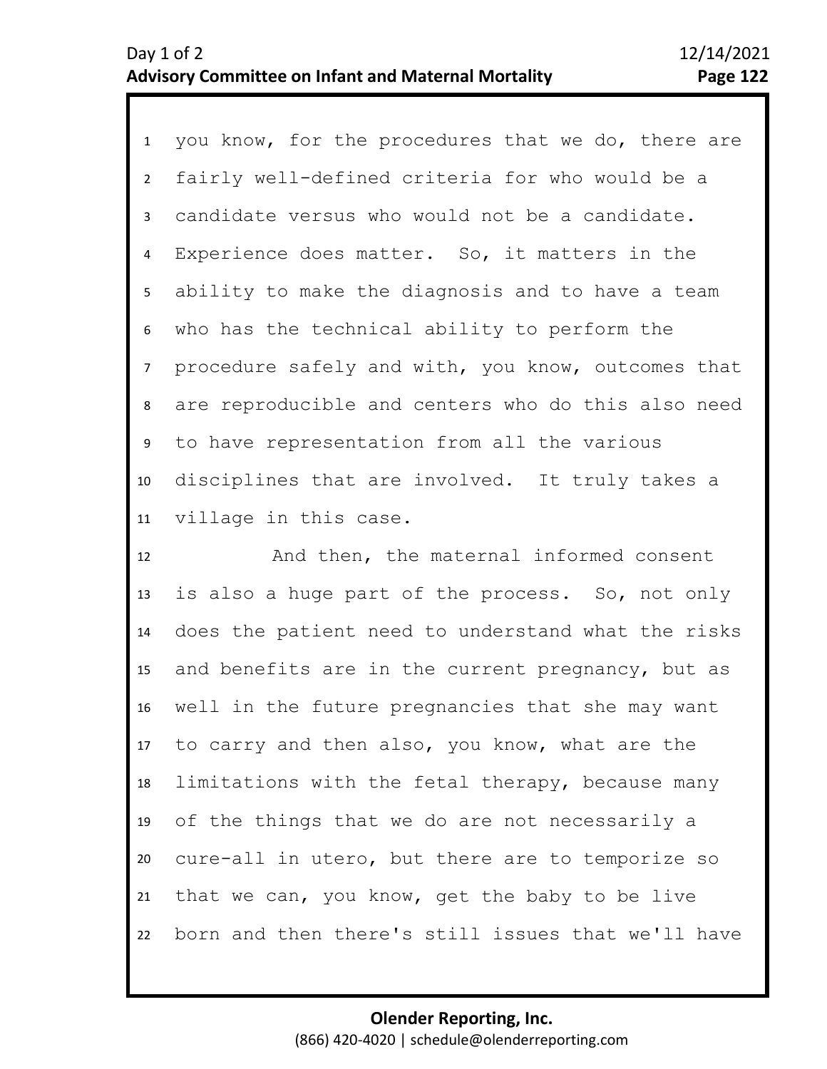1 you know, for the procedures that we do, there are 2 6 7 8 9 10 11 3 5 4 fairly well-defined criteria for who would be a candidate versus who would not be a candidate. Experience does matter. So, it matters in the ability to make the diagnosis and to have a team who has the technical ability to perform the procedure safely and with, you know, outcomes that are reproducible and centers who do this also need to have representation from all the various disciplines that are involved. It truly takes a village in this case.

12 13 14 15 16 17 18 19 20 21 22 And then, the maternal informed consent is also a huge part of the process. So, not only does the patient need to understand what the risks and benefits are in the current pregnancy, but as well in the future pregnancies that she may want to carry and then also, you know, what are the limitations with the fetal therapy, because many of the things that we do are not necessarily a cure-all in utero, but there are to temporize so that we can, you know, get the baby to be live born and then there's still issues that we'll have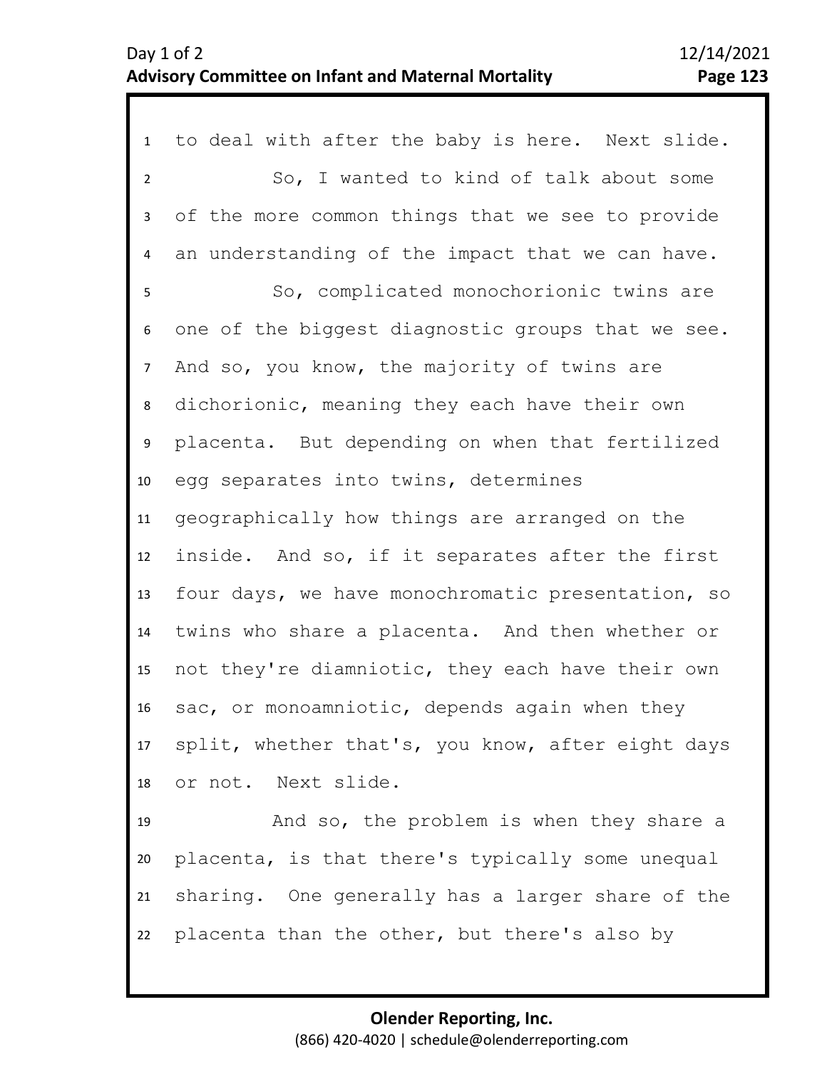| $\mathbf{1}$   | to deal with after the baby is here. Next slide.  |
|----------------|---------------------------------------------------|
| $\overline{2}$ | So, I wanted to kind of talk about some           |
| 3              | of the more common things that we see to provide  |
| 4              | an understanding of the impact that we can have.  |
| 5              | So, complicated monochorionic twins are           |
| 6              | one of the biggest diagnostic groups that we see. |
| 7 <sup>7</sup> | And so, you know, the majority of twins are       |
| 8              | dichorionic, meaning they each have their own     |
| 9              | placenta. But depending on when that fertilized   |
| 10             | egg separates into twins, determines              |
| 11             | geographically how things are arranged on the     |
| 12             | inside. And so, if it separates after the first   |
| 13             | four days, we have monochromatic presentation, so |
| 14             | twins who share a placenta. And then whether or   |
| 15             | not they're diamniotic, they each have their own  |
| 16             | sac, or monoamniotic, depends again when they     |
| 17             | split, whether that's, you know, after eight days |
| 18             | or not. Next slide.                               |
| 19             | And so, the problem is when they share a          |
| 20             | placenta, is that there's typically some unequal  |
| 21             | sharing. One generally has a larger share of the  |
| 22             | placenta than the other, but there's also by      |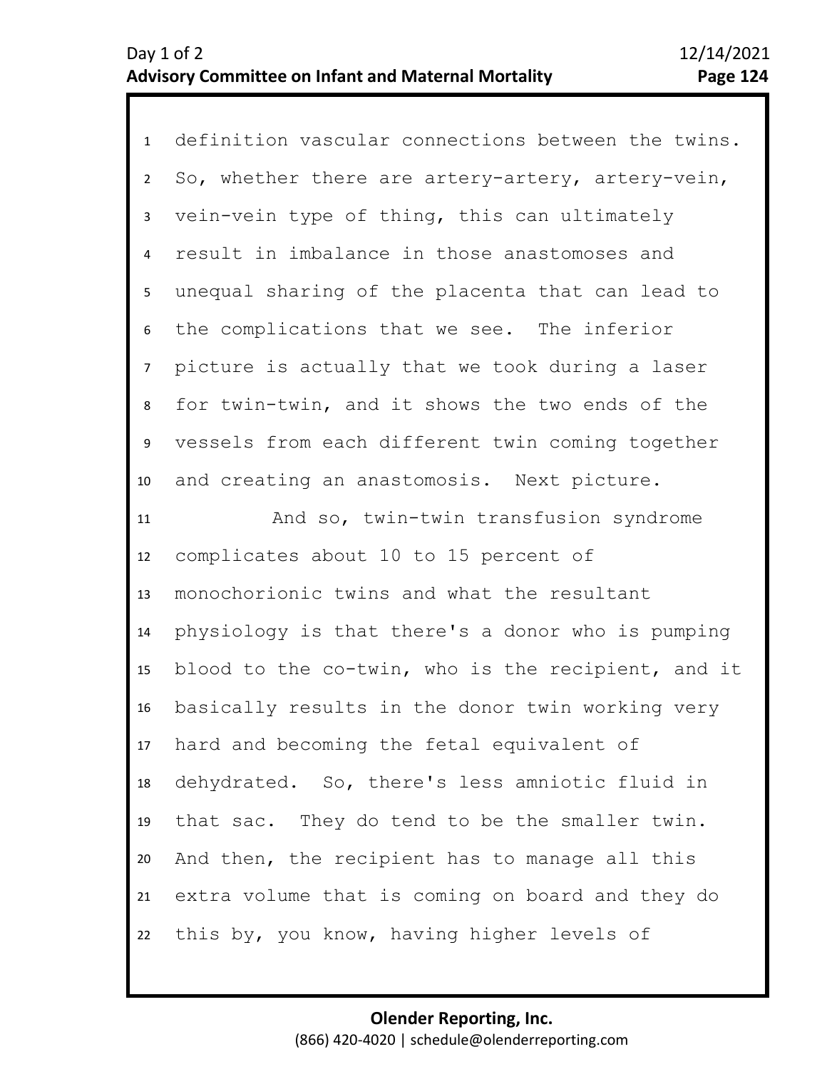1 definition vascular connections between the twins. 2 3 4 8 9 10 11 12 13 14 15 16 17 18 19 20 21 22 5 7 6 So, whether there are artery-artery, artery-vein, vein-vein type of thing, this can ultimately result in imbalance in those anastomoses and unequal sharing of the placenta that can lead to the complications that we see. The inferior picture is actually that we took during a laser for twin-twin, and it shows the two ends of the vessels from each different twin coming together and creating an anastomosis. Next picture. And so, twin-twin transfusion syndrome complicates about 10 to 15 percent of monochorionic twins and what the resultant physiology is that there's a donor who is pumping blood to the co-twin, who is the recipient, and it basically results in the donor twin working very hard and becoming the fetal equivalent of dehydrated. So, there's less amniotic fluid in that sac. They do tend to be the smaller twin. And then, the recipient has to manage all this extra volume that is coming on board and they do this by, you know, having higher levels of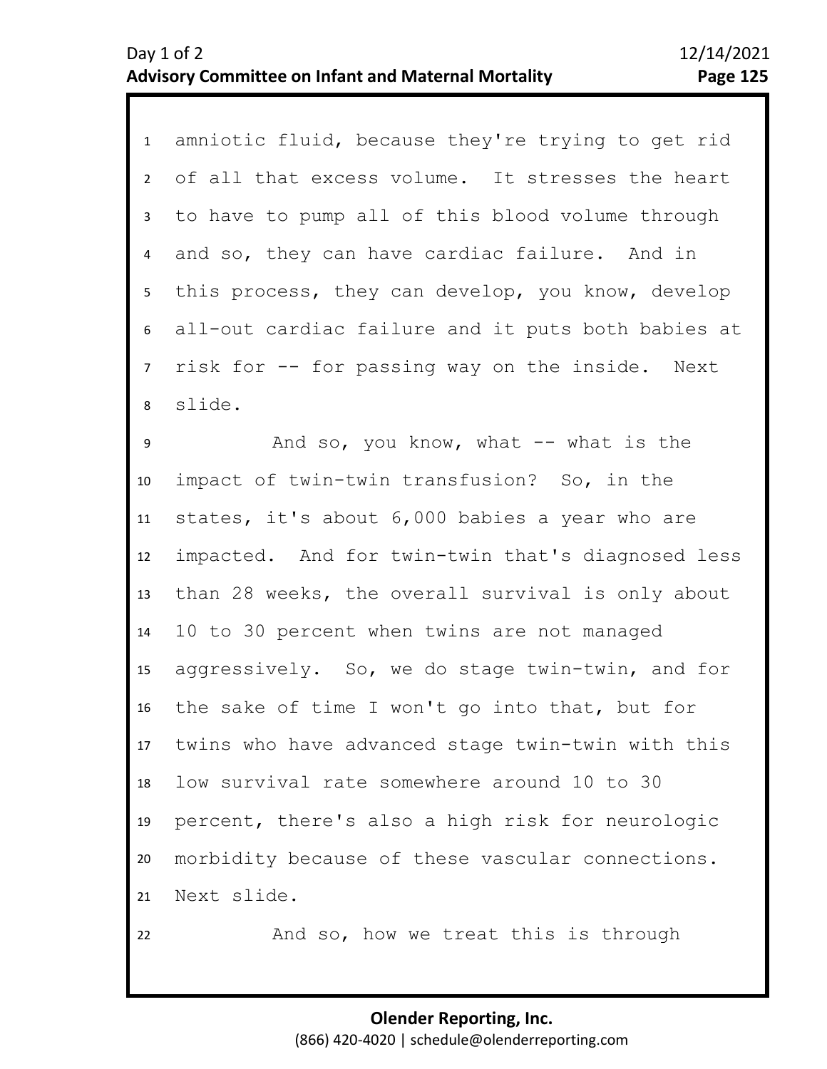1 amniotic fluid, because they're trying to get rid 2 3 4 8 5 7 6 of all that excess volume. It stresses the heart to have to pump all of this blood volume through and so, they can have cardiac failure. And in this process, they can develop, you know, develop all-out cardiac failure and it puts both babies at risk for -- for passing way on the inside. Next slide.

9 10 11 12 13 14 15 16 17 18 19 20 21 22 And so, you know, what  $--$  what is the impact of twin-twin transfusion? So, in the states, it's about 6,000 babies a year who are impacted. And for twin-twin that's diagnosed less than 28 weeks, the overall survival is only about 10 to 30 percent when twins are not managed aggressively. So, we do stage twin-twin, and for the sake of time I won't go into that, but for twins who have advanced stage twin-twin with this low survival rate somewhere around 10 to 30 percent, there's also a high risk for neurologic morbidity because of these vascular connections. Next slide. And so, how we treat this is through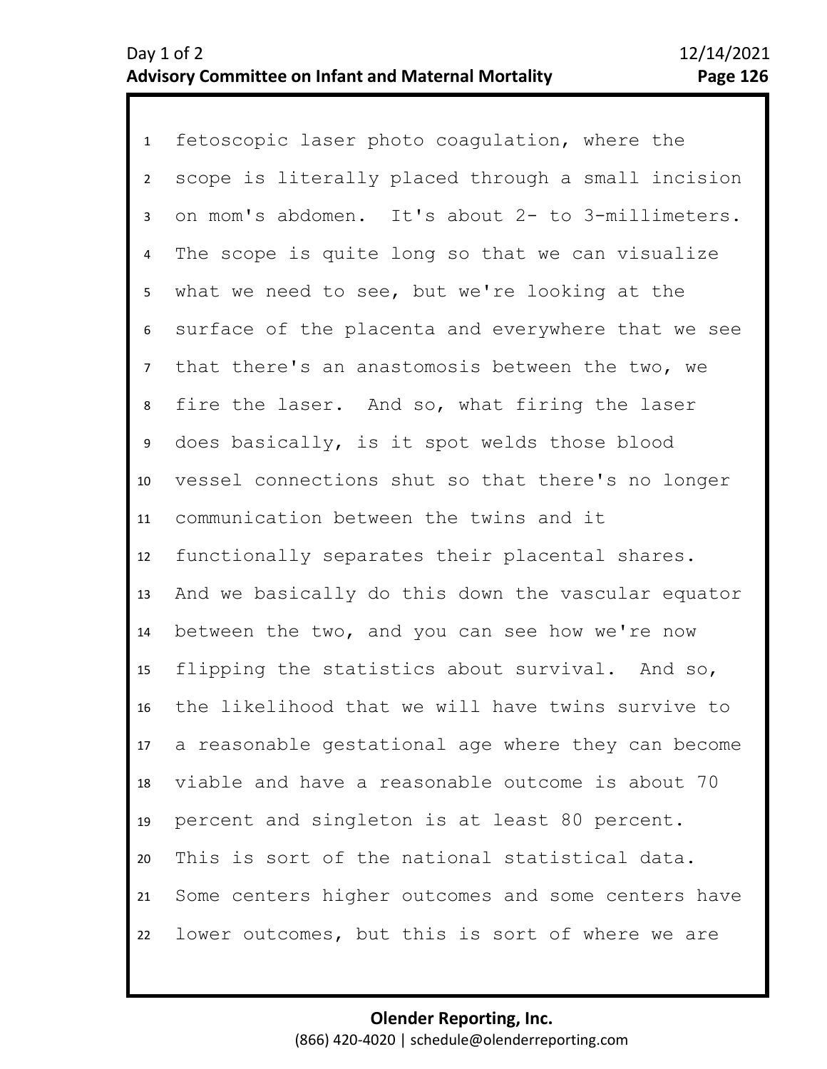1 fetoscopic laser photo coagulation, where the 2 3 4 7 8 9 10 11 12 13 14 15 16 17 18 19 20 21 22 5 6 scope is literally placed through a small incision on mom's abdomen. It's about 2- to 3-millimeters. The scope is quite long so that we can visualize what we need to see, but we're looking at the surface of the placenta and everywhere that we see that there's an anastomosis between the two, we fire the laser. And so, what firing the laser does basically, is it spot welds those blood vessel connections shut so that there's no longer communication between the twins and it functionally separates their placental shares. And we basically do this down the vascular equator between the two, and you can see how we're now flipping the statistics about survival. And so, the likelihood that we will have twins survive to a reasonable gestational age where they can become viable and have a reasonable outcome is about 70 percent and singleton is at least 80 percent. This is sort of the national statistical data. Some centers higher outcomes and some centers have lower outcomes, but this is sort of where we are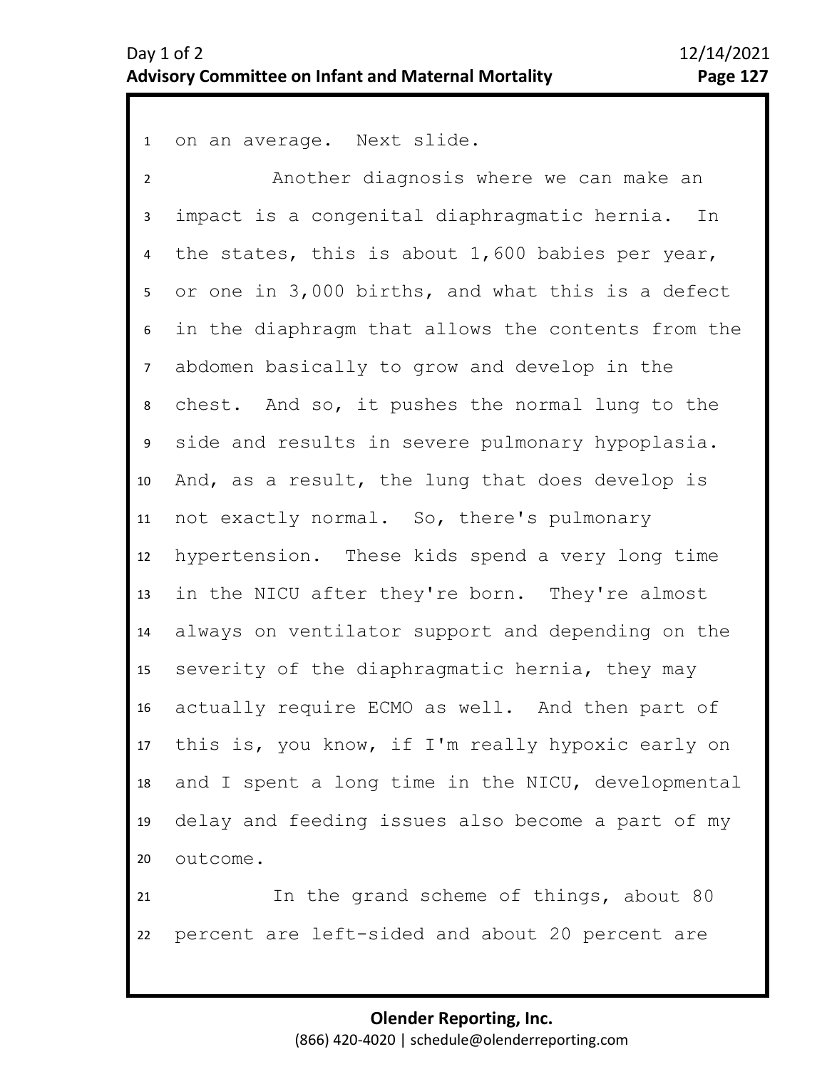1 on an average. Next slide.

2 3 4 8 9 10 11 12 13 14 15 16 17 18 19 20 5 7 6 Another diagnosis where we can make an impact is a congenital diaphragmatic hernia. In the states, this is about 1,600 babies per year, or one in 3,000 births, and what this is a defect in the diaphragm that allows the contents from the abdomen basically to grow and develop in the chest. And so, it pushes the normal lung to the side and results in severe pulmonary hypoplasia. And, as a result, the lung that does develop is not exactly normal. So, there's pulmonary hypertension. These kids spend a very long time in the NICU after they're born. They're almost always on ventilator support and depending on the severity of the diaphragmatic hernia, they may actually require ECMO as well. And then part of this is, you know, if I'm really hypoxic early on and I spent a long time in the NICU, developmental delay and feeding issues also become a part of my outcome.

21 22 In the grand scheme of things, about 80 percent are left-sided and about 20 percent are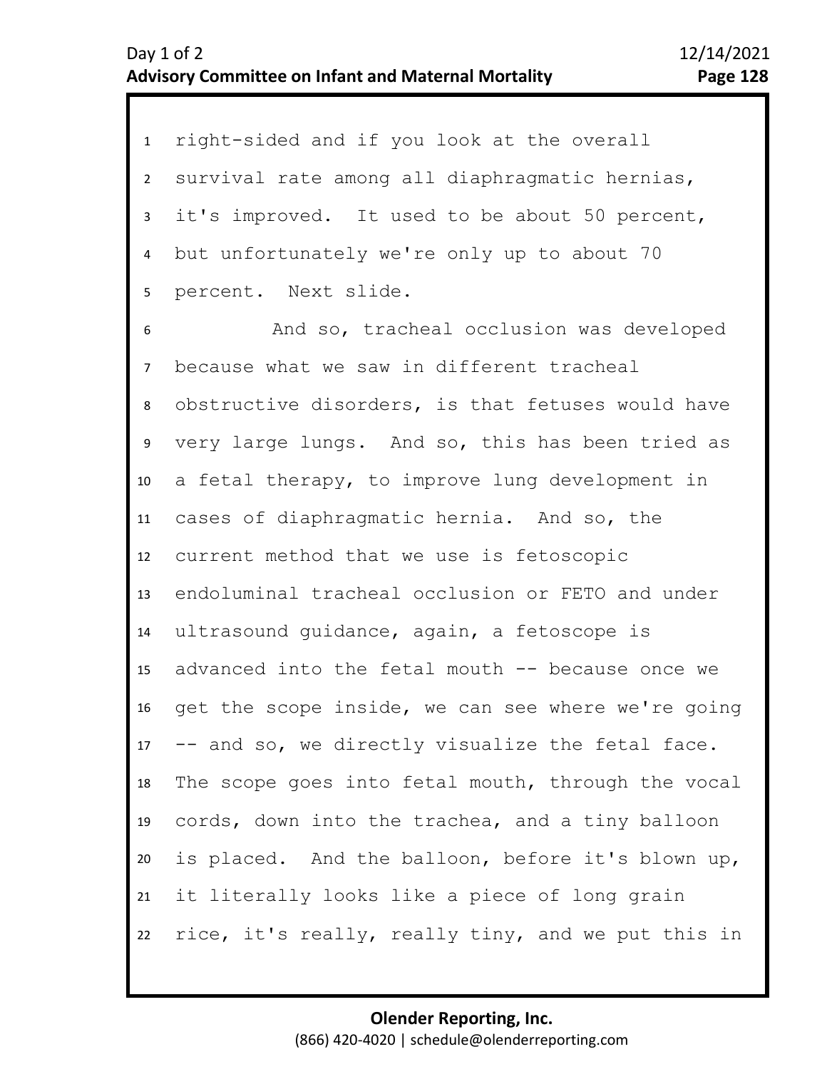| $\mathbf{1}$   | right-sided and if you look at the overall         |
|----------------|----------------------------------------------------|
| $2^{\circ}$    | survival rate among all diaphragmatic hernias,     |
| 3              | it's improved. It used to be about 50 percent,     |
| 4              | but unfortunately we're only up to about 70        |
| 5              | percent. Next slide.                               |
| 6              | And so, tracheal occlusion was developed           |
| $\overline{7}$ | because what we saw in different tracheal          |
| 8              | obstructive disorders, is that fetuses would have  |
| 9              | very large lungs. And so, this has been tried as   |
| 10             | a fetal therapy, to improve lung development in    |
| 11             | cases of diaphragmatic hernia. And so, the         |
| 12             | current method that we use is fetoscopic           |
| 13             | endoluminal tracheal occlusion or FETO and under   |
| 14             | ultrasound guidance, again, a fetoscope is         |
| 15             | advanced into the fetal mouth -- because once we   |
| 16             | get the scope inside, we can see where we're going |
| 17             | -- and so, we directly visualize the fetal face.   |
| 18             | The scope goes into fetal mouth, through the vocal |
| 19             | cords, down into the trachea, and a tiny balloon   |
| 20             | is placed. And the balloon, before it's blown up,  |
| 21             | it literally looks like a piece of long grain      |
| 22             | rice, it's really, really tiny, and we put this in |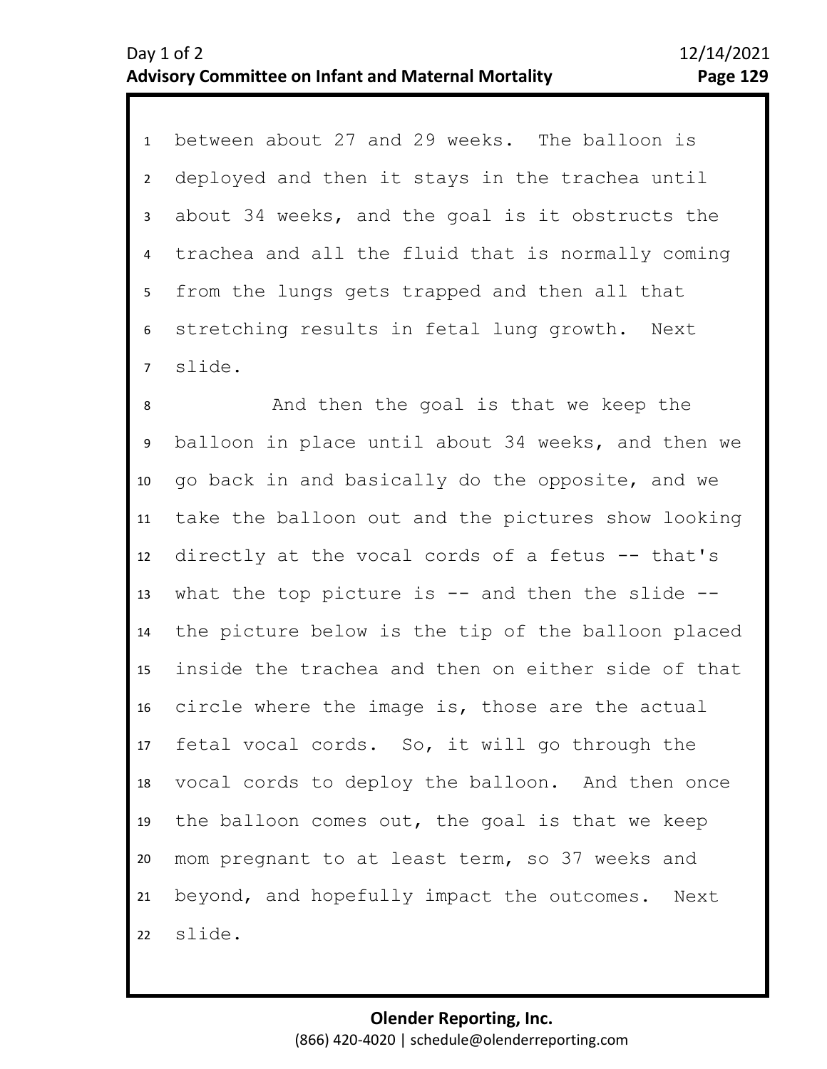1 between about 27 and 29 weeks. The balloon is 2 3 4 5 6 7 deployed and then it stays in the trachea until about 34 weeks, and the goal is it obstructs the trachea and all the fluid that is normally coming from the lungs gets trapped and then all that stretching results in fetal lung growth. Next slide.

10 11 12 13 14 15 16 17 18 19 20 21 22 8 9 And then the goal is that we keep the balloon in place until about 34 weeks, and then we go back in and basically do the opposite, and we take the balloon out and the pictures show looking directly at the vocal cords of a fetus -- that's what the top picture is  $-$  and then the slide  $-$ the picture below is the tip of the balloon placed inside the trachea and then on either side of that circle where the image is, those are the actual fetal vocal cords. So, it will go through the vocal cords to deploy the balloon. And then once the balloon comes out, the goal is that we keep mom pregnant to at least term, so 37 weeks and beyond, and hopefully impact the outcomes. Next slide.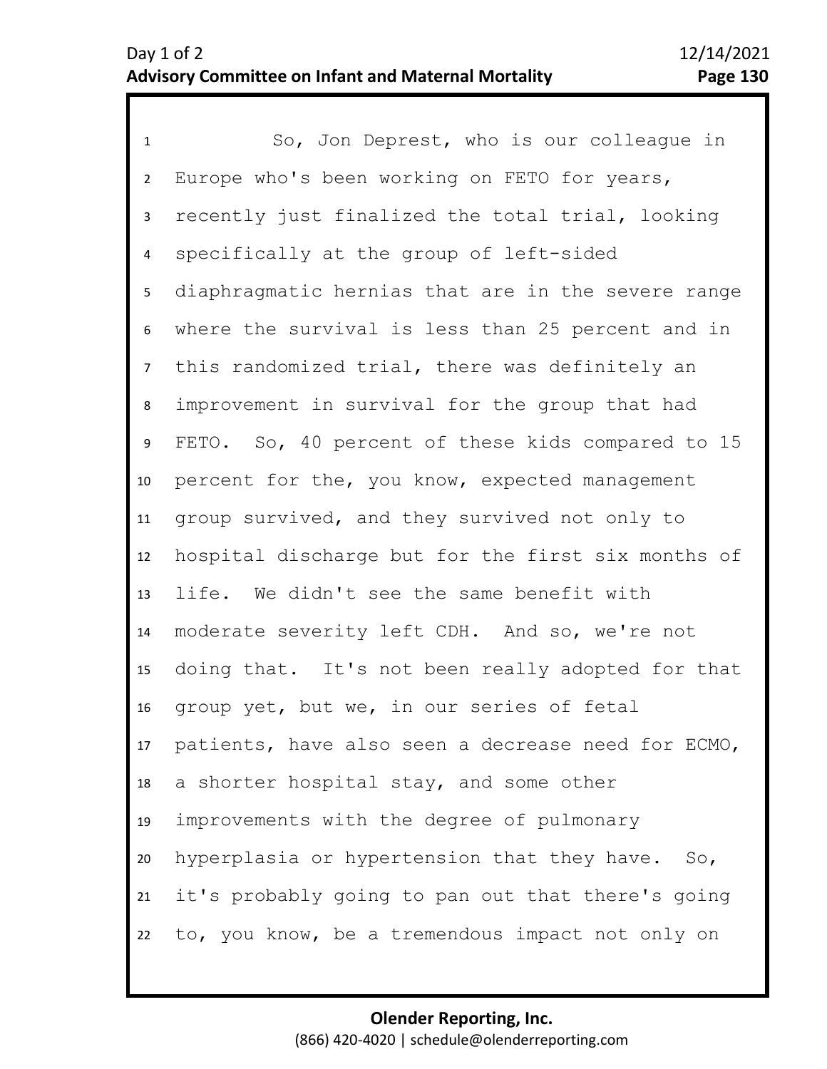1 So, Jon Deprest, who is our colleague in 2 3 4 5 9 10 11 12 13 14 15 16 17 18 19 20 21 22 6 8 7 Europe who's been working on FETO for years, recently just finalized the total trial, looking specifically at the group of left-sided diaphragmatic hernias that are in the severe range where the survival is less than 25 percent and in this randomized trial, there was definitely an improvement in survival for the group that had FETO. So, 40 percent of these kids compared to 15 percent for the, you know, expected management group survived, and they survived not only to hospital discharge but for the first six months of life. We didn't see the same benefit with moderate severity left CDH. And so, we're not doing that. It's not been really adopted for that group yet, but we, in our series of fetal patients, have also seen a decrease need for ECMO, a shorter hospital stay, and some other improvements with the degree of pulmonary hyperplasia or hypertension that they have. So, it's probably going to pan out that there's going to, you know, be a tremendous impact not only on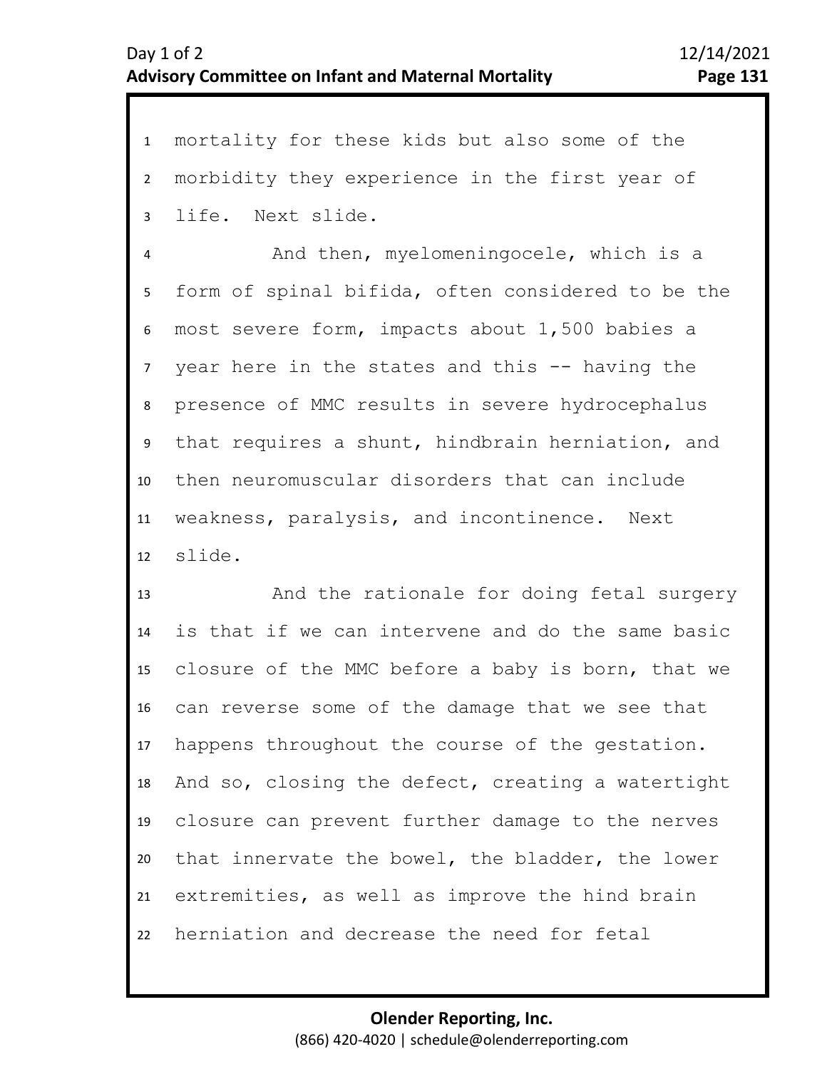1 mortality for these kids but also some of the 2 3 morbidity they experience in the first year of life. Next slide.

4 5 9 10 11 12 6 8 7 And then, myelomeningocele, which is a form of spinal bifida, often considered to be the most severe form, impacts about 1,500 babies a year here in the states and this -- having the presence of MMC results in severe hydrocephalus that requires a shunt, hindbrain herniation, and then neuromuscular disorders that can include weakness, paralysis, and incontinence. Next slide.

13 14 15 16 17 18 19 20 21 22 And the rationale for doing fetal surgery is that if we can intervene and do the same basic closure of the MMC before a baby is born, that we can reverse some of the damage that we see that happens throughout the course of the gestation. And so, closing the defect, creating a watertight closure can prevent further damage to the nerves that innervate the bowel, the bladder, the lower extremities, as well as improve the hind brain herniation and decrease the need for fetal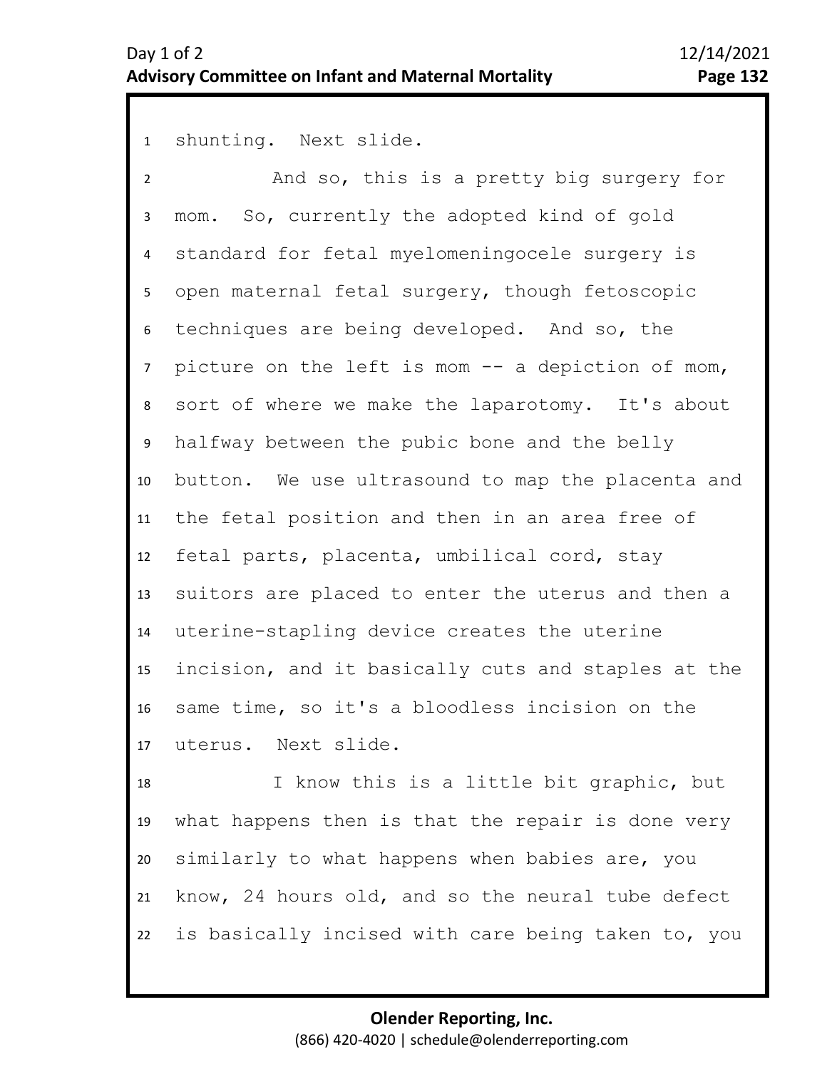shunting. Next slide.

 And so, this is a pretty big surgery for mom. So, currently the adopted kind of gold standard for fetal myelomeningocele surgery is open maternal fetal surgery, though fetoscopic techniques are being developed. And so, the picture on the left is mom -- a depiction of mom, sort of where we make the laparotomy. It's about halfway between the pubic bone and the belly button. We use ultrasound to map the placenta and the fetal position and then in an area free of fetal parts, placenta, umbilical cord, stay suitors are placed to enter the uterus and then a uterine-stapling device creates the uterine incision, and it basically cuts and staples at the same time, so it's a bloodless incision on the uterus. Next slide.

 I know this is a little bit graphic, but what happens then is that the repair is done very similarly to what happens when babies are, you know, 24 hours old, and so the neural tube defect is basically incised with care being taken to, you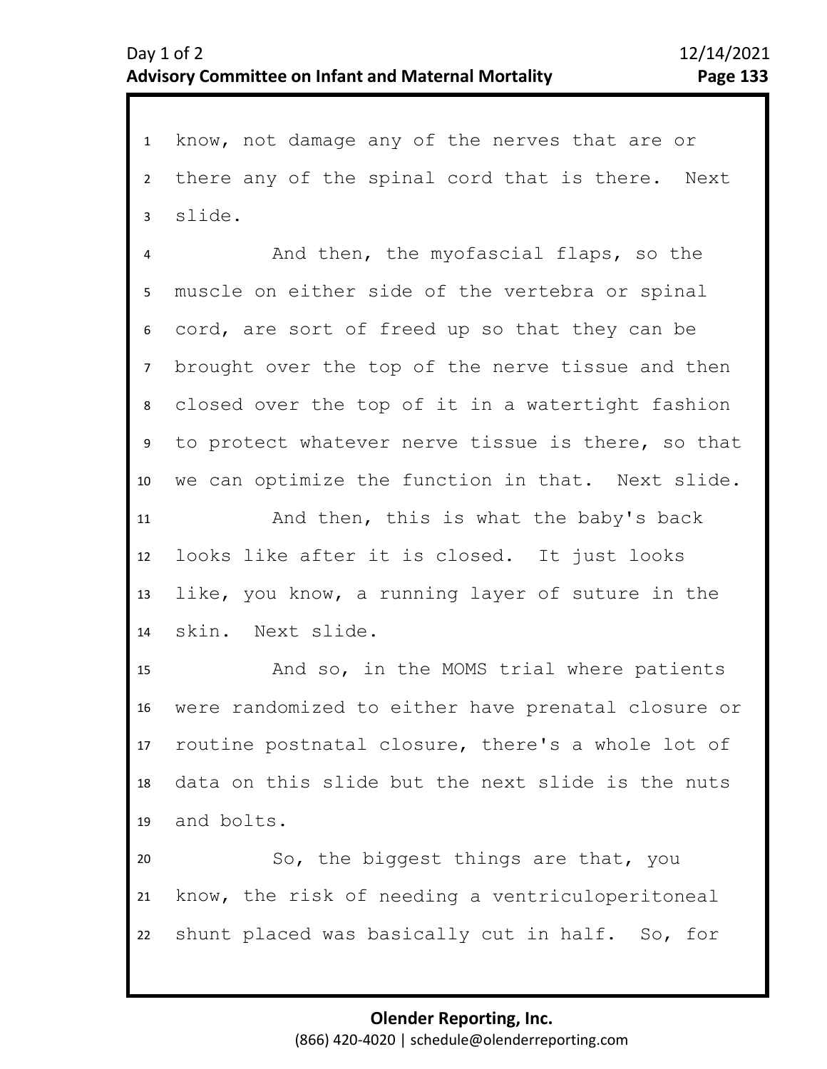1 know, not damage any of the nerves that are or 2 3 there any of the spinal cord that is there. Next slide.

4 8 9 10 5 7 6 And then, the myofascial flaps, so the muscle on either side of the vertebra or spinal cord, are sort of freed up so that they can be brought over the top of the nerve tissue and then closed over the top of it in a watertight fashion to protect whatever nerve tissue is there, so that we can optimize the function in that. Next slide.

11 12 13 14 And then, this is what the baby's back looks like after it is closed. It just looks like, you know, a running layer of suture in the skin. Next slide.

15 16 17 18 19 And so, in the MOMS trial where patients were randomized to either have prenatal closure or routine postnatal closure, there's a whole lot of data on this slide but the next slide is the nuts and bolts.

20 21 22 So, the biggest things are that, you know, the risk of needing a ventriculoperitoneal shunt placed was basically cut in half. So, for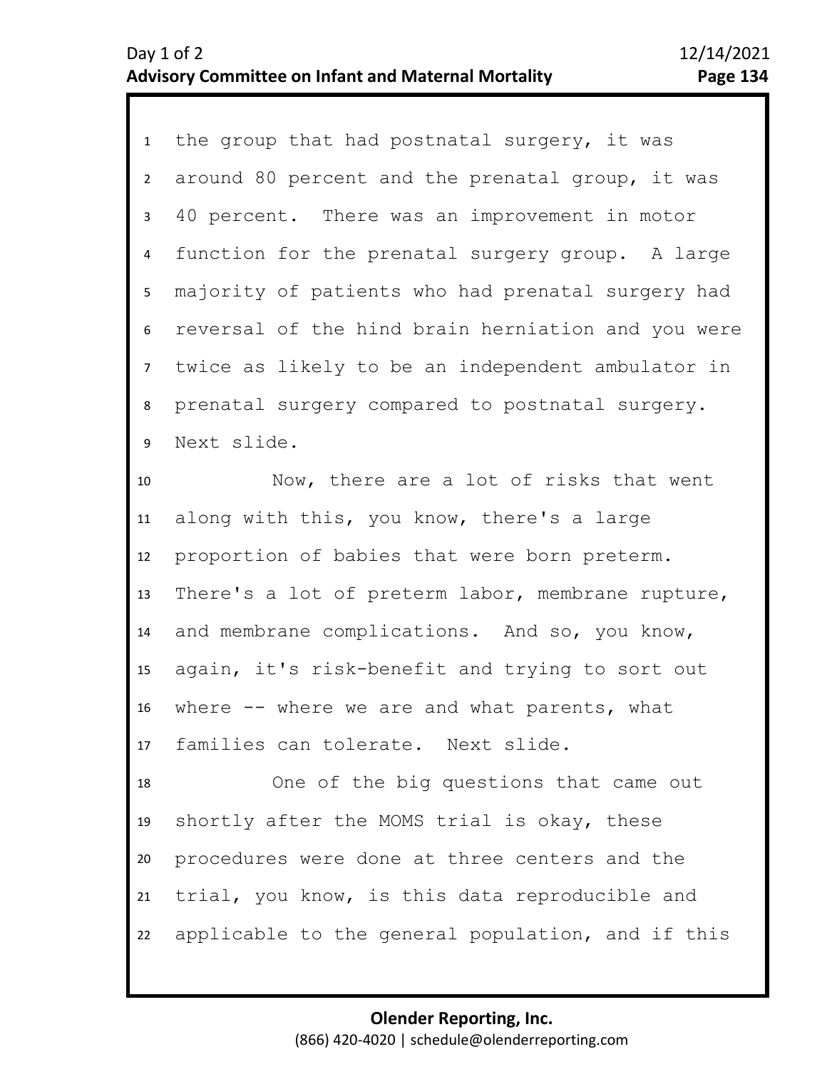1 the group that had postnatal surgery, it was 2 3 7 8 9 4 6 5 around 80 percent and the prenatal group, it was 40 percent. There was an improvement in motor function for the prenatal surgery group. A large majority of patients who had prenatal surgery had reversal of the hind brain herniation and you were twice as likely to be an independent ambulator in prenatal surgery compared to postnatal surgery. Next slide.

10 11 12 13 14 15 16 17 Now, there are a lot of risks that went along with this, you know, there's a large proportion of babies that were born preterm. There's a lot of preterm labor, membrane rupture, and membrane complications. And so, you know, again, it's risk-benefit and trying to sort out where -- where we are and what parents, what families can tolerate. Next slide.

18 19 20 21 22 One of the big questions that came out shortly after the MOMS trial is okay, these procedures were done at three centers and the trial, you know, is this data reproducible and applicable to the general population, and if this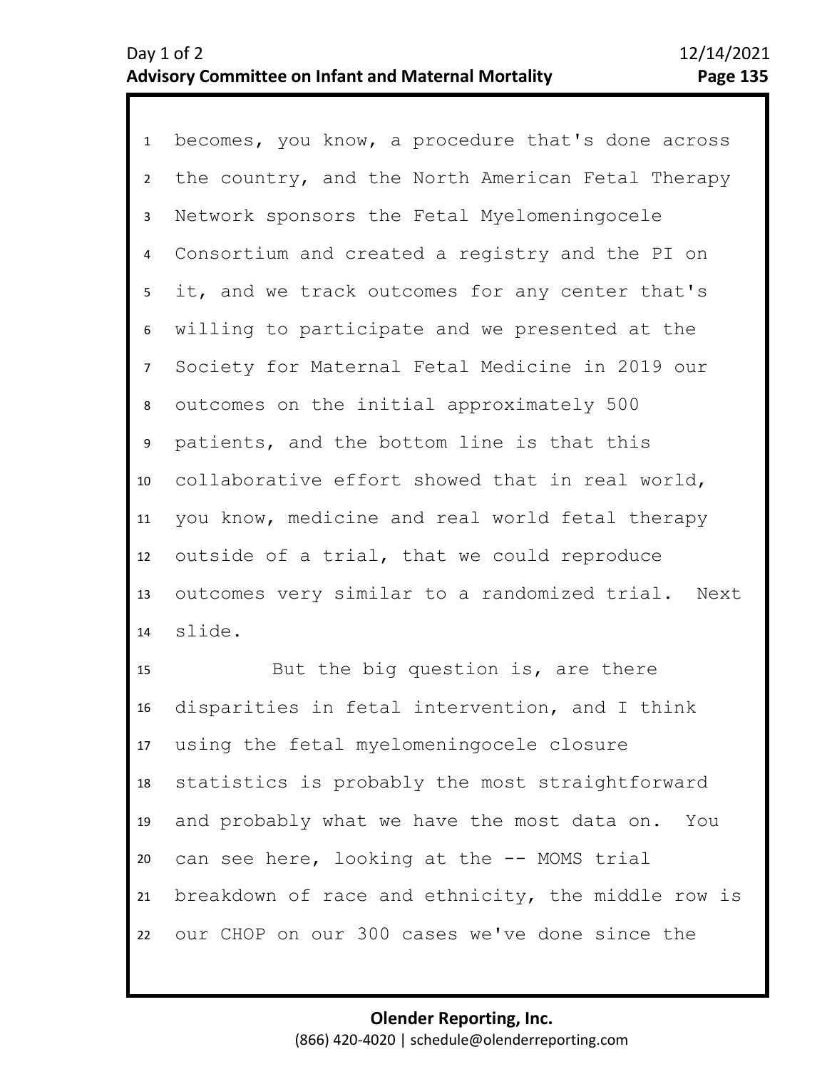1 becomes, you know, a procedure that's done across 2 3 7 8 9 10 11 12 13 14 4 6 5 the country, and the North American Fetal Therapy Network sponsors the Fetal Myelomeningocele Consortium and created a registry and the PI on it, and we track outcomes for any center that's willing to participate and we presented at the Society for Maternal Fetal Medicine in 2019 our outcomes on the initial approximately 500 patients, and the bottom line is that this collaborative effort showed that in real world, you know, medicine and real world fetal therapy outside of a trial, that we could reproduce outcomes very similar to a randomized trial. Next slide.

15 16 17 18 19 20 21 22 But the big question is, are there disparities in fetal intervention, and I think using the fetal myelomeningocele closure statistics is probably the most straightforward and probably what we have the most data on. You can see here, looking at the -- MOMS trial breakdown of race and ethnicity, the middle row is our CHOP on our 300 cases we've done since the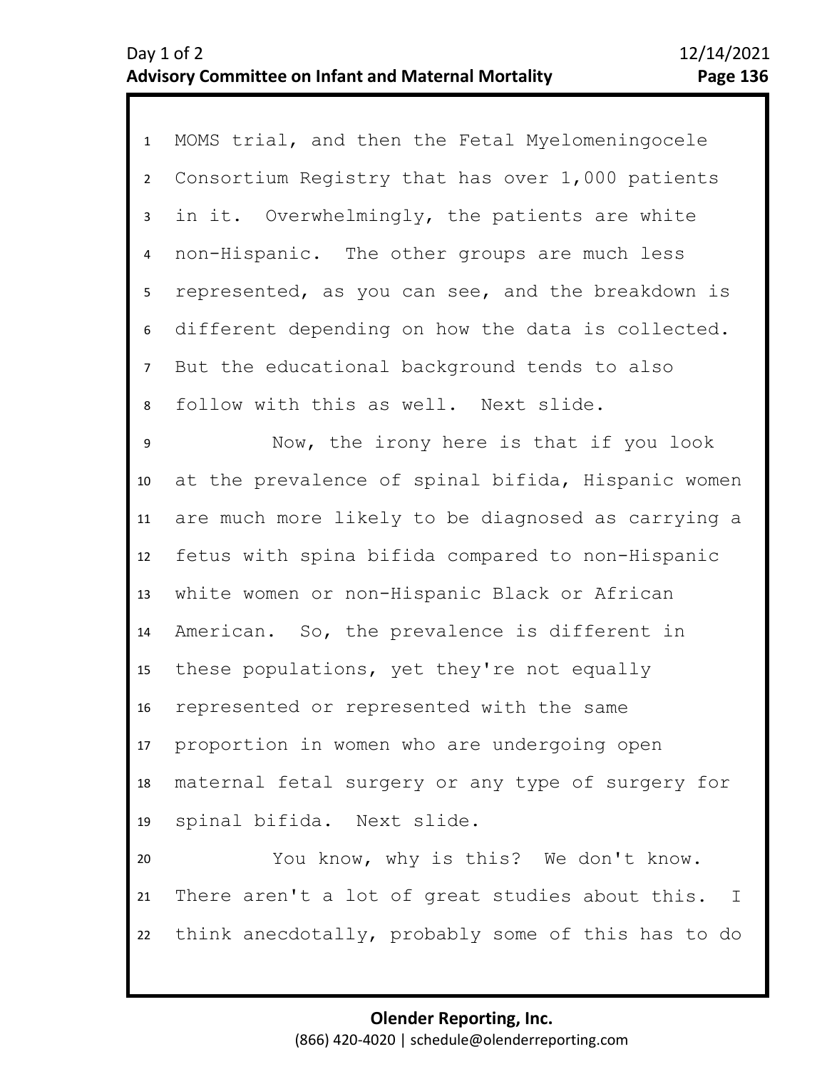1 MOMS trial, and then the Fetal Myelomeningocele 2 6 7 8 3 5 4 Consortium Registry that has over 1,000 patients in it. Overwhelmingly, the patients are white non-Hispanic. The other groups are much less represented, as you can see, and the breakdown is different depending on how the data is collected. But the educational background tends to also follow with this as well. Next slide.

9 10 11 12 13 14 15 16 17 18 19 Now, the irony here is that if you look at the prevalence of spinal bifida, Hispanic women are much more likely to be diagnosed as carrying a fetus with spina bifida compared to non-Hispanic white women or non-Hispanic Black or African American. So, the prevalence is different in these populations, yet they're not equally represented or represented with the same proportion in women who are undergoing open maternal fetal surgery or any type of surgery for spinal bifida. Next slide.

20 21 22 You know, why is this? We don't know. There aren't a lot of great studies about this. I think anecdotally, probably some of this has to do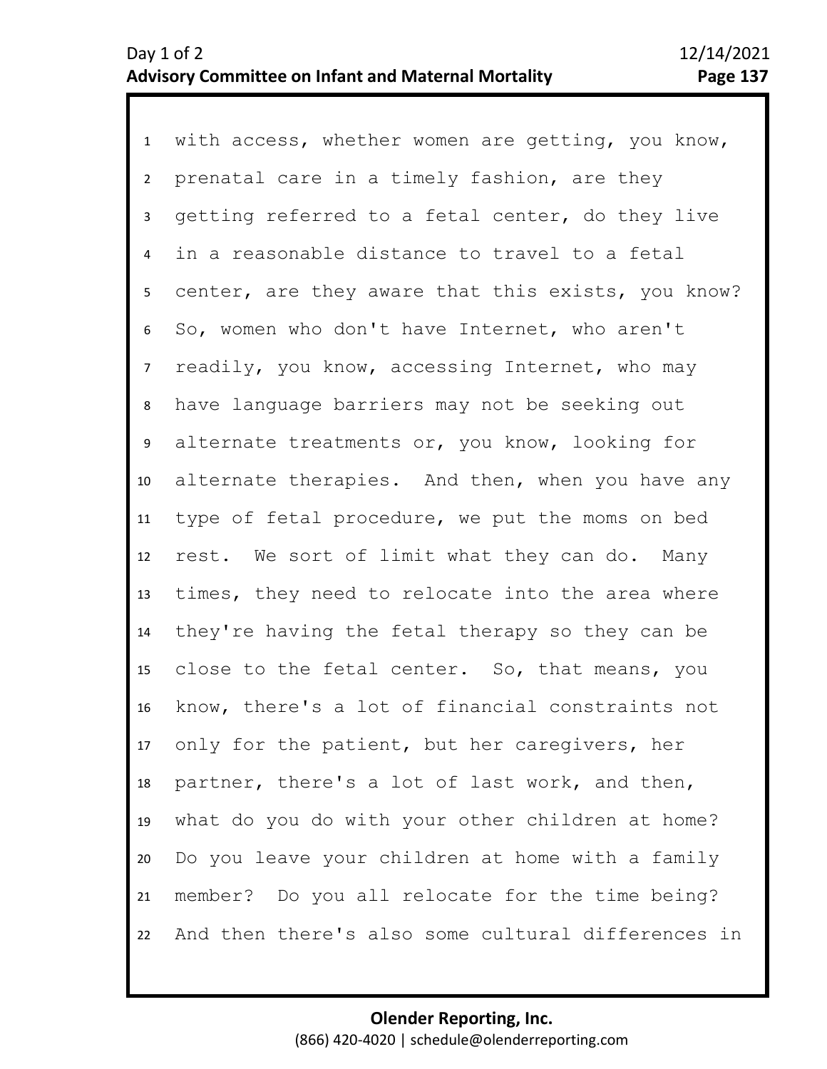1 with access, whether women are getting, you know, 2 6 7 8 9 10 11 12 13 14 15 16 17 18 19 20 21 22 3 5 4 prenatal care in a timely fashion, are they getting referred to a fetal center, do they live in a reasonable distance to travel to a fetal center, are they aware that this exists, you know? So, women who don't have Internet, who aren't readily, you know, accessing Internet, who may have language barriers may not be seeking out alternate treatments or, you know, looking for alternate therapies. And then, when you have any type of fetal procedure, we put the moms on bed rest. We sort of limit what they can do. Many times, they need to relocate into the area where they're having the fetal therapy so they can be close to the fetal center. So, that means, you know, there's a lot of financial constraints not only for the patient, but her caregivers, her partner, there's a lot of last work, and then, what do you do with your other children at home? Do you leave your children at home with a family member? Do you all relocate for the time being? And then there's also some cultural differences in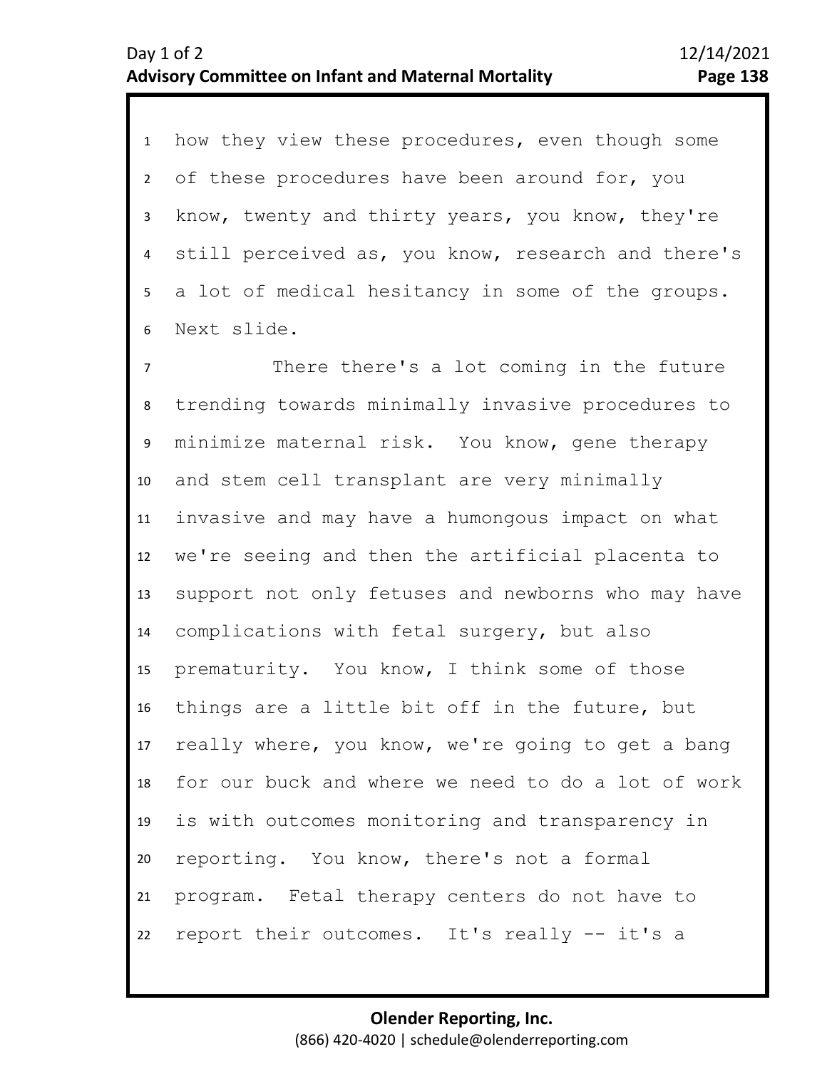1 how they view these procedures, even though some 6 2 5 3 4 of these procedures have been around for, you know, twenty and thirty years, you know, they're still perceived as, you know, research and there's a lot of medical hesitancy in some of the groups. Next slide.

7 8 9 10 11 12 13 14 15 16 17 18 19 20 21 22 There there's a lot coming in the future trending towards minimally invasive procedures to minimize maternal risk. You know, gene therapy and stem cell transplant are very minimally invasive and may have a humongous impact on what we're seeing and then the artificial placenta to support not only fetuses and newborns who may have complications with fetal surgery, but also prematurity. You know, I think some of those things are a little bit off in the future, but really where, you know, we're going to get a bang for our buck and where we need to do a lot of work is with outcomes monitoring and transparency in reporting. You know, there's not a formal program. Fetal therapy centers do not have to report their outcomes. It's really -- it's a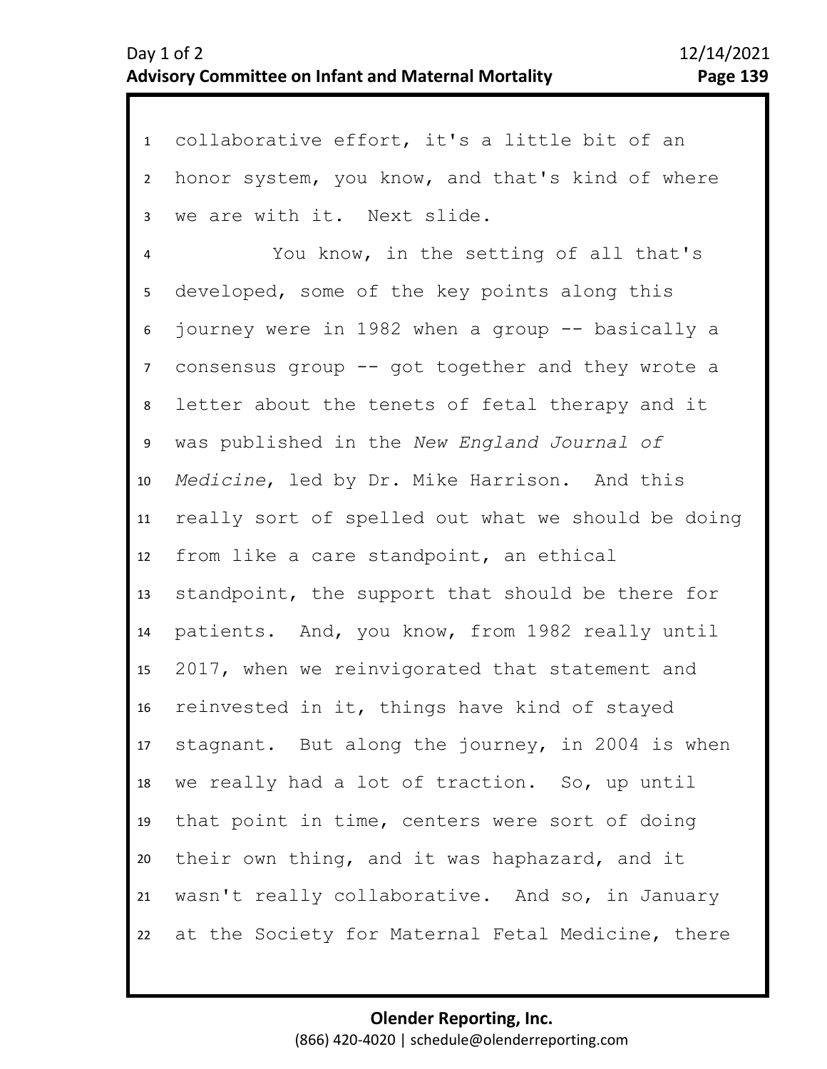1 collaborative effort, it's a little bit of an 2 3 6 7 8 9 10 11 12 13 14 15 16 17 18 19 20 21 22 4 5 honor system, you know, and that's kind of where we are with it. Next slide. You know, in the setting of all that's developed, some of the key points along this journey were in 1982 when a group -- basically a consensus group -- got together and they wrote a letter about the tenets of fetal therapy and it was published in the *New England Journal of Medicine*, led by Dr. Mike Harrison. And this really sort of spelled out what we should be doing from like a care standpoint, an ethical standpoint, the support that should be there for patients. And, you know, from 1982 really until 2017, when we reinvigorated that statement and reinvested in it, things have kind of stayed stagnant. But along the journey, in 2004 is when we really had a lot of traction. So, up until that point in time, centers were sort of doing their own thing, and it was haphazard, and it wasn't really collaborative. And so, in January at the Society for Maternal Fetal Medicine, there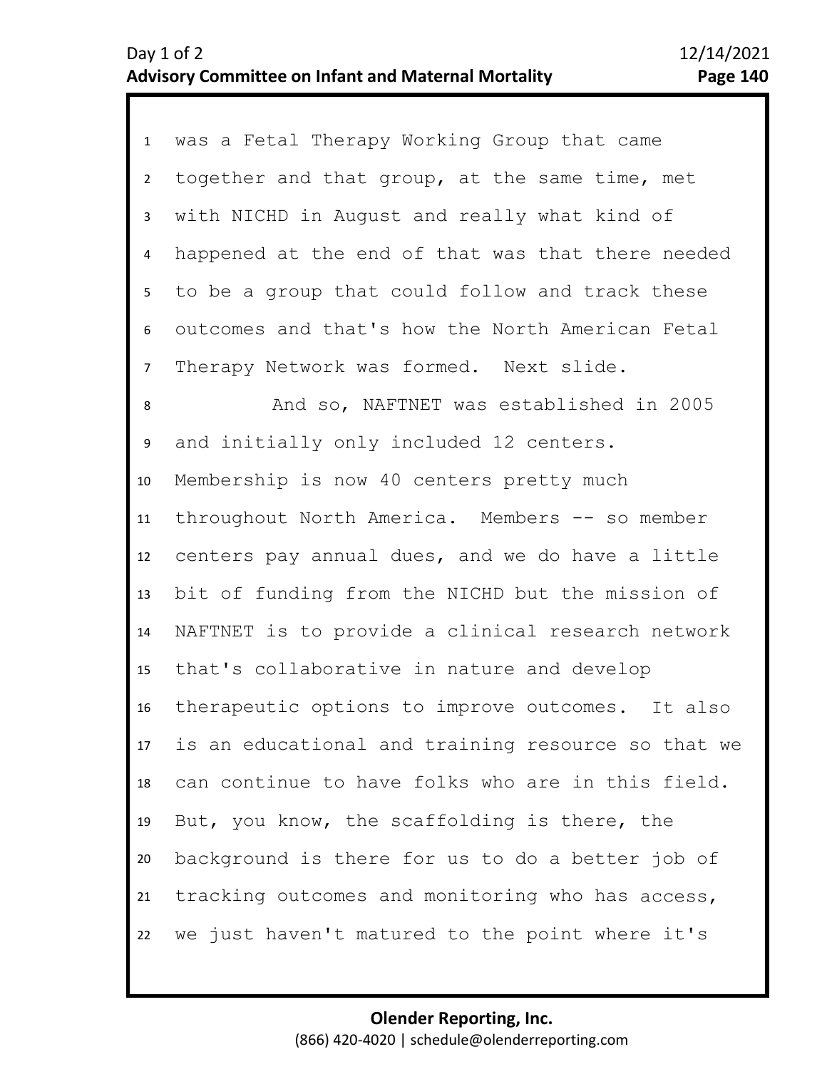| 1               | was a Fetal Therapy Working Group that came        |
|-----------------|----------------------------------------------------|
| $2^{\circ}$     | together and that group, at the same time, met     |
| $\mathbf{3}$    | with NICHD in August and really what kind of       |
| 4               | happened at the end of that was that there needed  |
| 5 <sub>1</sub>  | to be a group that could follow and track these    |
| 6               | outcomes and that's how the North American Fetal   |
| $\overline{7}$  | Therapy Network was formed. Next slide.            |
| 8               | And so, NAFTNET was established in 2005            |
| 9               | and initially only included 12 centers.            |
| 10              | Membership is now 40 centers pretty much           |
| 11              | throughout North America. Members -- so member     |
| 12              | centers pay annual dues, and we do have a little   |
| 13              | bit of funding from the NICHD but the mission of   |
| 14              | NAFTNET is to provide a clinical research network  |
| 15 <sub>1</sub> | that's collaborative in nature and develop         |
| 16              | therapeutic options to improve outcomes. It also   |
| 17 <sup>7</sup> | is an educational and training resource so that we |
| 18              | can continue to have folks who are in this field.  |
| 19              | But, you know, the scaffolding is there, the       |
| 20              | background is there for us to do a better job of   |
| 21              | tracking outcomes and monitoring who has access,   |
| 22              | we just haven't matured to the point where it's    |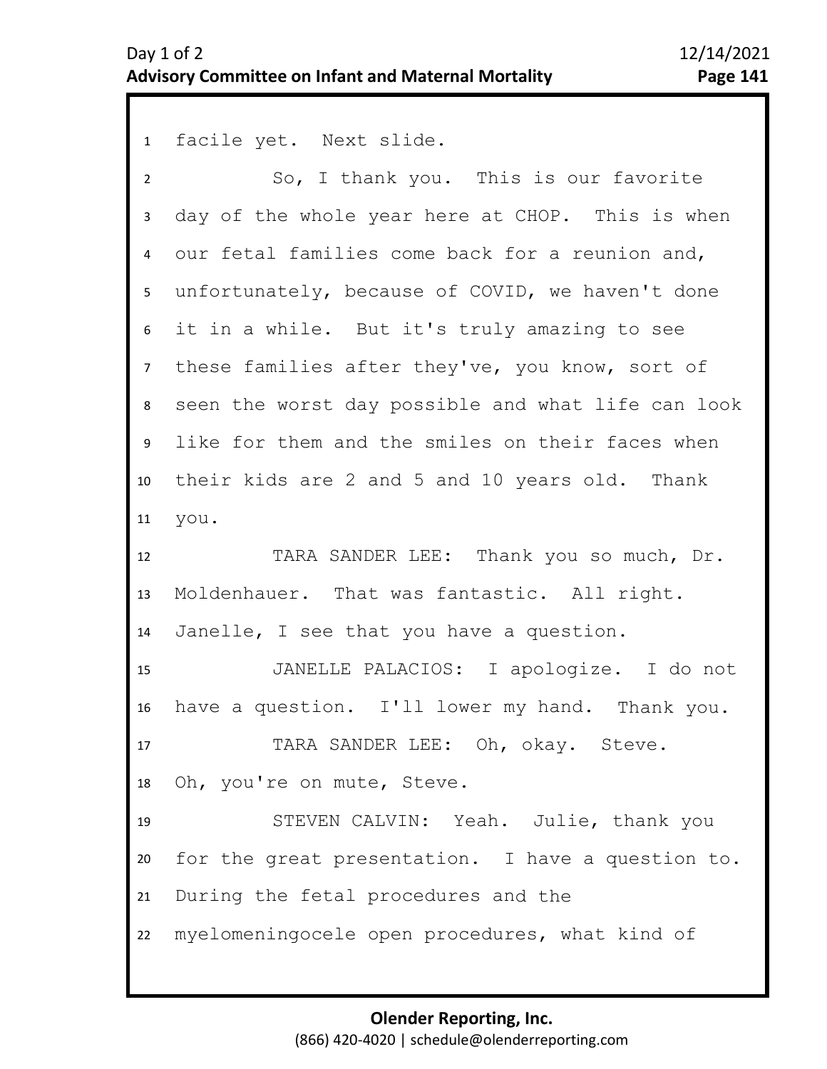1 facile yet. Next slide.

| $\overline{2}$  | So, I thank you. This is our favorite              |
|-----------------|----------------------------------------------------|
| 3               | day of the whole year here at CHOP. This is when   |
| 4               | our fetal families come back for a reunion and,    |
| 5               | unfortunately, because of COVID, we haven't done   |
| 6               | it in a while. But it's truly amazing to see       |
| $7\overline{ }$ | these families after they've, you know, sort of    |
| 8               | seen the worst day possible and what life can look |
| 9               | like for them and the smiles on their faces when   |
| 10              | their kids are 2 and 5 and 10 years old. Thank     |
| 11              | you.                                               |
| 12              | TARA SANDER LEE: Thank you so much, Dr.            |
| 13              | Moldenhauer. That was fantastic. All right.        |
| 14              | Janelle, I see that you have a question.           |
| 15              | JANELLE PALACIOS: I apologize. I do not            |
| 16              | have a question. I'll lower my hand. Thank you.    |
| 17              | TARA SANDER LEE: Oh, okay. Steve.                  |
| 18              | Oh, you're on mute, Steve.                         |
| 19              | STEVEN CALVIN: Yeah. Julie, thank you              |
| 20              | for the great presentation. I have a question to.  |
| 21              | During the fetal procedures and the                |
| 22              | myelomeningocele open procedures, what kind of     |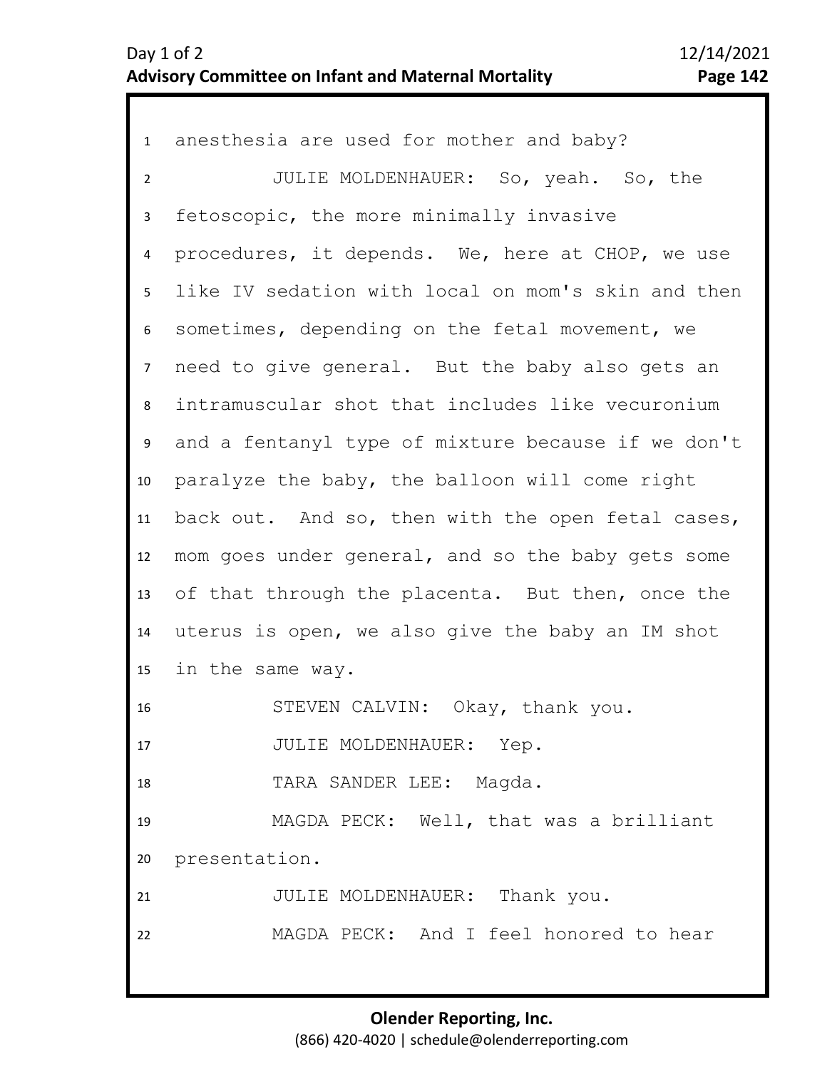| $\mathbf{1}$    | anesthesia are used for mother and baby?           |
|-----------------|----------------------------------------------------|
| $\overline{2}$  | JULIE MOLDENHAUER: So, yeah. So, the               |
| 3               | fetoscopic, the more minimally invasive            |
| 4               | procedures, it depends. We, here at CHOP, we use   |
| 5 <sub>1</sub>  | like IV sedation with local on mom's skin and then |
| 6               | sometimes, depending on the fetal movement, we     |
| $\overline{7}$  | need to give general. But the baby also gets an    |
| 8               | intramuscular shot that includes like vecuronium   |
| 9               | and a fentanyl type of mixture because if we don't |
| 10 <sub>1</sub> | paralyze the baby, the balloon will come right     |
| 11              | back out. And so, then with the open fetal cases,  |
| 12              | mom goes under general, and so the baby gets some  |
| 13              | of that through the placenta. But then, once the   |
| 14              | uterus is open, we also give the baby an IM shot   |
| 15              | in the same way.                                   |
| 16              | STEVEN CALVIN: Okay, thank you.                    |
| 17              | JULIE MOLDENHAUER: Yep.                            |
| 18              | TARA SANDER LEE: Magda.                            |
| 19              | MAGDA PECK: Well, that was a brilliant             |
| 20              | presentation.                                      |
| 21              | JULIE MOLDENHAUER: Thank you.                      |
| 22              | MAGDA PECK: And I feel honored to hear             |
|                 |                                                    |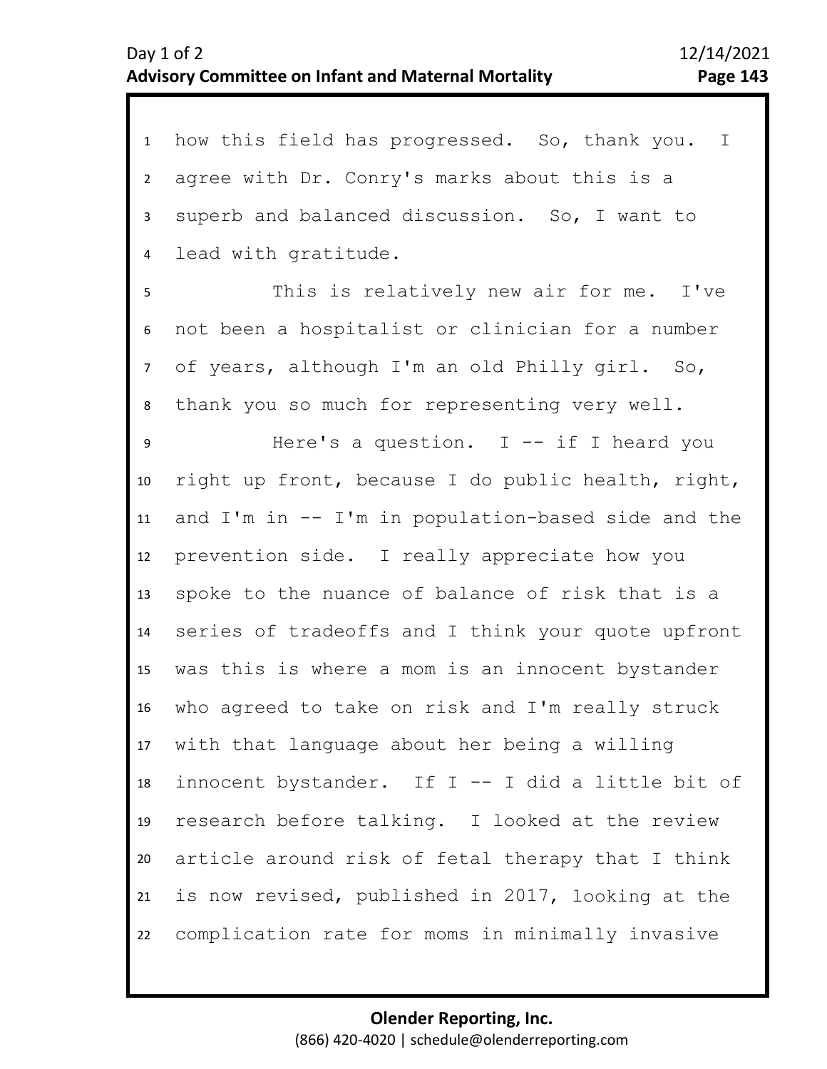| $\mathbf{1}$   | how this field has progressed. So, thank you. I    |
|----------------|----------------------------------------------------|
| $2^{\circ}$    | agree with Dr. Conry's marks about this is a       |
| 3              | superb and balanced discussion. So, I want to      |
| 4              | lead with gratitude.                               |
| 5              | This is relatively new air for me. I've            |
| 6              | not been a hospitalist or clinician for a number   |
| 7 <sup>7</sup> | of years, although I'm an old Philly girl. So,     |
| 8              | thank you so much for representing very well.      |
| 9              | Here's a question. I -- if I heard you             |
| 10             | right up front, because I do public health, right, |
| 11             | and I'm in -- I'm in population-based side and the |
| 12             | prevention side. I really appreciate how you       |
| 13             | spoke to the nuance of balance of risk that is a   |
| 14             | series of tradeoffs and I think your quote upfront |
| 15             | was this is where a mom is an innocent bystander   |
| 16             | who agreed to take on risk and I'm really struck   |
| 17             | with that language about her being a willing       |
| 18             | innocent bystander. If I -- I did a little bit of  |
| 19             | research before talking. I looked at the review    |
| 20             | article around risk of fetal therapy that I think  |
| 21             | is now revised, published in 2017, looking at the  |
| 22             | complication rate for moms in minimally invasive   |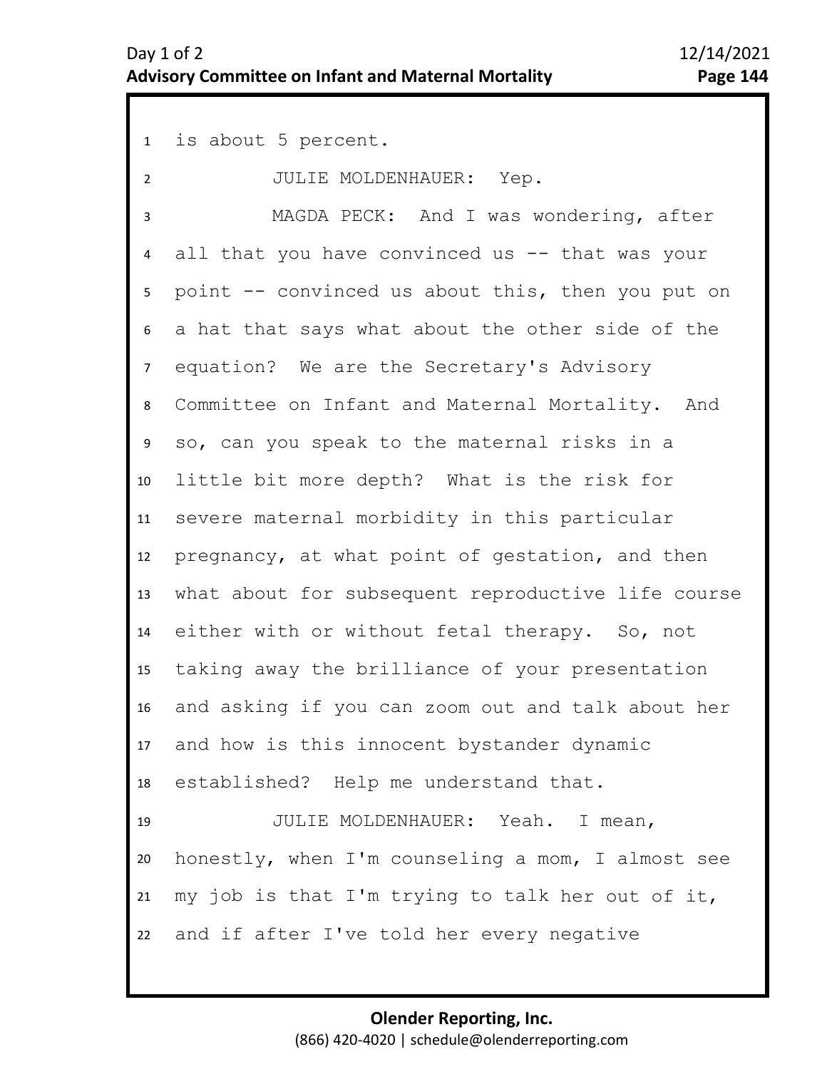1 is about 5 percent. 2 7 8 9 10 11 12 13 14 15 16 17 18 19 20 21 22 3 5 6 4 JULIE MOLDENHAUER: Yep. MAGDA PECK: And I was wondering, after all that you have convinced us  $--$  that was your point -- convinced us about this, then you put on a hat that says what about the other side of the equation? We are the Secretary's Advisory Committee on Infant and Maternal Mortality. And so, can you speak to the maternal risks in a little bit more depth? What is the risk for severe maternal morbidity in this particular pregnancy, at what point of gestation, and then what about for subsequent reproductive life course either with or without fetal therapy. So, not taking away the brilliance of your presentation and asking if you can zoom out and talk about her and how is this innocent bystander dynamic established? Help me understand that. JULIE MOLDENHAUER: Yeah. I mean, honestly, when I'm counseling a mom, I almost see my job is that I'm trying to talk her out of it, and if after I've told her every negative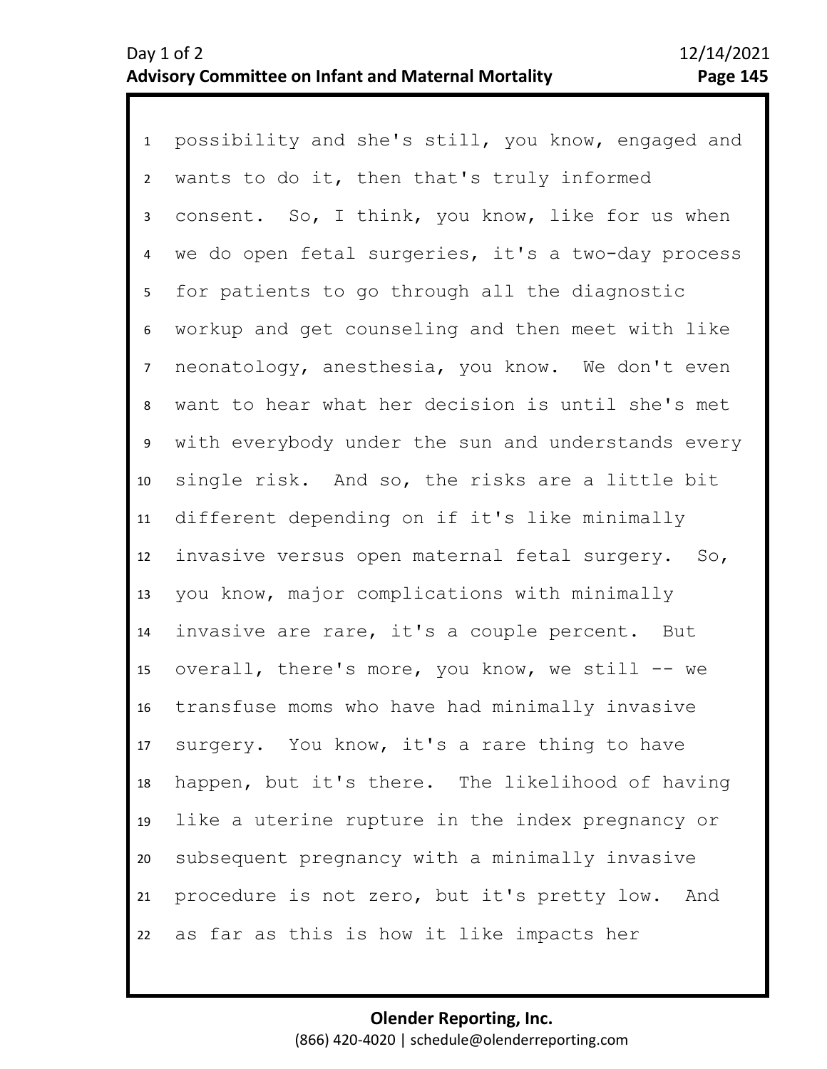1 possibility and she's still, you know, engaged and 2 3 4 8 9 10 11 12 13 14 15 16 17 18 19 20 21 22 5 7 6 wants to do it, then that's truly informed consent. So, I think, you know, like for us when we do open fetal surgeries, it's a two-day process for patients to go through all the diagnostic workup and get counseling and then meet with like neonatology, anesthesia, you know. We don't even want to hear what her decision is until she's met with everybody under the sun and understands every single risk. And so, the risks are a little bit different depending on if it's like minimally invasive versus open maternal fetal surgery. So, you know, major complications with minimally invasive are rare, it's a couple percent. But overall, there's more, you know, we still -- we transfuse moms who have had minimally invasive surgery. You know, it's a rare thing to have happen, but it's there. The likelihood of having like a uterine rupture in the index pregnancy or subsequent pregnancy with a minimally invasive procedure is not zero, but it's pretty low. And as far as this is how it like impacts her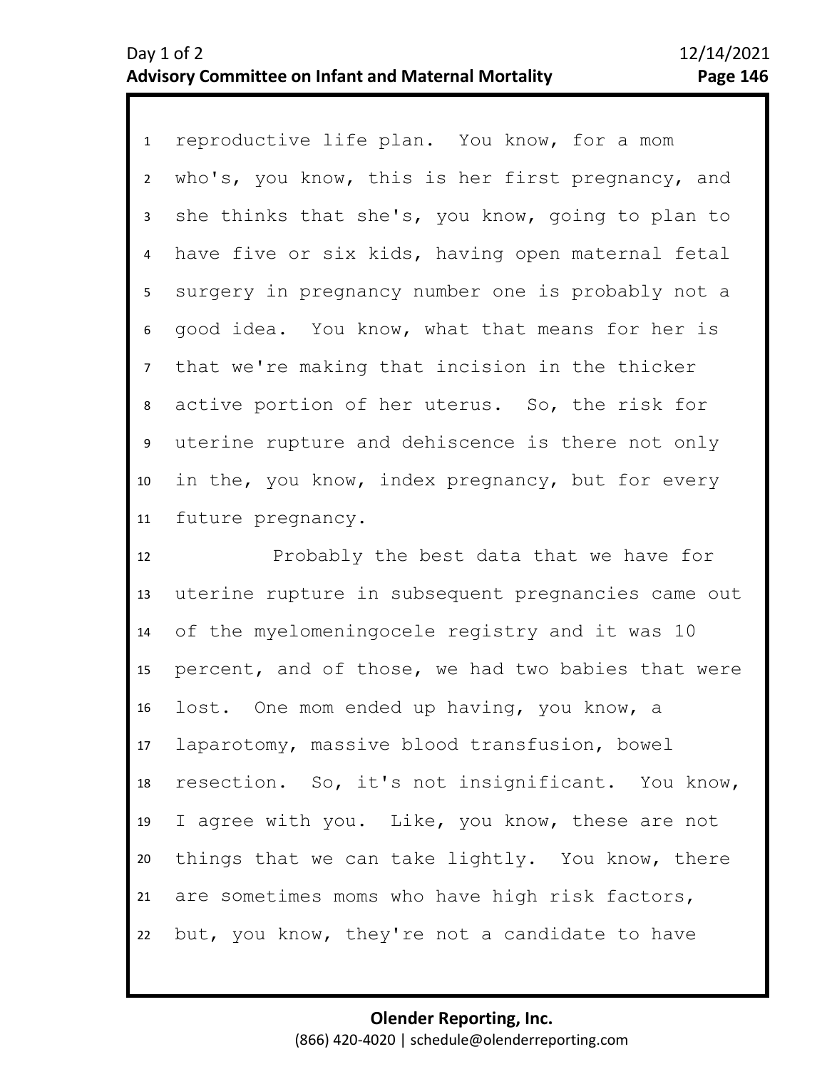1 reproductive life plan. You know, for a mom 2 3 4 8 9 10 11 5 7 6 who's, you know, this is her first pregnancy, and she thinks that she's, you know, going to plan to have five or six kids, having open maternal fetal surgery in pregnancy number one is probably not a good idea. You know, what that means for her is that we're making that incision in the thicker active portion of her uterus. So, the risk for uterine rupture and dehiscence is there not only in the, you know, index pregnancy, but for every future pregnancy.

12 13 14 15 16 17 18 19 20 21 22 Probably the best data that we have for uterine rupture in subsequent pregnancies came out of the myelomeningocele registry and it was 10 percent, and of those, we had two babies that were lost. One mom ended up having, you know, a laparotomy, massive blood transfusion, bowel resection. So, it's not insignificant. You know, I agree with you. Like, you know, these are not things that we can take lightly. You know, there are sometimes moms who have high risk factors, but, you know, they're not a candidate to have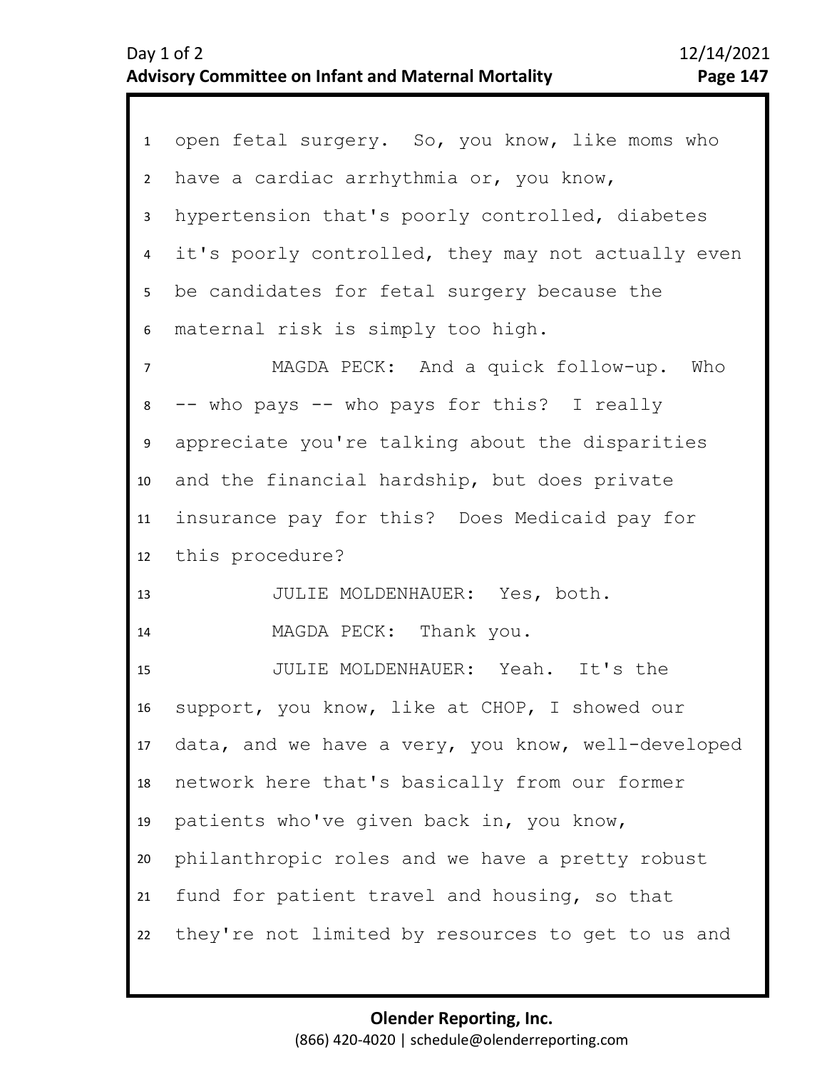| 1              | open fetal surgery. So, you know, like moms who    |
|----------------|----------------------------------------------------|
| $\overline{2}$ | have a cardiac arrhythmia or, you know,            |
| 3              | hypertension that's poorly controlled, diabetes    |
| 4              | it's poorly controlled, they may not actually even |
| 5              | be candidates for fetal surgery because the        |
| 6              | maternal risk is simply too high.                  |
| $\overline{7}$ | MAGDA PECK: And a quick follow-up. Who             |
| 8              | -- who pays -- who pays for this? I really         |
| 9              | appreciate you're talking about the disparities    |
| 10             | and the financial hardship, but does private       |
| 11             | insurance pay for this? Does Medicaid pay for      |
|                | 12 this procedure?                                 |
| 13             | JULIE MOLDENHAUER: Yes, both.                      |
| 14             | MAGDA PECK: Thank you.                             |
| 15             | JULIE MOLDENHAUER: Yeah. It's the                  |
| 16             | support, you know, like at CHOP, I showed our      |
| 17             | data, and we have a very, you know, well-developed |
| 18             | network here that's basically from our former      |
| 19             | patients who've given back in, you know,           |
| 20             | philanthropic roles and we have a pretty robust    |
| 21             | fund for patient travel and housing, so that       |
| 22             | they're not limited by resources to get to us and  |
|                |                                                    |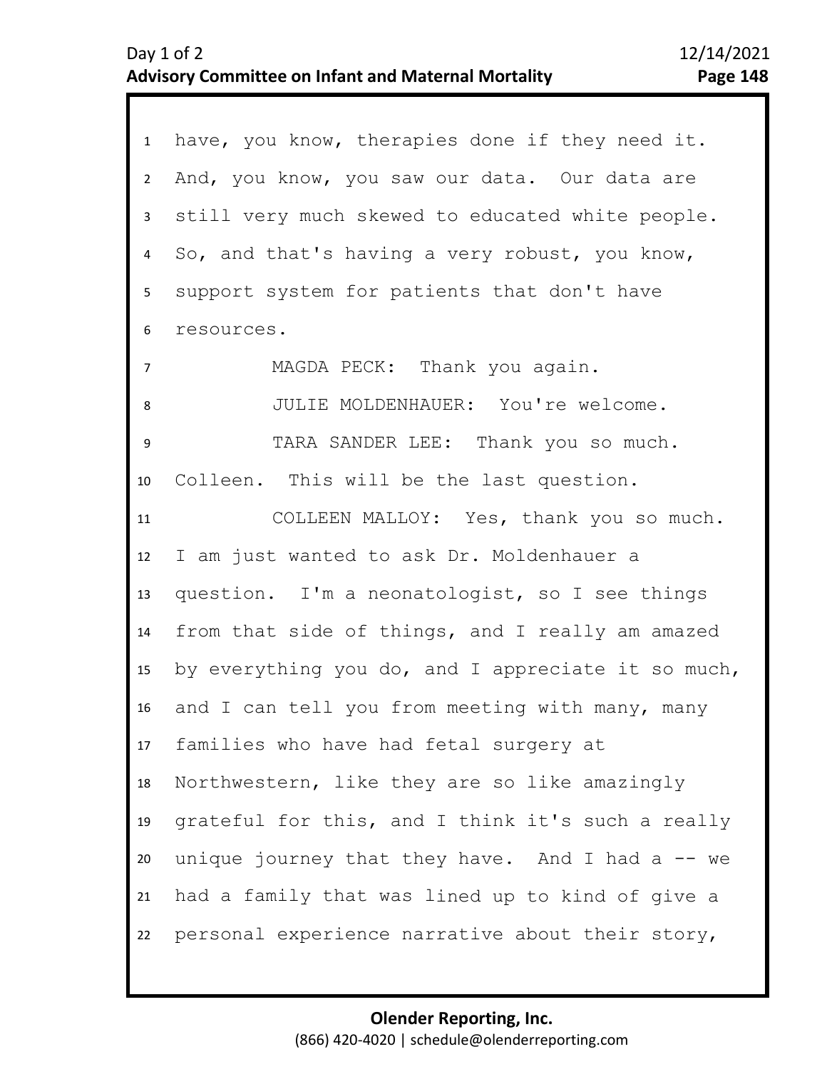| $\mathbf{1}$   | have, you know, therapies done if they need it.    |
|----------------|----------------------------------------------------|
| $2^{\circ}$    | And, you know, you saw our data. Our data are      |
| 3              | still very much skewed to educated white people.   |
| 4              | So, and that's having a very robust, you know,     |
| 5 <sub>1</sub> | support system for patients that don't have        |
| 6              | resources.                                         |
| $\overline{7}$ | MAGDA PECK: Thank you again.                       |
| 8              | JULIE MOLDENHAUER: You're welcome.                 |
| 9              | TARA SANDER LEE: Thank you so much.                |
| 10             | Colleen. This will be the last question.           |
| 11             | COLLEEN MALLOY: Yes, thank you so much.            |
| 12             | I am just wanted to ask Dr. Moldenhauer a          |
| 13             | question. I'm a neonatologist, so I see things     |
| 14             | from that side of things, and I really am amazed   |
| 15             | by everything you do, and I appreciate it so much, |
| 16             | and I can tell you from meeting with many, many    |
| 17             | families who have had fetal surgery at             |
| 18             | Northwestern, like they are so like amazingly      |
| 19             | grateful for this, and I think it's such a really  |
| 20             | unique journey that they have. And I had a $-$ we  |
| 21             | had a family that was lined up to kind of give a   |
| 22             | personal experience narrative about their story,   |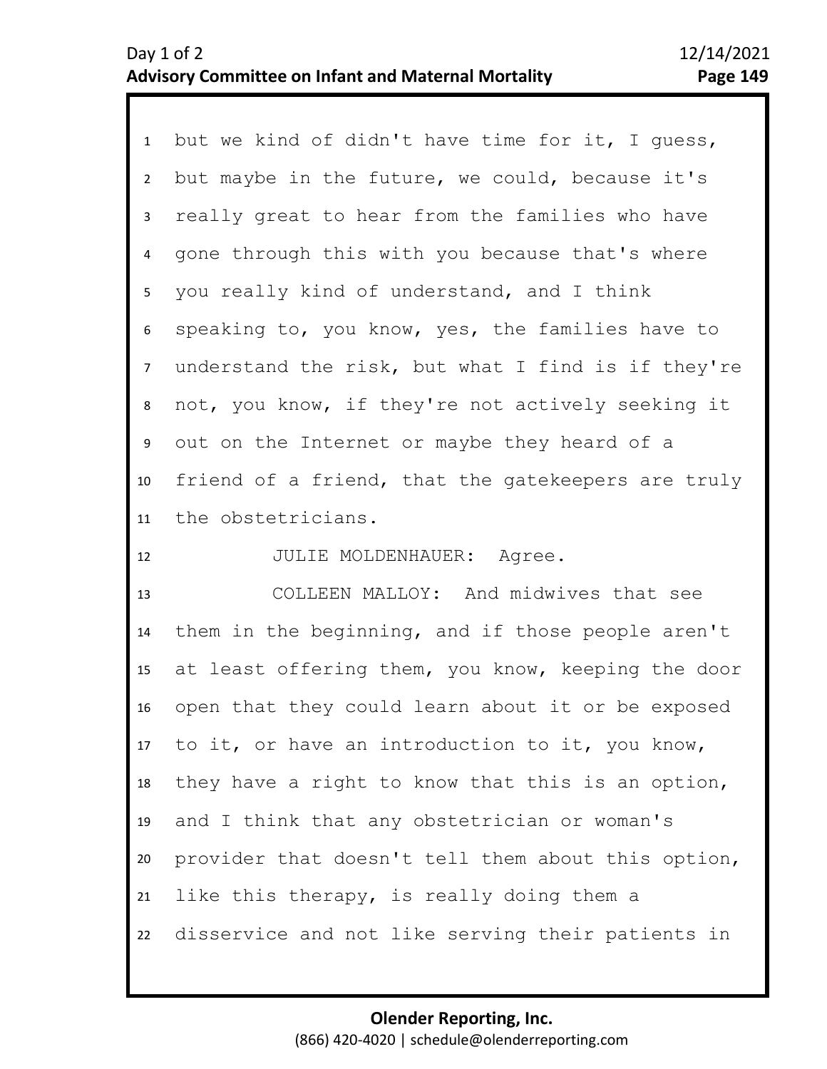1 but we kind of didn't have time for it, I guess, 2 3 7 8 9 10 11 4 6 5 but maybe in the future, we could, because it's really great to hear from the families who have gone through this with you because that's where you really kind of understand, and I think speaking to, you know, yes, the families have to understand the risk, but what I find is if they're not, you know, if they're not actively seeking it out on the Internet or maybe they heard of a friend of a friend, that the gatekeepers are truly the obstetricians.

12 JULIE MOLDENHAUER: Agree.

13 14 15 16 17 18 19 20 21 22 COLLEEN MALLOY: And midwives that see them in the beginning, and if those people aren't at least offering them, you know, keeping the door open that they could learn about it or be exposed to it, or have an introduction to it, you know, they have a right to know that this is an option, and I think that any obstetrician or woman's provider that doesn't tell them about this option, like this therapy, is really doing them a disservice and not like serving their patients in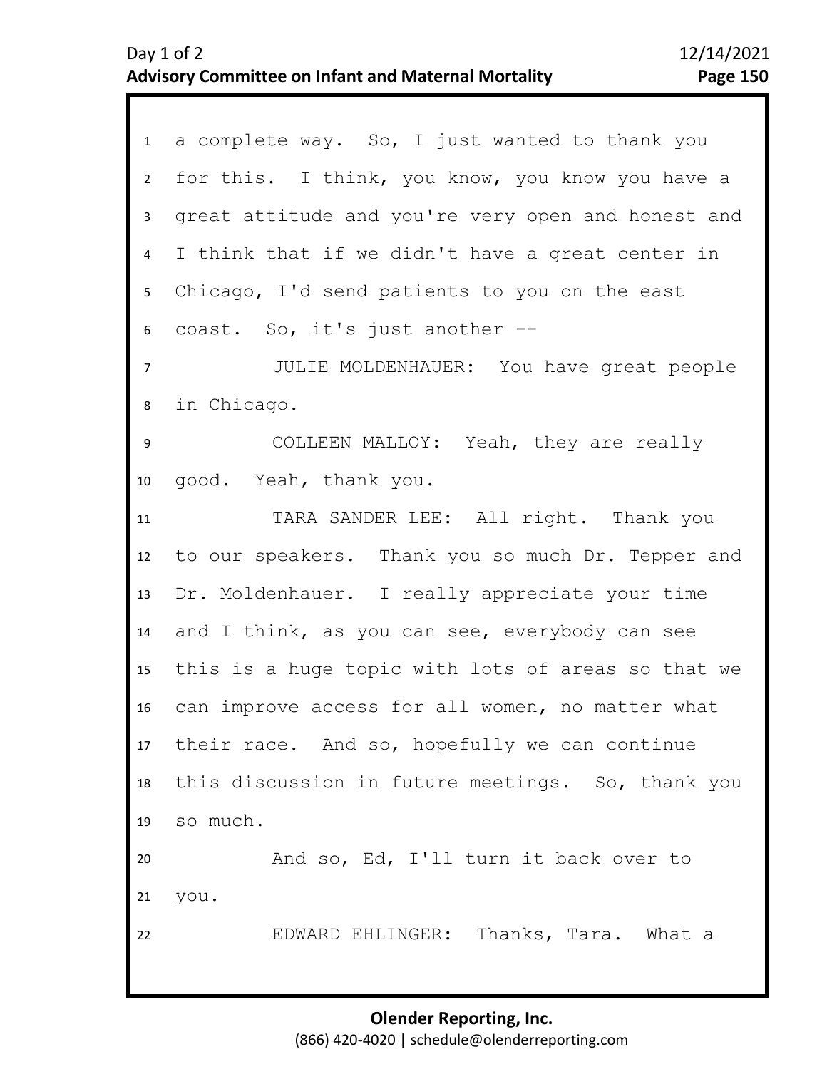| $1 \quad$        | a complete way. So, I just wanted to thank you     |
|------------------|----------------------------------------------------|
| $2^{\circ}$      | for this. I think, you know, you know you have a   |
| $\mathbf{3}$     | great attitude and you're very open and honest and |
| $\overline{4}$   | I think that if we didn't have a great center in   |
| 5 <sub>1</sub>   | Chicago, I'd send patients to you on the east      |
| 6                | coast. So, it's just another --                    |
| $\overline{7}$   | JULIE MOLDENHAUER: You have great people           |
| 8                | in Chicago.                                        |
| $\boldsymbol{9}$ | COLLEEN MALLOY: Yeah, they are really              |
| 10               | good. Yeah, thank you.                             |
| 11               | TARA SANDER LEE: All right. Thank you              |
| 12               | to our speakers. Thank you so much Dr. Tepper and  |
| 13               | Dr. Moldenhauer. I really appreciate your time     |
| 14               | and I think, as you can see, everybody can see     |
| 15               | this is a huge topic with lots of areas so that we |
| 16               | can improve access for all women, no matter what   |
|                  | 17 their race. And so, hopefully we can continue   |
| 18               | this discussion in future meetings. So, thank you  |
| 19               | so much.                                           |
| 20               | And so, Ed, I'll turn it back over to              |
| 21               | you.                                               |
| 22               | EDWARD EHLINGER: Thanks, Tara. What a              |
|                  |                                                    |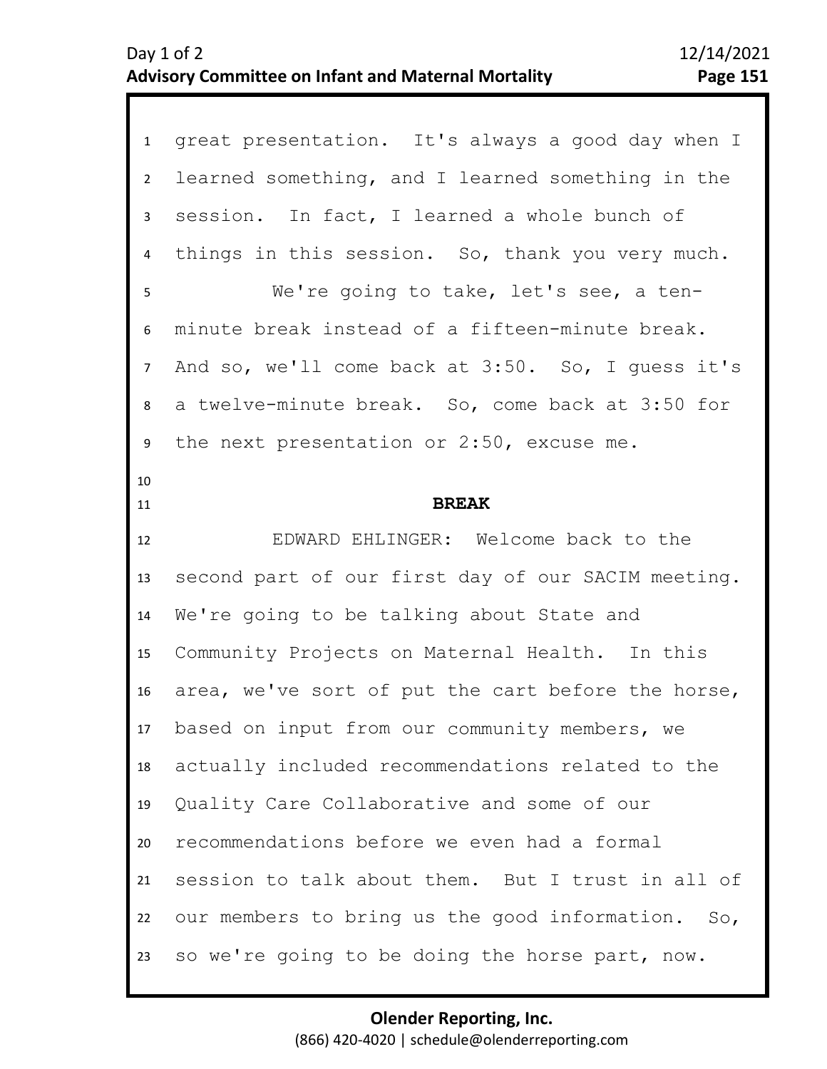| $\mathbf{1}$    | great presentation. It's always a good day when I  |
|-----------------|----------------------------------------------------|
| $\overline{2}$  | learned something, and I learned something in the  |
| $\mathbf{3}$    | session. In fact, I learned a whole bunch of       |
| $\overline{4}$  | things in this session. So, thank you very much.   |
| 5               | We're going to take, let's see, a ten-             |
| 6               | minute break instead of a fifteen-minute break.    |
| $\overline{7}$  | And so, we'll come back at 3:50. So, I guess it's  |
| 8               | a twelve-minute break. So, come back at 3:50 for   |
| 9               | the next presentation or 2:50, excuse me.          |
| 10<br>11        | <b>BREAK</b>                                       |
| 12              | EDWARD EHLINGER: Welcome back to the               |
|                 |                                                    |
| 13              | second part of our first day of our SACIM meeting. |
| 14              | We're going to be talking about State and          |
| 15 <sub>1</sub> | Community Projects on Maternal Health. In this     |
| 16              | area, we've sort of put the cart before the horse, |
| 17              | based on input from our community members, we      |
| 18              | actually included recommendations related to the   |
| 19              | Quality Care Collaborative and some of our         |
| 20              | recommendations before we even had a formal        |
| 21              | session to talk about them. But I trust in all of  |
| 22              | our members to bring us the good information. So,  |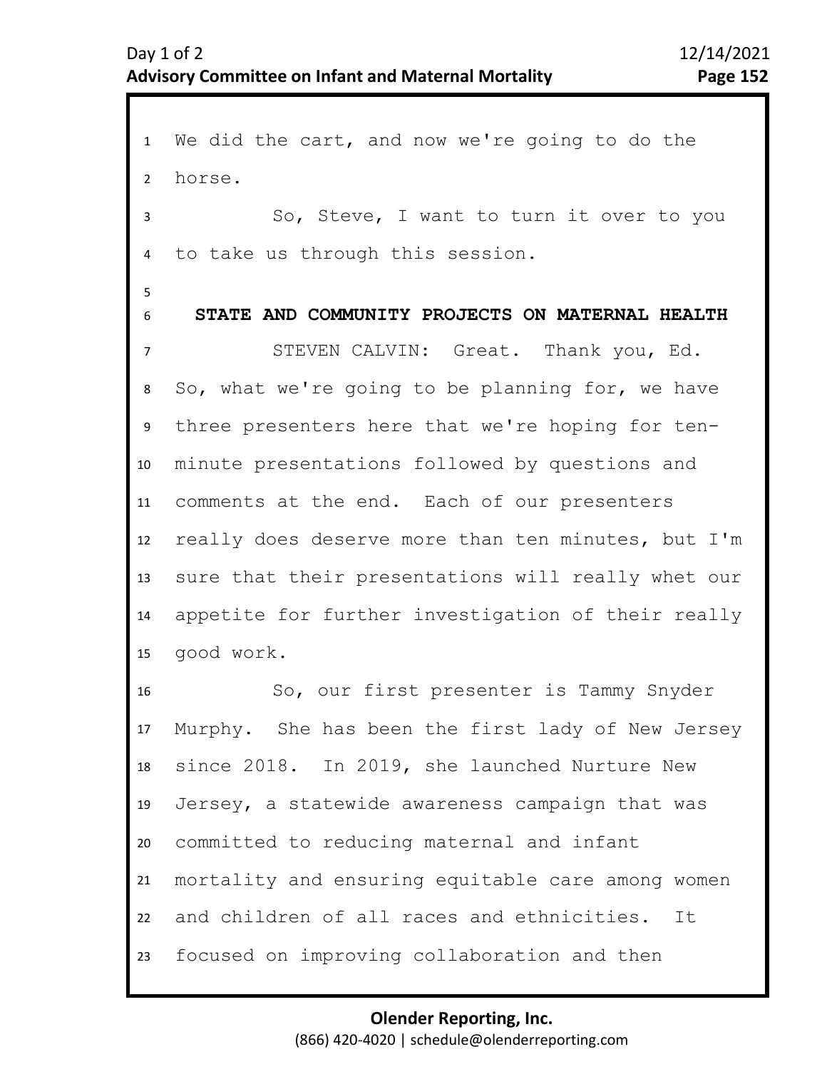1 We did the cart, and now we're going to do the 2 7 8 9 10 11 12 13 14 15 16 17 18 19 20 21 22 23 3 5 6 4 horse. So, Steve, I want to turn it over to you to take us through this session. **STATE AND COMMUNITY PROJECTS ON MATERNAL HEALTH**  STEVEN CALVIN: Great. Thank you, Ed. So, what we're going to be planning for, we have three presenters here that we're hoping for tenminute presentations followed by questions and comments at the end. Each of our presenters really does deserve more than ten minutes, but I'm sure that their presentations will really whet our appetite for further investigation of their really good work. So, our first presenter is Tammy Snyder Murphy. She has been the first lady of New Jersey since 2018. In 2019, she launched Nurture New Jersey, a statewide awareness campaign that was committed to reducing maternal and infant mortality and ensuring equitable care among women and children of all races and ethnicities. It focused on improving collaboration and then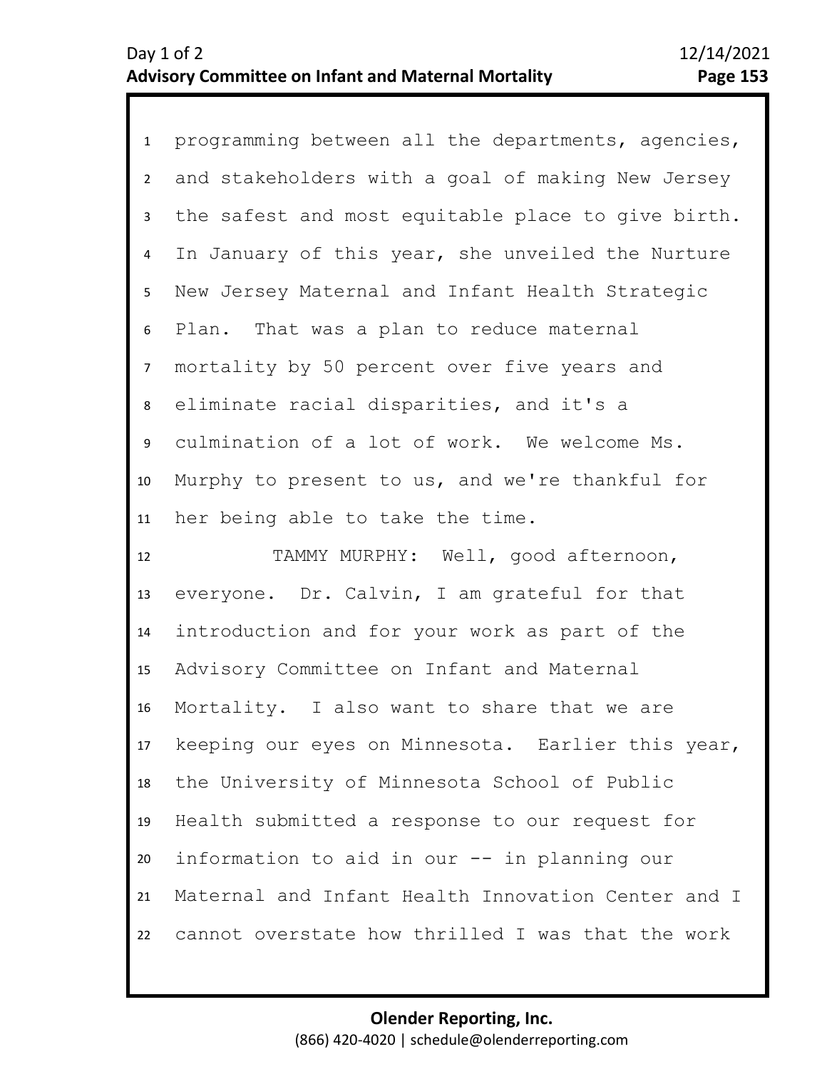1 programming between all the departments, agencies, 2 3 4 8 9 10 11 5 7 6 and stakeholders with a goal of making New Jersey the safest and most equitable place to give birth. In January of this year, she unveiled the Nurture New Jersey Maternal and Infant Health Strategic Plan. That was a plan to reduce maternal mortality by 50 percent over five years and eliminate racial disparities, and it's a culmination of a lot of work. We welcome Ms. Murphy to present to us, and we're thankful for her being able to take the time.

12 13 14 15 16 17 18 19 20 21 22 TAMMY MURPHY: Well, good afternoon, everyone. Dr. Calvin, I am grateful for that introduction and for your work as part of the Advisory Committee on Infant and Maternal Mortality. I also want to share that we are keeping our eyes on Minnesota. Earlier this year, the University of Minnesota School of Public Health submitted a response to our request for information to aid in our -- in planning our Maternal and Infant Health Innovation Center and I cannot overstate how thrilled I was that the work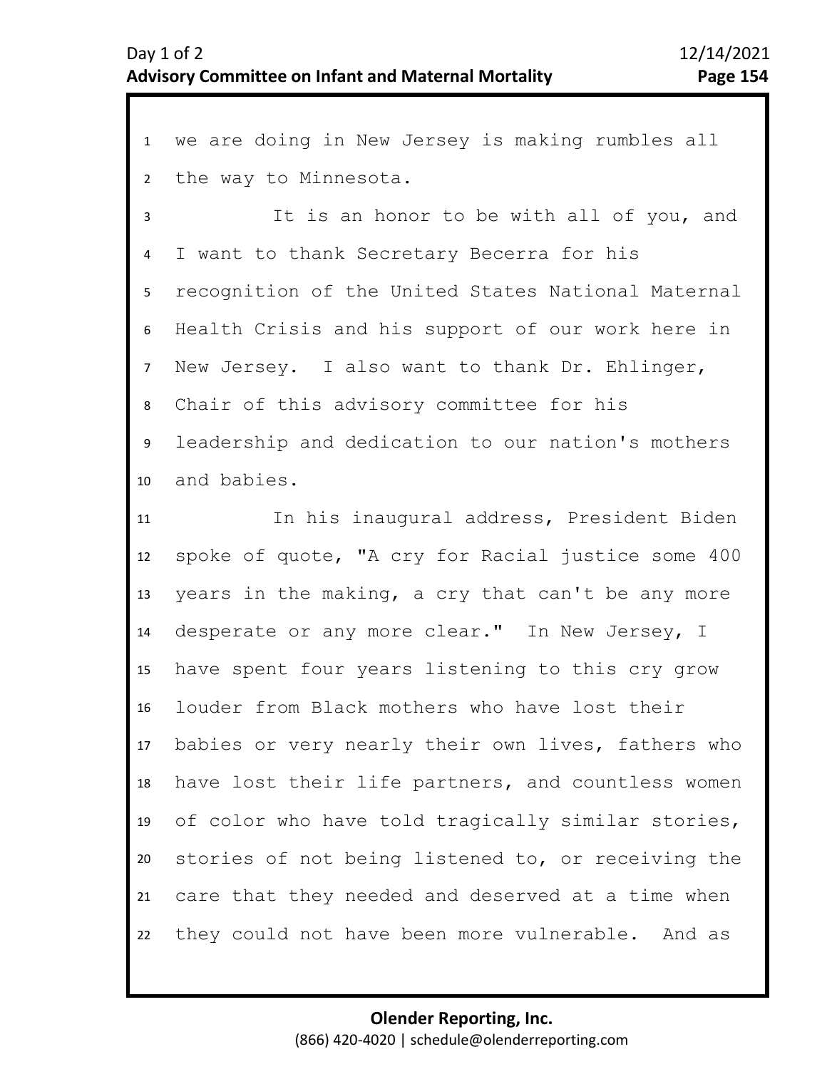1 we are doing in New Jersey is making rumbles all 2 the way to Minnesota.

3 7 8 9 10 4 6 5 It is an honor to be with all of you, and I want to thank Secretary Becerra for his recognition of the United States National Maternal Health Crisis and his support of our work here in New Jersey. I also want to thank Dr. Ehlinger, Chair of this advisory committee for his leadership and dedication to our nation's mothers and babies.

11 12 13 14 15 16 17 18 19 20 21 22 In his inaugural address, President Biden spoke of quote, "A cry for Racial justice some 400 years in the making, a cry that can't be any more desperate or any more clear." In New Jersey, I have spent four years listening to this cry grow louder from Black mothers who have lost their babies or very nearly their own lives, fathers who have lost their life partners, and countless women of color who have told tragically similar stories, stories of not being listened to, or receiving the care that they needed and deserved at a time when they could not have been more vulnerable. And as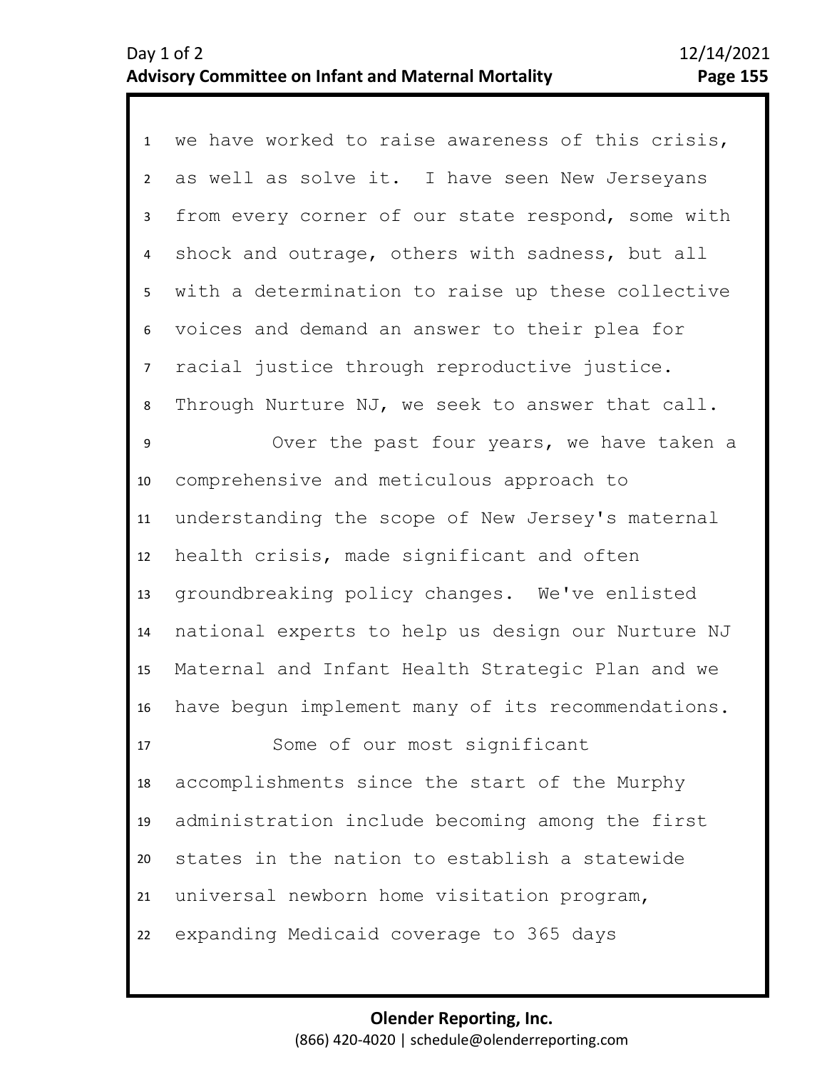1 we have worked to raise awareness of this crisis, 2 3 4 5 6 7 15 16 17 18 19 20 21 22 8 14 9 10 11 12 13 as well as solve it. I have seen New Jerseyans from every corner of our state respond, some with shock and outrage, others with sadness, but all with a determination to raise up these collective voices and demand an answer to their plea for racial justice through reproductive justice. Through Nurture NJ, we seek to answer that call. Over the past four years, we have taken a comprehensive and meticulous approach to understanding the scope of New Jersey's maternal health crisis, made significant and often groundbreaking policy changes. We've enlisted national experts to help us design our Nurture NJ Maternal and Infant Health Strategic Plan and we have begun implement many of its recommendations. Some of our most significant accomplishments since the start of the Murphy administration include becoming among the first states in the nation to establish a statewide universal newborn home visitation program, expanding Medicaid coverage to 365 days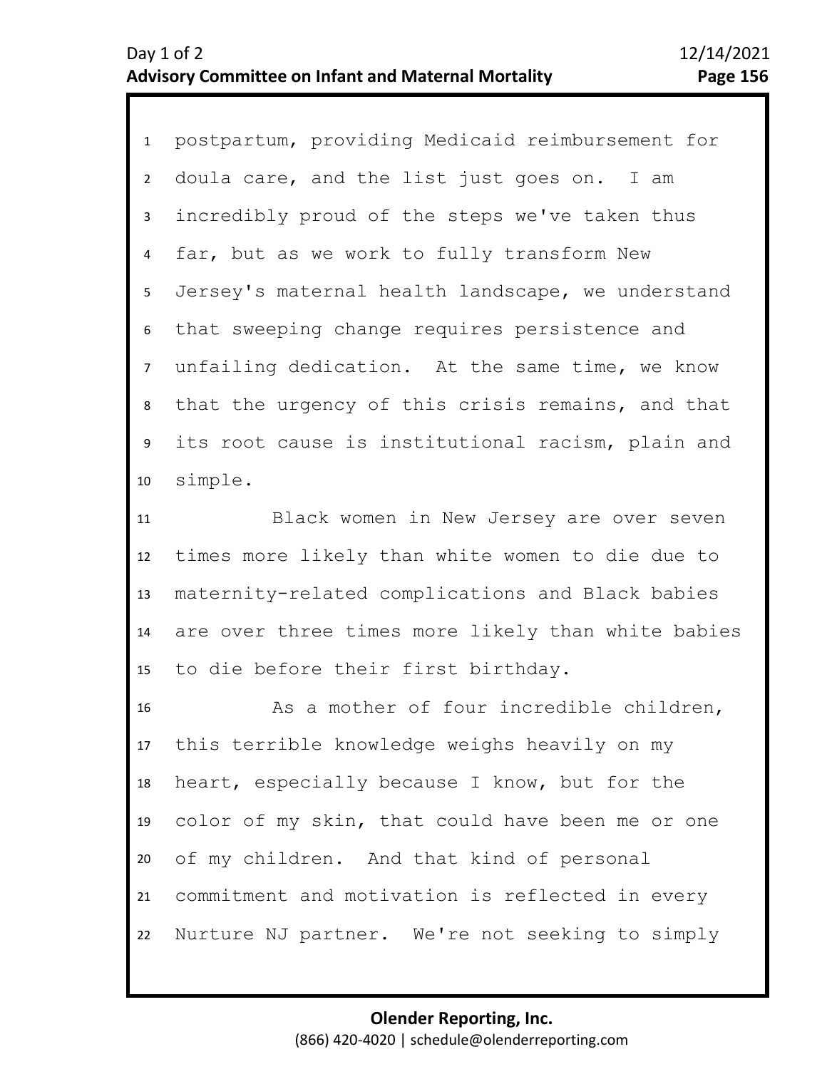1 postpartum, providing Medicaid reimbursement for 2 3 4 8 9 10 5 7 6 doula care, and the list just goes on. I am incredibly proud of the steps we've taken thus far, but as we work to fully transform New Jersey's maternal health landscape, we understand that sweeping change requires persistence and unfailing dedication. At the same time, we know that the urgency of this crisis remains, and that its root cause is institutional racism, plain and simple.

11 12 13 14 15 Black women in New Jersey are over seven times more likely than white women to die due to maternity-related complications and Black babies are over three times more likely than white babies to die before their first birthday.

16 17 18 19 20 21 22 As a mother of four incredible children, this terrible knowledge weighs heavily on my heart, especially because I know, but for the color of my skin, that could have been me or one of my children. And that kind of personal commitment and motivation is reflected in every Nurture NJ partner. We're not seeking to simply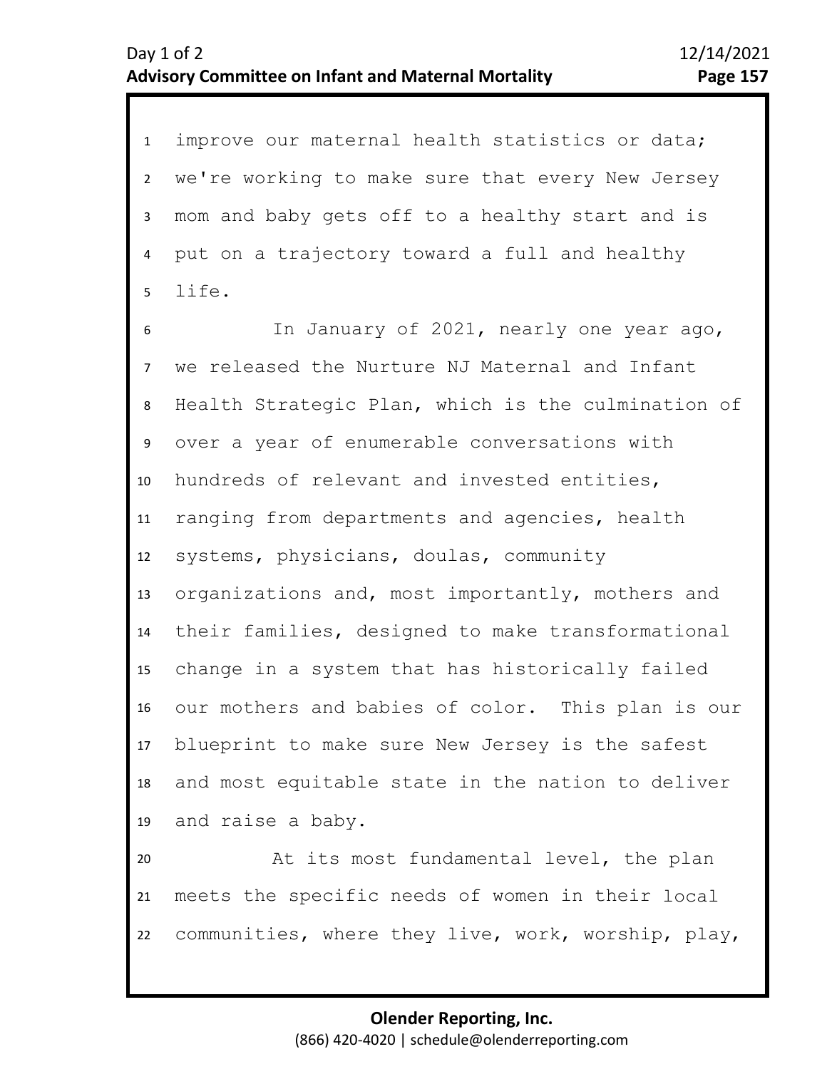1 improve our maternal health statistics or data; 2 3 4 5 we're working to make sure that every New Jersey mom and baby gets off to a healthy start and is put on a trajectory toward a full and healthy life.

6 7 8 9 10 11 12 13 14 15 16 17 18 19 In January of 2021, nearly one year ago, we released the Nurture NJ Maternal and Infant Health Strategic Plan, which is the culmination of over a year of enumerable conversations with hundreds of relevant and invested entities, ranging from departments and agencies, health systems, physicians, doulas, community organizations and, most importantly, mothers and their families, designed to make transformational change in a system that has historically failed our mothers and babies of color. This plan is our blueprint to make sure New Jersey is the safest and most equitable state in the nation to deliver and raise a baby.

20 21 22 At its most fundamental level, the plan meets the specific needs of women in their local communities, where they live, work, worship, play,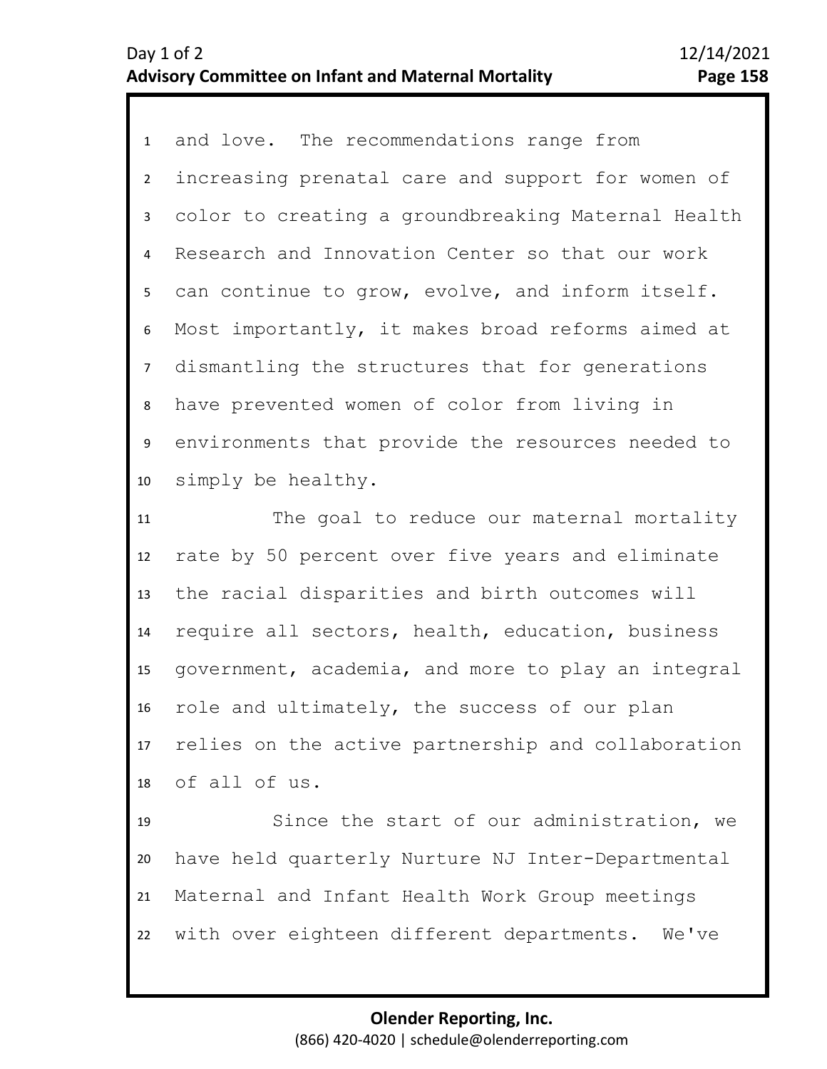1 and love. The recommendations range from 2 3 6 7 8 9 10 4 5 increasing prenatal care and support for women of color to creating a groundbreaking Maternal Health Research and Innovation Center so that our work can continue to grow, evolve, and inform itself. Most importantly, it makes broad reforms aimed at dismantling the structures that for generations have prevented women of color from living in environments that provide the resources needed to simply be healthy.

11 12 13 14 15 16 17 18 The goal to reduce our maternal mortality rate by 50 percent over five years and eliminate the racial disparities and birth outcomes will require all sectors, health, education, business government, academia, and more to play an integral role and ultimately, the success of our plan relies on the active partnership and collaboration of all of us.

19 20 21 22 Since the start of our administration, we have held quarterly Nurture NJ Inter-Departmental Maternal and Infant Health Work Group meetings with over eighteen different departments. We've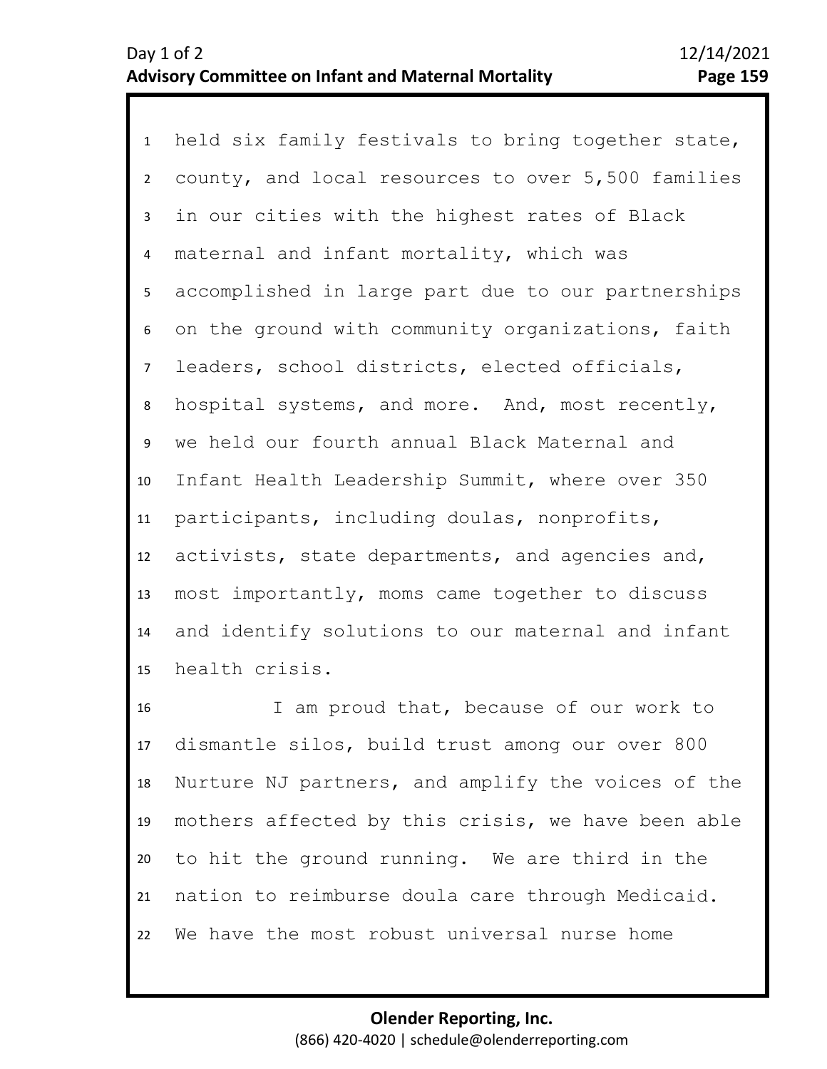1 held six family festivals to bring together state, 2 3 4 8 9 10 11 12 13 14 15 5 7 6 county, and local resources to over 5,500 families in our cities with the highest rates of Black maternal and infant mortality, which was accomplished in large part due to our partnerships on the ground with community organizations, faith leaders, school districts, elected officials, hospital systems, and more. And, most recently, we held our fourth annual Black Maternal and Infant Health Leadership Summit, where over 350 participants, including doulas, nonprofits, activists, state departments, and agencies and, most importantly, moms came together to discuss and identify solutions to our maternal and infant health crisis.

16 17 18 19 20 21 22 I am proud that, because of our work to dismantle silos, build trust among our over 800 Nurture NJ partners, and amplify the voices of the mothers affected by this crisis, we have been able to hit the ground running. We are third in the nation to reimburse doula care through Medicaid. We have the most robust universal nurse home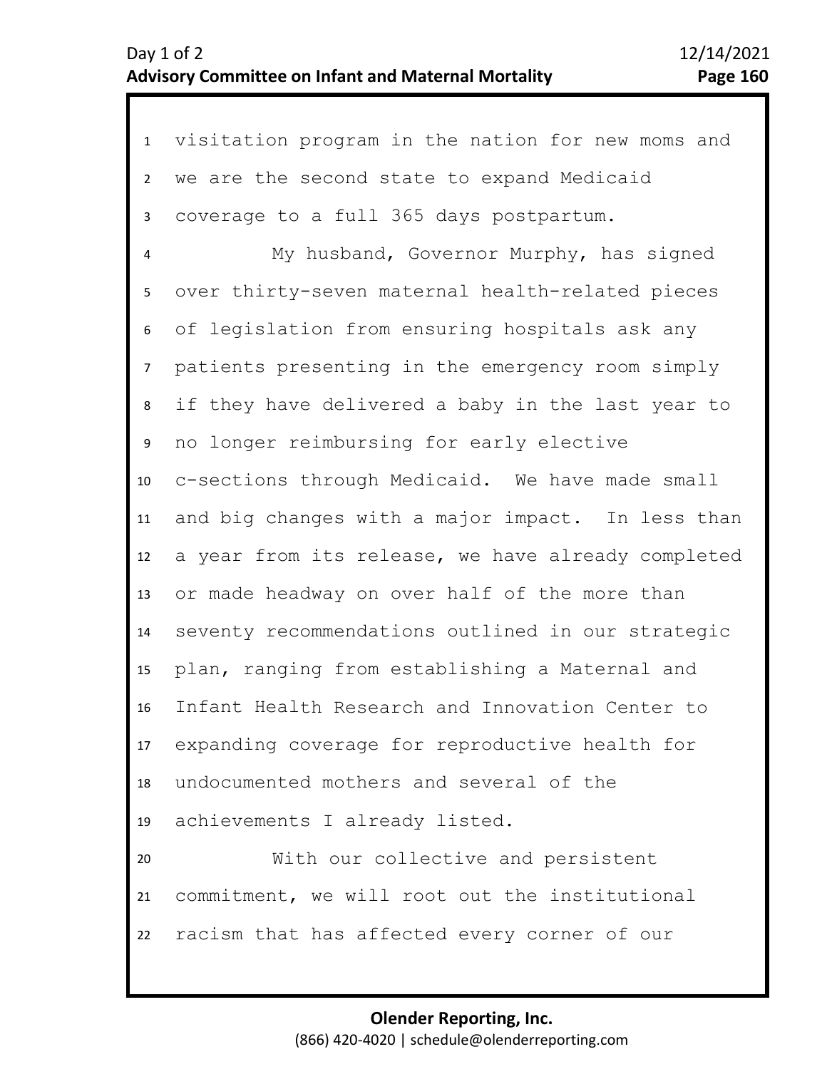| $\mathbf{1}$   | visitation program in the nation for new moms and  |
|----------------|----------------------------------------------------|
| $\overline{2}$ | we are the second state to expand Medicaid         |
| 3              | coverage to a full 365 days postpartum.            |
| 4              | My husband, Governor Murphy, has signed            |
| 5              | over thirty-seven maternal health-related pieces   |
| 6              | of legislation from ensuring hospitals ask any     |
| $\overline{7}$ | patients presenting in the emergency room simply   |
| 8              | if they have delivered a baby in the last year to  |
| 9              | no longer reimbursing for early elective           |
| 10             | c-sections through Medicaid. We have made small    |
| 11             | and big changes with a major impact. In less than  |
| 12             | a year from its release, we have already completed |
| 13             | or made headway on over half of the more than      |
| 14             | seventy recommendations outlined in our strategic  |
| 15             | plan, ranging from establishing a Maternal and     |
| 16             | Infant Health Research and Innovation Center to    |
| 17             | expanding coverage for reproductive health for     |
| 18             | undocumented mothers and several of the            |
| 19             | achievements I already listed.                     |
| 20             | With our collective and persistent                 |
| 21             | commitment, we will root out the institutional     |
| 22             | racism that has affected every corner of our       |
|                |                                                    |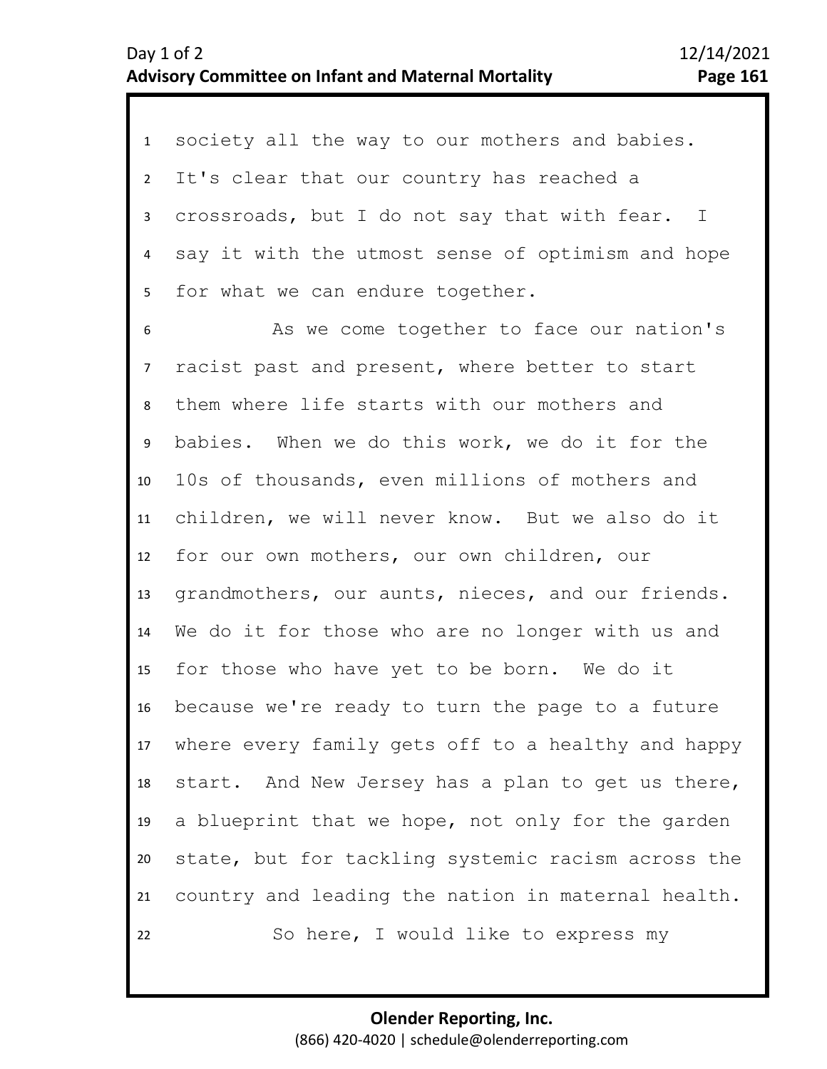| $\mathbf{1}$    | society all the way to our mothers and babies.     |
|-----------------|----------------------------------------------------|
| $2^{\circ}$     | It's clear that our country has reached a          |
| $\mathbf{3}$    | crossroads, but I do not say that with fear. I     |
| 4               | say it with the utmost sense of optimism and hope  |
| 5               | for what we can endure together.                   |
| 6               | As we come together to face our nation's           |
| 7 <sup>7</sup>  | racist past and present, where better to start     |
| 8               | them where life starts with our mothers and        |
| 9               | babies. When we do this work, we do it for the     |
| 10 <sup>1</sup> | 10s of thousands, even millions of mothers and     |
| 11              | children, we will never know. But we also do it    |
| 12              | for our own mothers, our own children, our         |
| 13              | grandmothers, our aunts, nieces, and our friends.  |
| 14              | We do it for those who are no longer with us and   |
| 15 <sub>1</sub> | for those who have yet to be born. We do it        |
| 16              | because we're ready to turn the page to a future   |
| 17              | where every family gets off to a healthy and happy |
| 18              | start. And New Jersey has a plan to get us there,  |
| 19              | a blueprint that we hope, not only for the garden  |
| 20              | state, but for tackling systemic racism across the |
| 21              | country and leading the nation in maternal health. |
| 22              | So here, I would like to express my                |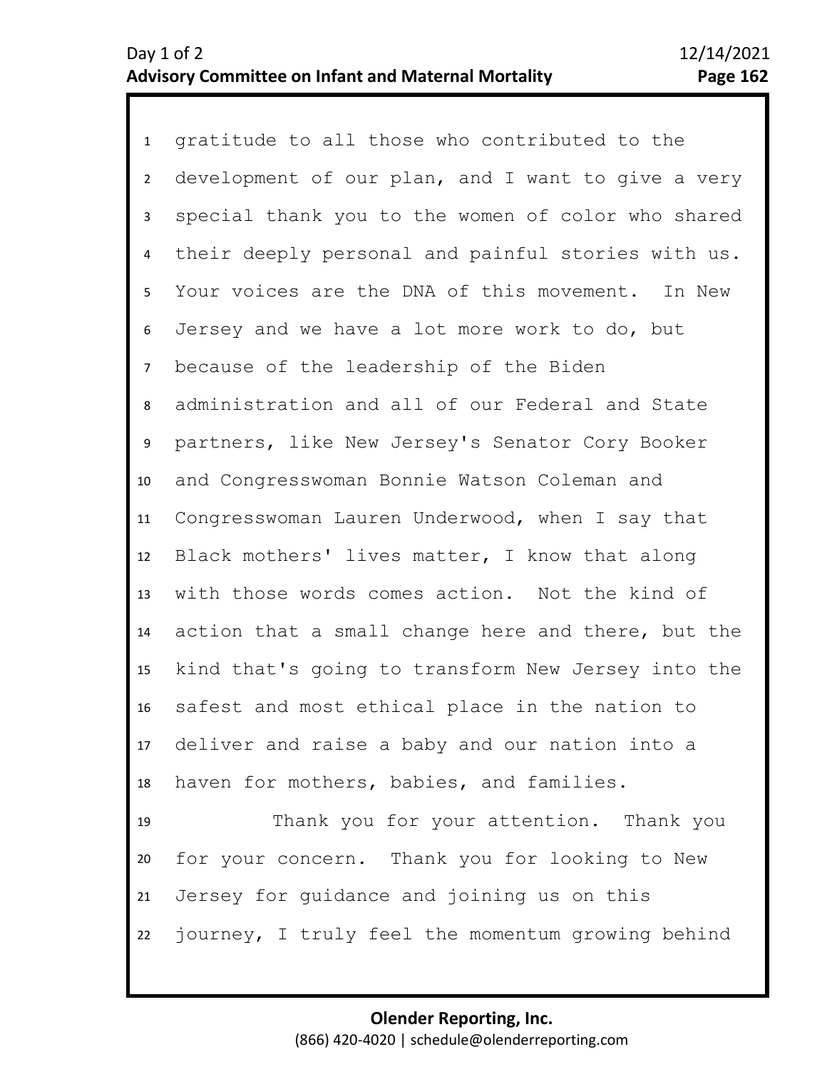1 gratitude to all those who contributed to the 2 3 4 8 9 10 11 12 13 14 15 16 17 18 19 20 21 5 7 6 development of our plan, and I want to give a very special thank you to the women of color who shared their deeply personal and painful stories with us. Your voices are the DNA of this movement. In New Jersey and we have a lot more work to do, but because of the leadership of the Biden administration and all of our Federal and State partners, like New Jersey's Senator Cory Booker and Congresswoman Bonnie Watson Coleman and Congresswoman Lauren Underwood, when I say that Black mothers' lives matter, I know that along with those words comes action. Not the kind of action that a small change here and there, but the kind that's going to transform New Jersey into the safest and most ethical place in the nation to deliver and raise a baby and our nation into a haven for mothers, babies, and families. Thank you for your attention. Thank you for your concern. Thank you for looking to New Jersey for guidance and joining us on this

22 journey, I truly feel the momentum growing behind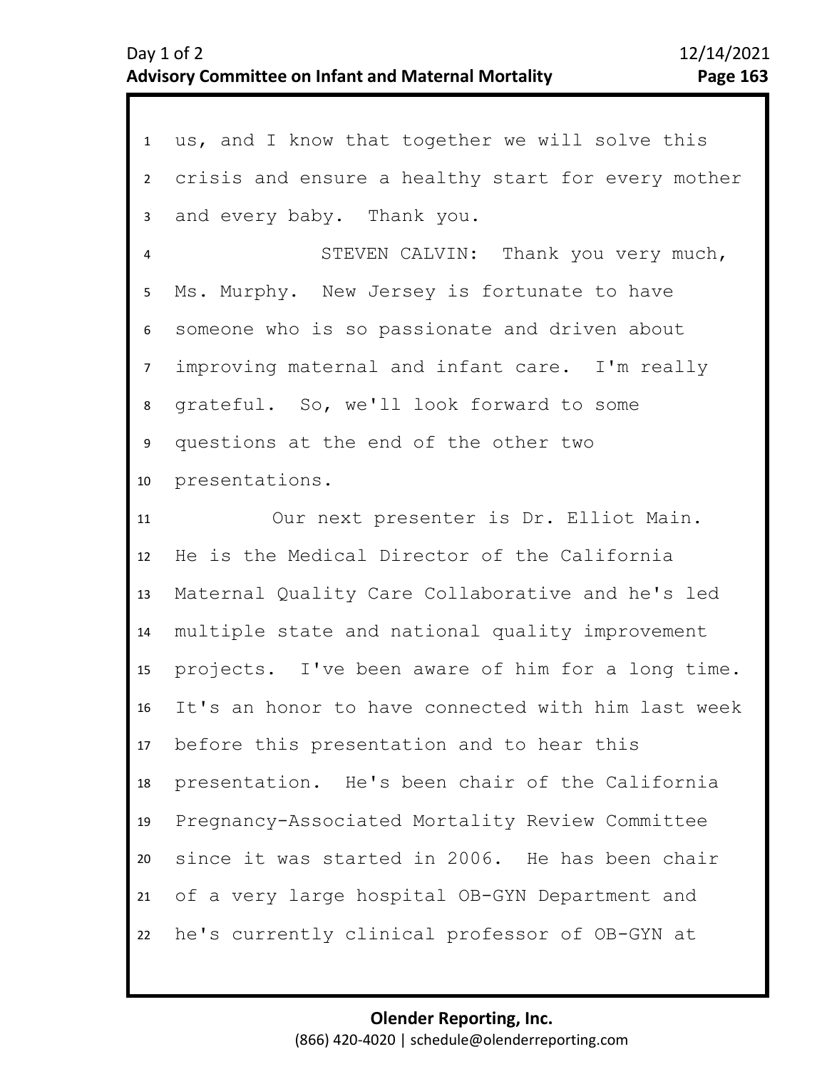| $1 \quad$               | us, and I know that together we will solve this    |
|-------------------------|----------------------------------------------------|
| $2^{\circ}$             | crisis and ensure a healthy start for every mother |
| $\mathbf{3}$            | and every baby. Thank you.                         |
| $\overline{\mathbf{4}}$ | STEVEN CALVIN: Thank you very much,                |
| 5                       | Ms. Murphy. New Jersey is fortunate to have        |
| 6                       | someone who is so passionate and driven about      |
| 7 <sup>7</sup>          | improving maternal and infant care. I'm really     |
| 8                       | grateful. So, we'll look forward to some           |
| 9                       | questions at the end of the other two              |
| 10                      | presentations.                                     |
| 11                      | Our next presenter is Dr. Elliot Main.             |
| 12                      | He is the Medical Director of the California       |
| 13                      | Maternal Quality Care Collaborative and he's led   |
| 14                      | multiple state and national quality improvement    |
| 15 <sub>1</sub>         | projects. I've been aware of him for a long time.  |
| 16                      | It's an honor to have connected with him last week |
| 17                      | before this presentation and to hear this          |
| 18                      | presentation. He's been chair of the California    |
| 19                      | Pregnancy-Associated Mortality Review Committee    |
| 20                      | since it was started in 2006. He has been chair    |
| 21                      | of a very large hospital OB-GYN Department and     |
| 22                      | he's currently clinical professor of OB-GYN at     |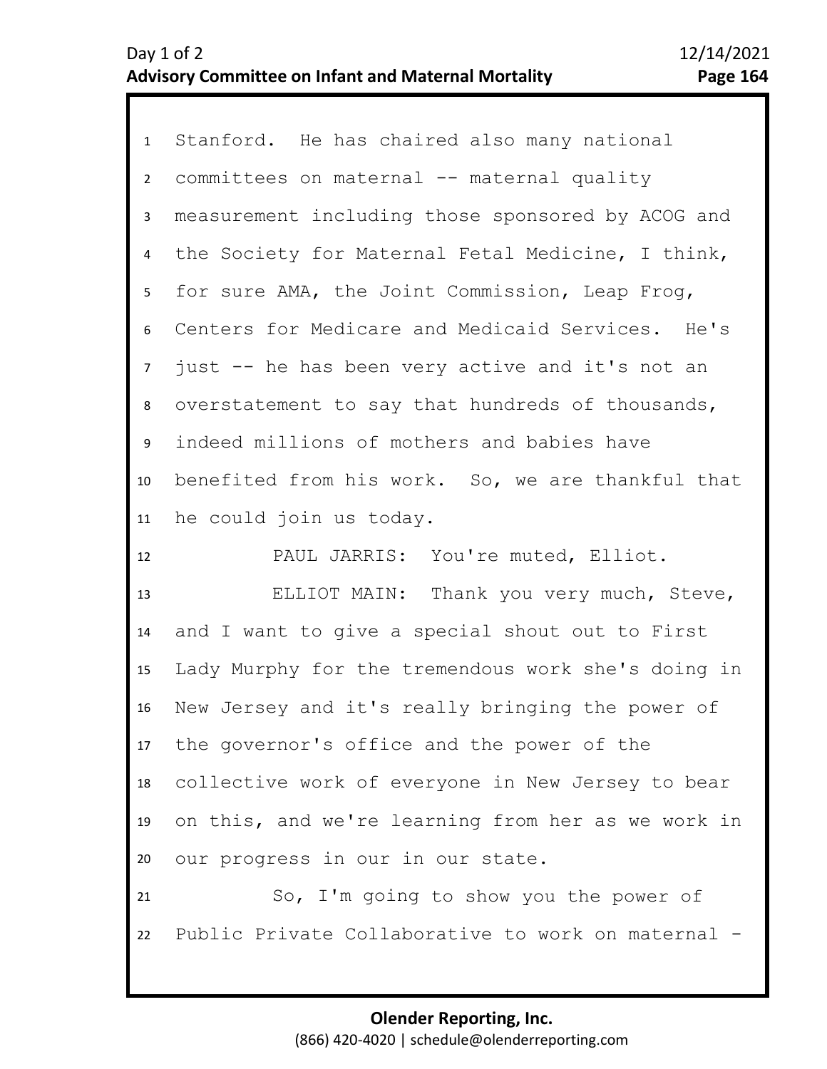1 Stanford. He has chaired also many national 2 3 4 8 9 10 11 5 7 6 committees on maternal -- maternal quality measurement including those sponsored by ACOG and the Society for Maternal Fetal Medicine, I think, for sure AMA, the Joint Commission, Leap Frog, Centers for Medicare and Medicaid Services. He's just -- he has been very active and it's not an overstatement to say that hundreds of thousands, indeed millions of mothers and babies have benefited from his work. So, we are thankful that he could join us today.

12 PAUL JARRIS: You're muted, Elliot.

13 14 15 16 17 18 19 20 ELLIOT MAIN: Thank you very much, Steve, and I want to give a special shout out to First Lady Murphy for the tremendous work she's doing in New Jersey and it's really bringing the power of the governor's office and the power of the collective work of everyone in New Jersey to bear on this, and we're learning from her as we work in our progress in our in our state.

21 22 So, I'm going to show you the power of Public Private Collaborative to work on maternal -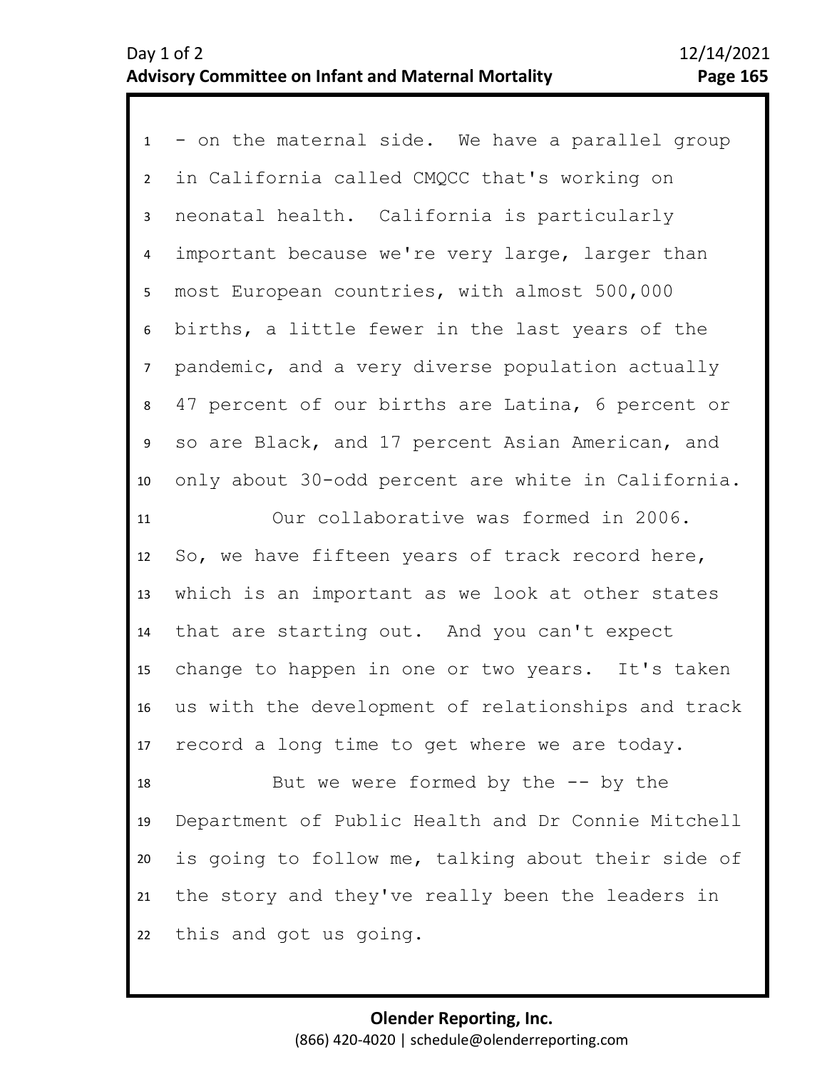1 - on the maternal side. We have a parallel group 2 3 7 8 9 10 11 12 13 14 15 16 17 18 19 20 21 22 4 6 5 in California called CMQCC that's working on neonatal health. California is particularly important because we're very large, larger than most European countries, with almost 500,000 births, a little fewer in the last years of the pandemic, and a very diverse population actually 47 percent of our births are Latina, 6 percent or so are Black, and 17 percent Asian American, and only about 30-odd percent are white in California. Our collaborative was formed in 2006. So, we have fifteen years of track record here, which is an important as we look at other states that are starting out. And you can't expect change to happen in one or two years. It's taken us with the development of relationships and track record a long time to get where we are today. But we were formed by the  $-$ - by the Department of Public Health and Dr Connie Mitchell is going to follow me, talking about their side of the story and they've really been the leaders in this and got us going.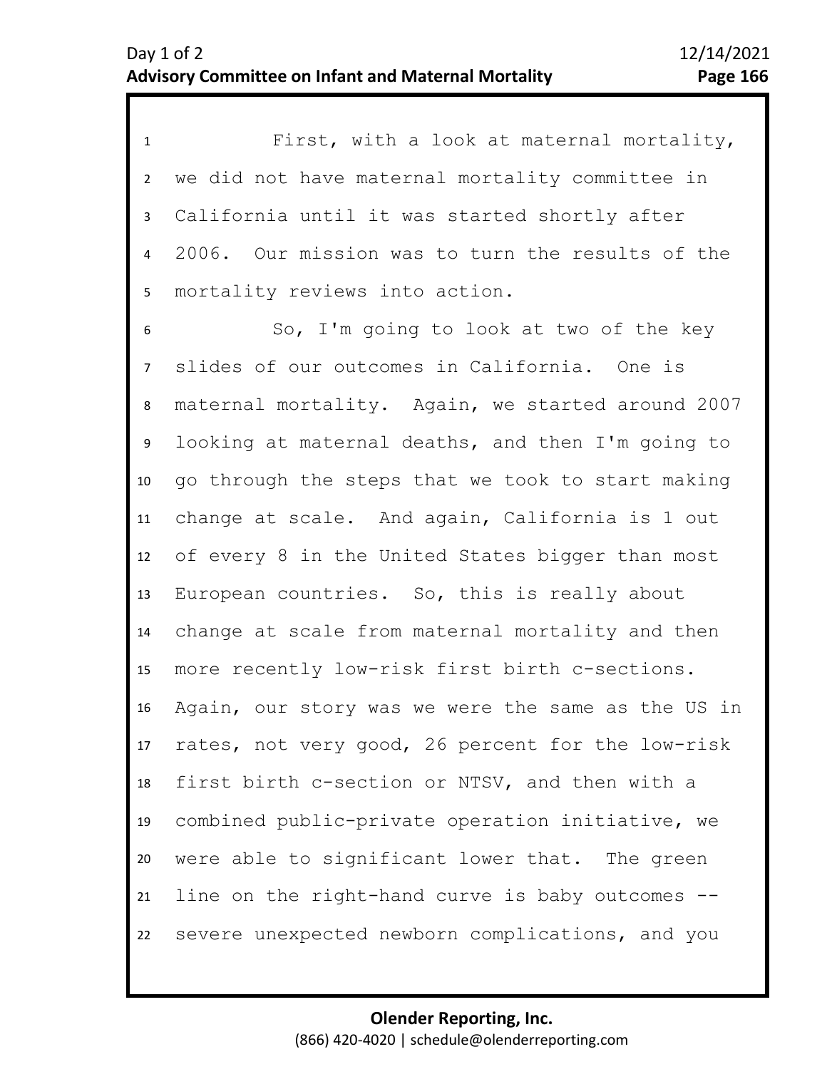1 First, with a look at maternal mortality, 2 3 4 5 we did not have maternal mortality committee in California until it was started shortly after 2006. Our mission was to turn the results of the mortality reviews into action.

6 10 11 12 13 14 15 16 17 18 19 20 21 22 7 9 8 So, I'm going to look at two of the key slides of our outcomes in California. One is maternal mortality. Again, we started around 2007 looking at maternal deaths, and then I'm going to go through the steps that we took to start making change at scale. And again, California is 1 out of every 8 in the United States bigger than most European countries. So, this is really about change at scale from maternal mortality and then more recently low-risk first birth c-sections. Again, our story was we were the same as the US in rates, not very good, 26 percent for the low-risk first birth c-section or NTSV, and then with a combined public-private operation initiative, we were able to significant lower that. The green line on the right-hand curve is baby outcomes - severe unexpected newborn complications, and you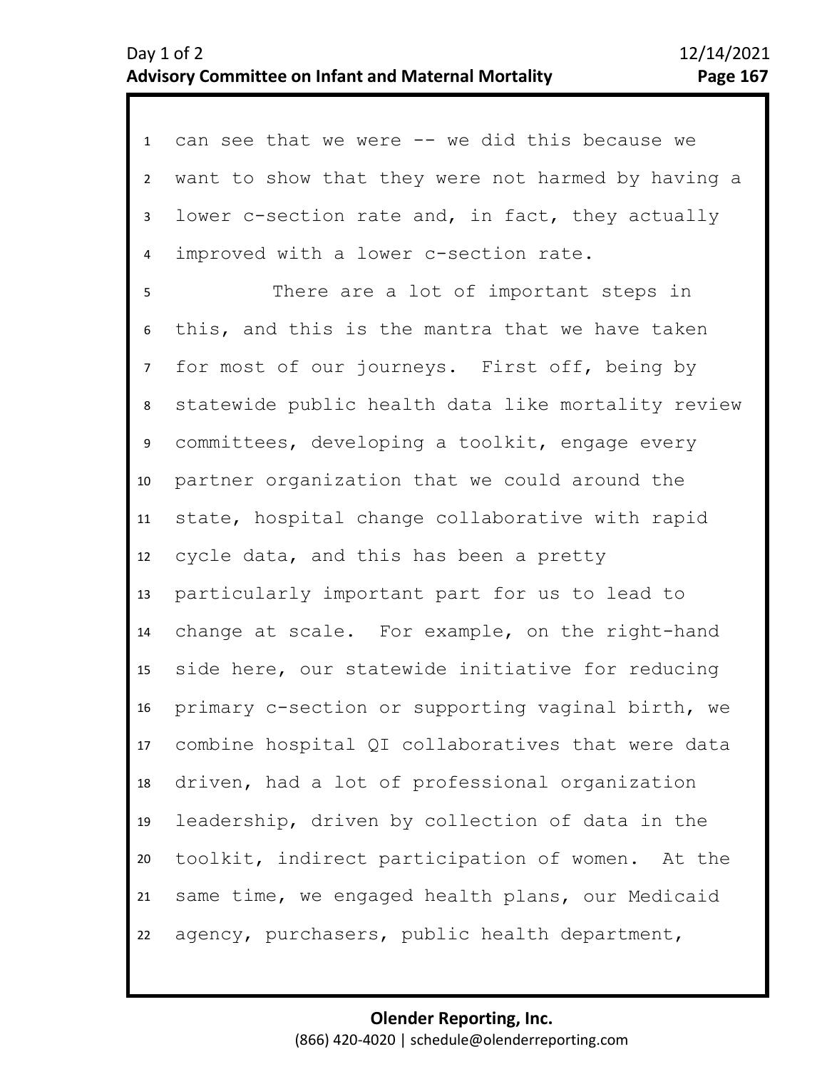1 can see that we were -- we did this because we 2 3 4 want to show that they were not harmed by having a lower c-section rate and, in fact, they actually improved with a lower c-section rate.

8 9 10 11 12 13 14 15 16 17 18 19 20 21 22 5 7 6 There are a lot of important steps in this, and this is the mantra that we have taken for most of our journeys. First off, being by statewide public health data like mortality review committees, developing a toolkit, engage every partner organization that we could around the state, hospital change collaborative with rapid cycle data, and this has been a pretty particularly important part for us to lead to change at scale. For example, on the right-hand side here, our statewide initiative for reducing primary c-section or supporting vaginal birth, we combine hospital QI collaboratives that were data driven, had a lot of professional organization leadership, driven by collection of data in the toolkit, indirect participation of women. At the same time, we engaged health plans, our Medicaid agency, purchasers, public health department,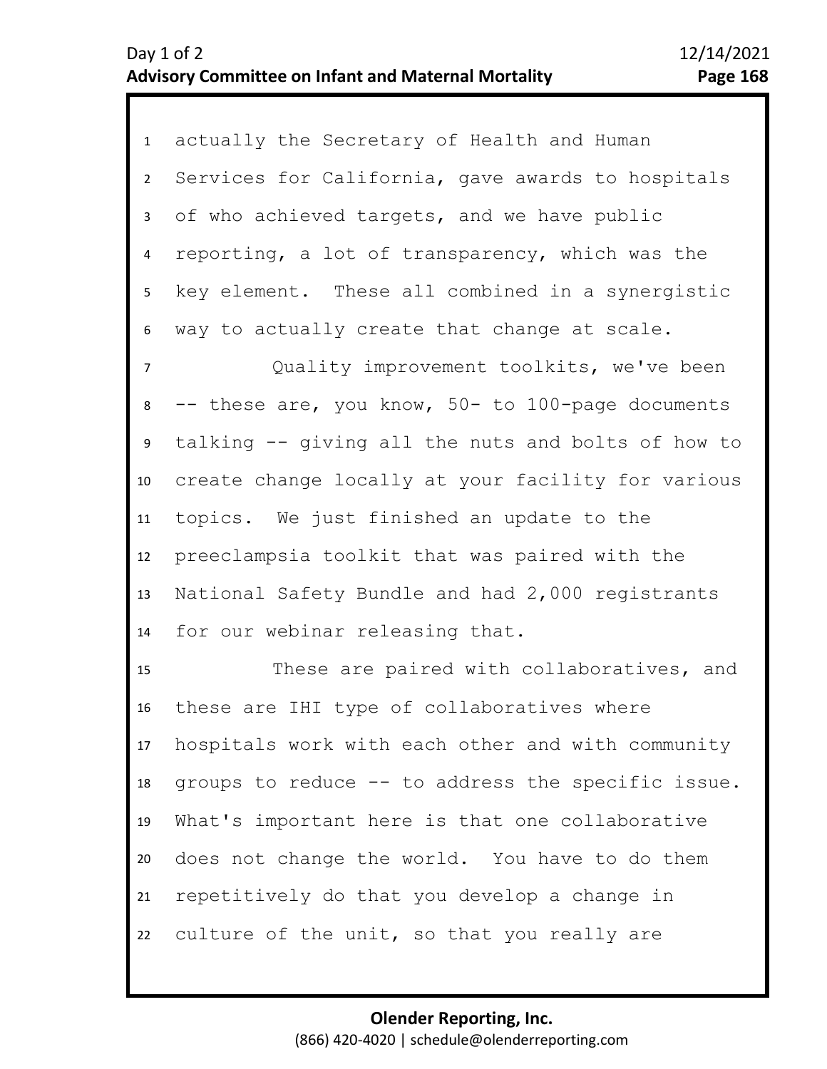1 actually the Secretary of Health and Human 2 3 4 8 9 10 11 12 13 14 15 5 7 6 Services for California, gave awards to hospitals of who achieved targets, and we have public reporting, a lot of transparency, which was the key element. These all combined in a synergistic way to actually create that change at scale. Quality improvement toolkits, we've been -- these are, you know, 50- to 100-page documents talking -- giving all the nuts and bolts of how to create change locally at your facility for various topics. We just finished an update to the preeclampsia toolkit that was paired with the National Safety Bundle and had 2,000 registrants for our webinar releasing that. These are paired with collaboratives, and

16 17 18 19 20 21 22 these are IHI type of collaboratives where hospitals work with each other and with community groups to reduce -- to address the specific issue. What's important here is that one collaborative does not change the world. You have to do them repetitively do that you develop a change in culture of the unit, so that you really are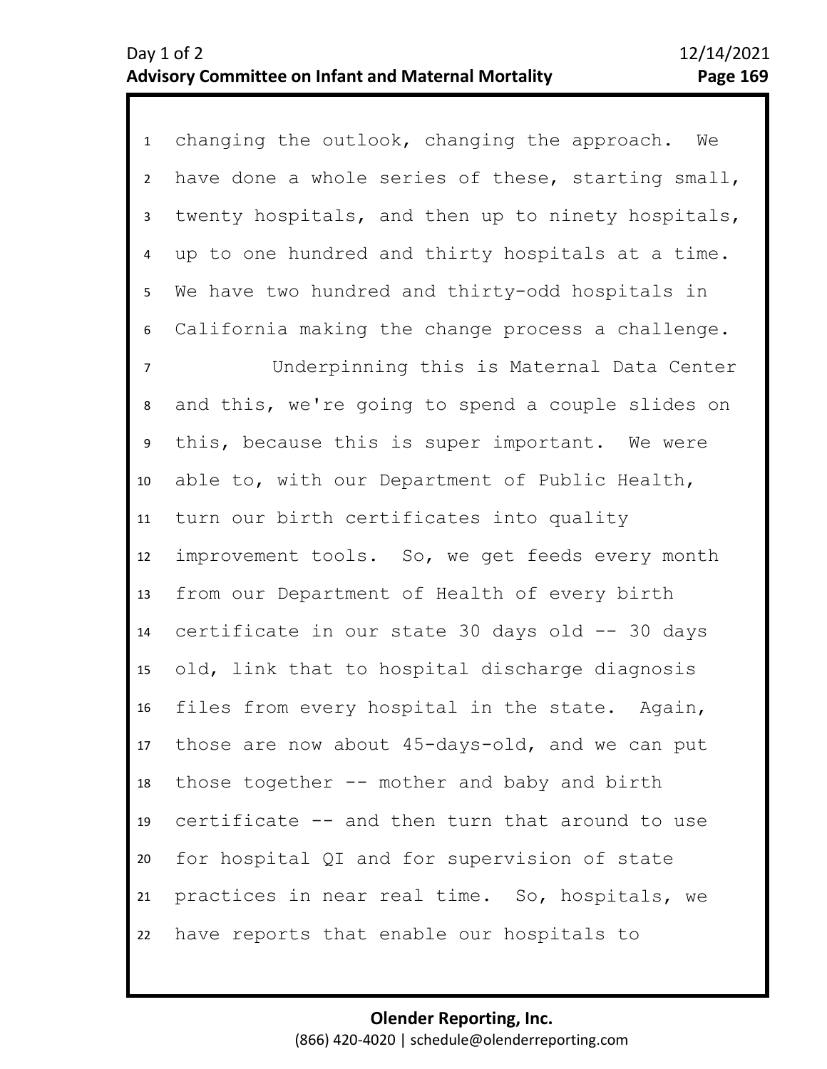| $\mathbf{1}$    | changing the outlook, changing the approach. We    |
|-----------------|----------------------------------------------------|
| $\overline{2}$  | have done a whole series of these, starting small, |
| $\mathbf{3}$    | twenty hospitals, and then up to ninety hospitals, |
| 4               | up to one hundred and thirty hospitals at a time.  |
| 5 <sub>1</sub>  | We have two hundred and thirty-odd hospitals in    |
| 6               | California making the change process a challenge.  |
| $\overline{7}$  | Underpinning this is Maternal Data Center          |
| 8               | and this, we're going to spend a couple slides on  |
| 9               | this, because this is super important. We were     |
| 10              | able to, with our Department of Public Health,     |
| 11              | turn our birth certificates into quality           |
| 12              | improvement tools. So, we get feeds every month    |
| 13              | from our Department of Health of every birth       |
| 14              | certificate in our state 30 days old -- 30 days    |
| 15 <sub>1</sub> | old, link that to hospital discharge diagnosis     |
| 16              | files from every hospital in the state. Again,     |
| 17              | those are now about 45-days-old, and we can put    |
| 18              | those together -- mother and baby and birth        |
| 19              | certificate -- and then turn that around to use    |
| 20              | for hospital QI and for supervision of state       |
| 21              | practices in near real time. So, hospitals, we     |
| 22              | have reports that enable our hospitals to          |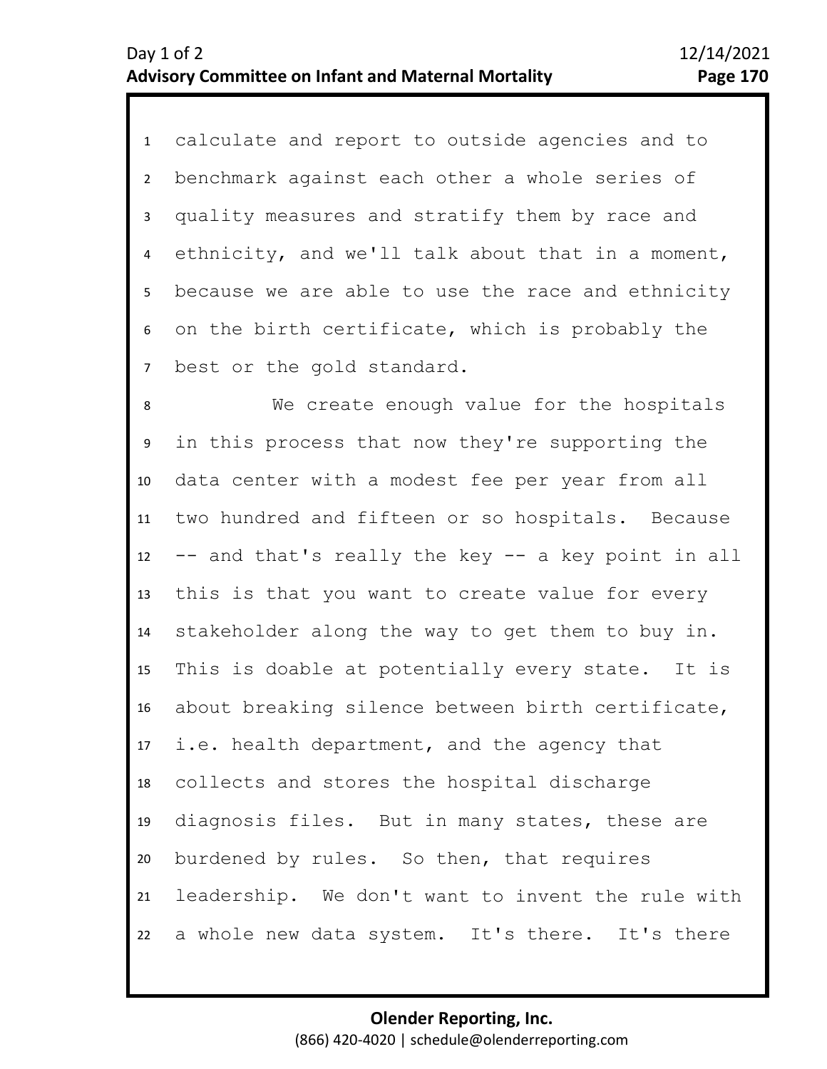1 calculate and report to outside agencies and to 2 3 4 5 7 6 benchmark against each other a whole series of quality measures and stratify them by race and ethnicity, and we'll talk about that in a moment, because we are able to use the race and ethnicity on the birth certificate, which is probably the best or the gold standard.

8 9 10 11 12 13 14 15 16 17 18 19 20 21 22 We create enough value for the hospitals in this process that now they're supporting the data center with a modest fee per year from all two hundred and fifteen or so hospitals. Because -- and that's really the key -- a key point in all this is that you want to create value for every stakeholder along the way to get them to buy in. This is doable at potentially every state. It is about breaking silence between birth certificate, i.e. health department, and the agency that collects and stores the hospital discharge diagnosis files. But in many states, these are burdened by rules. So then, that requires leadership. We don't want to invent the rule with a whole new data system. It's there. It's there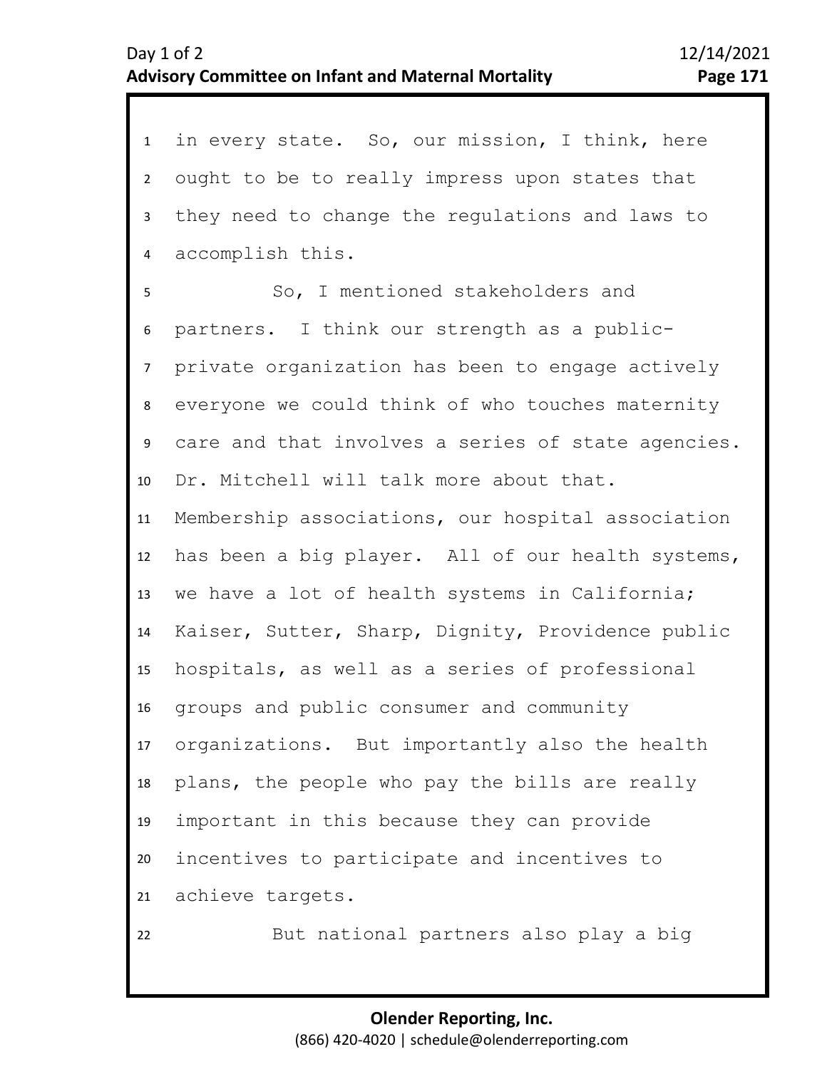1 in every state. So, our mission, I think, here 2 6 7 8 9 10 11 12 13 14 15 16 17 18 19 20 21 22 3 5 4 ought to be to really impress upon states that they need to change the regulations and laws to accomplish this. So, I mentioned stakeholders and partners. I think our strength as a publicprivate organization has been to engage actively everyone we could think of who touches maternity care and that involves a series of state agencies. Dr. Mitchell will talk more about that. Membership associations, our hospital association has been a big player. All of our health systems, we have a lot of health systems in California; Kaiser, Sutter, Sharp, Dignity, Providence public hospitals, as well as a series of professional groups and public consumer and community organizations. But importantly also the health plans, the people who pay the bills are really important in this because they can provide incentives to participate and incentives to achieve targets. But national partners also play a big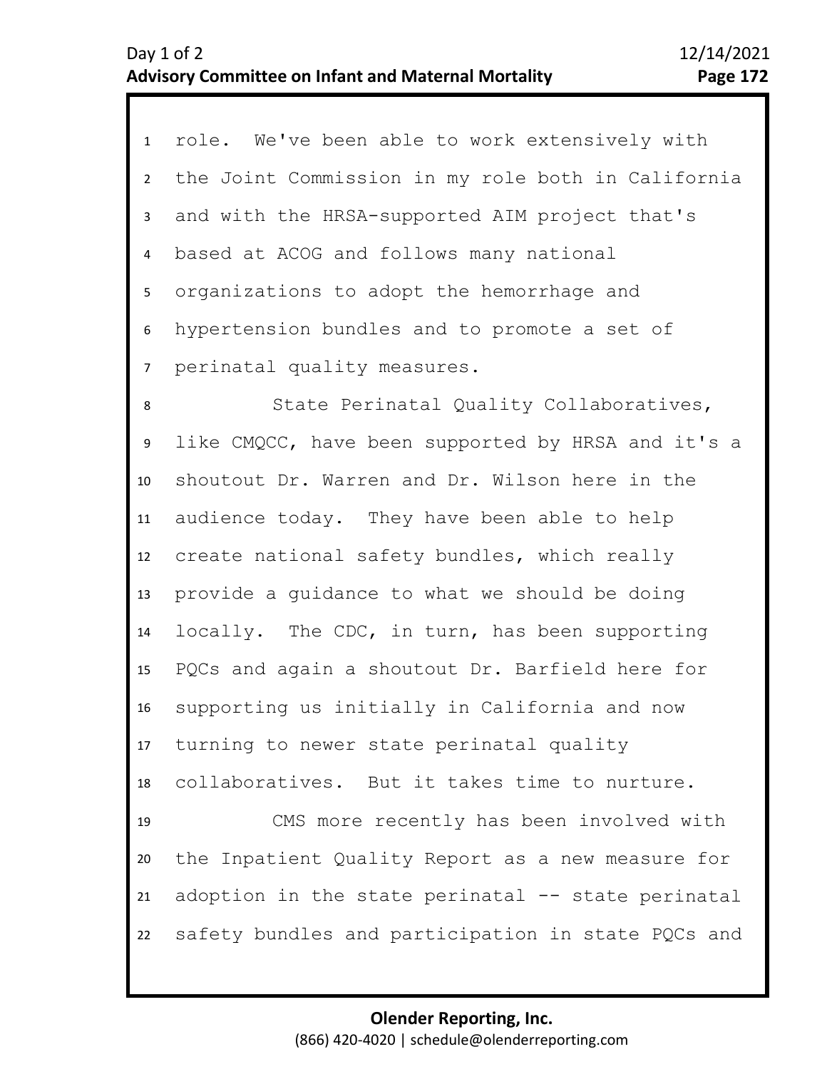| $\mathbf{1}$   | role. We've been able to work extensively with     |
|----------------|----------------------------------------------------|
| $\overline{2}$ | the Joint Commission in my role both in California |
| 3 <sup>1</sup> | and with the HRSA-supported AIM project that's     |
| 4              | based at ACOG and follows many national            |
| 5              | organizations to adopt the hemorrhage and          |
| 6              | hypertension bundles and to promote a set of       |
| $\overline{7}$ | perinatal quality measures.                        |
| 8              | State Perinatal Quality Collaboratives,            |
| 9              | like CMQCC, have been supported by HRSA and it's a |
| 10             | shoutout Dr. Warren and Dr. Wilson here in the     |
| 11             | audience today. They have been able to help        |
| 12             | create national safety bundles, which really       |
| 13             | provide a guidance to what we should be doing      |
| 14             | locally. The CDC, in turn, has been supporting     |
| 15             | PQCs and again a shoutout Dr. Barfield here for    |
| 16             | supporting us initially in California and now      |
| 17             | turning to newer state perinatal quality           |
| 18             | collaboratives. But it takes time to nurture.      |
| 19             | CMS more recently has been involved with           |
| 20             | the Inpatient Quality Report as a new measure for  |
| 21             | adoption in the state perinatal -- state perinatal |
| 22             | safety bundles and participation in state PQCs and |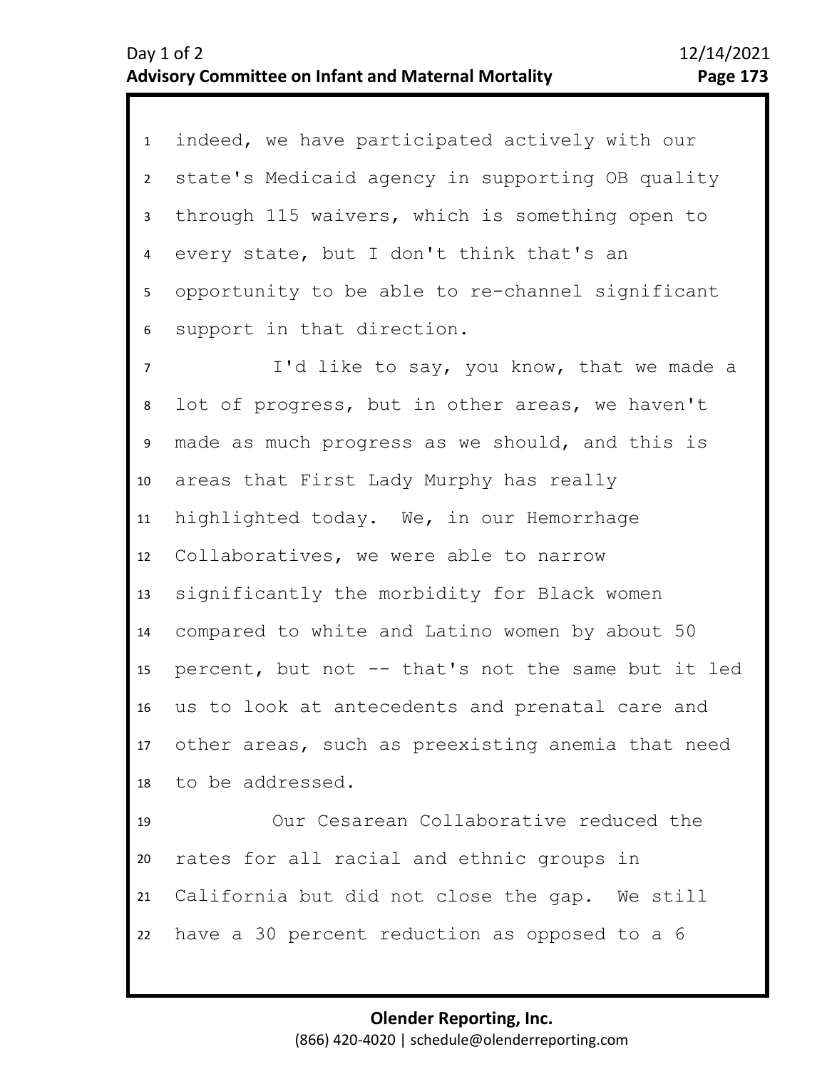1 indeed, we have participated actively with our 2 3 4 8 9 10 11 12 13 14 15 16 17 18 19 20 21 5 7 6 state's Medicaid agency in supporting OB quality through 115 waivers, which is something open to every state, but I don't think that's an opportunity to be able to re-channel significant support in that direction. I'd like to say, you know, that we made a lot of progress, but in other areas, we haven't made as much progress as we should, and this is areas that First Lady Murphy has really highlighted today. We, in our Hemorrhage Collaboratives, we were able to narrow significantly the morbidity for Black women compared to white and Latino women by about 50 percent, but not -- that's not the same but it led us to look at antecedents and prenatal care and other areas, such as preexisting anemia that need to be addressed. Our Cesarean Collaborative reduced the rates for all racial and ethnic groups in California but did not close the gap. We still

> **Olender Reporting, Inc.** (866) 420-4020 | schedule@olenderreporting.com

have a 30 percent reduction as opposed to a 6

22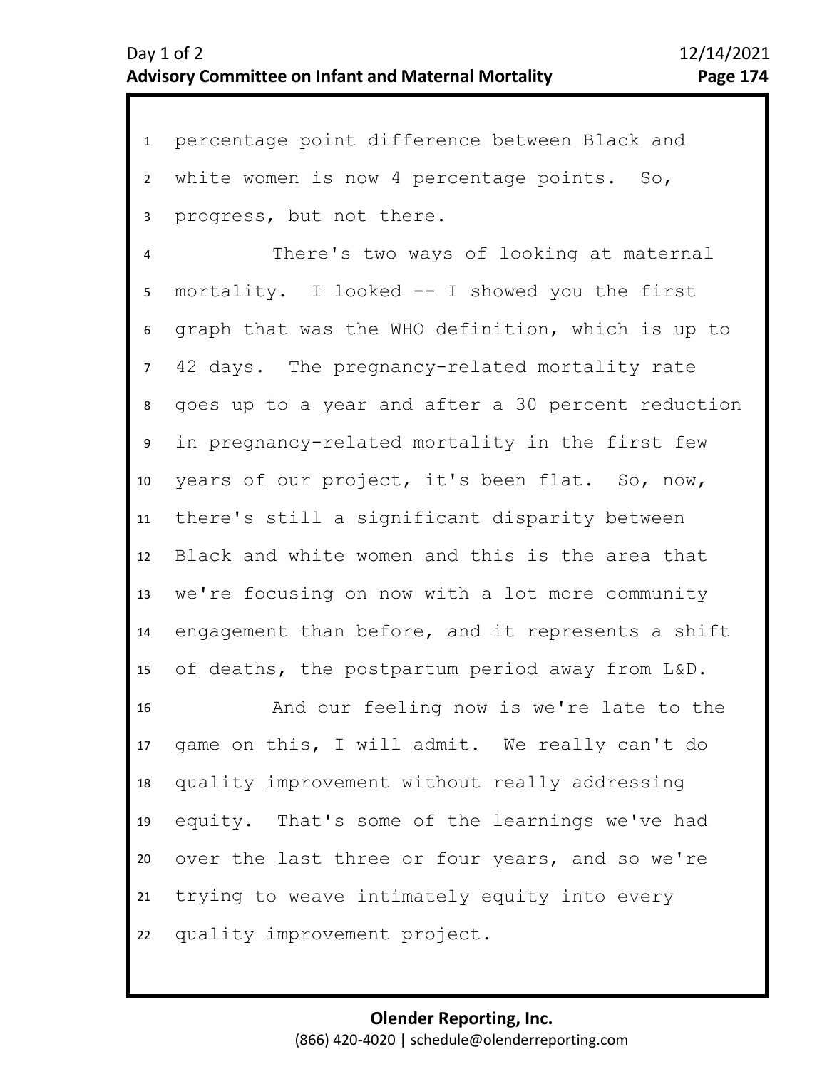1 percentage point difference between Black and 2 3 white women is now 4 percentage points. So, progress, but not there.

7 8 9 10 11 12 13 14 15 4 6 5 There's two ways of looking at maternal mortality. I looked -- I showed you the first graph that was the WHO definition, which is up to 42 days. The pregnancy-related mortality rate goes up to a year and after a 30 percent reduction in pregnancy-related mortality in the first few years of our project, it's been flat. So, now, there's still a significant disparity between Black and white women and this is the area that we're focusing on now with a lot more community engagement than before, and it represents a shift of deaths, the postpartum period away from L&D.

16 17 18 19 20 21 22 And our feeling now is we're late to the game on this, I will admit. We really can't do quality improvement without really addressing equity. That's some of the learnings we've had over the last three or four years, and so we're trying to weave intimately equity into every quality improvement project.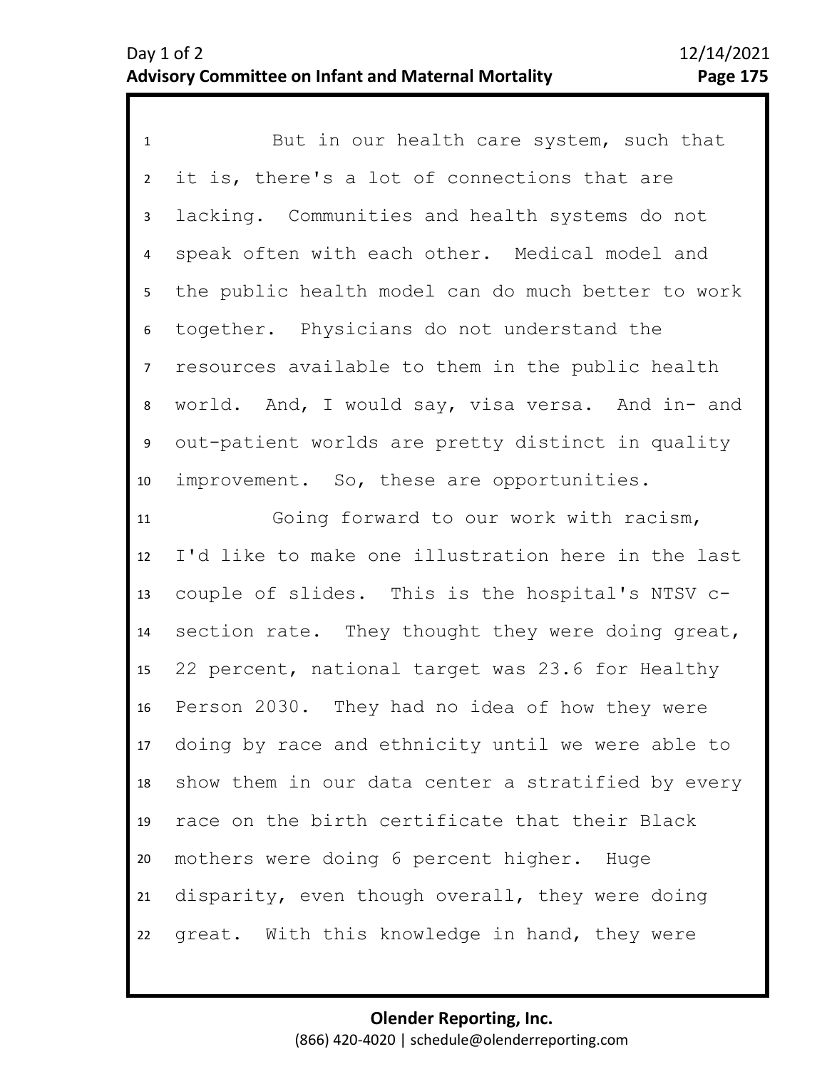1 But in our health care system, such that 2 3 7 8 9 10 11 12 13 14 15 16 17 18 19 20 21 22 4 6 5 it is, there's a lot of connections that are lacking. Communities and health systems do not speak often with each other. Medical model and the public health model can do much better to work together. Physicians do not understand the resources available to them in the public health world. And, I would say, visa versa. And in- and out-patient worlds are pretty distinct in quality improvement. So, these are opportunities. Going forward to our work with racism, I'd like to make one illustration here in the last couple of slides. This is the hospital's NTSV csection rate. They thought they were doing great, 22 percent, national target was 23.6 for Healthy Person 2030. They had no idea of how they were doing by race and ethnicity until we were able to show them in our data center a stratified by every race on the birth certificate that their Black mothers were doing 6 percent higher. Huge disparity, even though overall, they were doing great. With this knowledge in hand, they were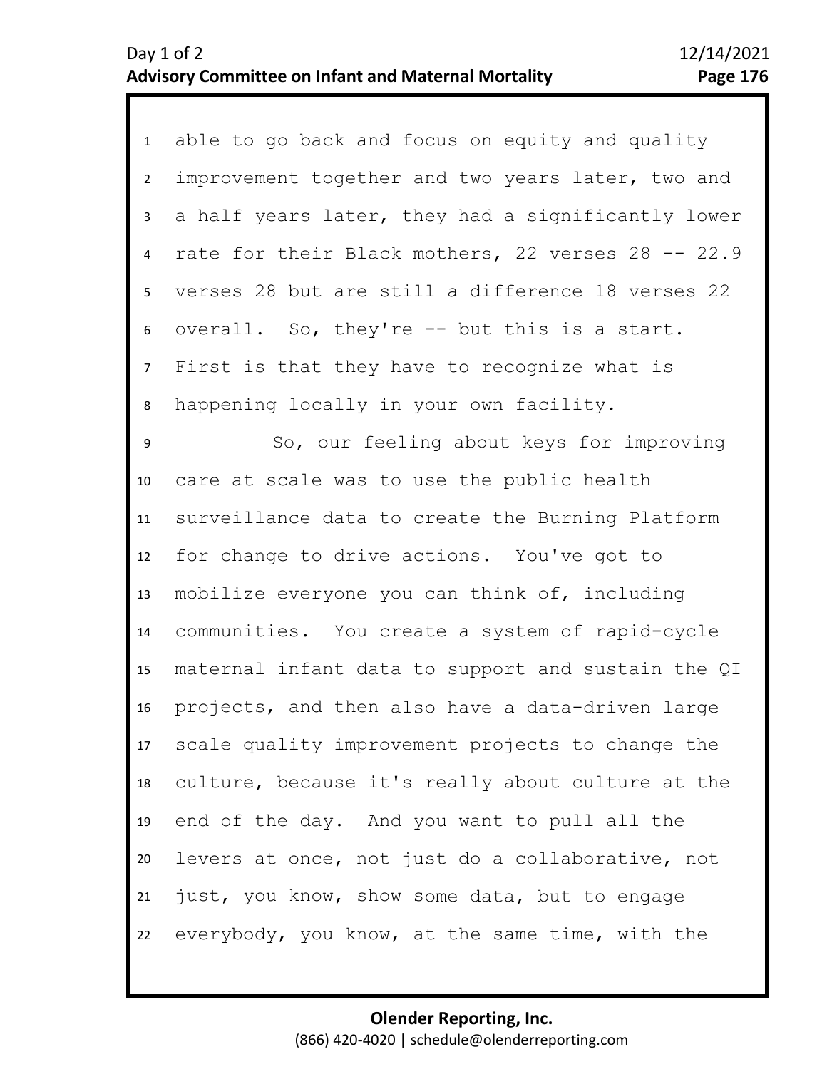1 able to go back and focus on equity and quality 2 3 6 7 8 9 10 11 12 13 14 15 16 17 18 19 20 21 22 4 5 improvement together and two years later, two and a half years later, they had a significantly lower rate for their Black mothers, 22 verses 28 -- 22.9 verses 28 but are still a difference 18 verses 22 overall. So, they're -- but this is a start. First is that they have to recognize what is happening locally in your own facility. So, our feeling about keys for improving care at scale was to use the public health surveillance data to create the Burning Platform for change to drive actions. You've got to mobilize everyone you can think of, including communities. You create a system of rapid-cycle maternal infant data to support and sustain the QI projects, and then also have a data-driven large scale quality improvement projects to change the culture, because it's really about culture at the end of the day. And you want to pull all the levers at once, not just do a collaborative, not just, you know, show some data, but to engage everybody, you know, at the same time, with the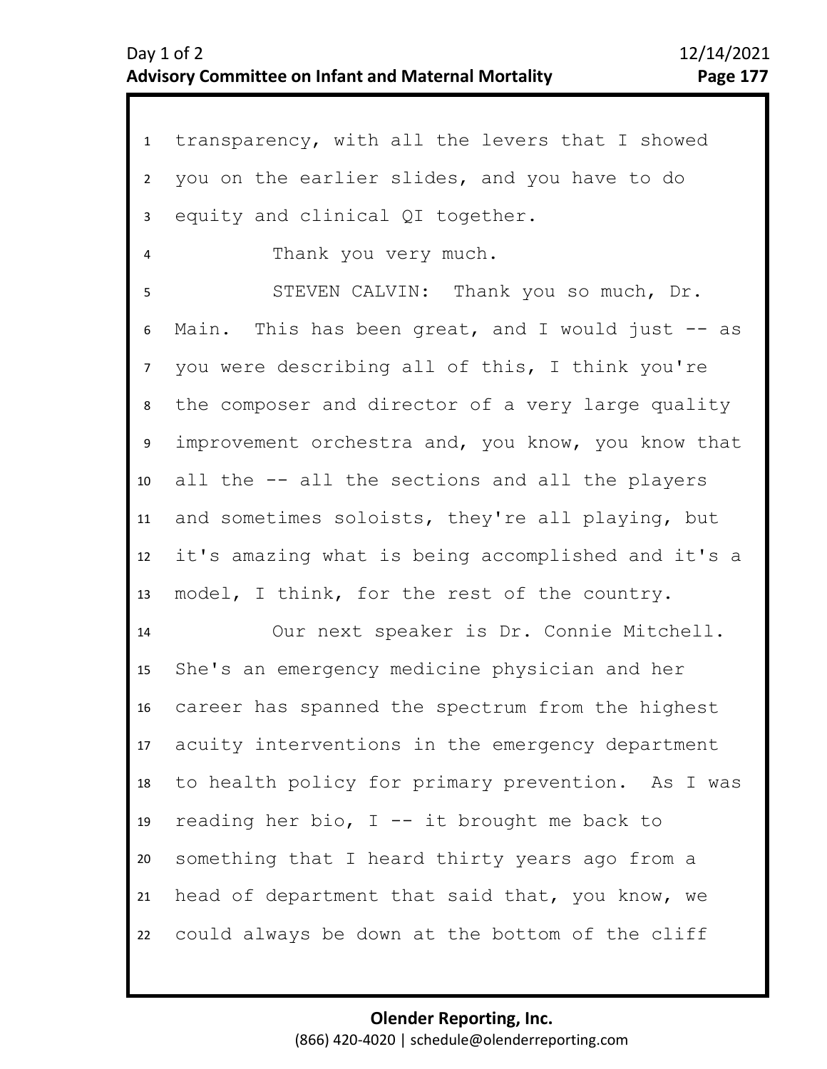| transparency, with all the levers that I showed    |
|----------------------------------------------------|
| you on the earlier slides, and you have to do      |
| equity and clinical QI together.                   |
| Thank you very much.                               |
| STEVEN CALVIN: Thank you so much, Dr.              |
| Main. This has been great, and I would just -- as  |
| you were describing all of this, I think you're    |
| the composer and director of a very large quality  |
| improvement orchestra and, you know, you know that |
| all the -- all the sections and all the players    |
| and sometimes soloists, they're all playing, but   |
| it's amazing what is being accomplished and it's a |
| model, I think, for the rest of the country.       |
| Our next speaker is Dr. Connie Mitchell.           |
| She's an emergency medicine physician and her      |
| career has spanned the spectrum from the highest   |
| acuity interventions in the emergency department   |
| to health policy for primary prevention. As I was  |
| reading her bio, $I$ -- it brought me back to      |
| something that I heard thirty years ago from a     |
| head of department that said that, you know, we    |
| could always be down at the bottom of the cliff    |
|                                                    |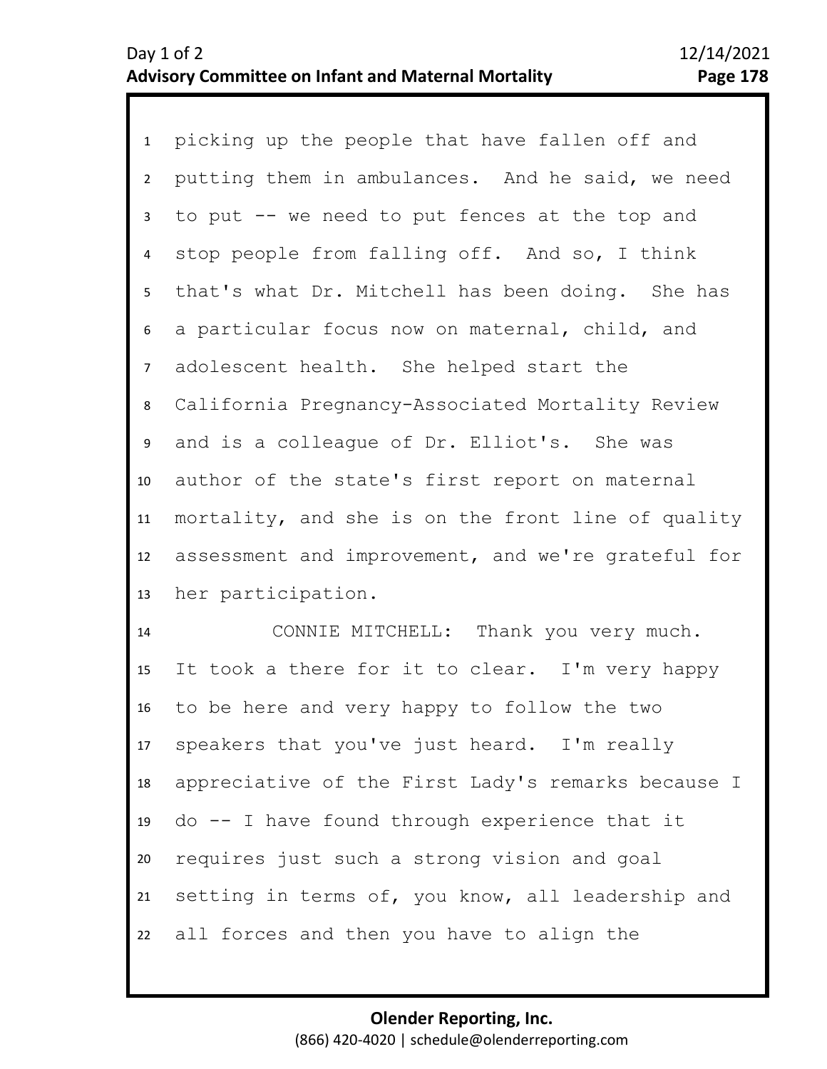1 picking up the people that have fallen off and 2 3 8 9 10 11 12 13 4 7 5 6 putting them in ambulances. And he said, we need to put -- we need to put fences at the top and stop people from falling off. And so, I think that's what Dr. Mitchell has been doing. She has a particular focus now on maternal, child, and adolescent health. She helped start the California Pregnancy-Associated Mortality Review and is a colleague of Dr. Elliot's. She was author of the state's first report on maternal mortality, and she is on the front line of quality assessment and improvement, and we're grateful for her participation.

14 15 16 17 18 19 20 21 22 CONNIE MITCHELL: Thank you very much. It took a there for it to clear. I'm very happy to be here and very happy to follow the two speakers that you've just heard. I'm really appreciative of the First Lady's remarks because I do -- I have found through experience that it requires just such a strong vision and goal setting in terms of, you know, all leadership and all forces and then you have to align the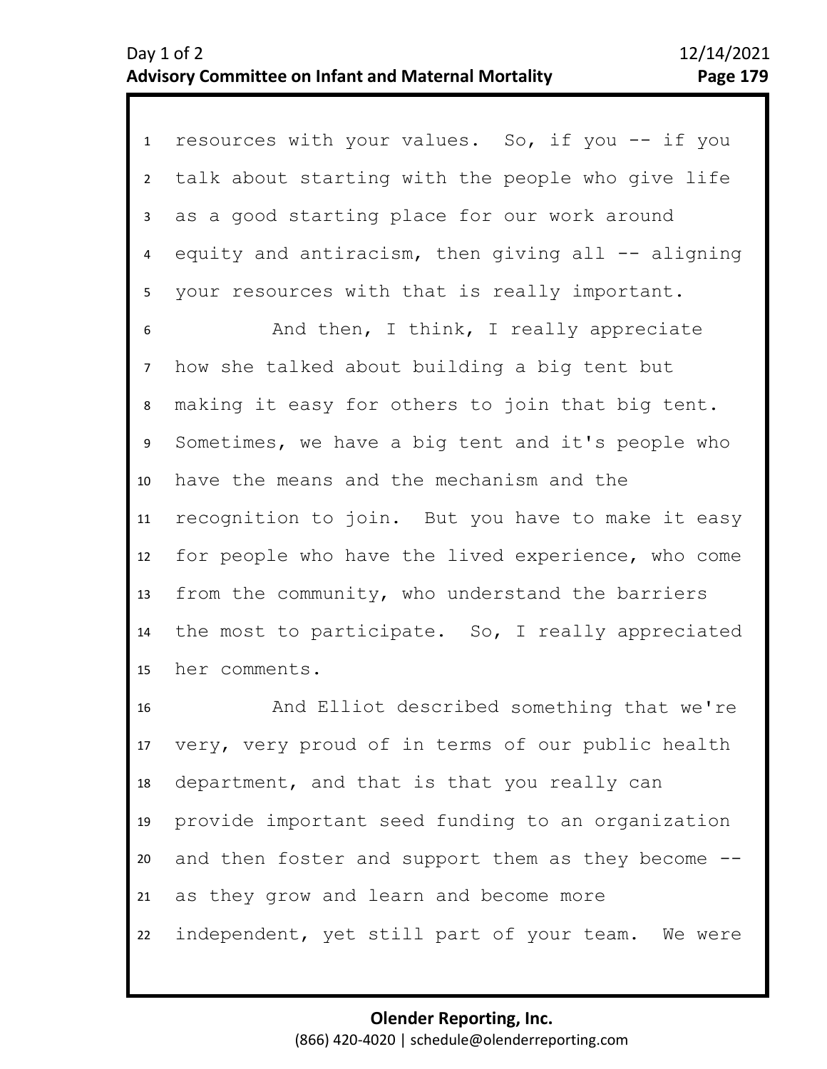1 resources with your values. So, if you -- if you 2 3 4 5 talk about starting with the people who give life as a good starting place for our work around equity and antiracism, then giving all  $-$  aligning your resources with that is really important.

8 9 10 11 12 13 14 15 6 7 And then, I think, I really appreciate how she talked about building a big tent but making it easy for others to join that big tent. Sometimes, we have a big tent and it's people who have the means and the mechanism and the recognition to join. But you have to make it easy for people who have the lived experience, who come from the community, who understand the barriers the most to participate. So, I really appreciated her comments.

16 17 18 19 20 21 22 And Elliot described something that we're very, very proud of in terms of our public health department, and that is that you really can provide important seed funding to an organization and then foster and support them as they become - as they grow and learn and become more independent, yet still part of your team. We were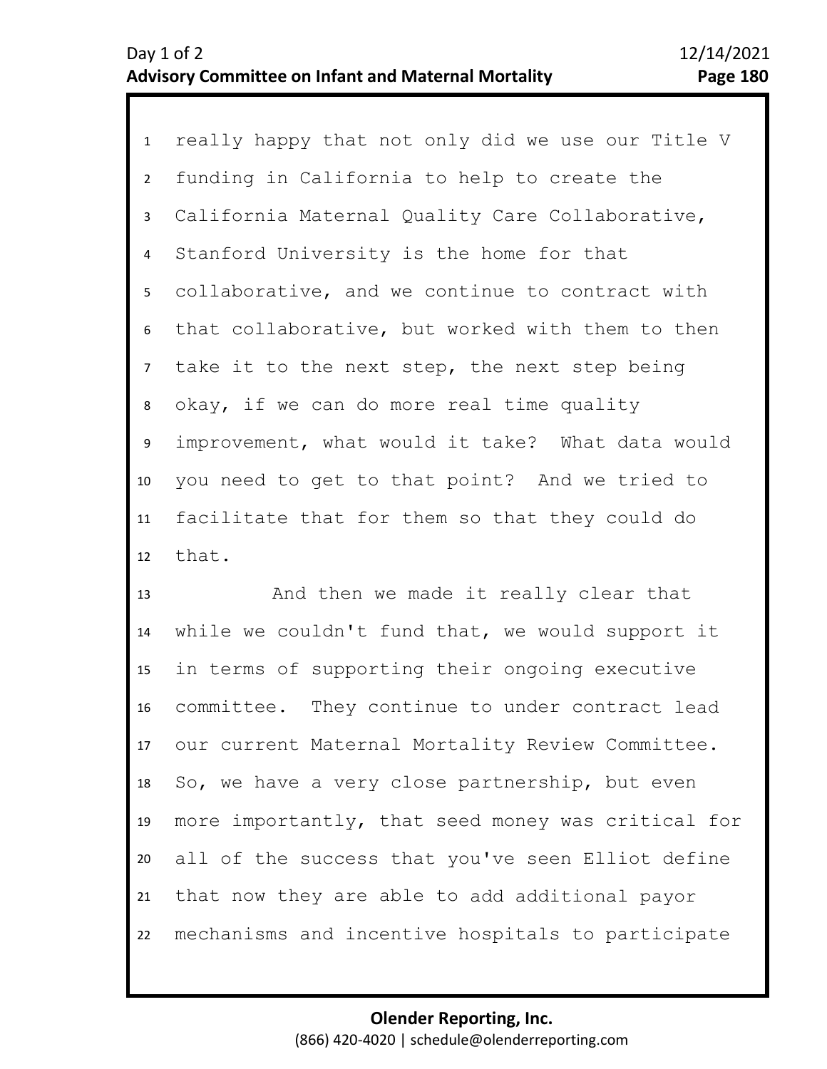1 really happy that not only did we use our Title V 2 3 7 8 9 10 11 12 4 6 5 funding in California to help to create the California Maternal Quality Care Collaborative, Stanford University is the home for that collaborative, and we continue to contract with that collaborative, but worked with them to then take it to the next step, the next step being okay, if we can do more real time quality improvement, what would it take? What data would you need to get to that point? And we tried to facilitate that for them so that they could do that.

13 14 15 16 17 18 19 20 21 22 And then we made it really clear that while we couldn't fund that, we would support it in terms of supporting their ongoing executive committee. They continue to under contract lead our current Maternal Mortality Review Committee. So, we have a very close partnership, but even more importantly, that seed money was critical for all of the success that you've seen Elliot define that now they are able to add additional payor mechanisms and incentive hospitals to participate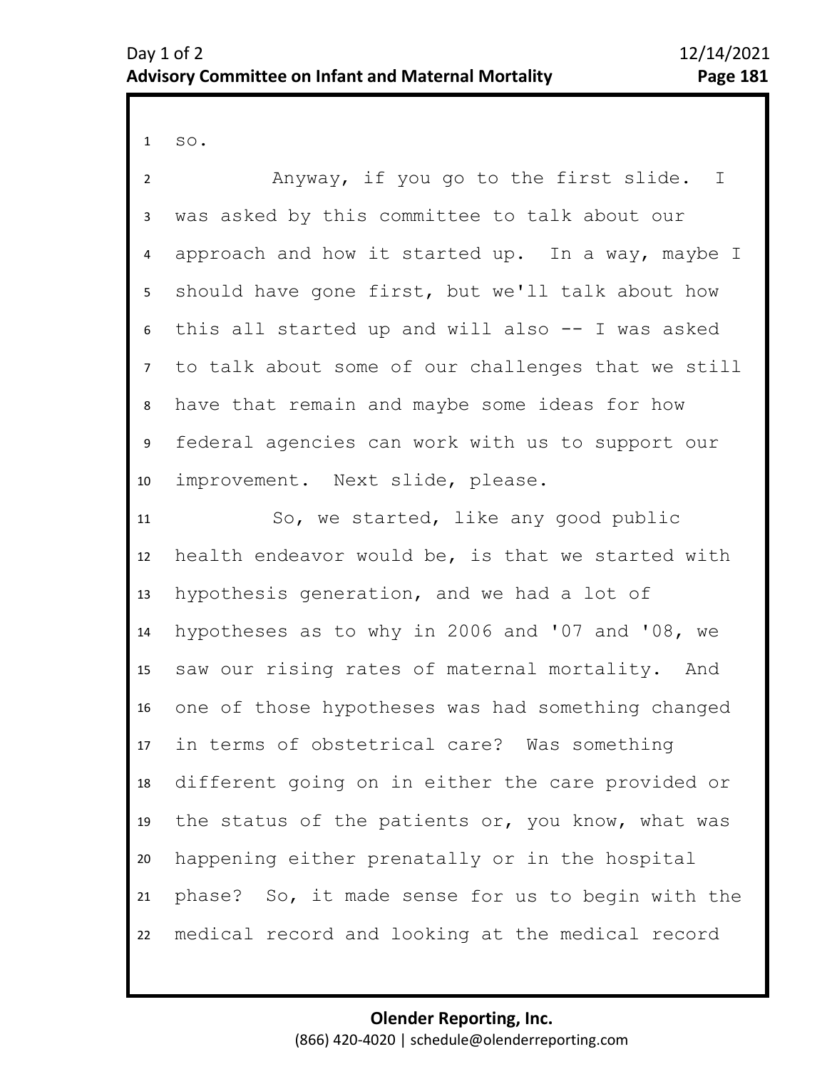1 so.

2 5 6 7 8 9 10 11 12 13 14 15 16 17 18 19 20 21 22 3 4 Anyway, if you go to the first slide. I was asked by this committee to talk about our approach and how it started up. In a way, maybe I should have gone first, but we'll talk about how this all started up and will also -- I was asked to talk about some of our challenges that we still have that remain and maybe some ideas for how federal agencies can work with us to support our improvement. Next slide, please. So, we started, like any good public health endeavor would be, is that we started with hypothesis generation, and we had a lot of hypotheses as to why in 2006 and '07 and '08, we saw our rising rates of maternal mortality. And one of those hypotheses was had something changed in terms of obstetrical care? Was something different going on in either the care provided or the status of the patients or, you know, what was happening either prenatally or in the hospital phase? So, it made sense for us to begin with the medical record and looking at the medical record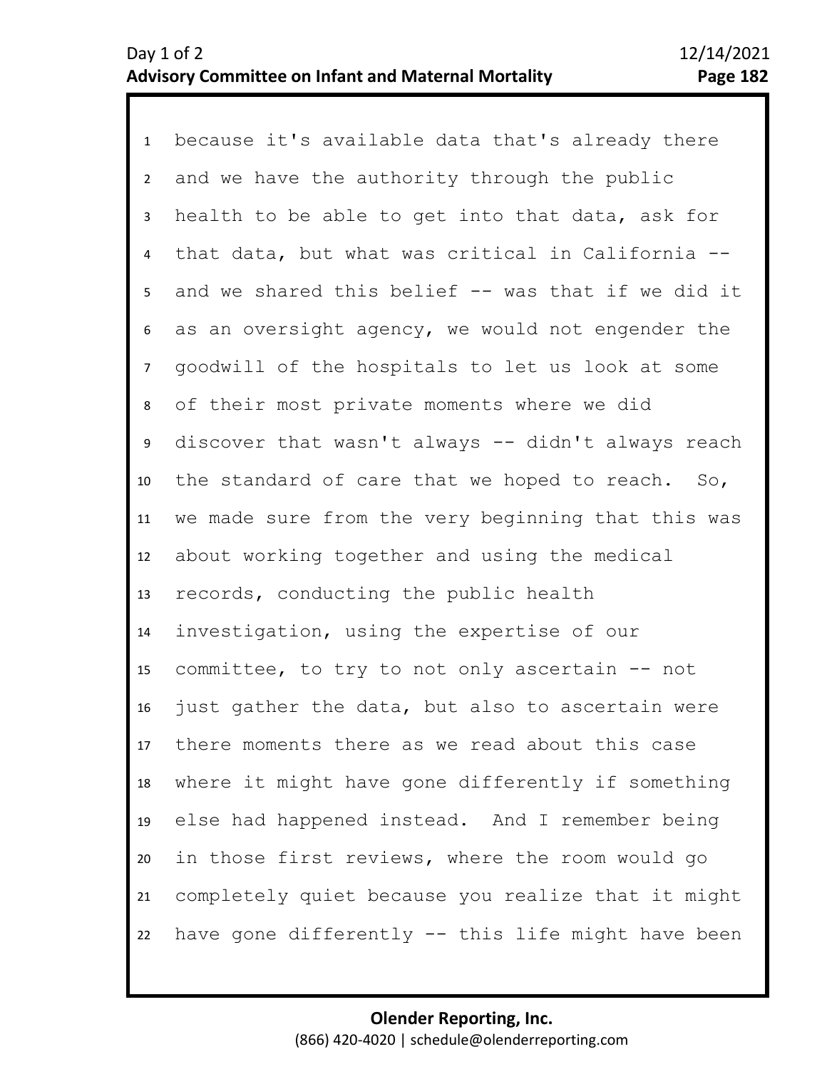1 because it's available data that's already there 2 3 7 8 9 10 11 12 13 14 15 16 17 18 19 20 21 22 4 5 6 and we have the authority through the public health to be able to get into that data, ask for that data, but what was critical in California - and we shared this belief -- was that if we did it as an oversight agency, we would not engender the goodwill of the hospitals to let us look at some of their most private moments where we did discover that wasn't always -- didn't always reach the standard of care that we hoped to reach. So, we made sure from the very beginning that this was about working together and using the medical records, conducting the public health investigation, using the expertise of our committee, to try to not only ascertain -- not just gather the data, but also to ascertain were there moments there as we read about this case where it might have gone differently if something else had happened instead. And I remember being in those first reviews, where the room would go completely quiet because you realize that it might have gone differently -- this life might have been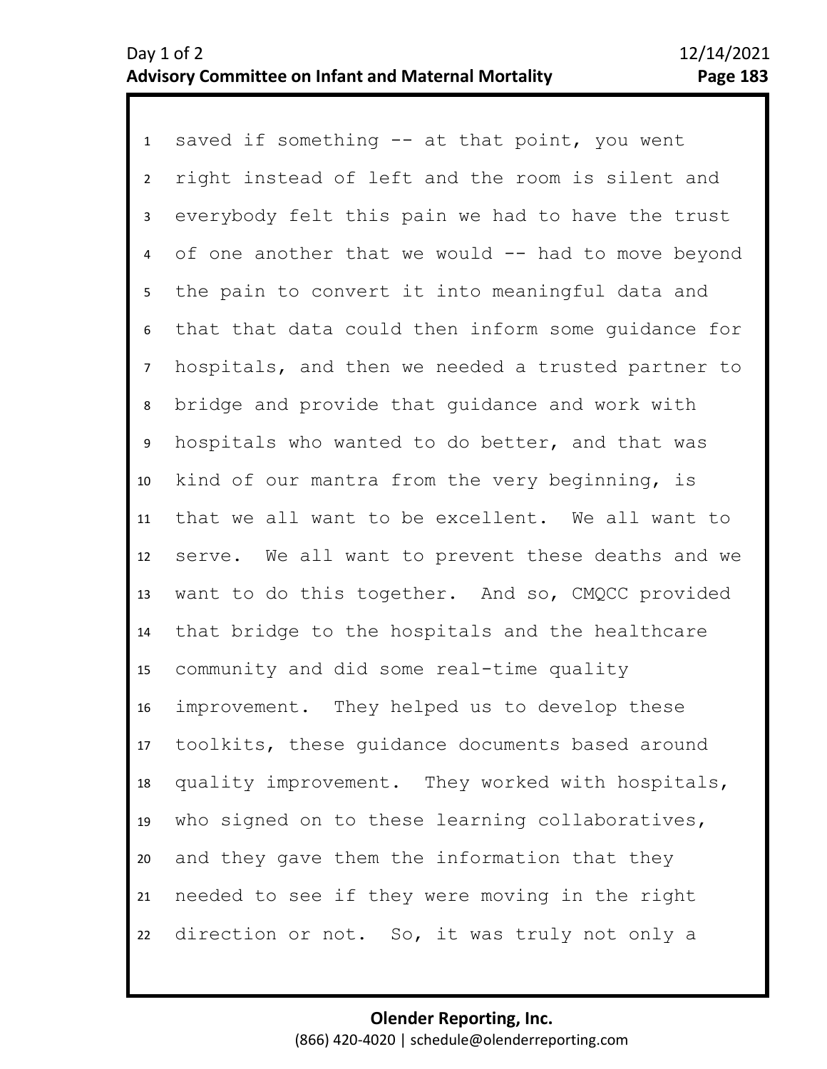1 saved if something -- at that point, you went 2 6 7 8 9 10 11 12 13 14 15 16 17 18 19 20 21 22 3 5 4 right instead of left and the room is silent and everybody felt this pain we had to have the trust of one another that we would  $-$  had to move beyond the pain to convert it into meaningful data and that that data could then inform some guidance for hospitals, and then we needed a trusted partner to bridge and provide that guidance and work with hospitals who wanted to do better, and that was kind of our mantra from the very beginning, is that we all want to be excellent. We all want to serve. We all want to prevent these deaths and we want to do this together. And so, CMQCC provided that bridge to the hospitals and the healthcare community and did some real-time quality improvement. They helped us to develop these toolkits, these guidance documents based around quality improvement. They worked with hospitals, who signed on to these learning collaboratives, and they gave them the information that they needed to see if they were moving in the right direction or not. So, it was truly not only a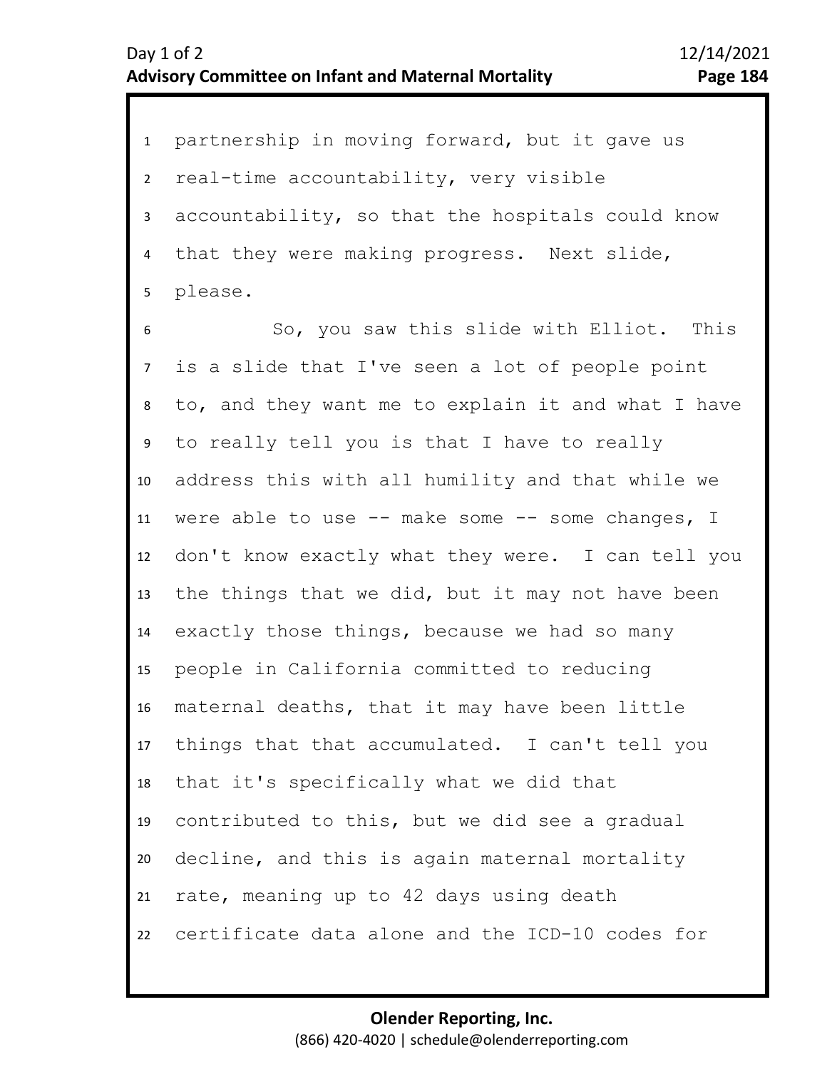1 partnership in moving forward, but it gave us 2 3 4 5 real-time accountability, very visible accountability, so that the hospitals could know that they were making progress. Next slide, please.

9 10 11 12 13 14 15 16 17 18 19 20 21 22 6 8 7 So, you saw this slide with Elliot. This is a slide that I've seen a lot of people point to, and they want me to explain it and what I have to really tell you is that I have to really address this with all humility and that while we were able to use  $--$  make some  $--$  some changes, I don't know exactly what they were. I can tell you the things that we did, but it may not have been exactly those things, because we had so many people in California committed to reducing maternal deaths, that it may have been little things that that accumulated. I can't tell you that it's specifically what we did that contributed to this, but we did see a gradual decline, and this is again maternal mortality rate, meaning up to 42 days using death certificate data alone and the ICD-10 codes for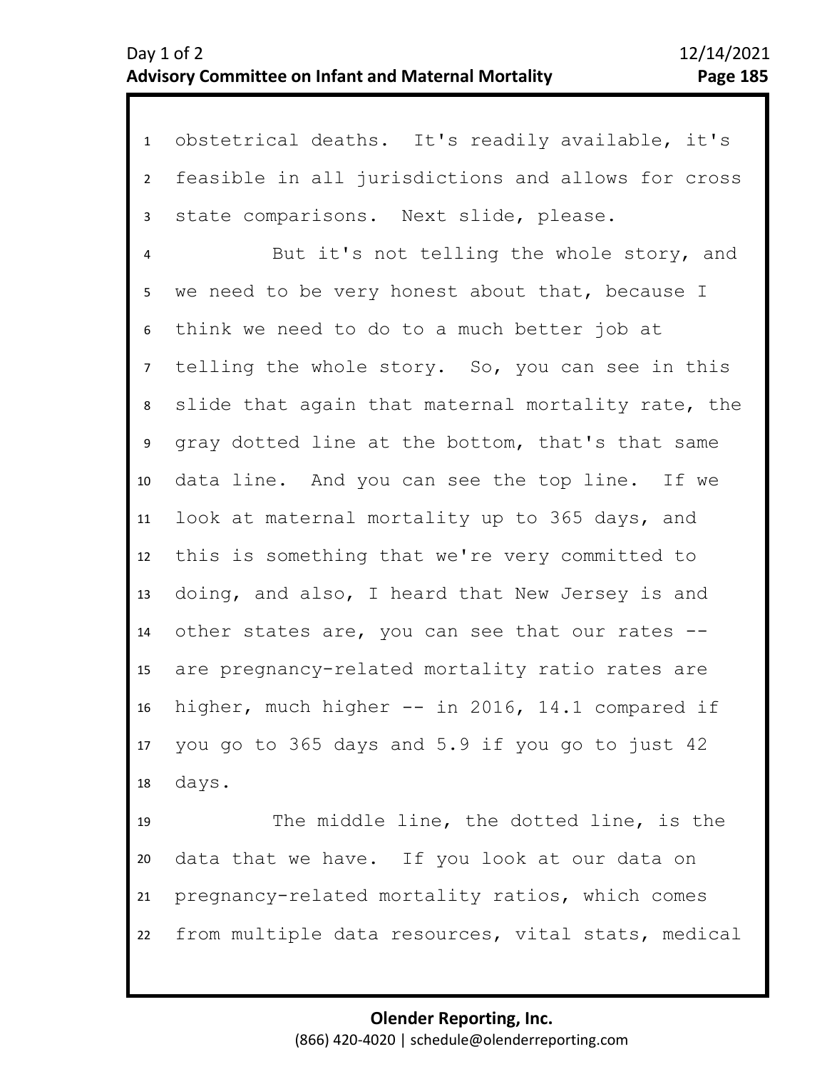1 obstetrical deaths. It's readily available, it's 2 3 feasible in all jurisdictions and allows for cross state comparisons. Next slide, please.

4 5 9 10 11 12 13 14 15 16 17 18 6 8 7 But it's not telling the whole story, and we need to be very honest about that, because I think we need to do to a much better job at telling the whole story. So, you can see in this slide that again that maternal mortality rate, the gray dotted line at the bottom, that's that same data line. And you can see the top line. If we look at maternal mortality up to 365 days, and this is something that we're very committed to doing, and also, I heard that New Jersey is and other states are, you can see that our rates - are pregnancy-related mortality ratio rates are higher, much higher -- in 2016, 14.1 compared if you go to 365 days and 5.9 if you go to just 42 days.

19 20 21 22 The middle line, the dotted line, is the data that we have. If you look at our data on pregnancy-related mortality ratios, which comes from multiple data resources, vital stats, medical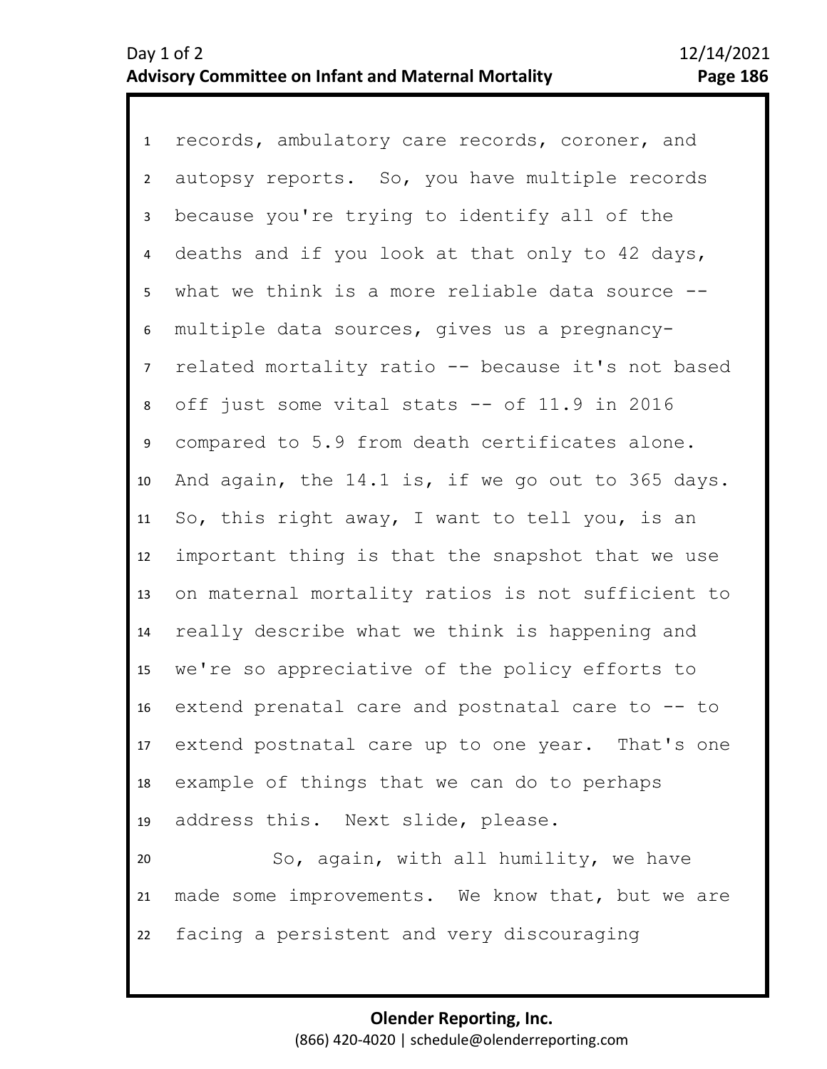1 records, ambulatory care records, coroner, and 2 3 4 5 6 10 11 12 13 14 15 16 17 18 19 20 21 7 9 8 autopsy reports. So, you have multiple records because you're trying to identify all of the deaths and if you look at that only to 42 days, what we think is a more reliable data source -multiple data sources, gives us a pregnancyrelated mortality ratio -- because it's not based off just some vital stats -- of 11.9 in 2016 compared to 5.9 from death certificates alone. And again, the 14.1 is, if we go out to 365 days. So, this right away, I want to tell you, is an important thing is that the snapshot that we use on maternal mortality ratios is not sufficient to really describe what we think is happening and we're so appreciative of the policy efforts to extend prenatal care and postnatal care to -- to extend postnatal care up to one year. That's one example of things that we can do to perhaps address this. Next slide, please. So, again, with all humility, we have made some improvements. We know that, but we are

22 facing a persistent and very discouraging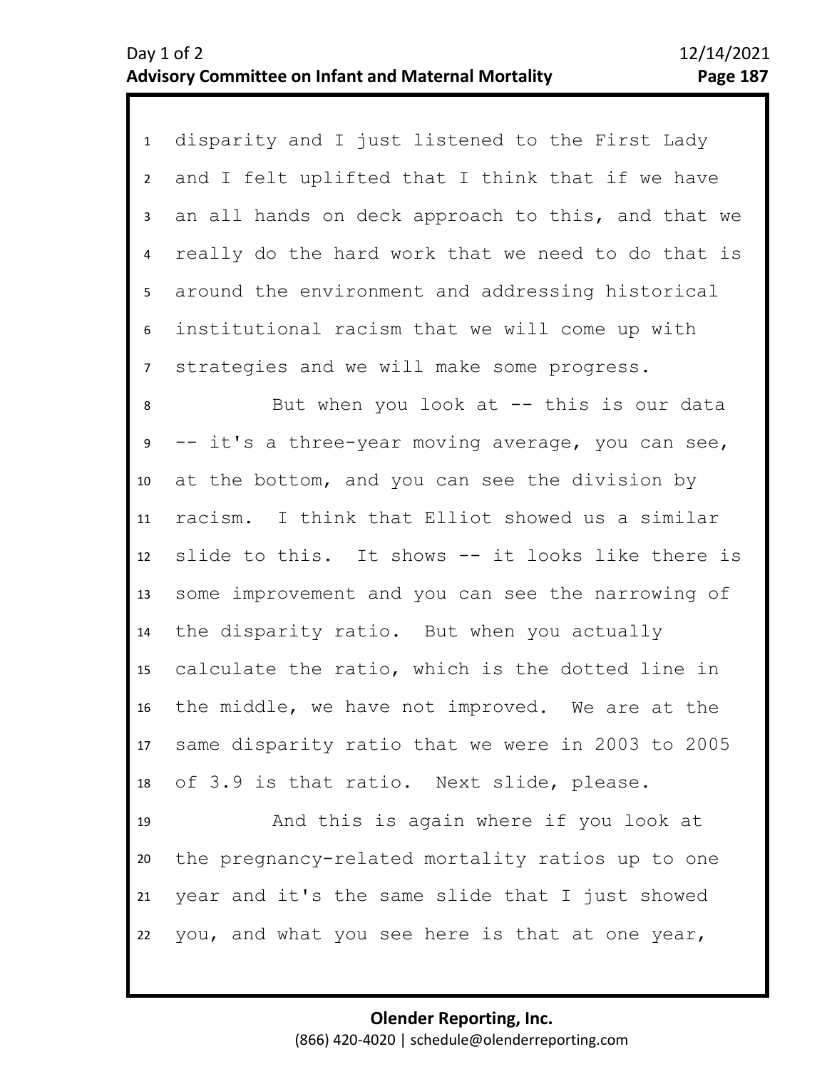1 disparity and I just listened to the First Lady 2 3 4 5 6 7 and I felt uplifted that I think that if we have an all hands on deck approach to this, and that we really do the hard work that we need to do that is around the environment and addressing historical institutional racism that we will come up with strategies and we will make some progress.

12 13 14 15 16 17 18 8 10 11 9 But when you look at  $-$  this is our data -- it's a three-year moving average, you can see, at the bottom, and you can see the division by racism. I think that Elliot showed us a similar slide to this. It shows -- it looks like there is some improvement and you can see the narrowing of the disparity ratio. But when you actually calculate the ratio, which is the dotted line in the middle, we have not improved. We are at the same disparity ratio that we were in 2003 to 2005 of 3.9 is that ratio. Next slide, please.

19 20 21 22 And this is again where if you look at the pregnancy-related mortality ratios up to one year and it's the same slide that I just showed you, and what you see here is that at one year,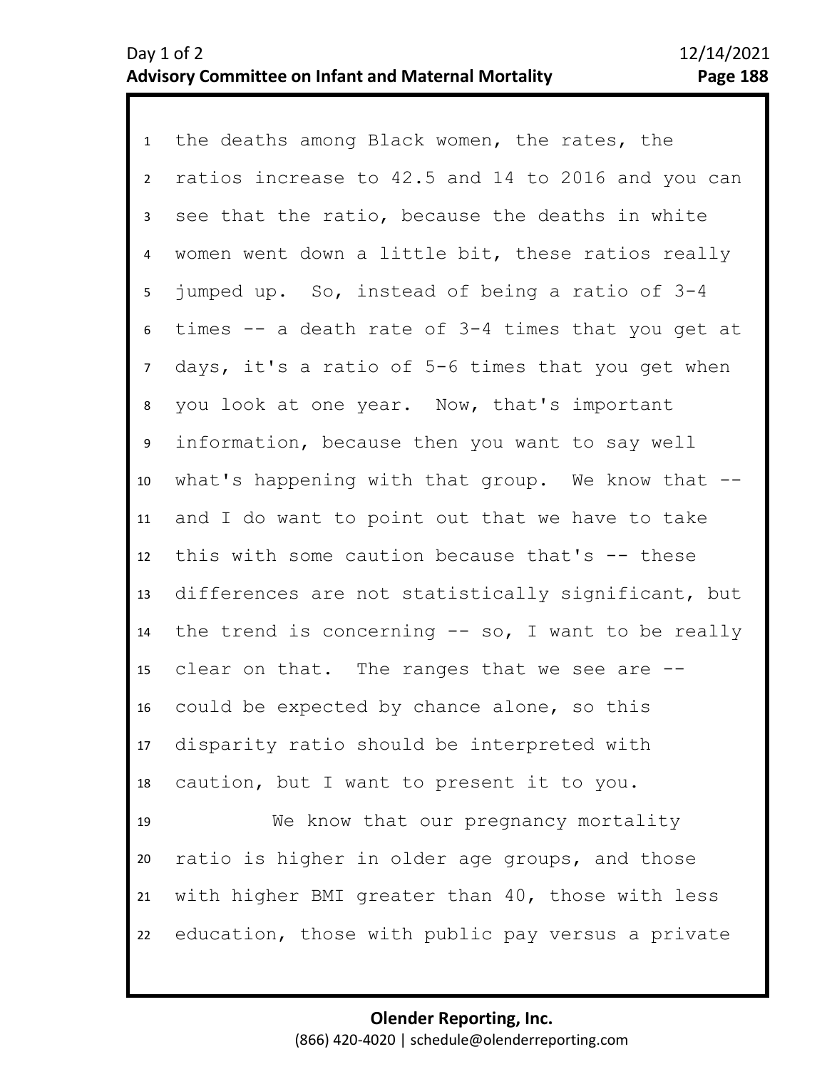1 the deaths among Black women, the rates, the 6 7 8 9 10 11 12 13 14 15 16 17 18 19 20 21 2 4 5 3 ratios increase to 42.5 and 14 to 2016 and you can see that the ratio, because the deaths in white women went down a little bit, these ratios really jumped up. So, instead of being a ratio of 3-4 times -- a death rate of 3-4 times that you get at days, it's a ratio of 5-6 times that you get when you look at one year. Now, that's important information, because then you want to say well what's happening with that group. We know that -and I do want to point out that we have to take this with some caution because that's -- these differences are not statistically significant, but the trend is concerning  $-$  so, I want to be really clear on that. The ranges that we see are - could be expected by chance alone, so this disparity ratio should be interpreted with caution, but I want to present it to you. We know that our pregnancy mortality ratio is higher in older age groups, and those with higher BMI greater than 40, those with less

> **Olender Reporting, Inc.** (866) 420-4020 | schedule@olenderreporting.com

education, those with public pay versus a private

22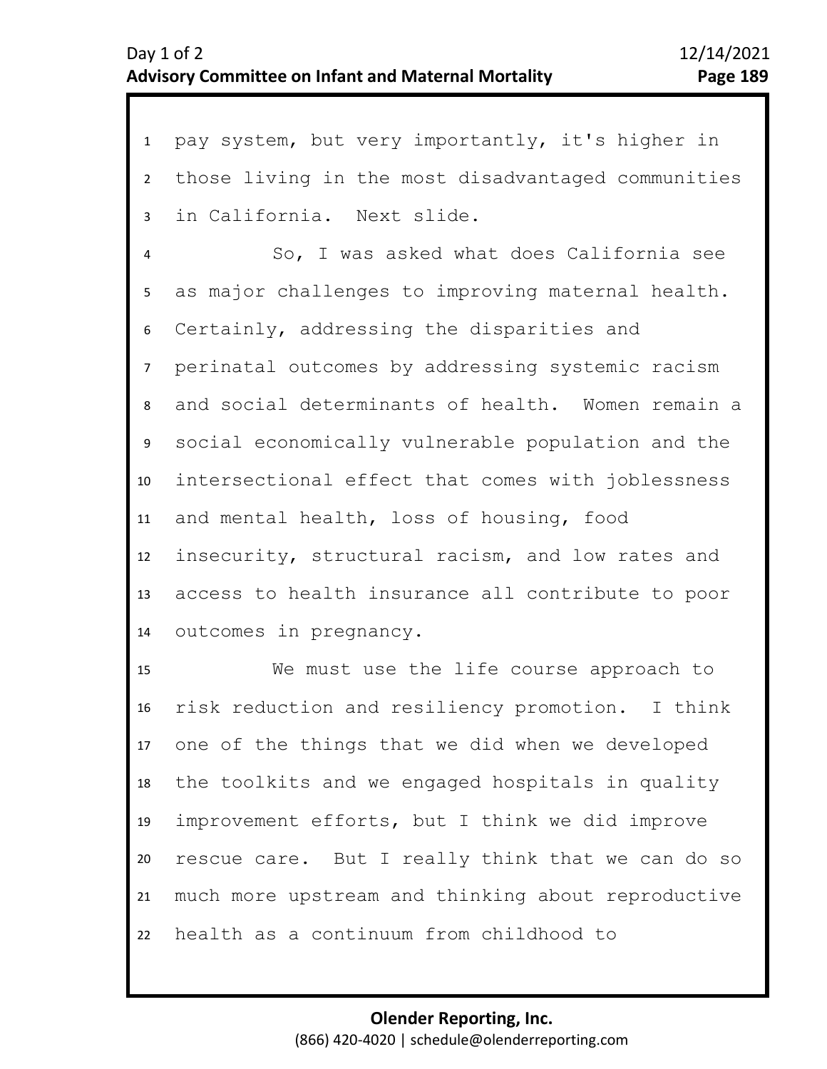11

1 pay system, but very importantly, it's higher in 2 7 8 9 10 3 5 6 4 those living in the most disadvantaged communities in California. Next slide. So, I was asked what does California see as major challenges to improving maternal health. Certainly, addressing the disparities and perinatal outcomes by addressing systemic racism and social determinants of health. Women remain a social economically vulnerable population and the intersectional effect that comes with joblessness

12 13 14 and mental health, loss of housing, food insecurity, structural racism, and low rates and access to health insurance all contribute to poor outcomes in pregnancy.

15 16 17 18 19 20 21 22 We must use the life course approach to risk reduction and resiliency promotion. I think one of the things that we did when we developed the toolkits and we engaged hospitals in quality improvement efforts, but I think we did improve rescue care. But I really think that we can do so much more upstream and thinking about reproductive health as a continuum from childhood to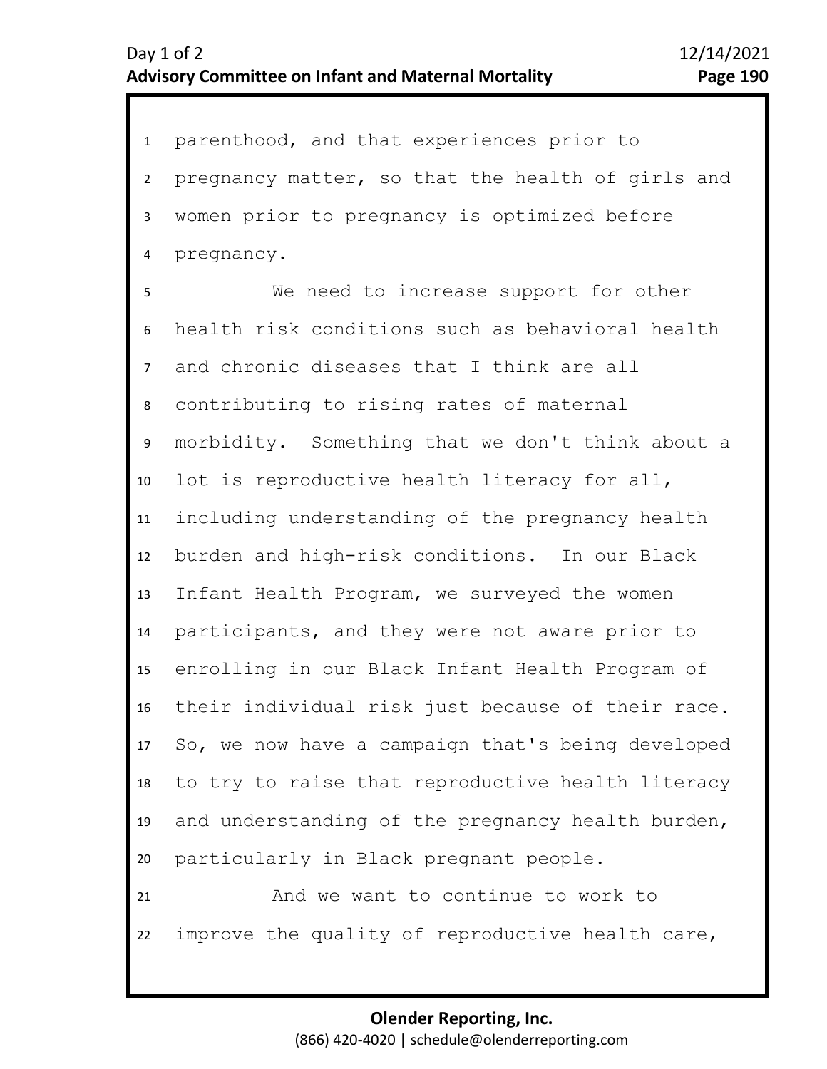1 parenthood, and that experiences prior to 2 3 4 pregnancy matter, so that the health of girls and women prior to pregnancy is optimized before pregnancy.

6 7 8 9 10 11 12 13 14 15 16 17 18 19 20 5 We need to increase support for other health risk conditions such as behavioral health and chronic diseases that I think are all contributing to rising rates of maternal morbidity. Something that we don't think about a lot is reproductive health literacy for all, including understanding of the pregnancy health burden and high-risk conditions. In our Black Infant Health Program, we surveyed the women participants, and they were not aware prior to enrolling in our Black Infant Health Program of their individual risk just because of their race. So, we now have a campaign that's being developed to try to raise that reproductive health literacy and understanding of the pregnancy health burden, particularly in Black pregnant people.

21 22 And we want to continue to work to improve the quality of reproductive health care,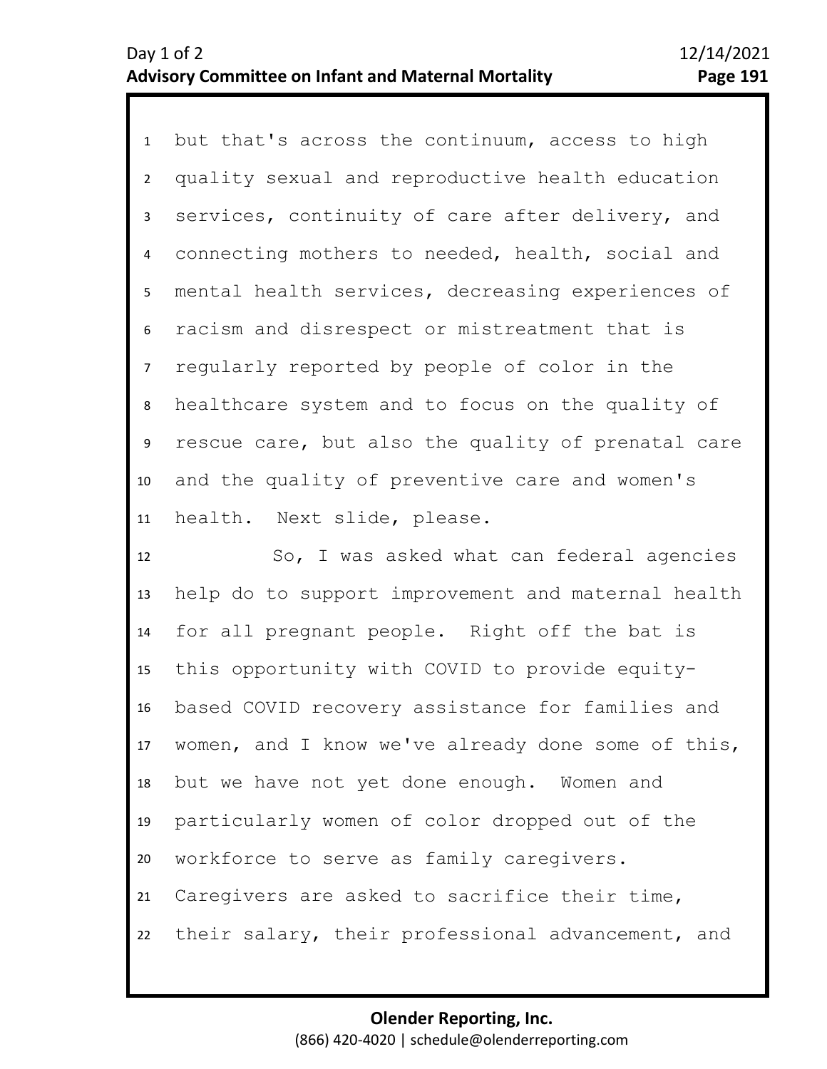1 but that's across the continuum, access to high 2 3 7 8 9 10 11 4 6 5 quality sexual and reproductive health education services, continuity of care after delivery, and connecting mothers to needed, health, social and mental health services, decreasing experiences of racism and disrespect or mistreatment that is regularly reported by people of color in the healthcare system and to focus on the quality of rescue care, but also the quality of prenatal care and the quality of preventive care and women's health. Next slide, please.

12 13 14 15 16 17 18 19 20 21 22 So, I was asked what can federal agencies help do to support improvement and maternal health for all pregnant people. Right off the bat is this opportunity with COVID to provide equitybased COVID recovery assistance for families and women, and I know we've already done some of this, but we have not yet done enough. Women and particularly women of color dropped out of the workforce to serve as family caregivers. Caregivers are asked to sacrifice their time, their salary, their professional advancement, and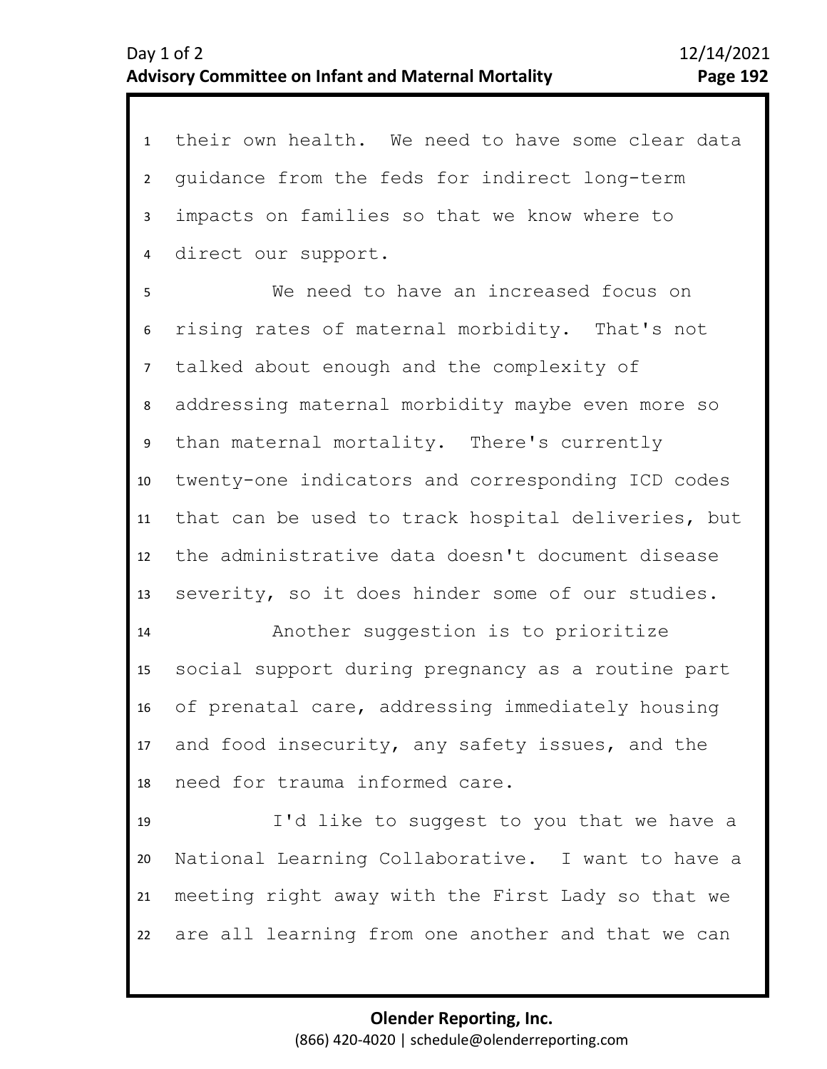1 their own health. We need to have some clear data 2 3 4 guidance from the feds for indirect long-term impacts on families so that we know where to direct our support.

6 7 8 9 10 11 12 13 5 We need to have an increased focus on rising rates of maternal morbidity. That's not talked about enough and the complexity of addressing maternal morbidity maybe even more so than maternal mortality. There's currently twenty-one indicators and corresponding ICD codes that can be used to track hospital deliveries, but the administrative data doesn't document disease severity, so it does hinder some of our studies.

14 15 16 17 18 Another suggestion is to prioritize social support during pregnancy as a routine part of prenatal care, addressing immediately housing and food insecurity, any safety issues, and the need for trauma informed care.

19 20 21 22 I'd like to suggest to you that we have a National Learning Collaborative. I want to have a meeting right away with the First Lady so that we are all learning from one another and that we can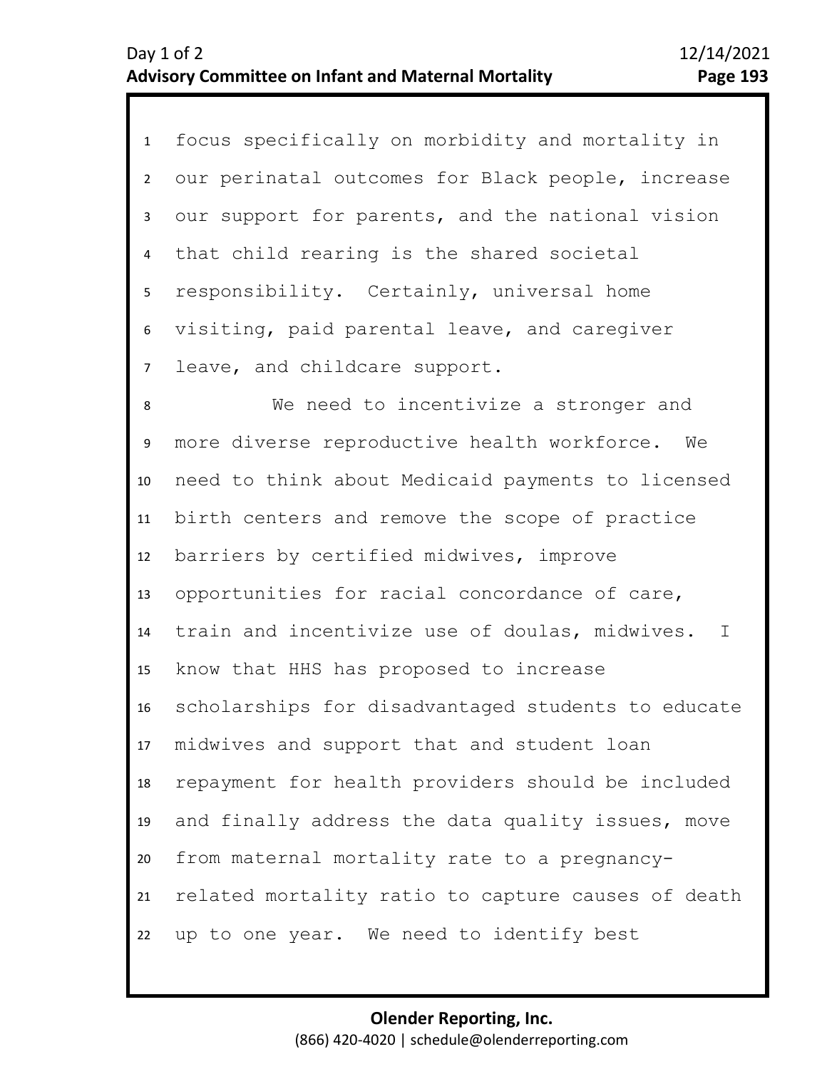1 focus specifically on morbidity and mortality in 2 6 7 3 5 4 our perinatal outcomes for Black people, increase our support for parents, and the national vision that child rearing is the shared societal responsibility. Certainly, universal home visiting, paid parental leave, and caregiver leave, and childcare support.

8 9 10 11 12 13 14 15 16 17 18 19 20 21 22 We need to incentivize a stronger and more diverse reproductive health workforce. We need to think about Medicaid payments to licensed birth centers and remove the scope of practice barriers by certified midwives, improve opportunities for racial concordance of care, train and incentivize use of doulas, midwives. I know that HHS has proposed to increase scholarships for disadvantaged students to educate midwives and support that and student loan repayment for health providers should be included and finally address the data quality issues, move from maternal mortality rate to a pregnancyrelated mortality ratio to capture causes of death up to one year. We need to identify best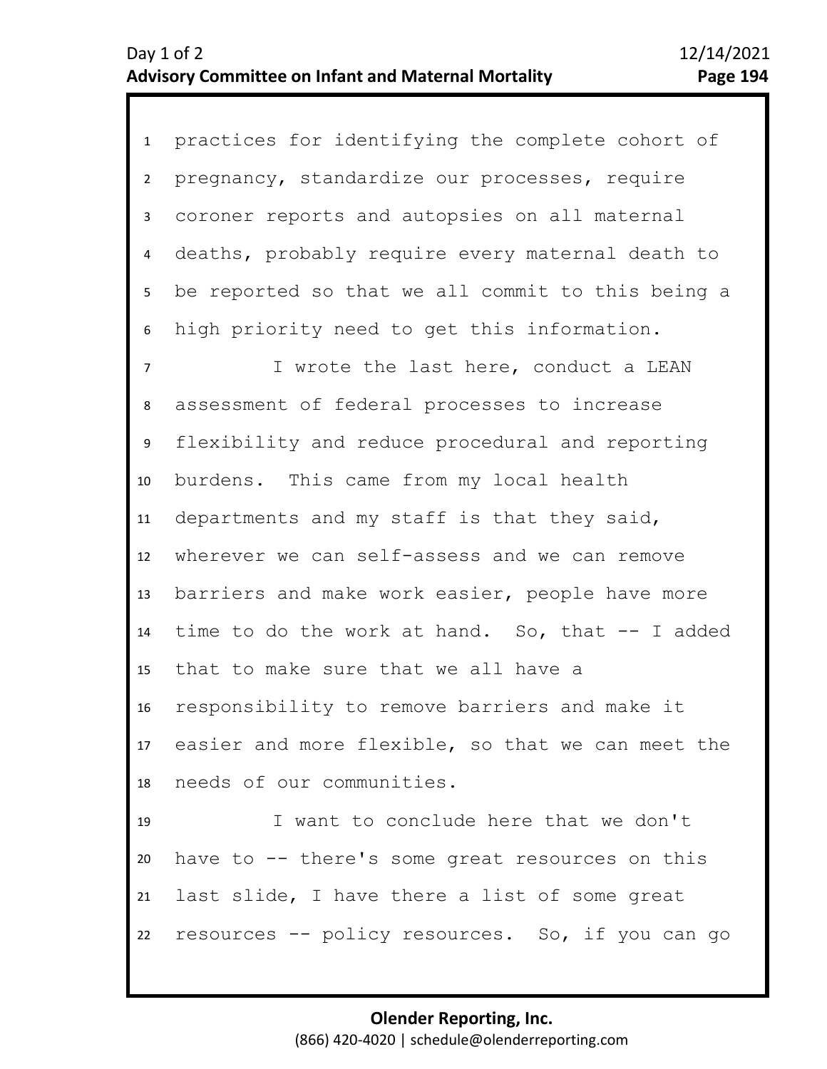1 practices for identifying the complete cohort of 2 3 4 9 10 11 12 13 14 15 16 17 18 19 20 21 5 7 8 6 pregnancy, standardize our processes, require coroner reports and autopsies on all maternal deaths, probably require every maternal death to be reported so that we all commit to this being a high priority need to get this information. I wrote the last here, conduct a LEAN assessment of federal processes to increase flexibility and reduce procedural and reporting burdens. This came from my local health departments and my staff is that they said, wherever we can self-assess and we can remove barriers and make work easier, people have more time to do the work at hand. So, that -- I added that to make sure that we all have a responsibility to remove barriers and make it easier and more flexible, so that we can meet the needs of our communities. I want to conclude here that we don't have to -- there's some great resources on this last slide, I have there a list of some great

22 resources -- policy resources. So, if you can go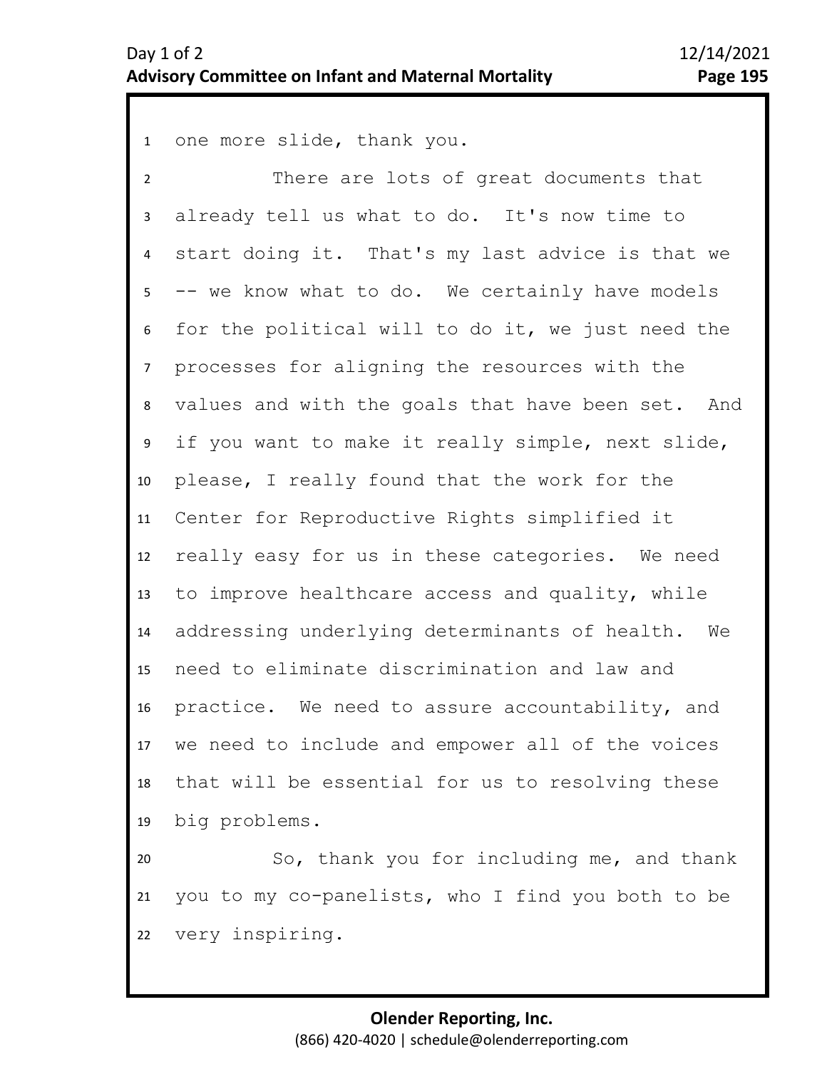1 one more slide, thank you.

2 3 8 9 10 11 12 13 14 15 16 17 18 19 4 6 7 5 There are lots of great documents that already tell us what to do. It's now time to start doing it. That's my last advice is that we -- we know what to do. We certainly have models for the political will to do it, we just need the processes for aligning the resources with the values and with the goals that have been set. And if you want to make it really simple, next slide, please, I really found that the work for the Center for Reproductive Rights simplified it really easy for us in these categories. We need to improve healthcare access and quality, while addressing underlying determinants of health. We need to eliminate discrimination and law and practice. We need to assure accountability, and we need to include and empower all of the voices that will be essential for us to resolving these big problems.

20 21 22 So, thank you for including me, and thank you to my co-panelists, who I find you both to be very inspiring.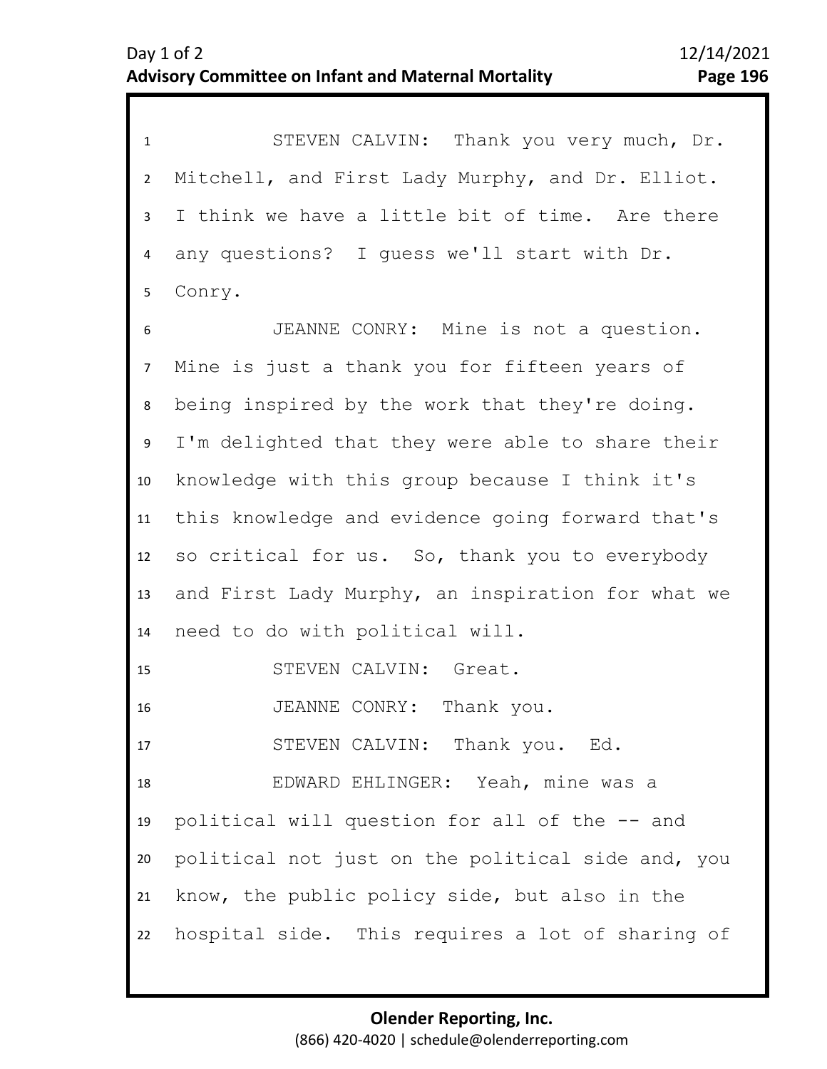| $\mathbf{1}$   | STEVEN CALVIN: Thank you very much, Dr.           |
|----------------|---------------------------------------------------|
| $\overline{2}$ | Mitchell, and First Lady Murphy, and Dr. Elliot.  |
| $\mathbf{3}$   | I think we have a little bit of time. Are there   |
| 4              | any questions? I quess we'll start with Dr.       |
| 5              | Conry.                                            |
| 6              | JEANNE CONRY: Mine is not a question.             |
| $\overline{7}$ | Mine is just a thank you for fifteen years of     |
| 8              | being inspired by the work that they're doing.    |
| 9              | I'm delighted that they were able to share their  |
| 10             | knowledge with this group because I think it's    |
| 11             | this knowledge and evidence going forward that's  |
| 12             | so critical for us. So, thank you to everybody    |
| 13             | and First Lady Murphy, an inspiration for what we |
| 14             | need to do with political will.                   |
| 15             | STEVEN CALVIN: Great.                             |
| 16             | JEANNE CONRY: Thank you.                          |
| 17             | STEVEN CALVIN: Thank you. Ed.                     |
| 18             | EDWARD EHLINGER: Yeah, mine was a                 |
| 19             | political will question for all of the -- and     |
| 20             | political not just on the political side and, you |
| 21             | know, the public policy side, but also in the     |
| 22             | hospital side. This requires a lot of sharing of  |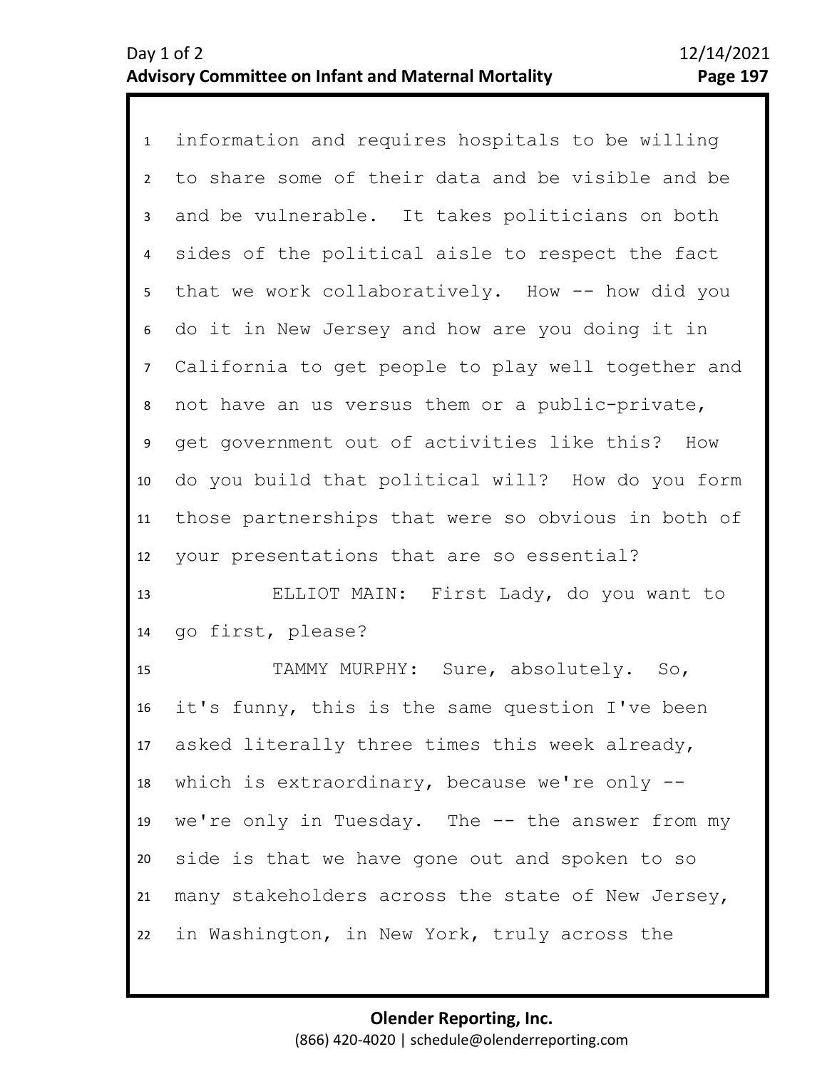1 information and requires hospitals to be willing 2 3 7 8 9 10 11 12 4 6 5 to share some of their data and be visible and be and be vulnerable. It takes politicians on both sides of the political aisle to respect the fact that we work collaboratively. How -- how did you do it in New Jersey and how are you doing it in California to get people to play well together and not have an us versus them or a public-private, get government out of activities like this? How do you build that political will? How do you form those partnerships that were so obvious in both of your presentations that are so essential?

13 14 ELLIOT MAIN: First Lady, do you want to go first, please?

15 16 17 18 19 20 21 22 TAMMY MURPHY: Sure, absolutely. So, it's funny, this is the same question I've been asked literally three times this week already, which is extraordinary, because we're only - we're only in Tuesday. The -- the answer from my side is that we have gone out and spoken to so many stakeholders across the state of New Jersey, in Washington, in New York, truly across the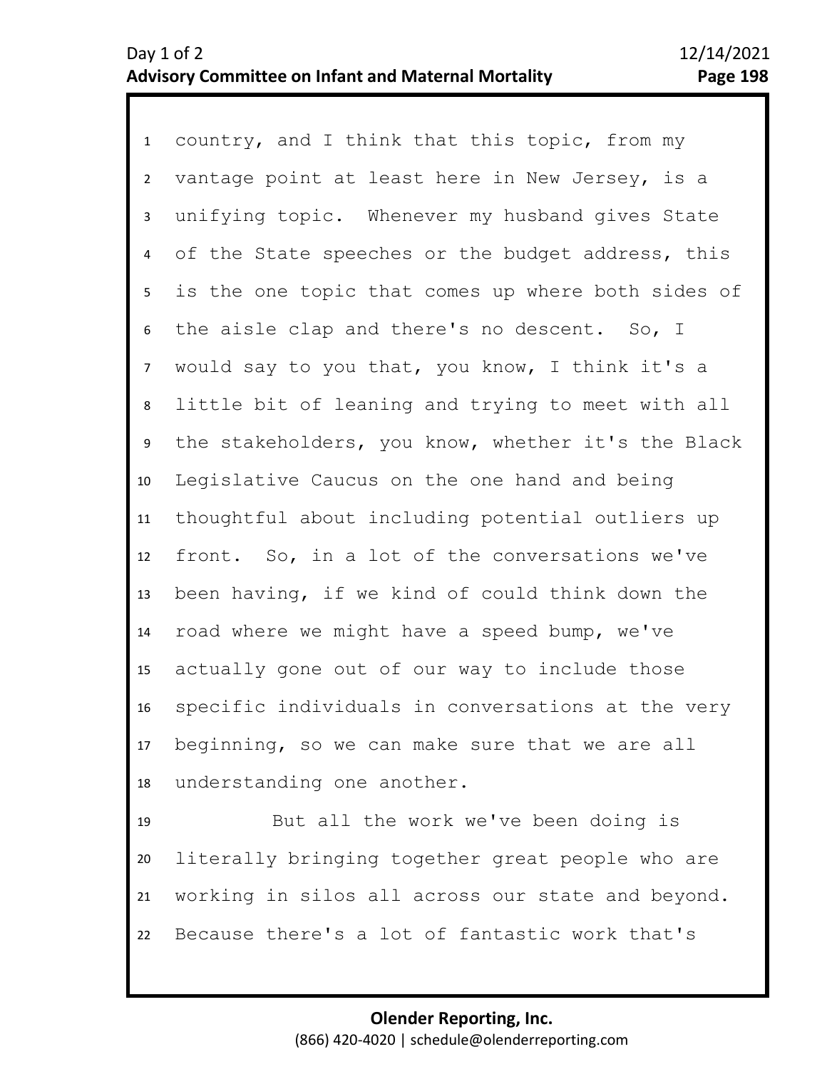1 country, and I think that this topic, from my 2 3 4 5 9 10 11 12 13 14 15 16 17 18 6 8 7 vantage point at least here in New Jersey, is a unifying topic. Whenever my husband gives State of the State speeches or the budget address, this is the one topic that comes up where both sides of the aisle clap and there's no descent. So, I would say to you that, you know, I think it's a little bit of leaning and trying to meet with all the stakeholders, you know, whether it's the Black Legislative Caucus on the one hand and being thoughtful about including potential outliers up front. So, in a lot of the conversations we've been having, if we kind of could think down the road where we might have a speed bump, we've actually gone out of our way to include those specific individuals in conversations at the very beginning, so we can make sure that we are all understanding one another.

19 20 21 22 But all the work we've been doing is literally bringing together great people who are working in silos all across our state and beyond. Because there's a lot of fantastic work that's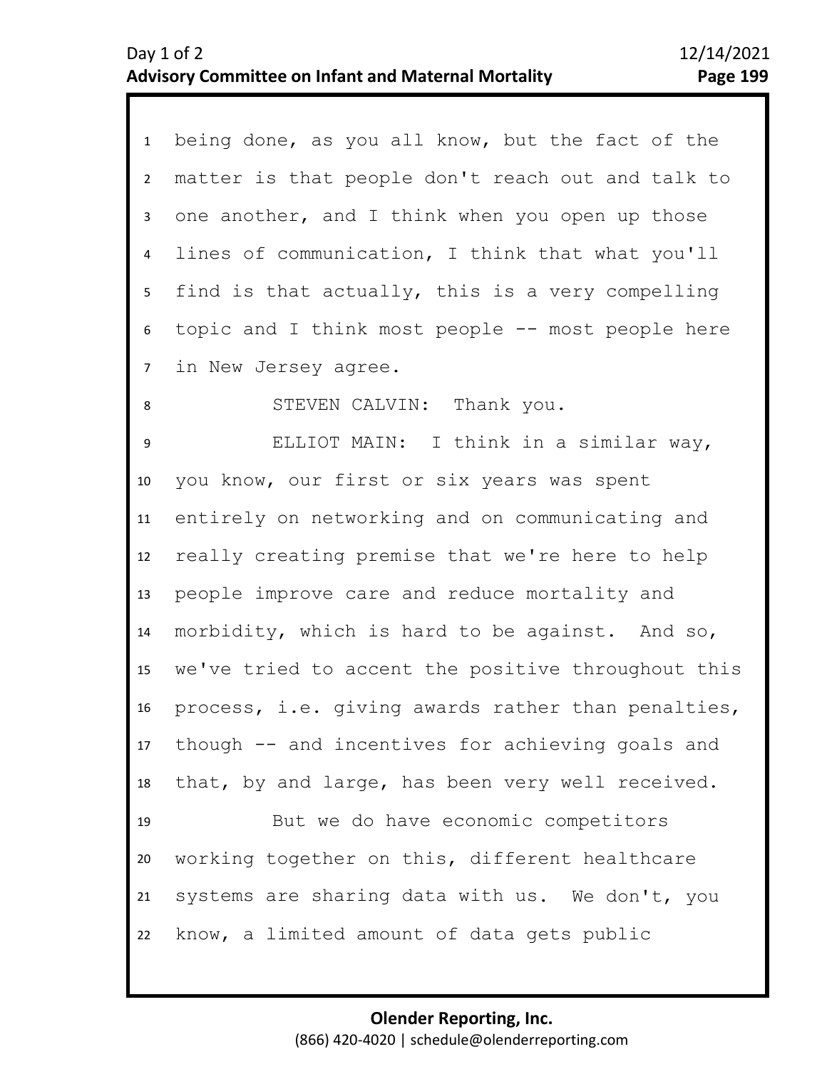| 1               | being done, as you all know, but the fact of the    |
|-----------------|-----------------------------------------------------|
| $\overline{2}$  | matter is that people don't reach out and talk to   |
| 3               | one another, and I think when you open up those     |
| 4               | lines of communication, I think that what you'll    |
| 5               | find is that actually, this is a very compelling    |
| 6               | topic and I think most people -- most people here   |
| $7\overline{ }$ | in New Jersey agree.                                |
| 8               | STEVEN CALVIN: Thank you.                           |
| 9               | ELLIOT MAIN: I think in a similar way,              |
| 10              | you know, our first or six years was spent          |
| 11              | entirely on networking and on communicating and     |
| 12              | really creating premise that we're here to help     |
| 13              | people improve care and reduce mortality and        |
| 14              | morbidity, which is hard to be against. And so,     |
| 15 <sub>1</sub> | we've tried to accent the positive throughout this  |
| 16              | process, i.e. giving awards rather than penalties,  |
|                 | 17 though -- and incentives for achieving goals and |
| 18              | that, by and large, has been very well received.    |
| 19              | But we do have economic competitors                 |
| 20              | working together on this, different healthcare      |
| 21              | systems are sharing data with us. We don't, you     |
| 22              | know, a limited amount of data gets public          |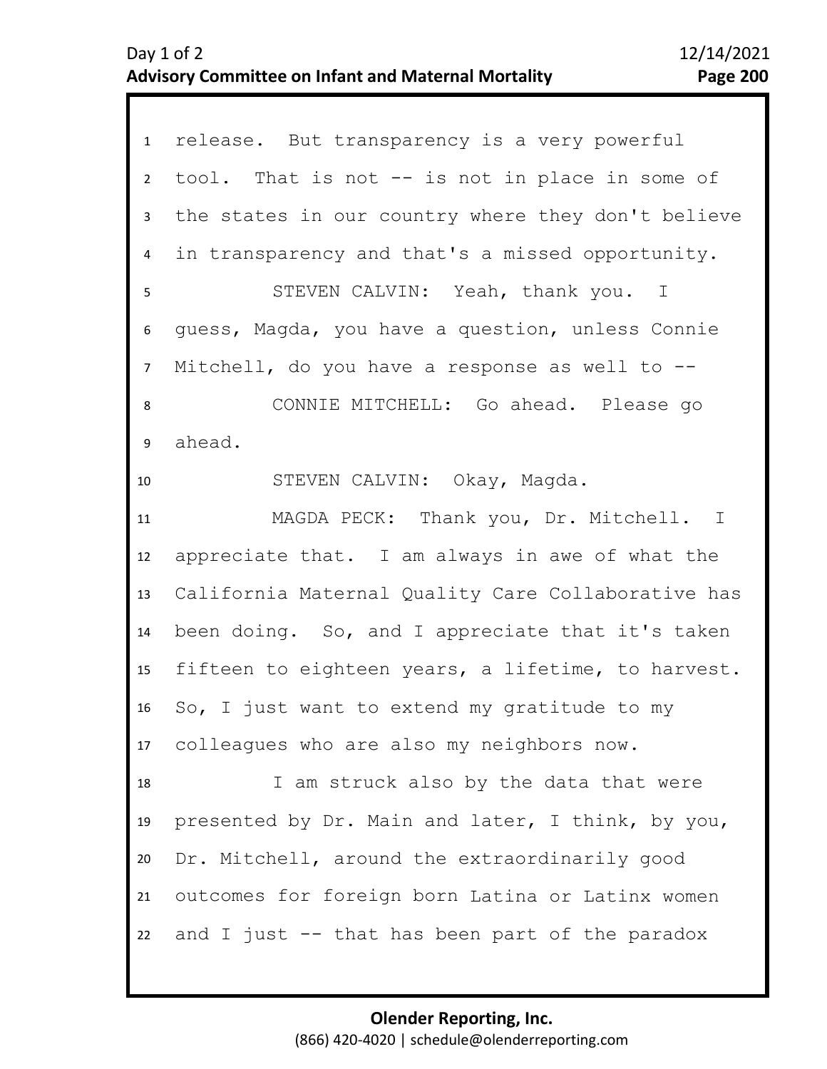| 1               | release. But transparency is a very powerful       |
|-----------------|----------------------------------------------------|
| $\mathbf{2}$    | tool. That is not -- is not in place in some of    |
| $\mathbf{3}$    | the states in our country where they don't believe |
| 4               | in transparency and that's a missed opportunity.   |
| 5               | STEVEN CALVIN: Yeah, thank you. I                  |
| 6               | guess, Magda, you have a question, unless Connie   |
| $7\overline{ }$ | Mitchell, do you have a response as well to $-$ -  |
| 8               | CONNIE MITCHELL: Go ahead. Please go               |
| 9               | ahead.                                             |
| 10              | STEVEN CALVIN: Okay, Magda.                        |
| 11              | MAGDA PECK: Thank you, Dr. Mitchell. I             |
| 12              | appreciate that. I am always in awe of what the    |
| 13              | California Maternal Quality Care Collaborative has |
| 14              | been doing. So, and I appreciate that it's taken   |
| 15              | fifteen to eighteen years, a lifetime, to harvest. |
| 16              | So, I just want to extend my gratitude to my       |
|                 | 17 colleagues who are also my neighbors now.       |
| 18              | I am struck also by the data that were             |
| 19              | presented by Dr. Main and later, I think, by you,  |
| 20              | Dr. Mitchell, around the extraordinarily good      |
| 21              | outcomes for foreign born Latina or Latinx women   |
| 22              | and I just -- that has been part of the paradox    |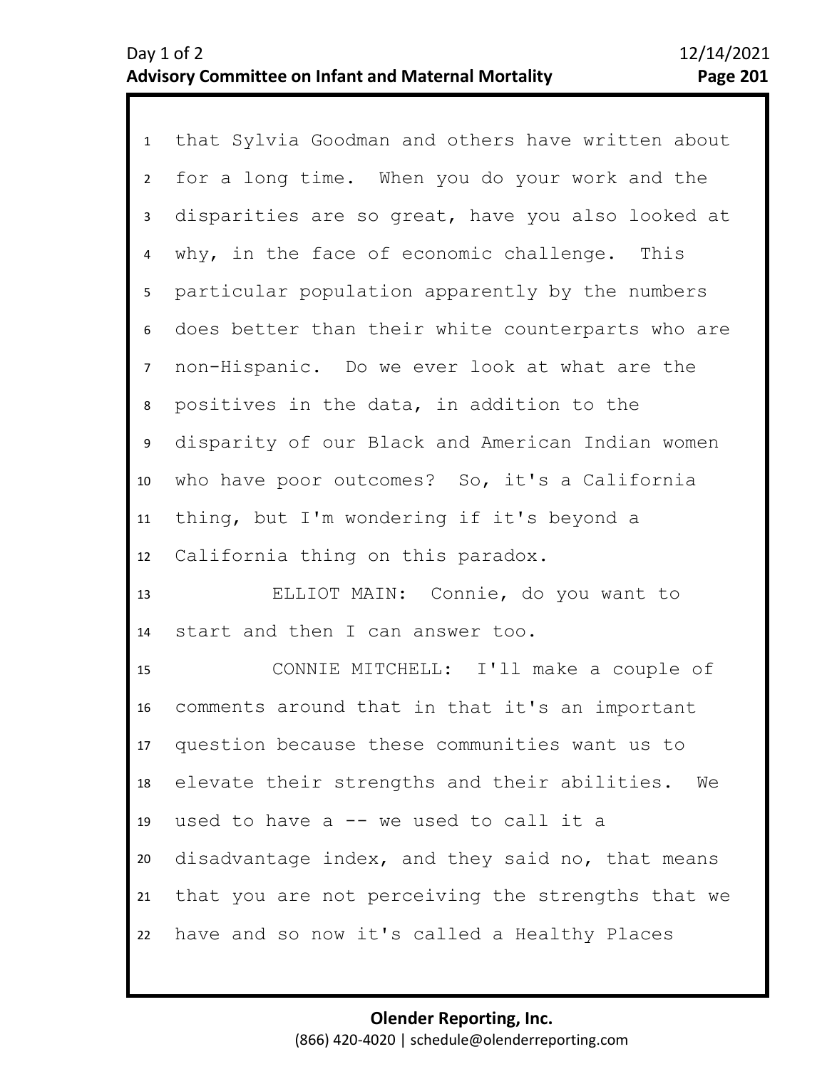1 that Sylvia Goodman and others have written about 2 3 4 5 8 9 10 11 12 6 7 for a long time. When you do your work and the disparities are so great, have you also looked at why, in the face of economic challenge. This particular population apparently by the numbers does better than their white counterparts who are non-Hispanic. Do we ever look at what are the positives in the data, in addition to the disparity of our Black and American Indian women who have poor outcomes? So, it's a California thing, but I'm wondering if it's beyond a California thing on this paradox.

13 14 ELLIOT MAIN: Connie, do you want to start and then I can answer too.

15 16 17 18 19 20 21 22 CONNIE MITCHELL: I'll make a couple of comments around that in that it's an important question because these communities want us to elevate their strengths and their abilities. We used to have a -- we used to call it a disadvantage index, and they said no, that means that you are not perceiving the strengths that we have and so now it's called a Healthy Places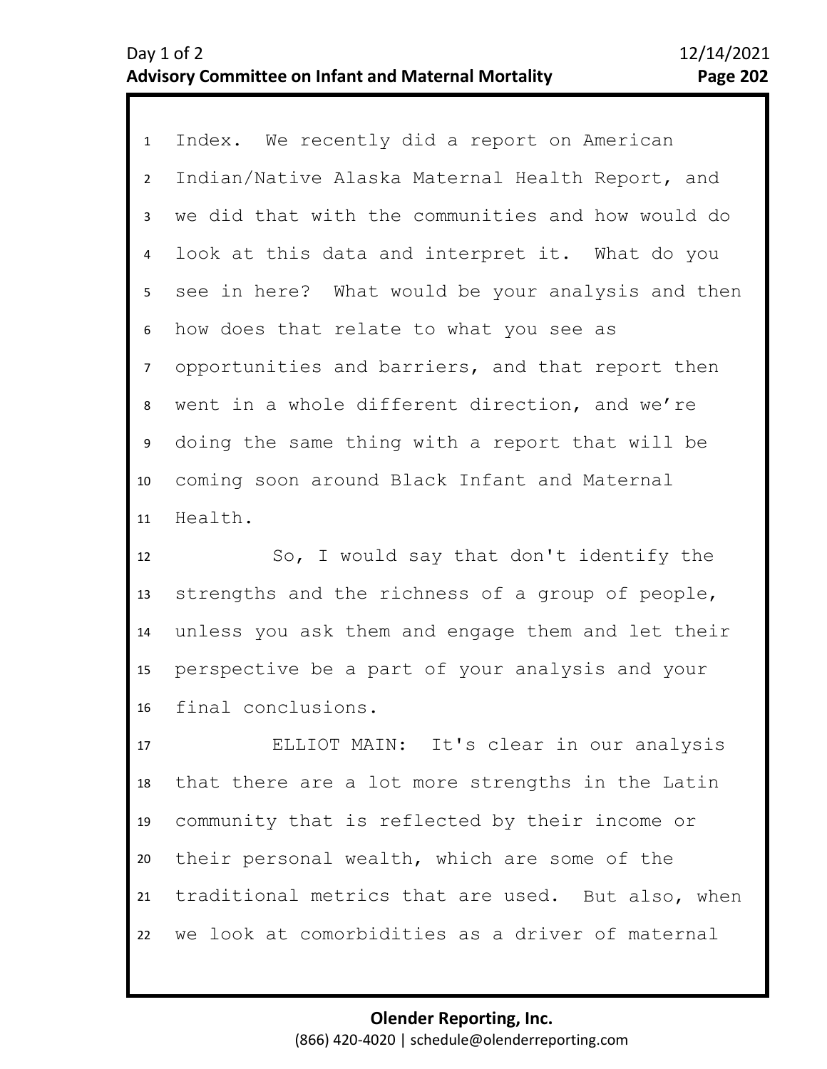1 Index. We recently did a report on American 2 3 4 9 10 11 5 7 8 6 Indian/Native Alaska Maternal Health Report, and we did that with the communities and how would do look at this data and interpret it. What do you see in here? What would be your analysis and then how does that relate to what you see as opportunities and barriers, and that report then went in a whole different direction, and we're doing the same thing with a report that will be coming soon around Black Infant and Maternal Health.

12 13 14 15 16 So, I would say that don't identify the strengths and the richness of a group of people, unless you ask them and engage them and let their perspective be a part of your analysis and your final conclusions.

17 18 19 20 21 22 ELLIOT MAIN: It's clear in our analysis that there are a lot more strengths in the Latin community that is reflected by their income or their personal wealth, which are some of the traditional metrics that are used. But also, when we look at comorbidities as a driver of maternal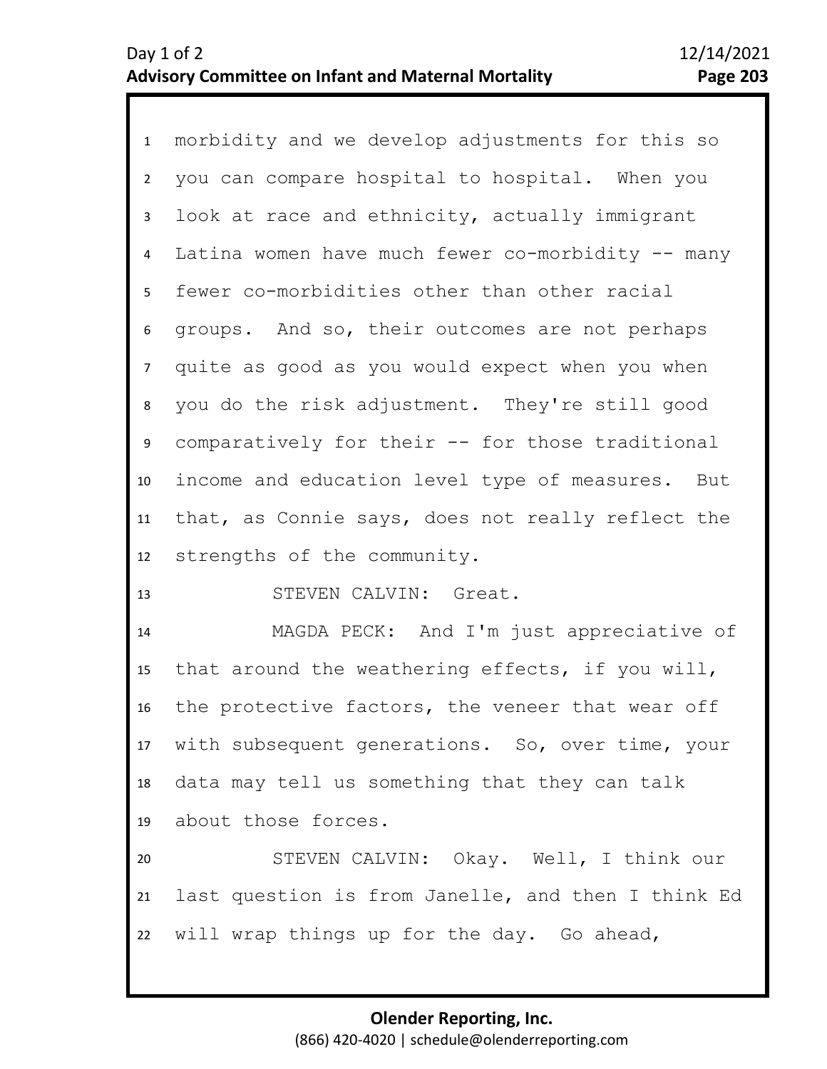1 morbidity and we develop adjustments for this so 2 6 7 8 9 10 11 12 3 5 4 you can compare hospital to hospital. When you look at race and ethnicity, actually immigrant Latina women have much fewer co-morbidity  $-$  many fewer co-morbidities other than other racial groups. And so, their outcomes are not perhaps quite as good as you would expect when you when you do the risk adjustment. They're still good comparatively for their -- for those traditional income and education level type of measures. But that, as Connie says, does not really reflect the strengths of the community.

13 STEVEN CALVIN: Great.

14 15 16 17 18 19 MAGDA PECK: And I'm just appreciative of that around the weathering effects, if you will, the protective factors, the veneer that wear off with subsequent generations. So, over time, your data may tell us something that they can talk about those forces.

20 21 22 STEVEN CALVIN: Okay. Well, I think our last question is from Janelle, and then I think Ed will wrap things up for the day. Go ahead,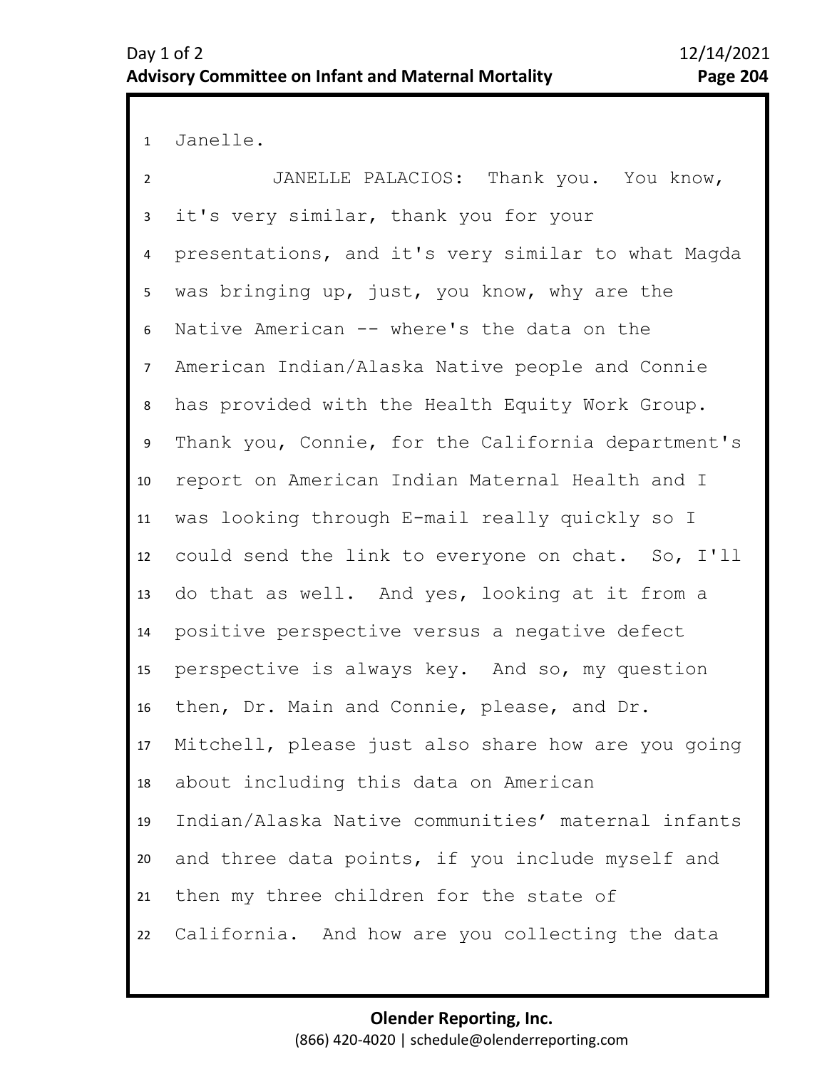1 Janelle.

2 7 8 9 10 11 12 13 14 15 16 17 18 19 20 21 22 3 6 4 5 JANELLE PALACIOS: Thank you. You know, it's very similar, thank you for your presentations, and it's very similar to what Magda was bringing up, just, you know, why are the Native American -- where's the data on the American Indian/Alaska Native people and Connie has provided with the Health Equity Work Group. Thank you, Connie, for the California department's report on American Indian Maternal Health and I was looking through E-mail really quickly so I could send the link to everyone on chat. So, I'll do that as well. And yes, looking at it from a positive perspective versus a negative defect perspective is always key. And so, my question then, Dr. Main and Connie, please, and Dr. Mitchell, please just also share how are you going about including this data on American Indian/Alaska Native communities' maternal infants and three data points, if you include myself and then my three children for the state of California. And how are you collecting the data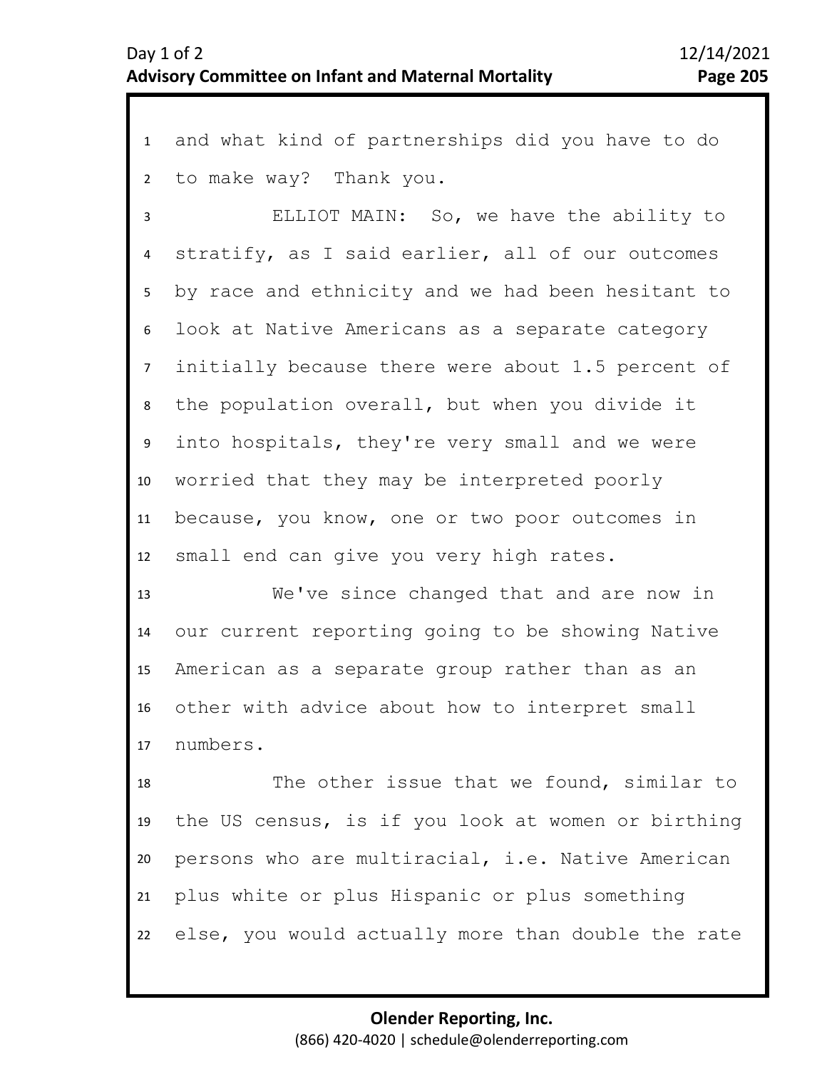1 and what kind of partnerships did you have to do 2 to make way? Thank you.

3 7 8 9 10 11 12 4 6 5 ELLIOT MAIN: So, we have the ability to stratify, as I said earlier, all of our outcomes by race and ethnicity and we had been hesitant to look at Native Americans as a separate category initially because there were about 1.5 percent of the population overall, but when you divide it into hospitals, they're very small and we were worried that they may be interpreted poorly because, you know, one or two poor outcomes in small end can give you very high rates.

13 14 15 16 17 We've since changed that and are now in our current reporting going to be showing Native American as a separate group rather than as an other with advice about how to interpret small numbers.

18 19 20 21 22 The other issue that we found, similar to the US census, is if you look at women or birthing persons who are multiracial, i.e. Native American plus white or plus Hispanic or plus something else, you would actually more than double the rate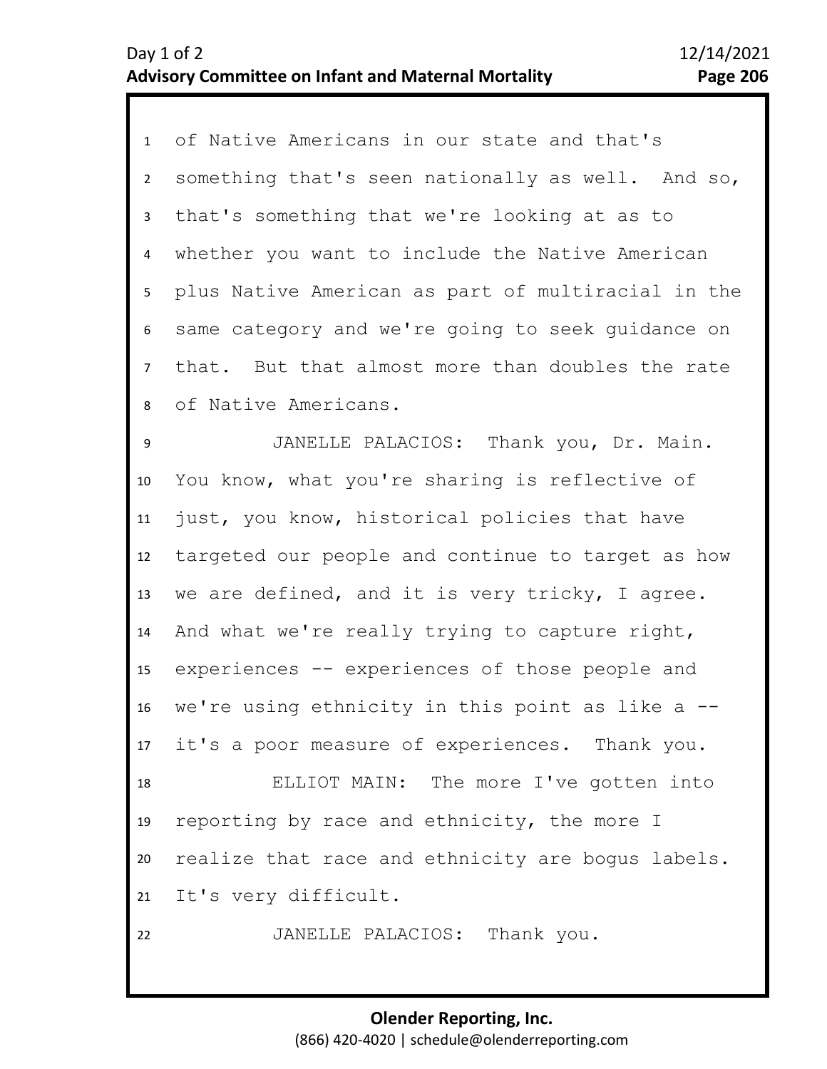1 of Native Americans in our state and that's 2 3 7 8 9 10 11 12 13 14 15 16 17 18 19 20 21 22 4 6 5 something that's seen nationally as well. And so, that's something that we're looking at as to whether you want to include the Native American plus Native American as part of multiracial in the same category and we're going to seek guidance on that. But that almost more than doubles the rate of Native Americans. JANELLE PALACIOS: Thank you, Dr. Main. You know, what you're sharing is reflective of just, you know, historical policies that have targeted our people and continue to target as how we are defined, and it is very tricky, I agree. And what we're really trying to capture right, experiences -- experiences of those people and we're using ethnicity in this point as like a  $-$ it's a poor measure of experiences. Thank you. ELLIOT MAIN: The more I've gotten into reporting by race and ethnicity, the more I realize that race and ethnicity are bogus labels. It's very difficult. JANELLE PALACIOS: Thank you.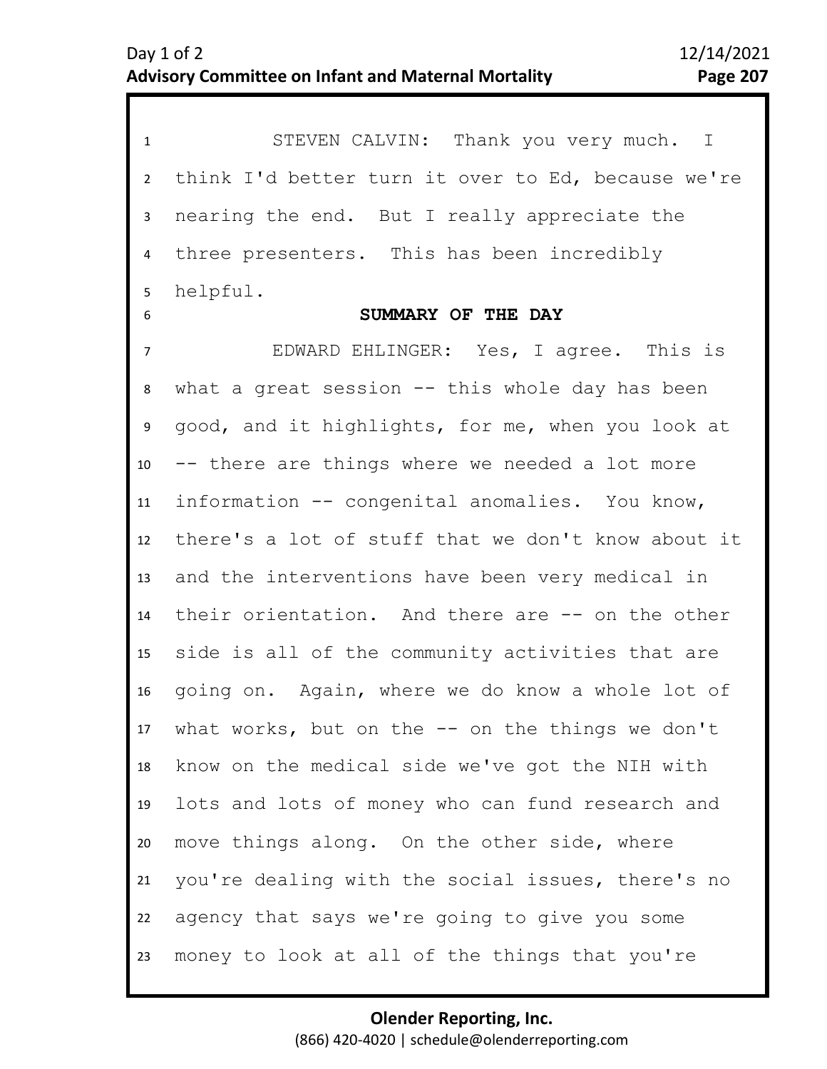| $\mathbf{1}$    | STEVEN CALVIN: Thank you very much. I               |
|-----------------|-----------------------------------------------------|
| $2^{\circ}$     | think I'd better turn it over to Ed, because we're  |
| 3               | nearing the end. But I really appreciate the        |
| 4               | three presenters. This has been incredibly          |
| 5               | helpful.                                            |
| 6               | SUMMARY OF THE DAY                                  |
| $\overline{7}$  | EDWARD EHLINGER: Yes, I agree. This is              |
| 8               | what a great session $--$ this whole day has been   |
| 9               | good, and it highlights, for me, when you look at   |
| 10 <sup>1</sup> | -- there are things where we needed a lot more      |
| 11              | information -- congenital anomalies. You know,      |
| 12              | there's a lot of stuff that we don't know about it  |
| 13              | and the interventions have been very medical in     |
| 14              | their orientation. And there are -- on the other    |
| 15 <sub>1</sub> | side is all of the community activities that are    |
| 16              | going on. Again, where we do know a whole lot of    |
|                 | 17 what works, but on the -- on the things we don't |
| 18              | know on the medical side we've got the NIH with     |
| 19              | lots and lots of money who can fund research and    |
| 20              | move things along. On the other side, where         |
| 21              | you're dealing with the social issues, there's no   |
| 22              | agency that says we're going to give you some       |
| 23              | money to look at all of the things that you're      |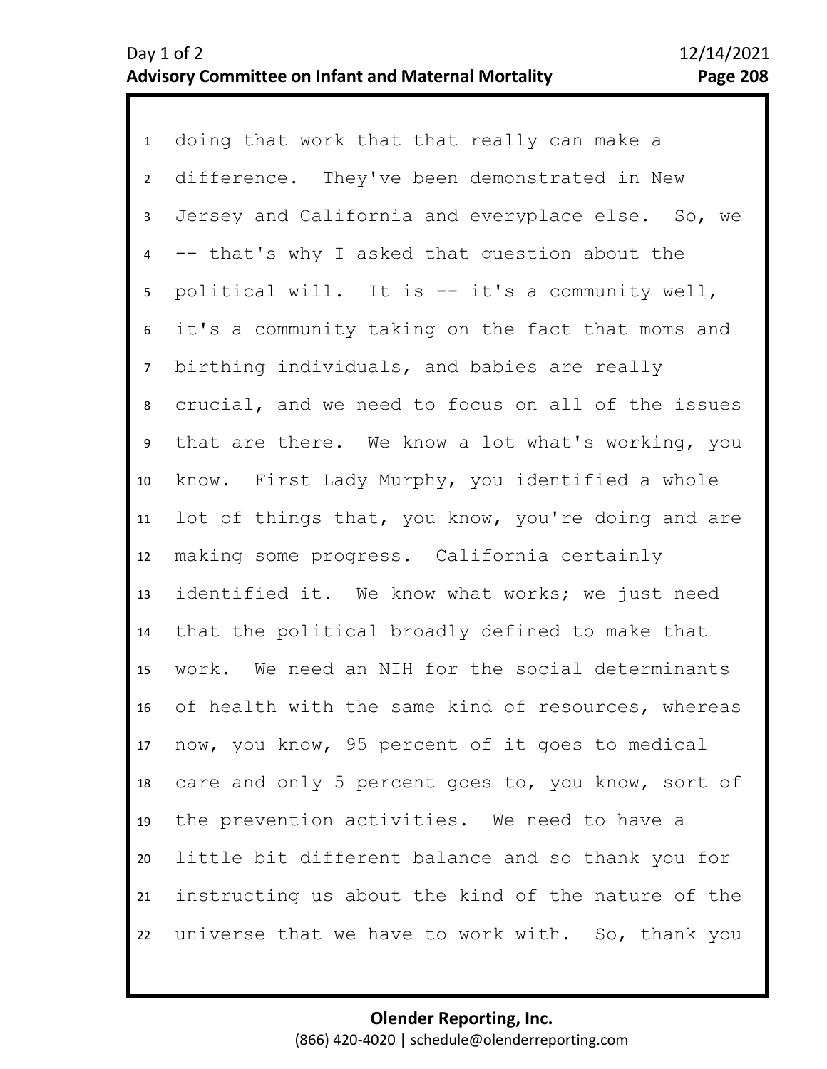1 doing that work that that really can make a 2 3 7 8 9 10 11 12 13 14 15 16 17 18 19 20 21 22 4 6 5 difference. They've been demonstrated in New Jersey and California and everyplace else. So, we -- that's why I asked that question about the political will. It is -- it's a community well, it's a community taking on the fact that moms and birthing individuals, and babies are really crucial, and we need to focus on all of the issues that are there. We know a lot what's working, you know. First Lady Murphy, you identified a whole lot of things that, you know, you're doing and are making some progress. California certainly identified it. We know what works; we just need that the political broadly defined to make that work. We need an NIH for the social determinants of health with the same kind of resources, whereas now, you know, 95 percent of it goes to medical care and only 5 percent goes to, you know, sort of the prevention activities. We need to have a little bit different balance and so thank you for instructing us about the kind of the nature of the universe that we have to work with. So, thank you